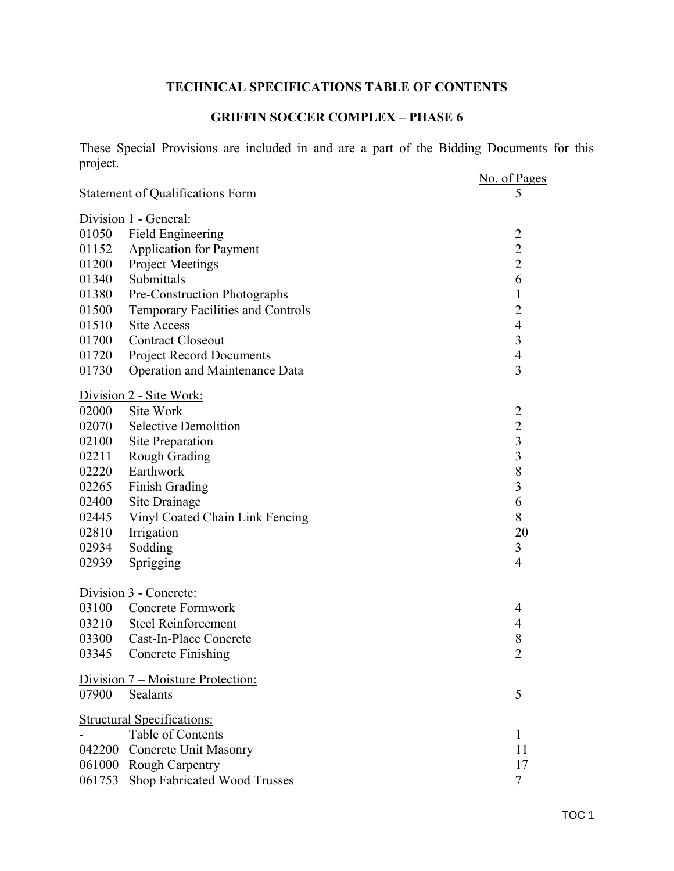# **TECHNICAL SPECIFICATIONS TABLE OF CONTENTS**

# **GRIFFIN SOCCER COMPLEX – PHASE 6**

These Special Provisions are included in and are a part of the Bidding Documents for this project.  $N_{\text{R}}$  of D.

|                                         |                                          | <u>No. of Pages</u>      |
|-----------------------------------------|------------------------------------------|--------------------------|
| <b>Statement of Qualifications Form</b> | 5                                        |                          |
|                                         | Division 1 - General:                    |                          |
| 01050                                   | <b>Field Engineering</b>                 | $\overline{2}$           |
| 01152                                   | <b>Application for Payment</b>           | $\overline{2}$           |
| 01200                                   | <b>Project Meetings</b>                  | $\overline{2}$           |
| 01340                                   | Submittals                               | 6                        |
| 01380                                   | Pre-Construction Photographs             | $\mathbf{1}$             |
| 01500                                   | <b>Temporary Facilities and Controls</b> | $\overline{2}$           |
| 01510                                   | <b>Site Access</b>                       | $\overline{\mathcal{L}}$ |
| 01700                                   | <b>Contract Closeout</b>                 | 3                        |
| 01720                                   | <b>Project Record Documents</b>          | $\overline{4}$           |
| 01730                                   | Operation and Maintenance Data           | 3                        |
|                                         | Division 2 - Site Work:                  |                          |
| 02000                                   | Site Work                                | $\overline{c}$           |
| 02070                                   | <b>Selective Demolition</b>              | $\overline{2}$           |
| 02100                                   | Site Preparation                         | $\overline{\mathbf{3}}$  |
| 02211                                   | Rough Grading                            | $\overline{3}$           |
| 02220                                   | Earthwork                                | 8                        |
| 02265                                   | Finish Grading                           | $\overline{3}$           |
| 02400                                   | Site Drainage                            | 6                        |
| 02445                                   | Vinyl Coated Chain Link Fencing          | 8                        |
| 02810                                   | Irrigation                               | 20                       |
| 02934                                   | Sodding                                  | 3                        |
| 02939                                   | Sprigging                                | 4                        |
|                                         | Division 3 - Concrete:                   |                          |
| 03100                                   | Concrete Formwork                        | 4                        |
|                                         | 03210 Steel Reinforcement                | 4                        |
| 03300                                   | Cast-In-Place Concrete                   | 8                        |
| 03345                                   | <b>Concrete Finishing</b>                | $\overline{2}$           |
|                                         | Division 7 – Moisture Protection:        |                          |
| 07900                                   | Sealants                                 | 5                        |
|                                         | <b>Structural Specifications:</b>        |                          |
| Table of Contents<br>1                  |                                          |                          |
| 042200                                  | <b>Concrete Unit Masonry</b>             | 11                       |
| 061000                                  | <b>Rough Carpentry</b>                   | 17                       |
| 061753                                  | Shop Fabricated Wood Trusses             | 7                        |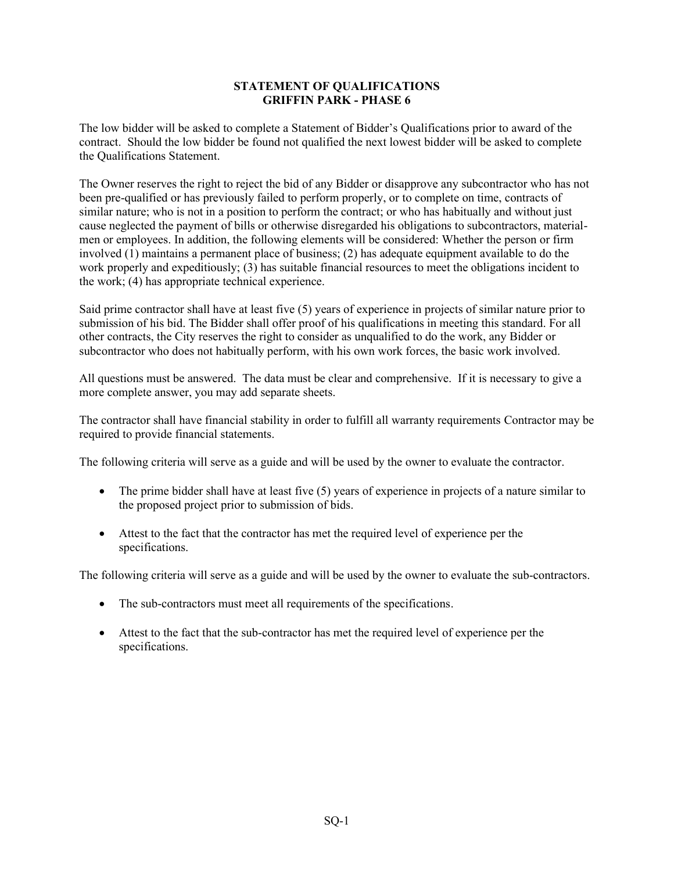#### **STATEMENT OF QUALIFICATIONS GRIFFIN PARK - PHASE 6**

The low bidder will be asked to complete a Statement of Bidder's Qualifications prior to award of the contract. Should the low bidder be found not qualified the next lowest bidder will be asked to complete the Qualifications Statement.

The Owner reserves the right to reject the bid of any Bidder or disapprove any subcontractor who has not been pre-qualified or has previously failed to perform properly, or to complete on time, contracts of similar nature; who is not in a position to perform the contract; or who has habitually and without just cause neglected the payment of bills or otherwise disregarded his obligations to subcontractors, materialmen or employees. In addition, the following elements will be considered: Whether the person or firm involved (1) maintains a permanent place of business; (2) has adequate equipment available to do the work properly and expeditiously; (3) has suitable financial resources to meet the obligations incident to the work; (4) has appropriate technical experience.

Said prime contractor shall have at least five (5) years of experience in projects of similar nature prior to submission of his bid. The Bidder shall offer proof of his qualifications in meeting this standard. For all other contracts, the City reserves the right to consider as unqualified to do the work, any Bidder or subcontractor who does not habitually perform, with his own work forces, the basic work involved.

All questions must be answered. The data must be clear and comprehensive. If it is necessary to give a more complete answer, you may add separate sheets.

The contractor shall have financial stability in order to fulfill all warranty requirements Contractor may be required to provide financial statements.

The following criteria will serve as a guide and will be used by the owner to evaluate the contractor.

- The prime bidder shall have at least five (5) years of experience in projects of a nature similar to the proposed project prior to submission of bids.
- Attest to the fact that the contractor has met the required level of experience per the specifications.

The following criteria will serve as a guide and will be used by the owner to evaluate the sub-contractors.

- The sub-contractors must meet all requirements of the specifications.
- Attest to the fact that the sub-contractor has met the required level of experience per the specifications.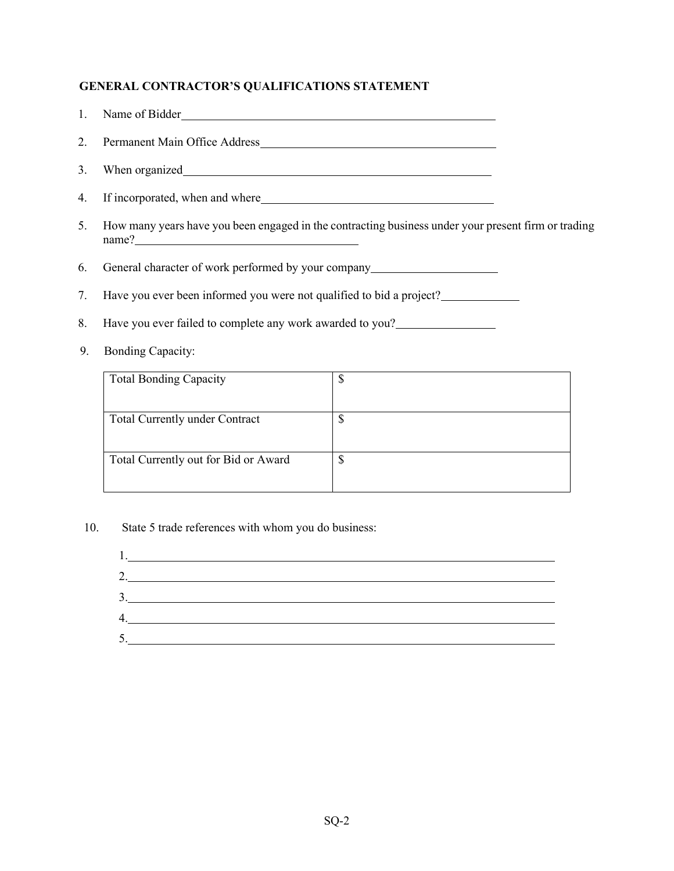### **GENERAL CONTRACTOR'S QUALIFICATIONS STATEMENT**

| 1. Name of Bidder<br><u>Letter</u> and the set of the set of Bidder<br><u>Letter</u> and the set of the set of the set of the set of the set of the set of the set of the set of the set of the set of the set of the set of the set of the |
|---------------------------------------------------------------------------------------------------------------------------------------------------------------------------------------------------------------------------------------------|
| 2. Permanent Main Office Address                                                                                                                                                                                                            |
|                                                                                                                                                                                                                                             |
|                                                                                                                                                                                                                                             |
| 5. How many years have you been engaged in the contracting business under your present firm or trading<br>name?                                                                                                                             |
| 6. General character of work performed by your company__________________________                                                                                                                                                            |
| 7. Have you ever been informed you were not qualified to bid a project?                                                                                                                                                                     |
| 8. Have you ever failed to complete any work awarded to you?                                                                                                                                                                                |

9. Bonding Capacity:

| <b>Total Bonding Capacity</b>         | ۰υ |
|---------------------------------------|----|
|                                       |    |
| <b>Total Currently under Contract</b> |    |
| Total Currently out for Bid or Award  | Φ  |

10. State 5 trade references with whom you do business:

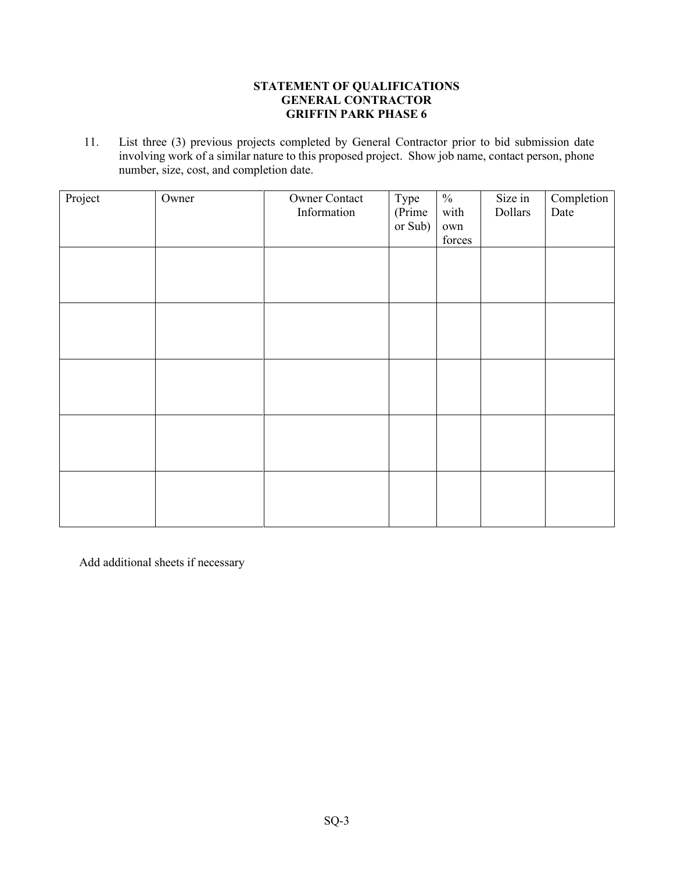### **STATEMENT OF QUALIFICATIONS GENERAL CONTRACTOR GRIFFIN PARK PHASE 6**

11. List three (3) previous projects completed by General Contractor prior to bid submission date involving work of a similar nature to this proposed project. Show job name, contact person, phone number, size, cost, and completion date.

| Project | Owner | Owner Contact | Type    | $\frac{0}{6}$ | Size in | Completion |
|---------|-------|---------------|---------|---------------|---------|------------|
|         |       | Information   | (Prime) | with          | Dollars | Date       |
|         |       |               | or Sub) | own           |         |            |
|         |       |               |         | forces        |         |            |
|         |       |               |         |               |         |            |
|         |       |               |         |               |         |            |
|         |       |               |         |               |         |            |
|         |       |               |         |               |         |            |
|         |       |               |         |               |         |            |
|         |       |               |         |               |         |            |
|         |       |               |         |               |         |            |
|         |       |               |         |               |         |            |
|         |       |               |         |               |         |            |
|         |       |               |         |               |         |            |
|         |       |               |         |               |         |            |
|         |       |               |         |               |         |            |
|         |       |               |         |               |         |            |
|         |       |               |         |               |         |            |
|         |       |               |         |               |         |            |
|         |       |               |         |               |         |            |
|         |       |               |         |               |         |            |
|         |       |               |         |               |         |            |
|         |       |               |         |               |         |            |
|         |       |               |         |               |         |            |

Add additional sheets if necessary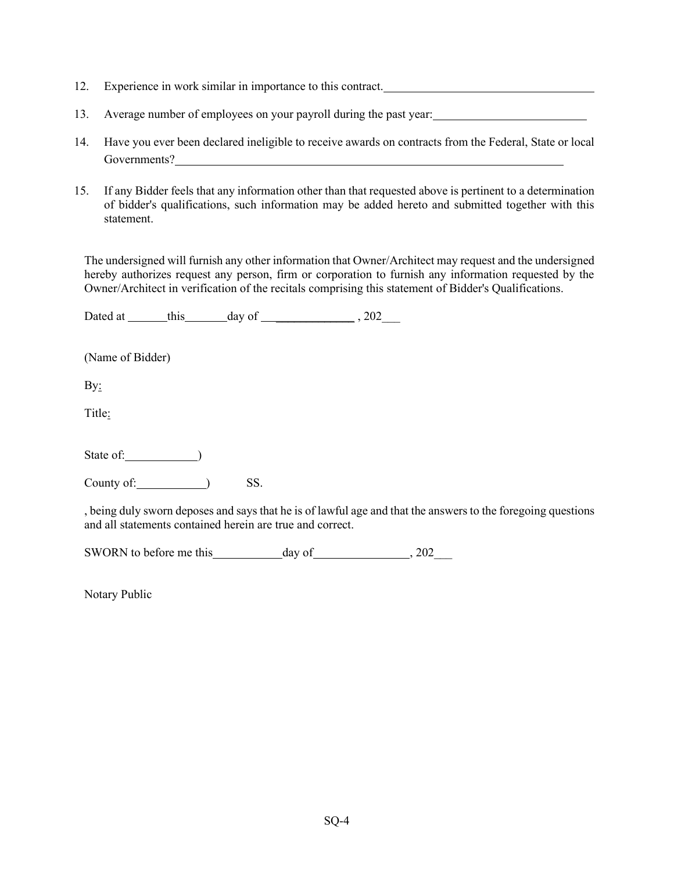- 12. Experience in work similar in importance to this contract.
- 13. Average number of employees on your payroll during the past year:
- 14. Have you ever been declared ineligible to receive awards on contracts from the Federal, State or local Governments?
- 15. If any Bidder feels that any information other than that requested above is pertinent to a determination of bidder's qualifications, such information may be added hereto and submitted together with this statement.

The undersigned will furnish any other information that Owner/Architect may request and the undersigned hereby authorizes request any person, firm or corporation to furnish any information requested by the Owner/Architect in verification of the recitals comprising this statement of Bidder's Qualifications.

Dated at this day of \_\_\_\_\_\_\_\_\_\_\_\_\_ , 202\_\_\_

(Name of Bidder)

By:

Title:

State of: 1

County of: ) SS.

, being duly sworn deposes and says that he is of lawful age and that the answers to the foregoing questions and all statements contained herein are true and correct.

SWORN to before me this day of , 202

Notary Public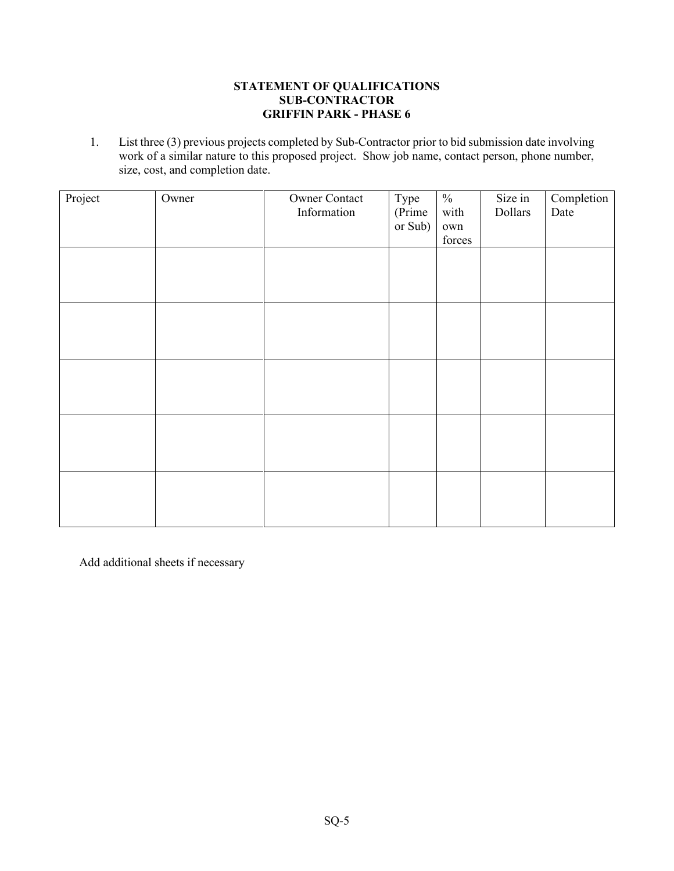### **STATEMENT OF QUALIFICATIONS SUB-CONTRACTOR GRIFFIN PARK - PHASE 6**

1. List three (3) previous projects completed by Sub-Contractor prior to bid submission date involving work of a similar nature to this proposed project. Show job name, contact person, phone number, size, cost, and completion date.

| Project | Owner | Owner Contact | Type    | $\frac{0}{6}$ | Size in | Completion |
|---------|-------|---------------|---------|---------------|---------|------------|
|         |       | Information   | (Prime  | with          | Dollars | Date       |
|         |       |               | or Sub) | own           |         |            |
|         |       |               |         | forces        |         |            |
|         |       |               |         |               |         |            |
|         |       |               |         |               |         |            |
|         |       |               |         |               |         |            |
|         |       |               |         |               |         |            |
|         |       |               |         |               |         |            |
|         |       |               |         |               |         |            |
|         |       |               |         |               |         |            |
|         |       |               |         |               |         |            |
|         |       |               |         |               |         |            |
|         |       |               |         |               |         |            |
|         |       |               |         |               |         |            |
|         |       |               |         |               |         |            |
|         |       |               |         |               |         |            |
|         |       |               |         |               |         |            |
|         |       |               |         |               |         |            |
|         |       |               |         |               |         |            |
|         |       |               |         |               |         |            |
|         |       |               |         |               |         |            |
|         |       |               |         |               |         |            |

Add additional sheets if necessary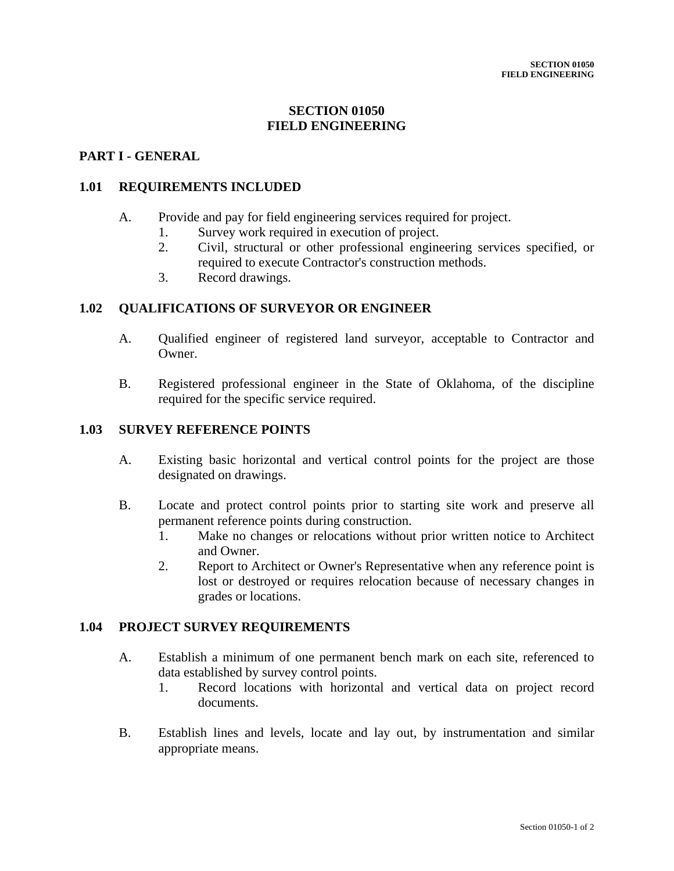### **SECTION 01050 FIELD ENGINEERING**

### **PART I - GENERAL**

### **1.01 REQUIREMENTS INCLUDED**

- A. Provide and pay for field engineering services required for project.
	- 1. Survey work required in execution of project.
	- 2. Civil, structural or other professional engineering services specified, or required to execute Contractor's construction methods.
	- 3. Record drawings.

### **1.02 QUALIFICATIONS OF SURVEYOR OR ENGINEER**

- A. Qualified engineer of registered land surveyor, acceptable to Contractor and Owner.
- B. Registered professional engineer in the State of Oklahoma, of the discipline required for the specific service required.

### **1.03 SURVEY REFERENCE POINTS**

- A. Existing basic horizontal and vertical control points for the project are those designated on drawings.
- B. Locate and protect control points prior to starting site work and preserve all permanent reference points during construction.
	- 1. Make no changes or relocations without prior written notice to Architect and Owner.
	- 2. Report to Architect or Owner's Representative when any reference point is lost or destroyed or requires relocation because of necessary changes in grades or locations.

#### **1.04 PROJECT SURVEY REQUIREMENTS**

- A. Establish a minimum of one permanent bench mark on each site, referenced to data established by survey control points.
	- 1. Record locations with horizontal and vertical data on project record documents.
- B. Establish lines and levels, locate and lay out, by instrumentation and similar appropriate means.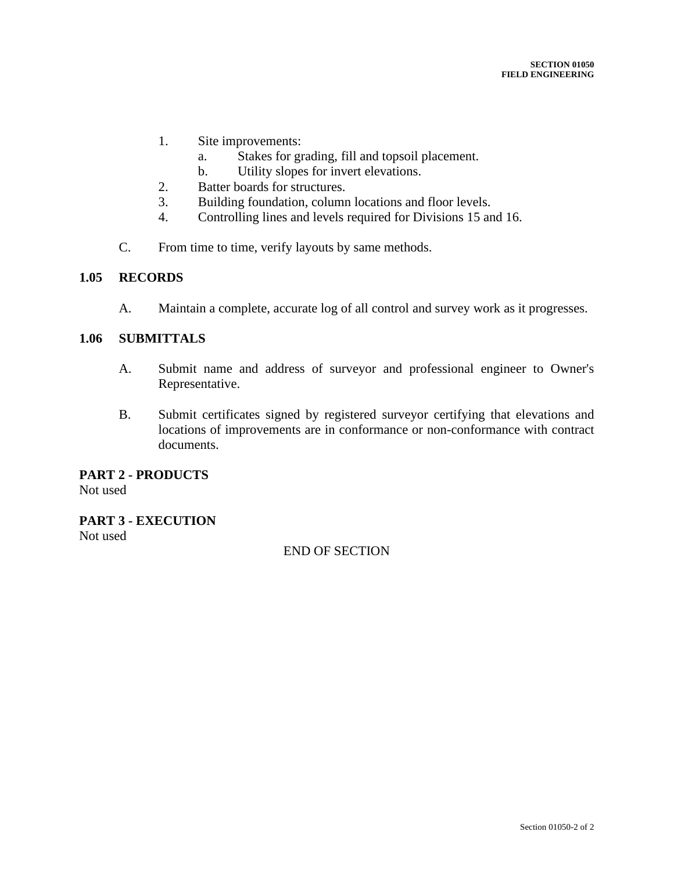- 1. Site improvements:
	- a. Stakes for grading, fill and topsoil placement.
	- b. Utility slopes for invert elevations.
- 2. Batter boards for structures.
- 3. Building foundation, column locations and floor levels.
- 4. Controlling lines and levels required for Divisions 15 and 16.
- C. From time to time, verify layouts by same methods.

### **1.05 RECORDS**

A. Maintain a complete, accurate log of all control and survey work as it progresses.

### **1.06 SUBMITTALS**

- A. Submit name and address of surveyor and professional engineer to Owner's Representative.
- B. Submit certificates signed by registered surveyor certifying that elevations and locations of improvements are in conformance or non-conformance with contract documents.

**PART 2 - PRODUCTS** Not used

# **PART 3 - EXECUTION**

Not used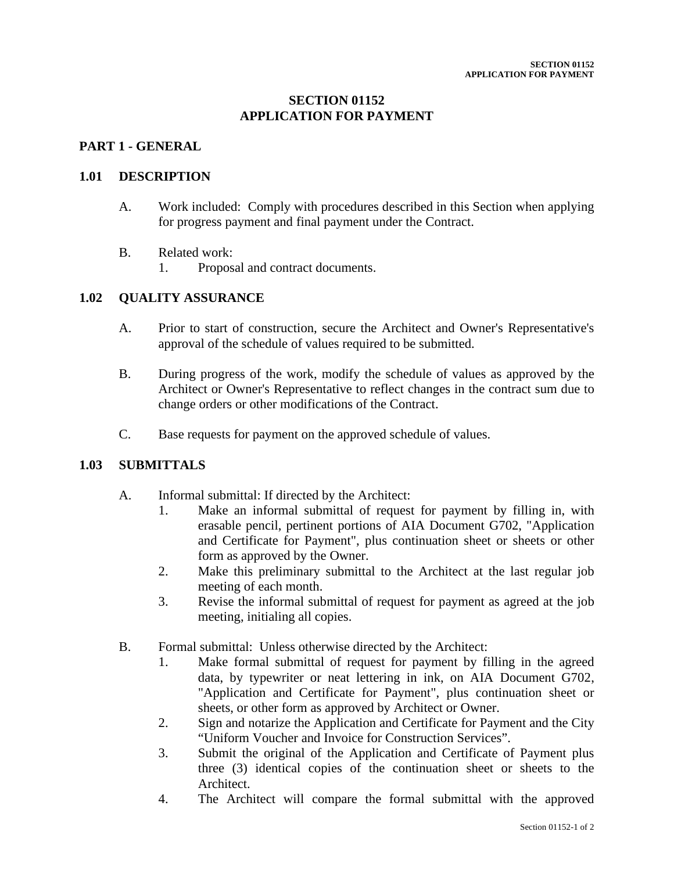# **SECTION 01152 APPLICATION FOR PAYMENT**

### **PART 1 - GENERAL**

### **1.01 DESCRIPTION**

- A. Work included: Comply with procedures described in this Section when applying for progress payment and final payment under the Contract.
- B. Related work:
	- 1. Proposal and contract documents.

### **1.02 QUALITY ASSURANCE**

- A. Prior to start of construction, secure the Architect and Owner's Representative's approval of the schedule of values required to be submitted.
- B. During progress of the work, modify the schedule of values as approved by the Architect or Owner's Representative to reflect changes in the contract sum due to change orders or other modifications of the Contract.
- C. Base requests for payment on the approved schedule of values.

#### **1.03 SUBMITTALS**

- A. Informal submittal: If directed by the Architect:
	- 1. Make an informal submittal of request for payment by filling in, with erasable pencil, pertinent portions of AIA Document G702, "Application and Certificate for Payment", plus continuation sheet or sheets or other form as approved by the Owner.
	- 2. Make this preliminary submittal to the Architect at the last regular job meeting of each month.
	- 3. Revise the informal submittal of request for payment as agreed at the job meeting, initialing all copies.
- B. Formal submittal: Unless otherwise directed by the Architect:
	- 1. Make formal submittal of request for payment by filling in the agreed data, by typewriter or neat lettering in ink, on AIA Document G702, "Application and Certificate for Payment", plus continuation sheet or sheets, or other form as approved by Architect or Owner.
	- 2. Sign and notarize the Application and Certificate for Payment and the City "Uniform Voucher and Invoice for Construction Services".
	- 3. Submit the original of the Application and Certificate of Payment plus three (3) identical copies of the continuation sheet or sheets to the Architect.
	- 4. The Architect will compare the formal submittal with the approved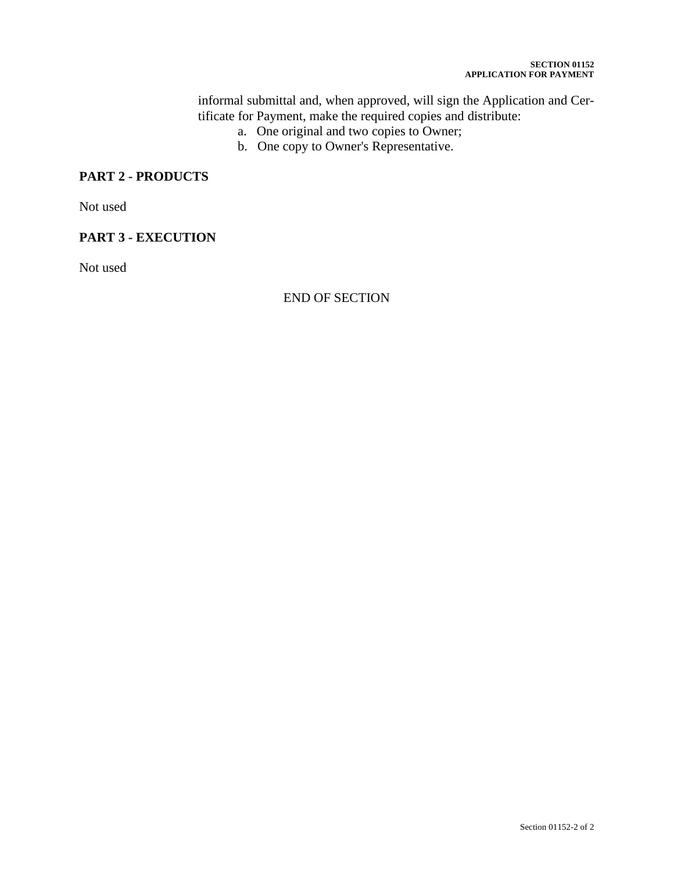informal submittal and, when approved, will sign the Application and Certificate for Payment, make the required copies and distribute:

- a. One original and two copies to Owner;
- b. One copy to Owner's Representative.

# **PART 2 - PRODUCTS**

Not used

# **PART 3 - EXECUTION**

Not used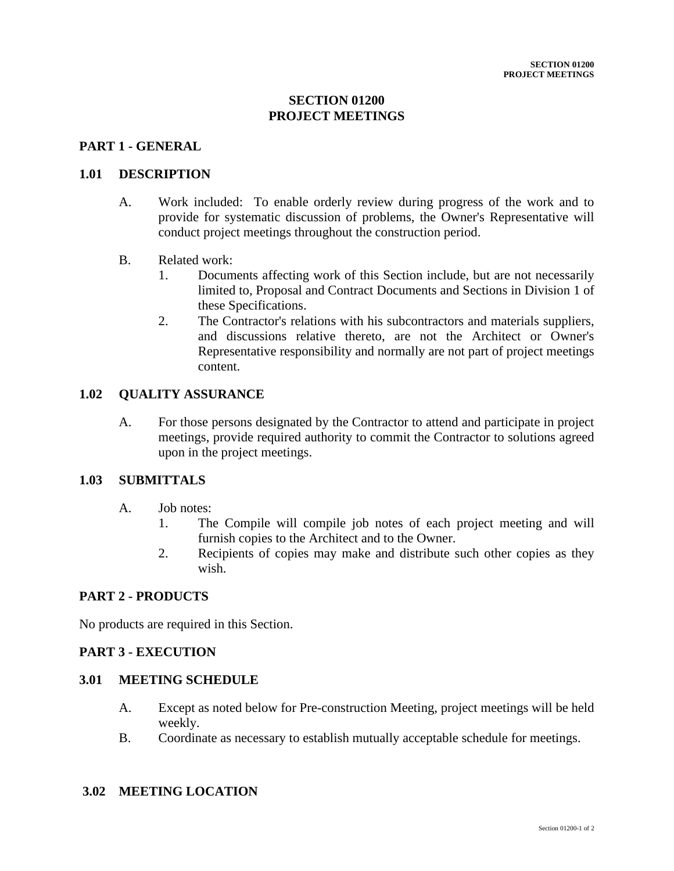# **SECTION 01200 PROJECT MEETINGS**

### **PART 1 - GENERAL**

#### **1.01 DESCRIPTION**

- A. Work included: To enable orderly review during progress of the work and to provide for systematic discussion of problems, the Owner's Representative will conduct project meetings throughout the construction period.
- B. Related work:
	- 1. Documents affecting work of this Section include, but are not necessarily limited to, Proposal and Contract Documents and Sections in Division 1 of these Specifications.
	- 2. The Contractor's relations with his subcontractors and materials suppliers, and discussions relative thereto, are not the Architect or Owner's Representative responsibility and normally are not part of project meetings content.

#### **1.02 QUALITY ASSURANCE**

A. For those persons designated by the Contractor to attend and participate in project meetings, provide required authority to commit the Contractor to solutions agreed upon in the project meetings.

### **1.03 SUBMITTALS**

- A. Job notes:
	- 1. The Compile will compile job notes of each project meeting and will furnish copies to the Architect and to the Owner.
	- 2. Recipients of copies may make and distribute such other copies as they wish.

#### **PART 2 - PRODUCTS**

No products are required in this Section.

#### **PART 3 - EXECUTION**

#### **3.01 MEETING SCHEDULE**

- A. Except as noted below for Pre-construction Meeting, project meetings will be held weekly.
- B. Coordinate as necessary to establish mutually acceptable schedule for meetings.

#### **3.02 MEETING LOCATION**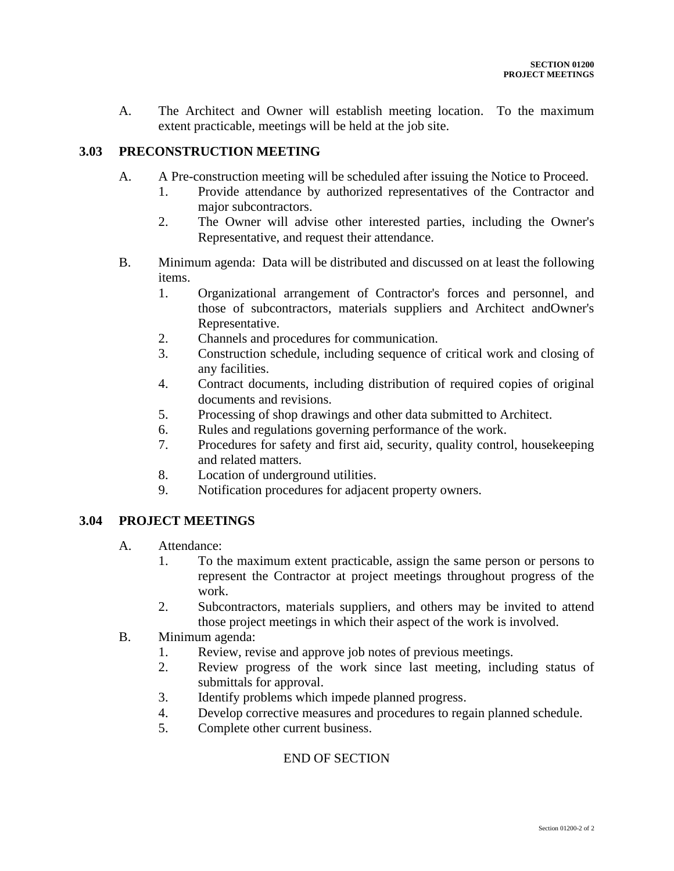A. The Architect and Owner will establish meeting location. To the maximum extent practicable, meetings will be held at the job site.

# **3.03 PRECONSTRUCTION MEETING**

- A. A Pre-construction meeting will be scheduled after issuing the Notice to Proceed.
	- 1. Provide attendance by authorized representatives of the Contractor and major subcontractors.
	- 2. The Owner will advise other interested parties, including the Owner's Representative, and request their attendance.
- B. Minimum agenda: Data will be distributed and discussed on at least the following items.
	- 1. Organizational arrangement of Contractor's forces and personnel, and those of subcontractors, materials suppliers and Architect andOwner's Representative.
	- 2. Channels and procedures for communication.
	- 3. Construction schedule, including sequence of critical work and closing of any facilities.
	- 4. Contract documents, including distribution of required copies of original documents and revisions.
	- 5. Processing of shop drawings and other data submitted to Architect.
	- 6. Rules and regulations governing performance of the work.
	- 7. Procedures for safety and first aid, security, quality control, housekeeping and related matters.
	- 8. Location of underground utilities.
	- 9. Notification procedures for adjacent property owners.

### **3.04 PROJECT MEETINGS**

- A. Attendance:
	- 1. To the maximum extent practicable, assign the same person or persons to represent the Contractor at project meetings throughout progress of the work.
	- 2. Subcontractors, materials suppliers, and others may be invited to attend those project meetings in which their aspect of the work is involved.
- B. Minimum agenda:
	- 1. Review, revise and approve job notes of previous meetings.
	- 2. Review progress of the work since last meeting, including status of submittals for approval.
	- 3. Identify problems which impede planned progress.
	- 4. Develop corrective measures and procedures to regain planned schedule.
	- 5. Complete other current business.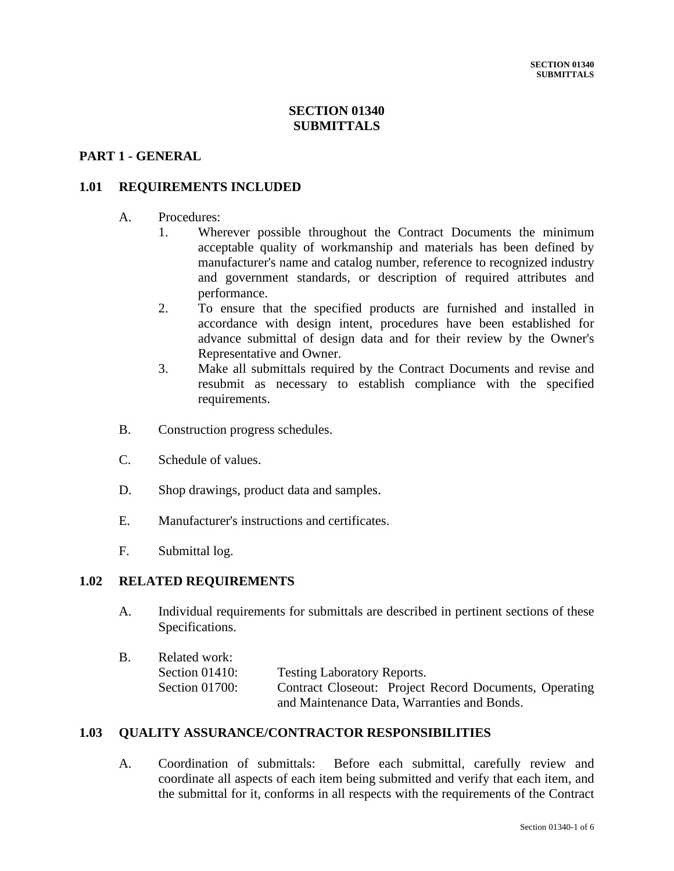### **SECTION 01340 SUBMITTALS**

### **PART 1 - GENERAL**

#### **1.01 REQUIREMENTS INCLUDED**

#### A. Procedures:

- 1. Wherever possible throughout the Contract Documents the minimum acceptable quality of workmanship and materials has been defined by manufacturer's name and catalog number, reference to recognized industry and government standards, or description of required attributes and performance.
- 2. To ensure that the specified products are furnished and installed in accordance with design intent, procedures have been established for advance submittal of design data and for their review by the Owner's Representative and Owner.
- 3. Make all submittals required by the Contract Documents and revise and resubmit as necessary to establish compliance with the specified requirements.
- B. Construction progress schedules.
- C. Schedule of values.
- D. Shop drawings, product data and samples.
- E. Manufacturer's instructions and certificates.
- F. Submittal log.

#### **1.02 RELATED REQUIREMENTS**

 A. Individual requirements for submittals are described in pertinent sections of these Specifications.

| Related work:     |                                                        |
|-------------------|--------------------------------------------------------|
| Section $01410$ : | <b>Testing Laboratory Reports.</b>                     |
| Section $01700$ : | Contract Closeout: Project Record Documents, Operating |
|                   | and Maintenance Data, Warranties and Bonds.            |

#### **1.03 QUALITY ASSURANCE/CONTRACTOR RESPONSIBILITIES**

A. Coordination of submittals: Before each submittal, carefully review and coordinate all aspects of each item being submitted and verify that each item, and the submittal for it, conforms in all respects with the requirements of the Contract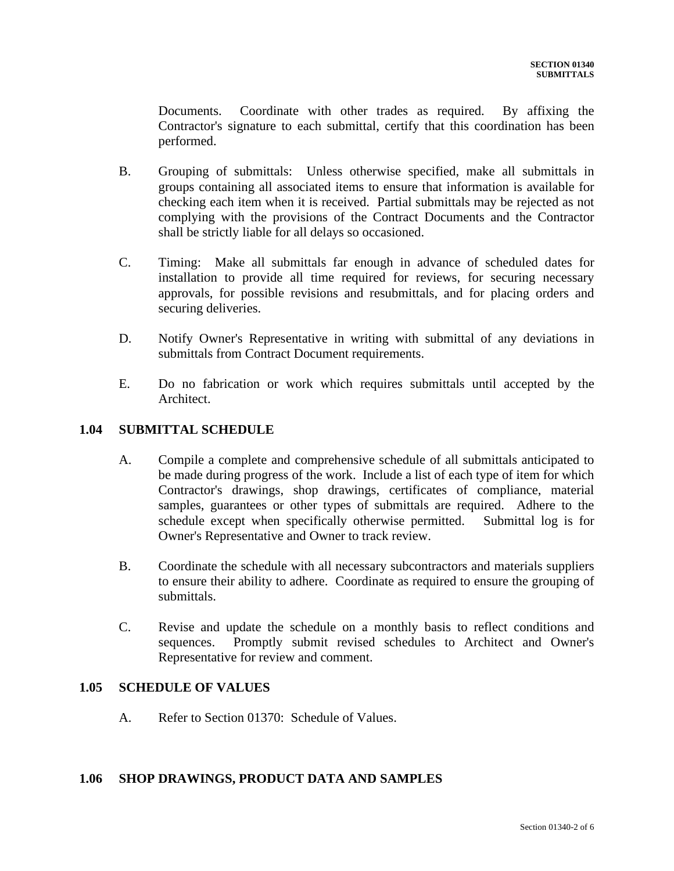Documents. Coordinate with other trades as required. By affixing the Contractor's signature to each submittal, certify that this coordination has been performed.

- B. Grouping of submittals: Unless otherwise specified, make all submittals in groups containing all associated items to ensure that information is available for checking each item when it is received. Partial submittals may be rejected as not complying with the provisions of the Contract Documents and the Contractor shall be strictly liable for all delays so occasioned.
- C. Timing: Make all submittals far enough in advance of scheduled dates for installation to provide all time required for reviews, for securing necessary approvals, for possible revisions and resubmittals, and for placing orders and securing deliveries.
- D. Notify Owner's Representative in writing with submittal of any deviations in submittals from Contract Document requirements.
- E. Do no fabrication or work which requires submittals until accepted by the Architect.

### **1.04 SUBMITTAL SCHEDULE**

- A. Compile a complete and comprehensive schedule of all submittals anticipated to be made during progress of the work. Include a list of each type of item for which Contractor's drawings, shop drawings, certificates of compliance, material samples, guarantees or other types of submittals are required. Adhere to the schedule except when specifically otherwise permitted. Submittal log is for Owner's Representative and Owner to track review.
- B. Coordinate the schedule with all necessary subcontractors and materials suppliers to ensure their ability to adhere. Coordinate as required to ensure the grouping of submittals.
- C. Revise and update the schedule on a monthly basis to reflect conditions and sequences. Promptly submit revised schedules to Architect and Owner's Representative for review and comment.

### **1.05 SCHEDULE OF VALUES**

A. Refer to Section 01370: Schedule of Values.

#### **1.06 SHOP DRAWINGS, PRODUCT DATA AND SAMPLES**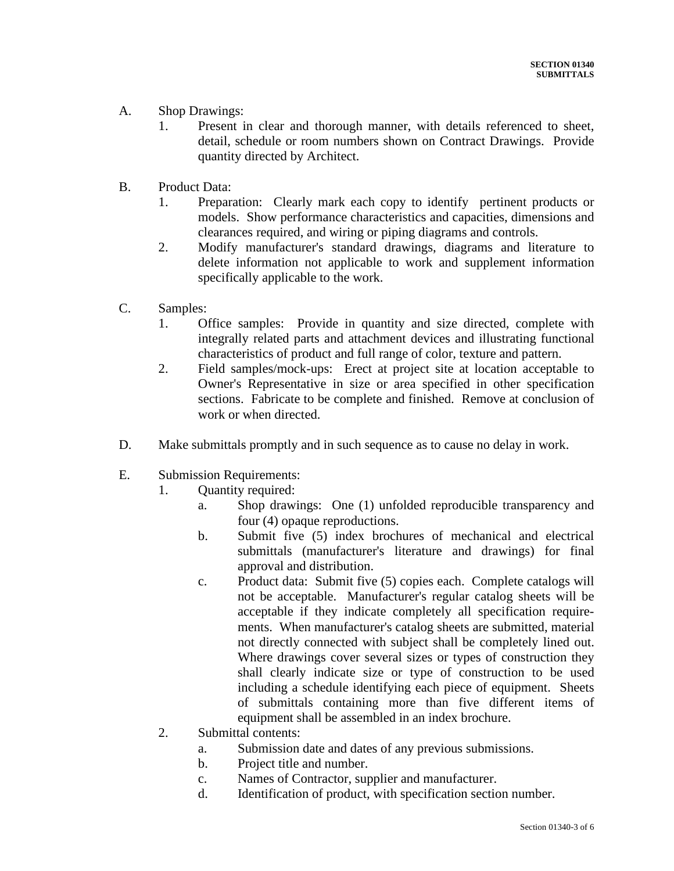- A. Shop Drawings:
	- 1. Present in clear and thorough manner, with details referenced to sheet, detail, schedule or room numbers shown on Contract Drawings. Provide quantity directed by Architect.
- B. Product Data:
	- 1. Preparation: Clearly mark each copy to identify pertinent products or models. Show performance characteristics and capacities, dimensions and clearances required, and wiring or piping diagrams and controls.
	- 2. Modify manufacturer's standard drawings, diagrams and literature to delete information not applicable to work and supplement information specifically applicable to the work.
- C. Samples:
	- 1. Office samples: Provide in quantity and size directed, complete with integrally related parts and attachment devices and illustrating functional characteristics of product and full range of color, texture and pattern.
	- 2. Field samples/mock-ups: Erect at project site at location acceptable to Owner's Representative in size or area specified in other specification sections. Fabricate to be complete and finished. Remove at conclusion of work or when directed.
- D. Make submittals promptly and in such sequence as to cause no delay in work.
- E. Submission Requirements:
	- 1. Quantity required:
		- a. Shop drawings: One (1) unfolded reproducible transparency and four (4) opaque reproductions.
		- b. Submit five (5) index brochures of mechanical and electrical submittals (manufacturer's literature and drawings) for final approval and distribution.
		- c. Product data: Submit five (5) copies each. Complete catalogs will not be acceptable. Manufacturer's regular catalog sheets will be acceptable if they indicate completely all specification requirements. When manufacturer's catalog sheets are submitted, material not directly connected with subject shall be completely lined out. Where drawings cover several sizes or types of construction they shall clearly indicate size or type of construction to be used including a schedule identifying each piece of equipment. Sheets of submittals containing more than five different items of equipment shall be assembled in an index brochure.
	- 2. Submittal contents:
		- a. Submission date and dates of any previous submissions.
		- b. Project title and number.
		- c. Names of Contractor, supplier and manufacturer.
		- d. Identification of product, with specification section number.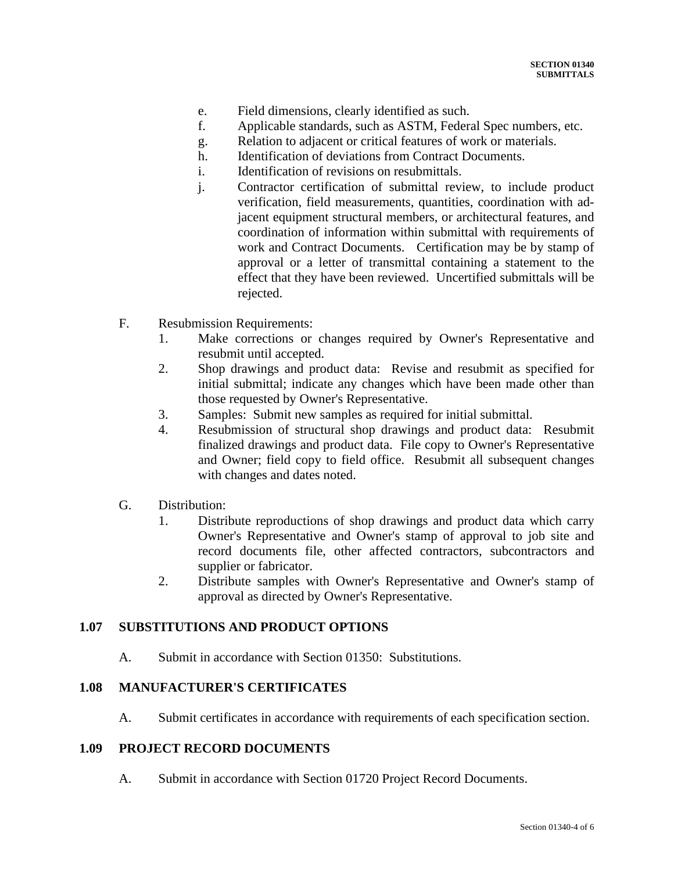- e. Field dimensions, clearly identified as such.
- f. Applicable standards, such as ASTM, Federal Spec numbers, etc.
- g. Relation to adjacent or critical features of work or materials.
- h. Identification of deviations from Contract Documents.
- i. Identification of revisions on resubmittals.
- j. Contractor certification of submittal review, to include product verification, field measurements, quantities, coordination with adjacent equipment structural members, or architectural features, and coordination of information within submittal with requirements of work and Contract Documents. Certification may be by stamp of approval or a letter of transmittal containing a statement to the effect that they have been reviewed. Uncertified submittals will be rejected.
- F. Resubmission Requirements:
	- 1. Make corrections or changes required by Owner's Representative and resubmit until accepted.
	- 2. Shop drawings and product data: Revise and resubmit as specified for initial submittal; indicate any changes which have been made other than those requested by Owner's Representative.
	- 3. Samples: Submit new samples as required for initial submittal.
	- 4. Resubmission of structural shop drawings and product data: Resubmit finalized drawings and product data. File copy to Owner's Representative and Owner; field copy to field office. Resubmit all subsequent changes with changes and dates noted.
- G. Distribution:
	- 1. Distribute reproductions of shop drawings and product data which carry Owner's Representative and Owner's stamp of approval to job site and record documents file, other affected contractors, subcontractors and supplier or fabricator.
	- 2. Distribute samples with Owner's Representative and Owner's stamp of approval as directed by Owner's Representative.

### **1.07 SUBSTITUTIONS AND PRODUCT OPTIONS**

A. Submit in accordance with Section 01350: Substitutions.

#### **1.08 MANUFACTURER'S CERTIFICATES**

A. Submit certificates in accordance with requirements of each specification section.

#### **1.09 PROJECT RECORD DOCUMENTS**

A. Submit in accordance with Section 01720 Project Record Documents.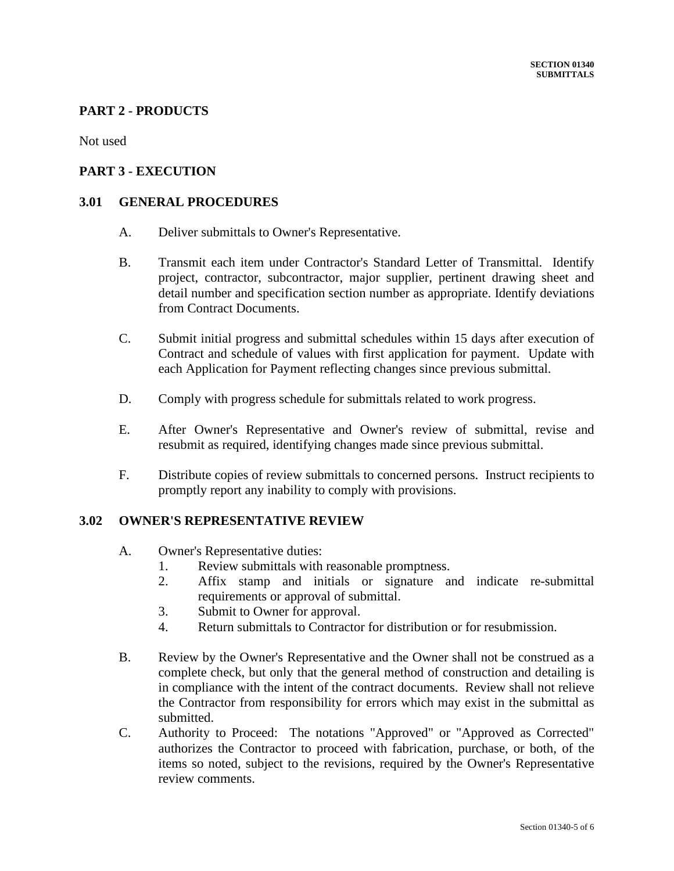### **PART 2 - PRODUCTS**

Not used

### **PART 3 - EXECUTION**

### **3.01 GENERAL PROCEDURES**

- A. Deliver submittals to Owner's Representative.
- B. Transmit each item under Contractor's Standard Letter of Transmittal. Identify project, contractor, subcontractor, major supplier, pertinent drawing sheet and detail number and specification section number as appropriate. Identify deviations from Contract Documents.
- C. Submit initial progress and submittal schedules within 15 days after execution of Contract and schedule of values with first application for payment. Update with each Application for Payment reflecting changes since previous submittal.
- D. Comply with progress schedule for submittals related to work progress.
- E. After Owner's Representative and Owner's review of submittal, revise and resubmit as required, identifying changes made since previous submittal.
- F. Distribute copies of review submittals to concerned persons. Instruct recipients to promptly report any inability to comply with provisions.

#### **3.02 OWNER'S REPRESENTATIVE REVIEW**

- A. Owner's Representative duties:
	- 1. Review submittals with reasonable promptness.
	- 2. Affix stamp and initials or signature and indicate re-submittal requirements or approval of submittal.
	- 3. Submit to Owner for approval.
	- 4. Return submittals to Contractor for distribution or for resubmission.
- B. Review by the Owner's Representative and the Owner shall not be construed as a complete check, but only that the general method of construction and detailing is in compliance with the intent of the contract documents. Review shall not relieve the Contractor from responsibility for errors which may exist in the submittal as submitted.
- C. Authority to Proceed: The notations "Approved" or "Approved as Corrected" authorizes the Contractor to proceed with fabrication, purchase, or both, of the items so noted, subject to the revisions, required by the Owner's Representative review comments.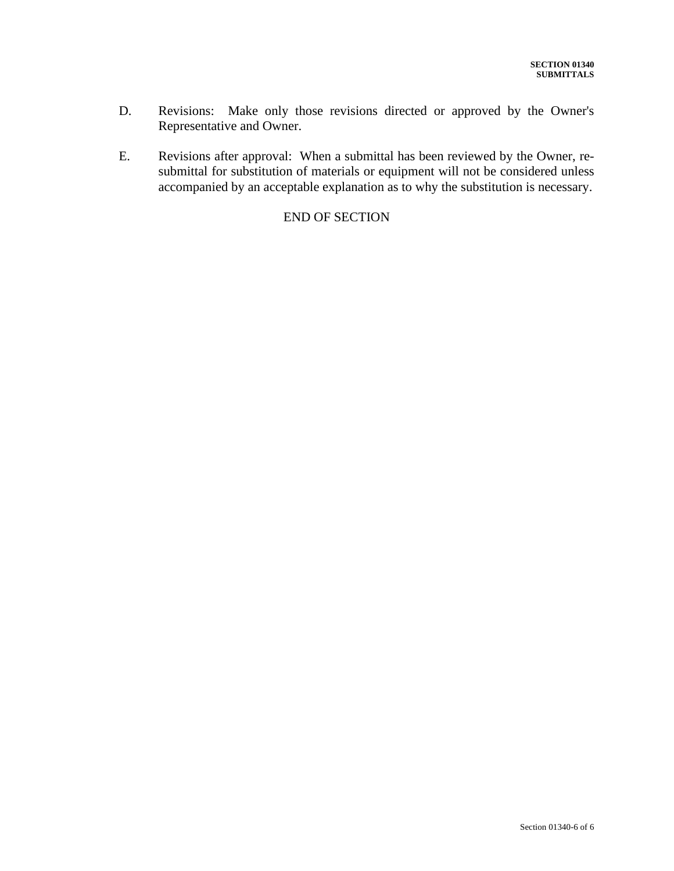- D. Revisions: Make only those revisions directed or approved by the Owner's Representative and Owner.
- E. Revisions after approval: When a submittal has been reviewed by the Owner, resubmittal for substitution of materials or equipment will not be considered unless accompanied by an acceptable explanation as to why the substitution is necessary.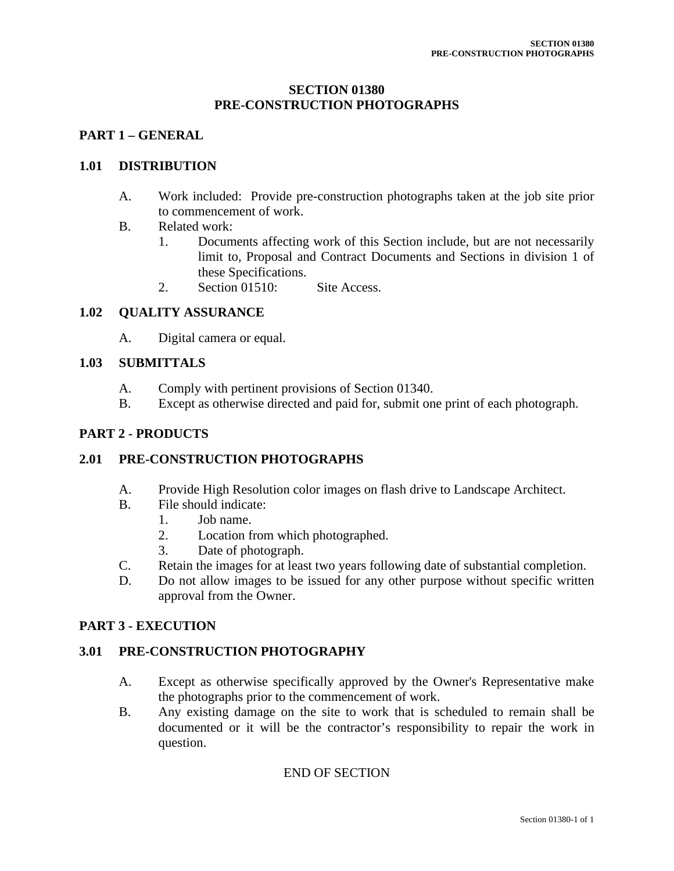# **SECTION 01380 PRE-CONSTRUCTION PHOTOGRAPHS**

# **PART 1 – GENERAL**

### **1.01 DISTRIBUTION**

- A. Work included: Provide pre-construction photographs taken at the job site prior to commencement of work.
- B. Related work:
	- 1. Documents affecting work of this Section include, but are not necessarily limit to, Proposal and Contract Documents and Sections in division 1 of these Specifications.
	- 2. Section 01510: Site Access.

### **1.02 QUALITY ASSURANCE**

A. Digital camera or equal.

### **1.03 SUBMITTALS**

- A. Comply with pertinent provisions of Section 01340.
- B. Except as otherwise directed and paid for, submit one print of each photograph.

### **PART 2 - PRODUCTS**

### **2.01 PRE-CONSTRUCTION PHOTOGRAPHS**

- A. Provide High Resolution color images on flash drive to Landscape Architect.
- B. File should indicate:
	- 1. Job name.
	- 2. Location from which photographed.
	- 3. Date of photograph.
- C. Retain the images for at least two years following date of substantial completion.
- D. Do not allow images to be issued for any other purpose without specific written approval from the Owner.

### **PART 3 - EXECUTION**

### **3.01 PRE-CONSTRUCTION PHOTOGRAPHY**

- A. Except as otherwise specifically approved by the Owner's Representative make the photographs prior to the commencement of work.
- B. Any existing damage on the site to work that is scheduled to remain shall be documented or it will be the contractor's responsibility to repair the work in question.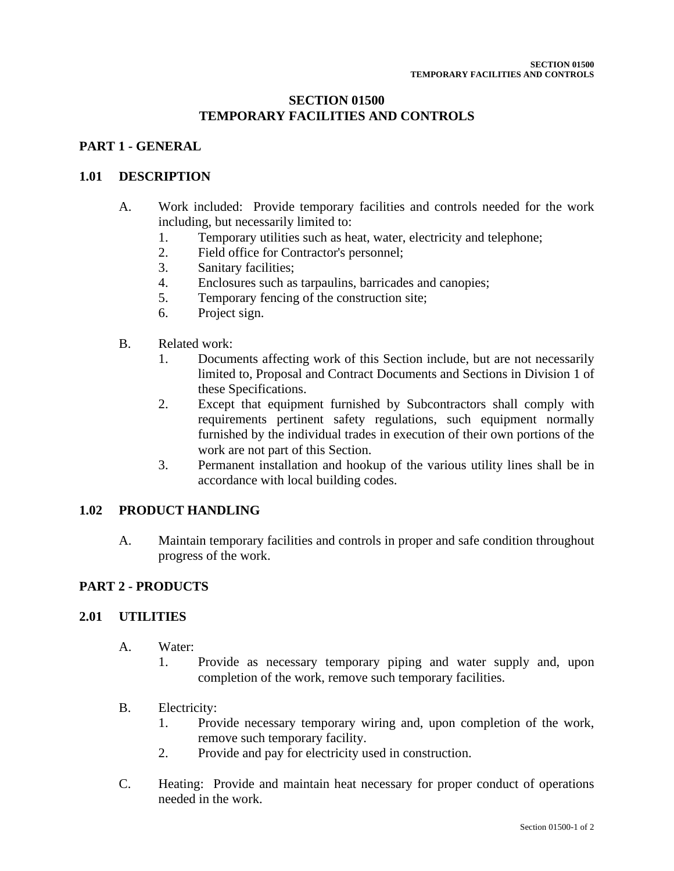# **SECTION 01500 TEMPORARY FACILITIES AND CONTROLS**

# **PART 1 - GENERAL**

### **1.01 DESCRIPTION**

- A. Work included: Provide temporary facilities and controls needed for the work including, but necessarily limited to:
	- 1. Temporary utilities such as heat, water, electricity and telephone;
	- 2. Field office for Contractor's personnel;
	- 3. Sanitary facilities;
	- 4. Enclosures such as tarpaulins, barricades and canopies;
	- 5. Temporary fencing of the construction site;
	- 6. Project sign.
- B. Related work:
	- 1. Documents affecting work of this Section include, but are not necessarily limited to, Proposal and Contract Documents and Sections in Division 1 of these Specifications.
	- 2. Except that equipment furnished by Subcontractors shall comply with requirements pertinent safety regulations, such equipment normally furnished by the individual trades in execution of their own portions of the work are not part of this Section.
	- 3. Permanent installation and hookup of the various utility lines shall be in accordance with local building codes.

### **1.02 PRODUCT HANDLING**

A. Maintain temporary facilities and controls in proper and safe condition throughout progress of the work.

### **PART 2 - PRODUCTS**

#### **2.01 UTILITIES**

- A. Water:
	- 1. Provide as necessary temporary piping and water supply and, upon completion of the work, remove such temporary facilities.

### B. Electricity:

- 1. Provide necessary temporary wiring and, upon completion of the work, remove such temporary facility.
- 2. Provide and pay for electricity used in construction.
- C. Heating: Provide and maintain heat necessary for proper conduct of operations needed in the work.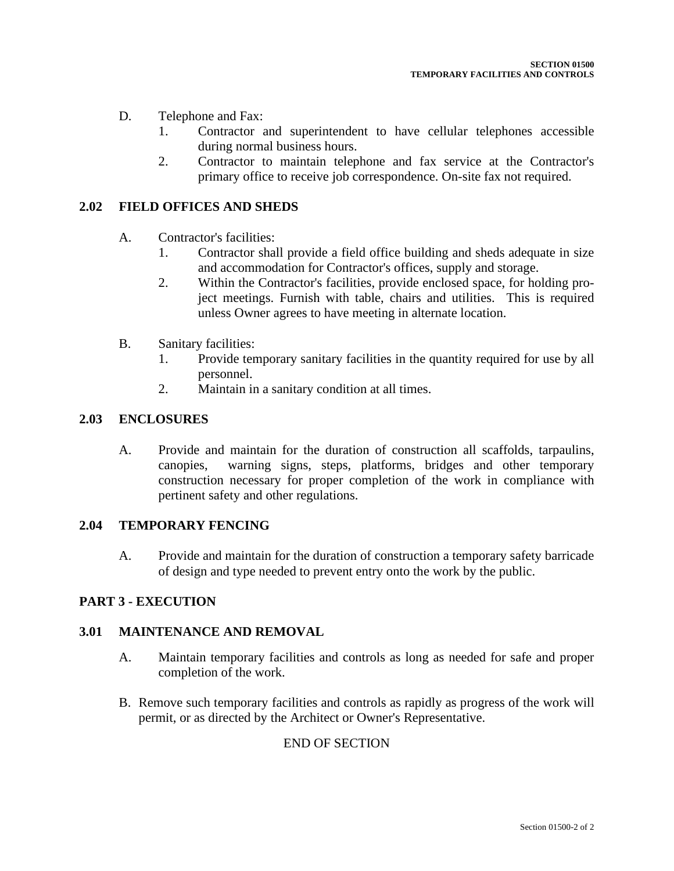- D. Telephone and Fax:
	- 1. Contractor and superintendent to have cellular telephones accessible during normal business hours.
	- 2. Contractor to maintain telephone and fax service at the Contractor's primary office to receive job correspondence. On-site fax not required.

### **2.02 FIELD OFFICES AND SHEDS**

- A. Contractor's facilities:
	- 1. Contractor shall provide a field office building and sheds adequate in size and accommodation for Contractor's offices, supply and storage.
	- 2. Within the Contractor's facilities, provide enclosed space, for holding project meetings. Furnish with table, chairs and utilities. This is required unless Owner agrees to have meeting in alternate location.
- B. Sanitary facilities:
	- 1. Provide temporary sanitary facilities in the quantity required for use by all personnel.
	- 2. Maintain in a sanitary condition at all times.

#### **2.03 ENCLOSURES**

A. Provide and maintain for the duration of construction all scaffolds, tarpaulins, canopies, warning signs, steps, platforms, bridges and other temporary construction necessary for proper completion of the work in compliance with pertinent safety and other regulations.

### **2.04 TEMPORARY FENCING**

A. Provide and maintain for the duration of construction a temporary safety barricade of design and type needed to prevent entry onto the work by the public.

### **PART 3 - EXECUTION**

#### **3.01 MAINTENANCE AND REMOVAL**

- A. Maintain temporary facilities and controls as long as needed for safe and proper completion of the work.
- B. Remove such temporary facilities and controls as rapidly as progress of the work will permit, or as directed by the Architect or Owner's Representative.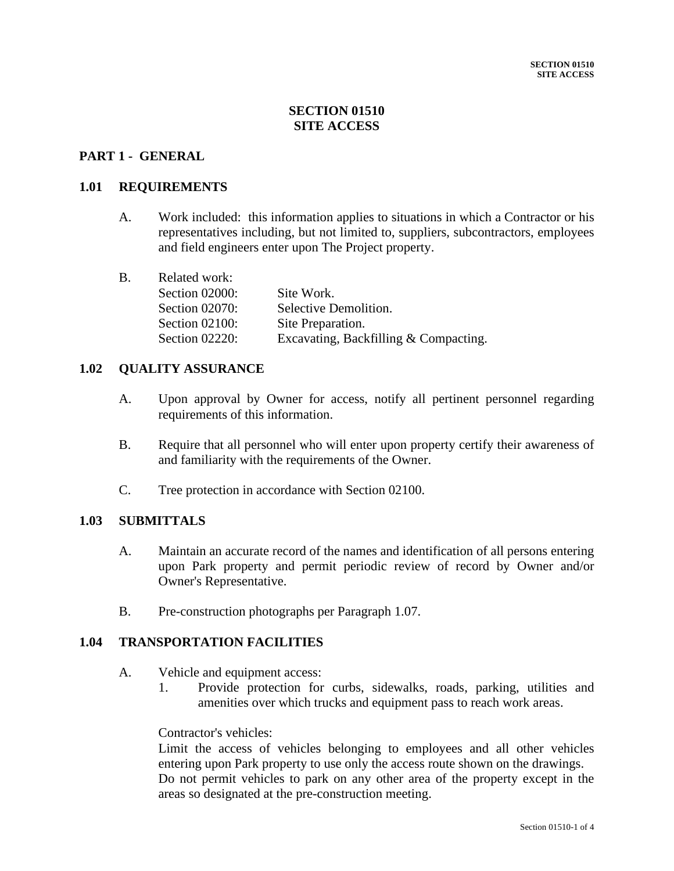### **SECTION 01510 SITE ACCESS**

### **PART 1 - GENERAL**

#### **1.01 REQUIREMENTS**

A. Work included: this information applies to situations in which a Contractor or his representatives including, but not limited to, suppliers, subcontractors, employees and field engineers enter upon The Project property.

| <b>Related work:</b> |                                       |
|----------------------|---------------------------------------|
| Section 02000:       | Site Work.                            |
| Section 02070:       | Selective Demolition.                 |
| Section 02100:       | Site Preparation.                     |
| Section 02220:       | Excavating, Backfilling & Compacting. |
|                      |                                       |

### **1.02 QUALITY ASSURANCE**

- A. Upon approval by Owner for access, notify all pertinent personnel regarding requirements of this information.
- B. Require that all personnel who will enter upon property certify their awareness of and familiarity with the requirements of the Owner.
- C. Tree protection in accordance with Section 02100.

#### **1.03 SUBMITTALS**

- A. Maintain an accurate record of the names and identification of all persons entering upon Park property and permit periodic review of record by Owner and/or Owner's Representative.
- B. Pre-construction photographs per Paragraph 1.07.

#### **1.04 TRANSPORTATION FACILITIES**

- A. Vehicle and equipment access:
	- 1. Provide protection for curbs, sidewalks, roads, parking, utilities and amenities over which trucks and equipment pass to reach work areas.

## Contractor's vehicles:

Limit the access of vehicles belonging to employees and all other vehicles entering upon Park property to use only the access route shown on the drawings. Do not permit vehicles to park on any other area of the property except in the areas so designated at the pre-construction meeting.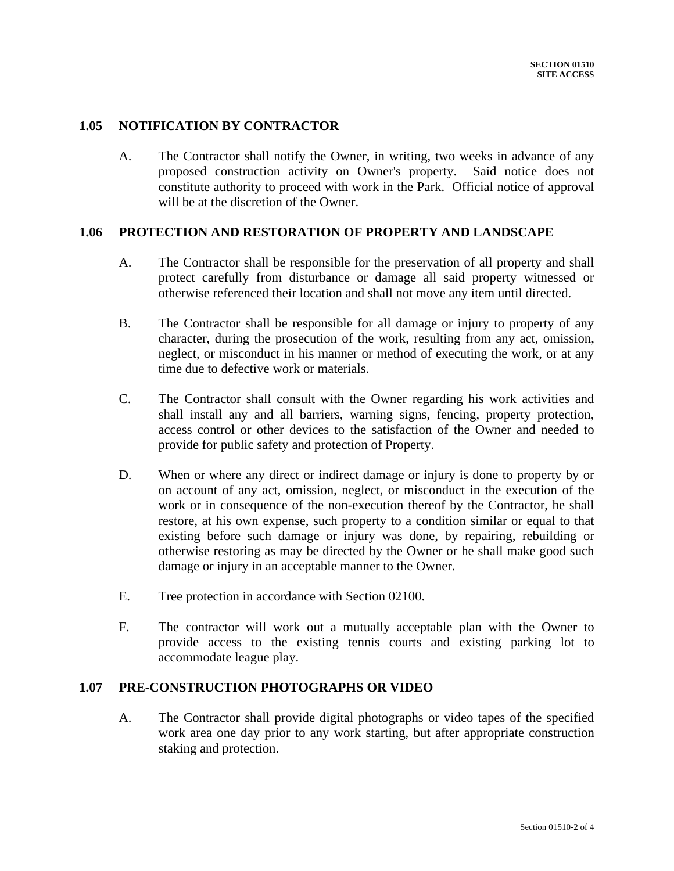#### **1.05 NOTIFICATION BY CONTRACTOR**

A. The Contractor shall notify the Owner, in writing, two weeks in advance of any proposed construction activity on Owner's property. Said notice does not constitute authority to proceed with work in the Park. Official notice of approval will be at the discretion of the Owner.

### **1.06 PROTECTION AND RESTORATION OF PROPERTY AND LANDSCAPE**

- A. The Contractor shall be responsible for the preservation of all property and shall protect carefully from disturbance or damage all said property witnessed or otherwise referenced their location and shall not move any item until directed.
- B. The Contractor shall be responsible for all damage or injury to property of any character, during the prosecution of the work, resulting from any act, omission, neglect, or misconduct in his manner or method of executing the work, or at any time due to defective work or materials.
- C. The Contractor shall consult with the Owner regarding his work activities and shall install any and all barriers, warning signs, fencing, property protection, access control or other devices to the satisfaction of the Owner and needed to provide for public safety and protection of Property.
- D. When or where any direct or indirect damage or injury is done to property by or on account of any act, omission, neglect, or misconduct in the execution of the work or in consequence of the non-execution thereof by the Contractor, he shall restore, at his own expense, such property to a condition similar or equal to that existing before such damage or injury was done, by repairing, rebuilding or otherwise restoring as may be directed by the Owner or he shall make good such damage or injury in an acceptable manner to the Owner.
- E. Tree protection in accordance with Section 02100.
- F. The contractor will work out a mutually acceptable plan with the Owner to provide access to the existing tennis courts and existing parking lot to accommodate league play.

#### **1.07 PRE-CONSTRUCTION PHOTOGRAPHS OR VIDEO**

A. The Contractor shall provide digital photographs or video tapes of the specified work area one day prior to any work starting, but after appropriate construction staking and protection.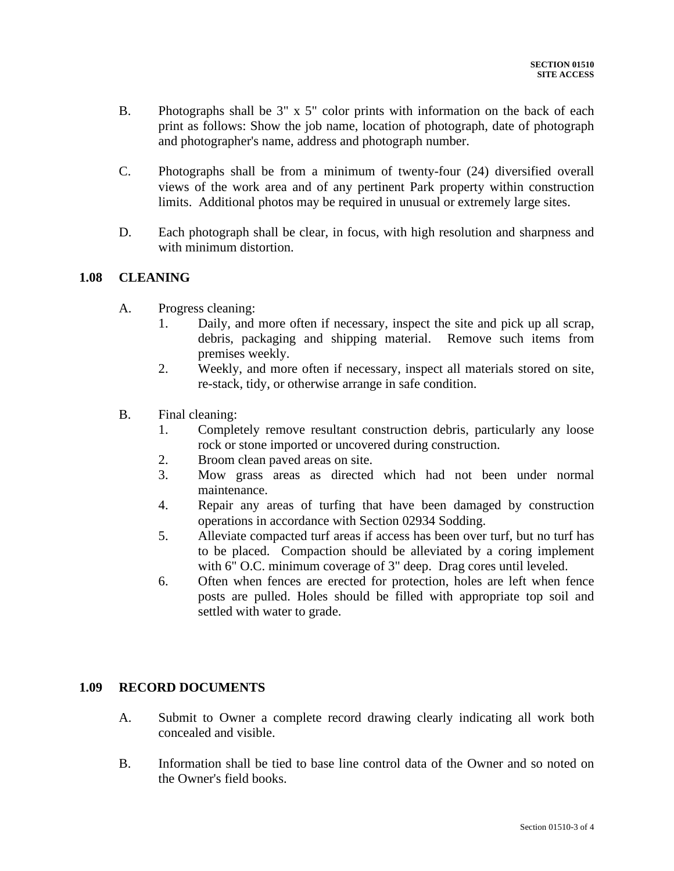- B. Photographs shall be 3" x 5" color prints with information on the back of each print as follows: Show the job name, location of photograph, date of photograph and photographer's name, address and photograph number.
- C. Photographs shall be from a minimum of twenty-four (24) diversified overall views of the work area and of any pertinent Park property within construction limits. Additional photos may be required in unusual or extremely large sites.
- D. Each photograph shall be clear, in focus, with high resolution and sharpness and with minimum distortion.

# **1.08 CLEANING**

- A. Progress cleaning:
	- 1. Daily, and more often if necessary, inspect the site and pick up all scrap, debris, packaging and shipping material. Remove such items from premises weekly.
	- 2. Weekly, and more often if necessary, inspect all materials stored on site, re-stack, tidy, or otherwise arrange in safe condition.
- B. Final cleaning:
	- 1. Completely remove resultant construction debris, particularly any loose rock or stone imported or uncovered during construction.
	- 2. Broom clean paved areas on site.
	- 3. Mow grass areas as directed which had not been under normal maintenance.
	- 4. Repair any areas of turfing that have been damaged by construction operations in accordance with Section 02934 Sodding.
	- 5. Alleviate compacted turf areas if access has been over turf, but no turf has to be placed. Compaction should be alleviated by a coring implement with 6" O.C. minimum coverage of 3" deep. Drag cores until leveled.
	- 6. Often when fences are erected for protection, holes are left when fence posts are pulled. Holes should be filled with appropriate top soil and settled with water to grade.

### **1.09 RECORD DOCUMENTS**

- A. Submit to Owner a complete record drawing clearly indicating all work both concealed and visible.
- B. Information shall be tied to base line control data of the Owner and so noted on the Owner's field books.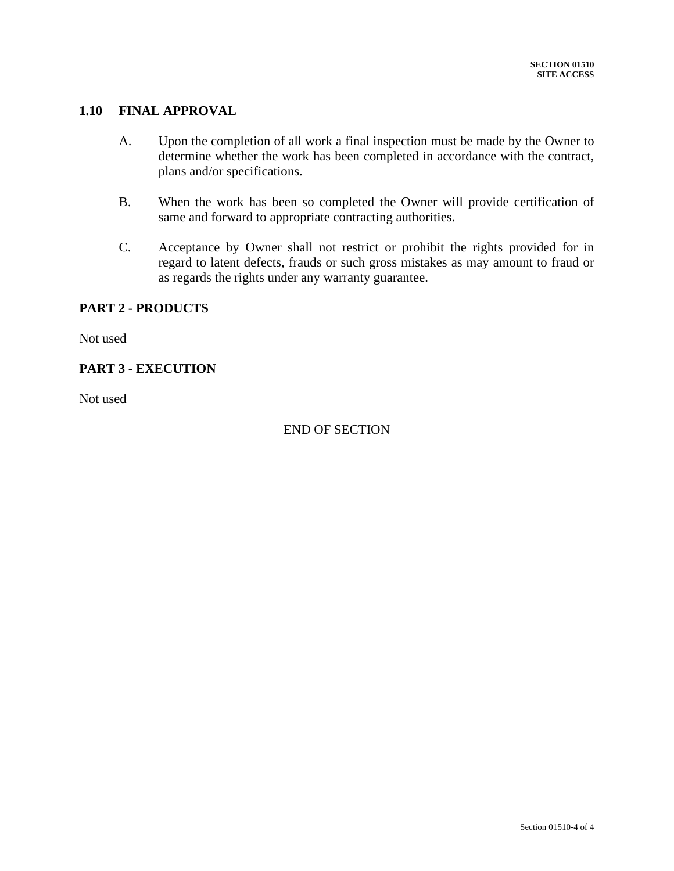### **1.10 FINAL APPROVAL**

- A. Upon the completion of all work a final inspection must be made by the Owner to determine whether the work has been completed in accordance with the contract, plans and/or specifications.
- B. When the work has been so completed the Owner will provide certification of same and forward to appropriate contracting authorities.
- C. Acceptance by Owner shall not restrict or prohibit the rights provided for in regard to latent defects, frauds or such gross mistakes as may amount to fraud or as regards the rights under any warranty guarantee.

### **PART 2 - PRODUCTS**

Not used

# **PART 3 - EXECUTION**

Not used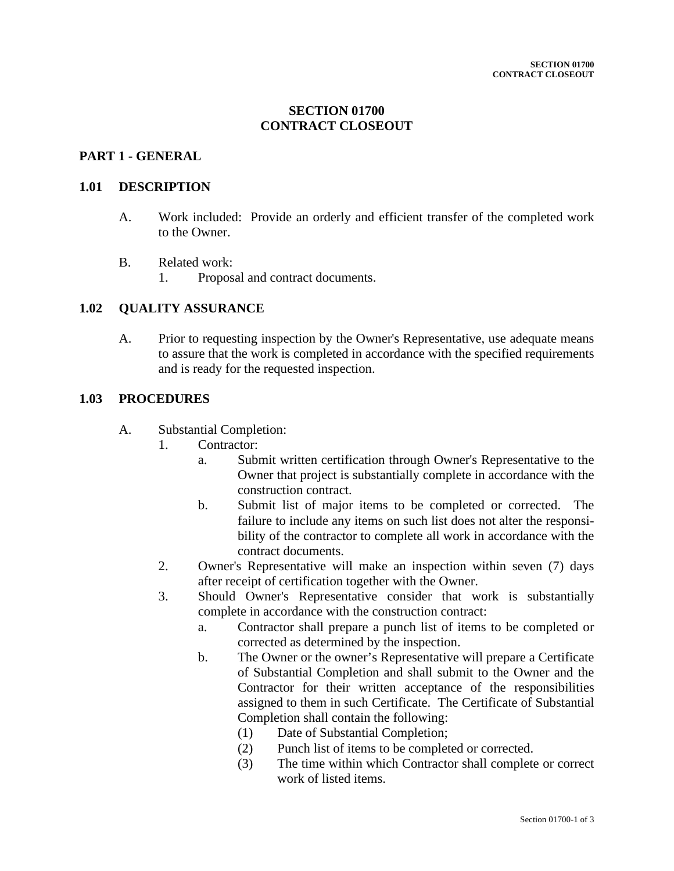### **SECTION 01700 CONTRACT CLOSEOUT**

### **PART 1 - GENERAL**

#### **1.01 DESCRIPTION**

- A. Work included: Provide an orderly and efficient transfer of the completed work to the Owner.
- B. Related work:
	- 1. Proposal and contract documents.

### **1.02 QUALITY ASSURANCE**

A. Prior to requesting inspection by the Owner's Representative, use adequate means to assure that the work is completed in accordance with the specified requirements and is ready for the requested inspection.

### **1.03 PROCEDURES**

- A. Substantial Completion:
	- 1. Contractor:
		- a. Submit written certification through Owner's Representative to the Owner that project is substantially complete in accordance with the construction contract.
		- b. Submit list of major items to be completed or corrected. The failure to include any items on such list does not alter the responsibility of the contractor to complete all work in accordance with the contract documents.
	- 2. Owner's Representative will make an inspection within seven (7) days after receipt of certification together with the Owner.
	- 3. Should Owner's Representative consider that work is substantially complete in accordance with the construction contract:
		- a. Contractor shall prepare a punch list of items to be completed or corrected as determined by the inspection.
		- b. The Owner or the owner's Representative will prepare a Certificate of Substantial Completion and shall submit to the Owner and the Contractor for their written acceptance of the responsibilities assigned to them in such Certificate. The Certificate of Substantial Completion shall contain the following:
			- (1) Date of Substantial Completion;
			- (2) Punch list of items to be completed or corrected.
			- (3) The time within which Contractor shall complete or correct work of listed items.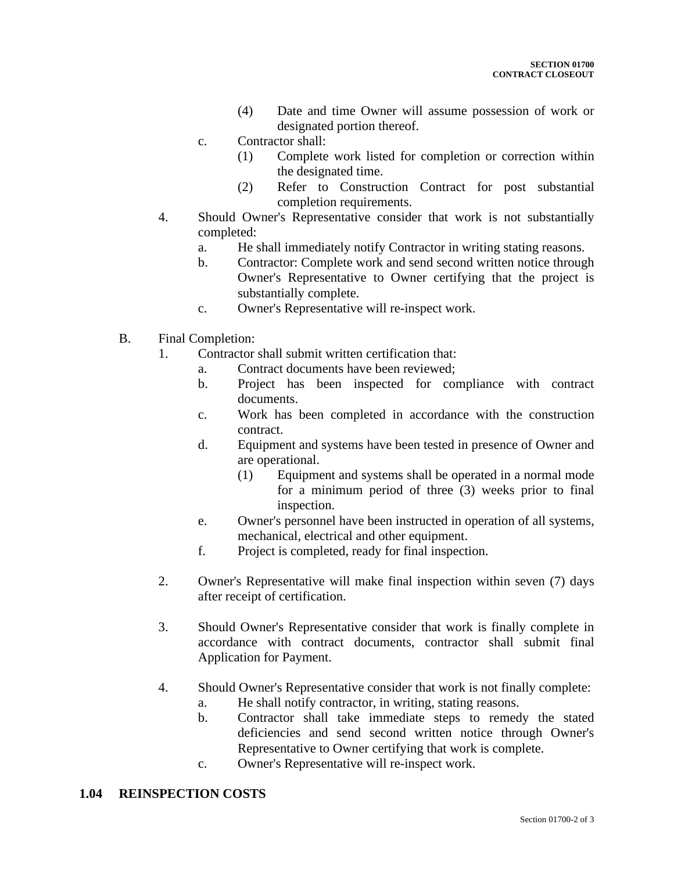- (4) Date and time Owner will assume possession of work or designated portion thereof.
- c. Contractor shall:
	- (1) Complete work listed for completion or correction within the designated time.
	- (2) Refer to Construction Contract for post substantial completion requirements.
- 4. Should Owner's Representative consider that work is not substantially completed:
	- a. He shall immediately notify Contractor in writing stating reasons.
	- b. Contractor: Complete work and send second written notice through Owner's Representative to Owner certifying that the project is substantially complete.
	- c. Owner's Representative will re-inspect work.
- B. Final Completion:
	- 1. Contractor shall submit written certification that:
		- a. Contract documents have been reviewed;
		- b. Project has been inspected for compliance with contract documents.
		- c. Work has been completed in accordance with the construction contract.
		- d. Equipment and systems have been tested in presence of Owner and are operational.
			- (1) Equipment and systems shall be operated in a normal mode for a minimum period of three (3) weeks prior to final inspection.
		- e. Owner's personnel have been instructed in operation of all systems, mechanical, electrical and other equipment.
		- f. Project is completed, ready for final inspection.
	- 2. Owner's Representative will make final inspection within seven (7) days after receipt of certification.
	- 3. Should Owner's Representative consider that work is finally complete in accordance with contract documents, contractor shall submit final Application for Payment.
	- 4. Should Owner's Representative consider that work is not finally complete: a. He shall notify contractor, in writing, stating reasons.
		- b. Contractor shall take immediate steps to remedy the stated deficiencies and send second written notice through Owner's Representative to Owner certifying that work is complete.
		- c. Owner's Representative will re-inspect work.

#### **1.04 REINSPECTION COSTS**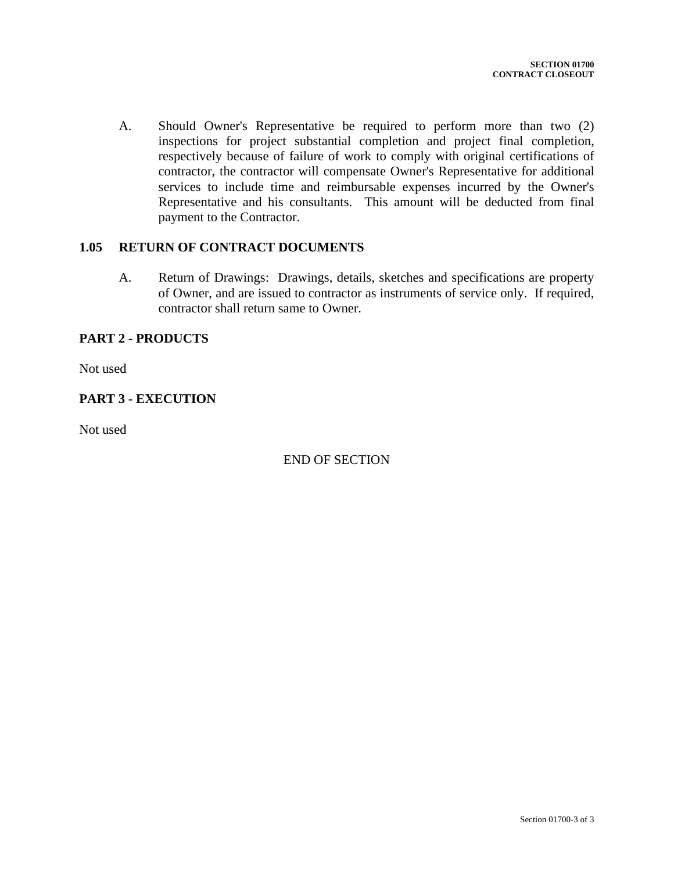A. Should Owner's Representative be required to perform more than two (2) inspections for project substantial completion and project final completion, respectively because of failure of work to comply with original certifications of contractor, the contractor will compensate Owner's Representative for additional services to include time and reimbursable expenses incurred by the Owner's Representative and his consultants. This amount will be deducted from final payment to the Contractor.

### **1.05 RETURN OF CONTRACT DOCUMENTS**

A. Return of Drawings: Drawings, details, sketches and specifications are property of Owner, and are issued to contractor as instruments of service only. If required, contractor shall return same to Owner.

### **PART 2 - PRODUCTS**

Not used

## **PART 3 - EXECUTION**

Not used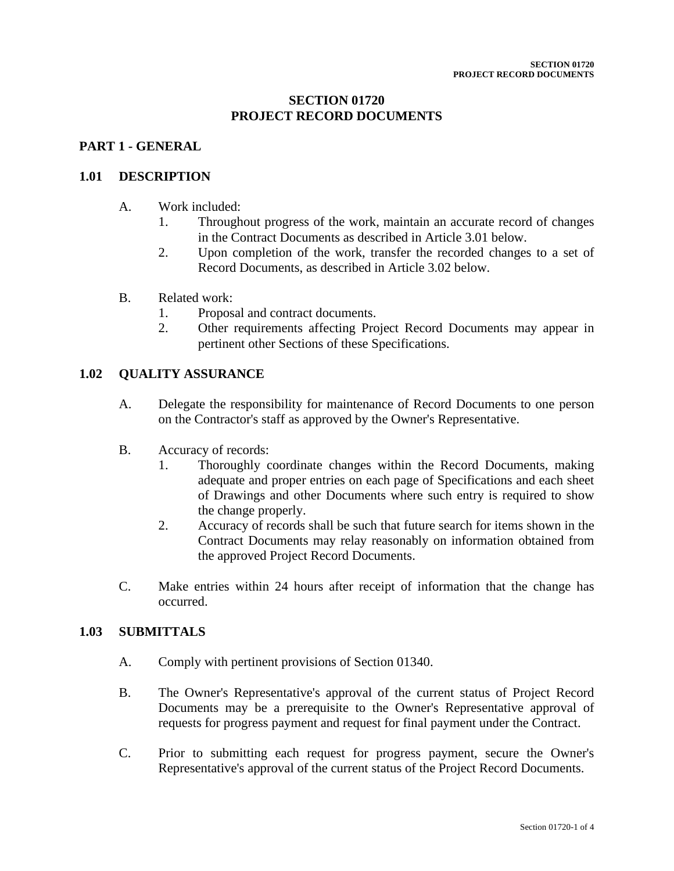# **SECTION 01720 PROJECT RECORD DOCUMENTS**

### **PART 1 - GENERAL**

### **1.01 DESCRIPTION**

- A. Work included:
	- 1. Throughout progress of the work, maintain an accurate record of changes in the Contract Documents as described in Article 3.01 below.
	- 2. Upon completion of the work, transfer the recorded changes to a set of Record Documents, as described in Article 3.02 below.
- B. Related work:
	- 1. Proposal and contract documents.
	- 2. Other requirements affecting Project Record Documents may appear in pertinent other Sections of these Specifications.

#### **1.02 QUALITY ASSURANCE**

- A. Delegate the responsibility for maintenance of Record Documents to one person on the Contractor's staff as approved by the Owner's Representative.
- B. Accuracy of records:
	- 1. Thoroughly coordinate changes within the Record Documents, making adequate and proper entries on each page of Specifications and each sheet of Drawings and other Documents where such entry is required to show the change properly.
	- 2. Accuracy of records shall be such that future search for items shown in the Contract Documents may relay reasonably on information obtained from the approved Project Record Documents.
- C. Make entries within 24 hours after receipt of information that the change has occurred.

### **1.03 SUBMITTALS**

- A. Comply with pertinent provisions of Section 01340.
- B. The Owner's Representative's approval of the current status of Project Record Documents may be a prerequisite to the Owner's Representative approval of requests for progress payment and request for final payment under the Contract.
- C. Prior to submitting each request for progress payment, secure the Owner's Representative's approval of the current status of the Project Record Documents.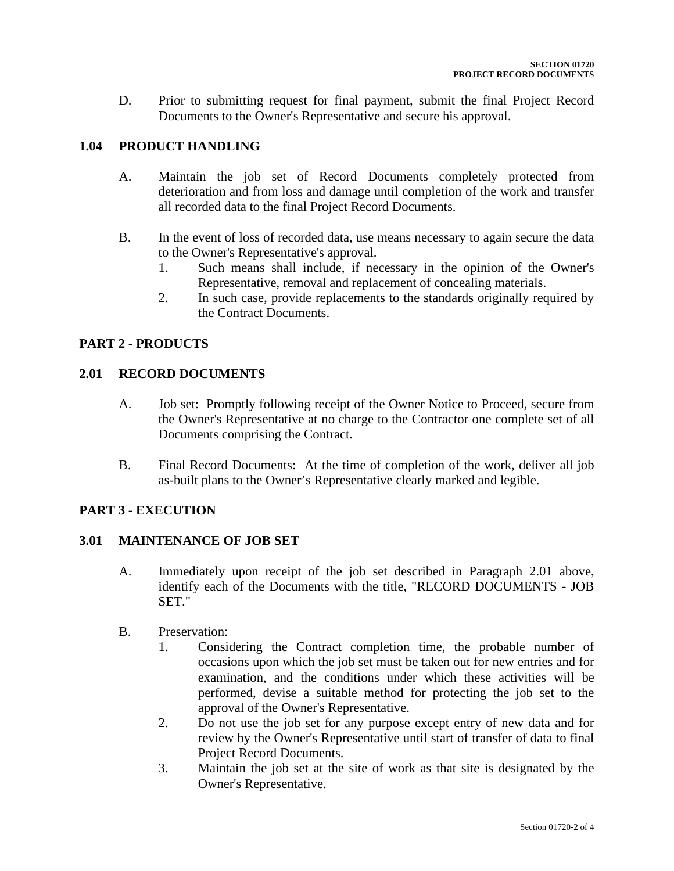D. Prior to submitting request for final payment, submit the final Project Record Documents to the Owner's Representative and secure his approval.

# **1.04 PRODUCT HANDLING**

- A. Maintain the job set of Record Documents completely protected from deterioration and from loss and damage until completion of the work and transfer all recorded data to the final Project Record Documents.
- B. In the event of loss of recorded data, use means necessary to again secure the data to the Owner's Representative's approval.
	- 1. Such means shall include, if necessary in the opinion of the Owner's Representative, removal and replacement of concealing materials.
	- 2. In such case, provide replacements to the standards originally required by the Contract Documents.

### **PART 2 - PRODUCTS**

### **2.01 RECORD DOCUMENTS**

- A. Job set: Promptly following receipt of the Owner Notice to Proceed, secure from the Owner's Representative at no charge to the Contractor one complete set of all Documents comprising the Contract.
- B. Final Record Documents: At the time of completion of the work, deliver all job as-built plans to the Owner's Representative clearly marked and legible.

### **PART 3 - EXECUTION**

### **3.01 MAINTENANCE OF JOB SET**

- A. Immediately upon receipt of the job set described in Paragraph 2.01 above, identify each of the Documents with the title, "RECORD DOCUMENTS - JOB SET."
- B. Preservation:
	- 1. Considering the Contract completion time, the probable number of occasions upon which the job set must be taken out for new entries and for examination, and the conditions under which these activities will be performed, devise a suitable method for protecting the job set to the approval of the Owner's Representative.
	- 2. Do not use the job set for any purpose except entry of new data and for review by the Owner's Representative until start of transfer of data to final Project Record Documents.
	- 3. Maintain the job set at the site of work as that site is designated by the Owner's Representative.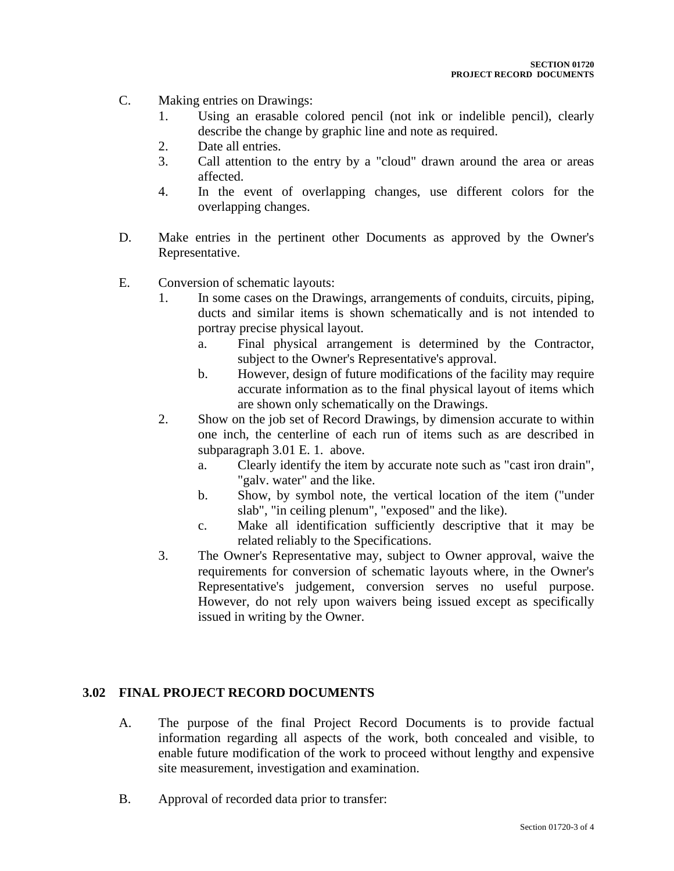- C. Making entries on Drawings:
	- 1. Using an erasable colored pencil (not ink or indelible pencil), clearly describe the change by graphic line and note as required.
	- 2. Date all entries.
	- 3. Call attention to the entry by a "cloud" drawn around the area or areas affected.
	- 4. In the event of overlapping changes, use different colors for the overlapping changes.
- D. Make entries in the pertinent other Documents as approved by the Owner's Representative.
- E. Conversion of schematic layouts:
	- 1. In some cases on the Drawings, arrangements of conduits, circuits, piping, ducts and similar items is shown schematically and is not intended to portray precise physical layout.
		- a. Final physical arrangement is determined by the Contractor, subject to the Owner's Representative's approval.
		- b. However, design of future modifications of the facility may require accurate information as to the final physical layout of items which are shown only schematically on the Drawings.
	- 2. Show on the job set of Record Drawings, by dimension accurate to within one inch, the centerline of each run of items such as are described in subparagraph 3.01 E. 1. above.
		- a. Clearly identify the item by accurate note such as "cast iron drain", "galv. water" and the like.
		- b. Show, by symbol note, the vertical location of the item ("under slab", "in ceiling plenum", "exposed" and the like).
		- c. Make all identification sufficiently descriptive that it may be related reliably to the Specifications.
	- 3. The Owner's Representative may, subject to Owner approval, waive the requirements for conversion of schematic layouts where, in the Owner's Representative's judgement, conversion serves no useful purpose. However, do not rely upon waivers being issued except as specifically issued in writing by the Owner.

### **3.02 FINAL PROJECT RECORD DOCUMENTS**

- A. The purpose of the final Project Record Documents is to provide factual information regarding all aspects of the work, both concealed and visible, to enable future modification of the work to proceed without lengthy and expensive site measurement, investigation and examination.
- B. Approval of recorded data prior to transfer: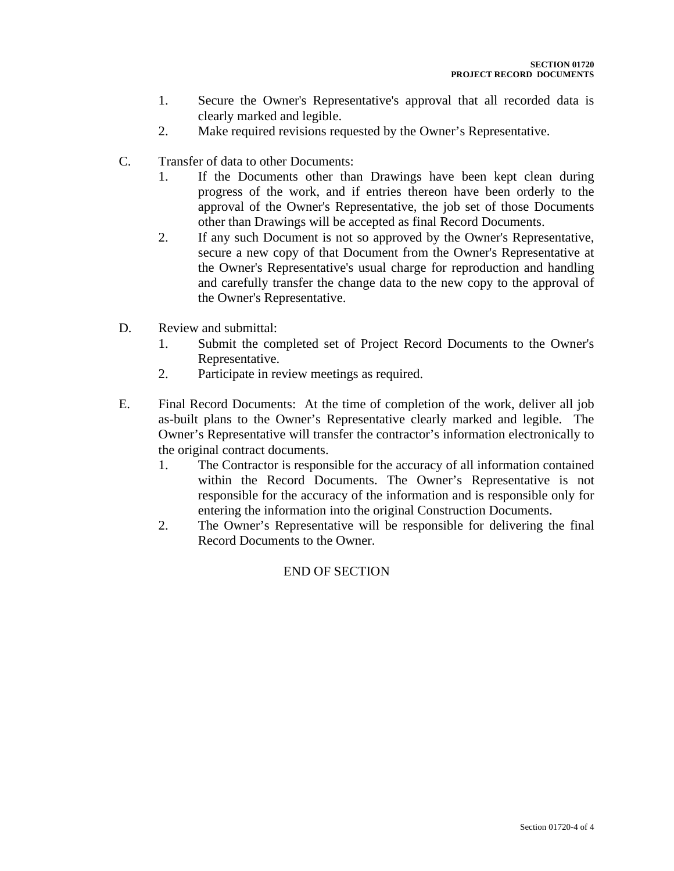- 1. Secure the Owner's Representative's approval that all recorded data is clearly marked and legible.
- 2. Make required revisions requested by the Owner's Representative.
- C. Transfer of data to other Documents:
	- 1. If the Documents other than Drawings have been kept clean during progress of the work, and if entries thereon have been orderly to the approval of the Owner's Representative, the job set of those Documents other than Drawings will be accepted as final Record Documents.
	- 2. If any such Document is not so approved by the Owner's Representative, secure a new copy of that Document from the Owner's Representative at the Owner's Representative's usual charge for reproduction and handling and carefully transfer the change data to the new copy to the approval of the Owner's Representative.
- D. Review and submittal:
	- 1. Submit the completed set of Project Record Documents to the Owner's Representative.
	- 2. Participate in review meetings as required.
- E. Final Record Documents: At the time of completion of the work, deliver all job as-built plans to the Owner's Representative clearly marked and legible. The Owner's Representative will transfer the contractor's information electronically to the original contract documents.
	- 1. The Contractor is responsible for the accuracy of all information contained within the Record Documents. The Owner's Representative is not responsible for the accuracy of the information and is responsible only for entering the information into the original Construction Documents.
	- 2. The Owner's Representative will be responsible for delivering the final Record Documents to the Owner.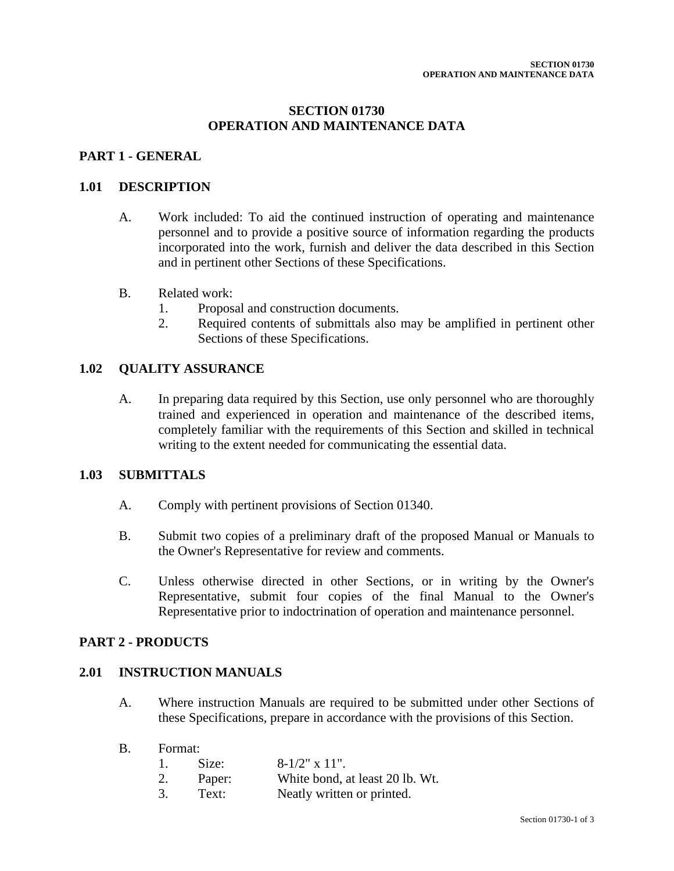### **SECTION 01730 OPERATION AND MAINTENANCE DATA**

# **PART 1 - GENERAL**

### **1.01 DESCRIPTION**

- A. Work included: To aid the continued instruction of operating and maintenance personnel and to provide a positive source of information regarding the products incorporated into the work, furnish and deliver the data described in this Section and in pertinent other Sections of these Specifications.
- B. Related work:
	- 1. Proposal and construction documents.
	- 2. Required contents of submittals also may be amplified in pertinent other Sections of these Specifications.

### **1.02 QUALITY ASSURANCE**

A. In preparing data required by this Section, use only personnel who are thoroughly trained and experienced in operation and maintenance of the described items, completely familiar with the requirements of this Section and skilled in technical writing to the extent needed for communicating the essential data.

## **1.03 SUBMITTALS**

- A. Comply with pertinent provisions of Section 01340.
- B. Submit two copies of a preliminary draft of the proposed Manual or Manuals to the Owner's Representative for review and comments.
- C. Unless otherwise directed in other Sections, or in writing by the Owner's Representative, submit four copies of the final Manual to the Owner's Representative prior to indoctrination of operation and maintenance personnel.

#### **PART 2 - PRODUCTS**

### **2.01 INSTRUCTION MANUALS**

- A. Where instruction Manuals are required to be submitted under other Sections of these Specifications, prepare in accordance with the provisions of this Section.
- B. Format:

|    | Size:  | $8-1/2$ " x 11".                |
|----|--------|---------------------------------|
| 2. | Paper: | White bond, at least 20 lb. Wt. |
| 3. | Text:  | Neatly written or printed.      |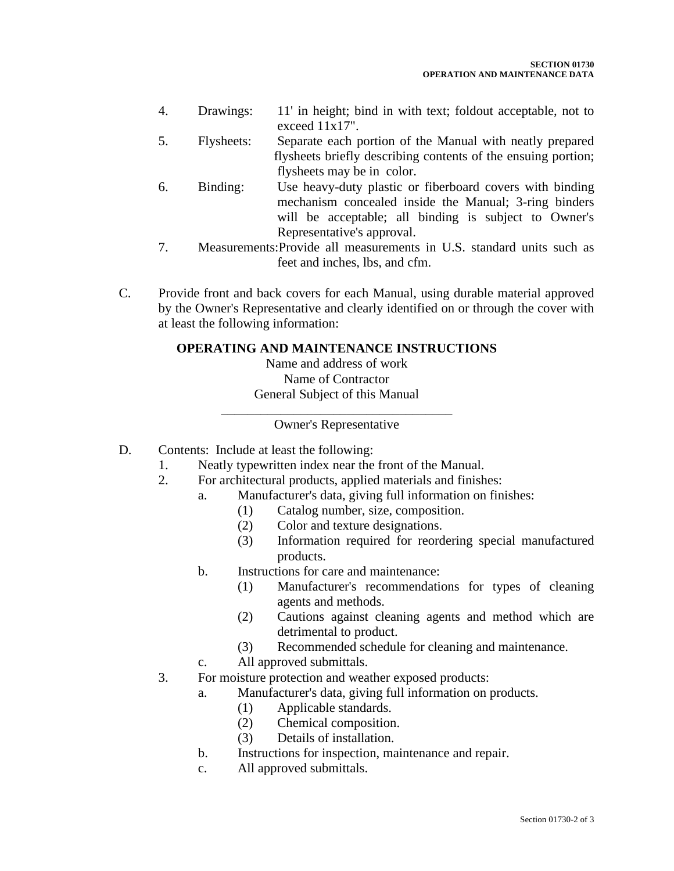- 4. Drawings: 11' in height; bind in with text; foldout acceptable, not to exceed 11x17".
- 5. Flysheets: Separate each portion of the Manual with neatly prepared flysheets briefly describing contents of the ensuing portion; flysheets may be in color.
- 6. Binding: Use heavy-duty plastic or fiberboard covers with binding mechanism concealed inside the Manual; 3-ring binders will be acceptable; all binding is subject to Owner's Representative's approval.
- 7. Measurements:Provide all measurements in U.S. standard units such as feet and inches, lbs, and cfm.
- C. Provide front and back covers for each Manual, using durable material approved by the Owner's Representative and clearly identified on or through the cover with at least the following information:

### **OPERATING AND MAINTENANCE INSTRUCTIONS**

Name and address of work Name of Contractor General Subject of this Manual

\_\_\_\_\_\_\_\_\_\_\_\_\_\_\_\_\_\_\_\_\_\_\_\_\_\_\_\_\_\_\_\_\_\_\_ Owner's Representative

- D. Contents: Include at least the following:
	- 1. Neatly typewritten index near the front of the Manual.
	- 2. For architectural products, applied materials and finishes:
		- a. Manufacturer's data, giving full information on finishes:
			- (1) Catalog number, size, composition.
			- (2) Color and texture designations.
			- (3) Information required for reordering special manufactured products.
			- b. Instructions for care and maintenance:
				- (1) Manufacturer's recommendations for types of cleaning agents and methods.
				- (2) Cautions against cleaning agents and method which are detrimental to product.
				- (3) Recommended schedule for cleaning and maintenance.
			- c. All approved submittals.
	- 3. For moisture protection and weather exposed products:
		- a. Manufacturer's data, giving full information on products.
			- (1) Applicable standards.
			- (2) Chemical composition.
			- (3) Details of installation.
		- b. Instructions for inspection, maintenance and repair.
		- c. All approved submittals.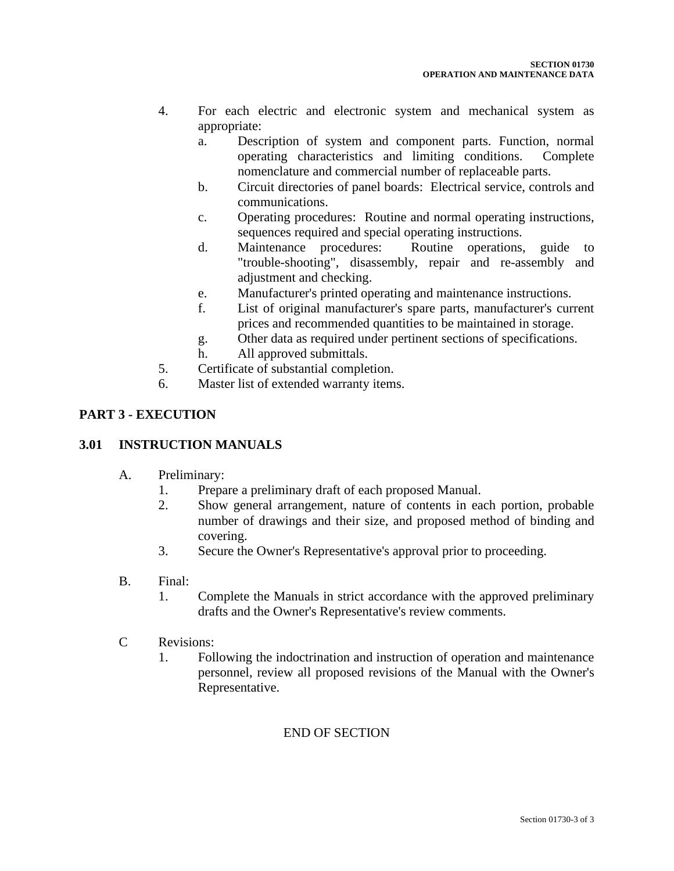- 4. For each electric and electronic system and mechanical system as appropriate:
	- a. Description of system and component parts. Function, normal operating characteristics and limiting conditions. Complete nomenclature and commercial number of replaceable parts.
	- b. Circuit directories of panel boards: Electrical service, controls and communications.
	- c. Operating procedures: Routine and normal operating instructions, sequences required and special operating instructions.
	- d. Maintenance procedures: Routine operations, guide to "trouble-shooting", disassembly, repair and re-assembly and adjustment and checking.
	- e. Manufacturer's printed operating and maintenance instructions.
	- f. List of original manufacturer's spare parts, manufacturer's current prices and recommended quantities to be maintained in storage.
	- g. Other data as required under pertinent sections of specifications.
	- h. All approved submittals.
- 5. Certificate of substantial completion.
- 6. Master list of extended warranty items.

# **PART 3 - EXECUTION**

### **3.01 INSTRUCTION MANUALS**

- A. Preliminary:
	- 1. Prepare a preliminary draft of each proposed Manual.
	- 2. Show general arrangement, nature of contents in each portion, probable number of drawings and their size, and proposed method of binding and covering.
	- 3. Secure the Owner's Representative's approval prior to proceeding.
- B. Final:
	- 1. Complete the Manuals in strict accordance with the approved preliminary drafts and the Owner's Representative's review comments.
- C Revisions:
	- 1. Following the indoctrination and instruction of operation and maintenance personnel, review all proposed revisions of the Manual with the Owner's Representative.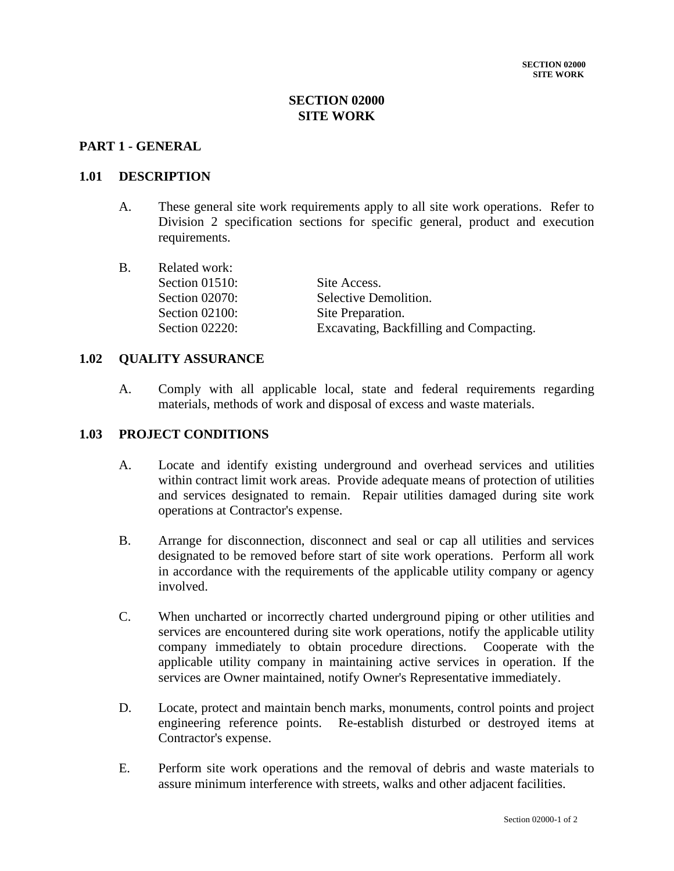# **SECTION 02000 SITE WORK**

### **PART 1 - GENERAL**

### **1.01 DESCRIPTION**

A. These general site work requirements apply to all site work operations. Refer to Division 2 specification sections for specific general, product and execution requirements.

| Related work:     |                                         |
|-------------------|-----------------------------------------|
| Section $01510$ : | Site Access.                            |
| Section 02070:    | Selective Demolition.                   |
| Section $02100$ : | Site Preparation.                       |
| Section $02220$ : | Excavating, Backfilling and Compacting. |
|                   |                                         |

#### **1.02 QUALITY ASSURANCE**

A. Comply with all applicable local, state and federal requirements regarding materials, methods of work and disposal of excess and waste materials.

#### **1.03 PROJECT CONDITIONS**

- A. Locate and identify existing underground and overhead services and utilities within contract limit work areas. Provide adequate means of protection of utilities and services designated to remain. Repair utilities damaged during site work operations at Contractor's expense.
- B. Arrange for disconnection, disconnect and seal or cap all utilities and services designated to be removed before start of site work operations. Perform all work in accordance with the requirements of the applicable utility company or agency involved.
- C. When uncharted or incorrectly charted underground piping or other utilities and services are encountered during site work operations, notify the applicable utility company immediately to obtain procedure directions. Cooperate with the applicable utility company in maintaining active services in operation. If the services are Owner maintained, notify Owner's Representative immediately.
- D. Locate, protect and maintain bench marks, monuments, control points and project engineering reference points. Re-establish disturbed or destroyed items at Contractor's expense.
- E. Perform site work operations and the removal of debris and waste materials to assure minimum interference with streets, walks and other adjacent facilities.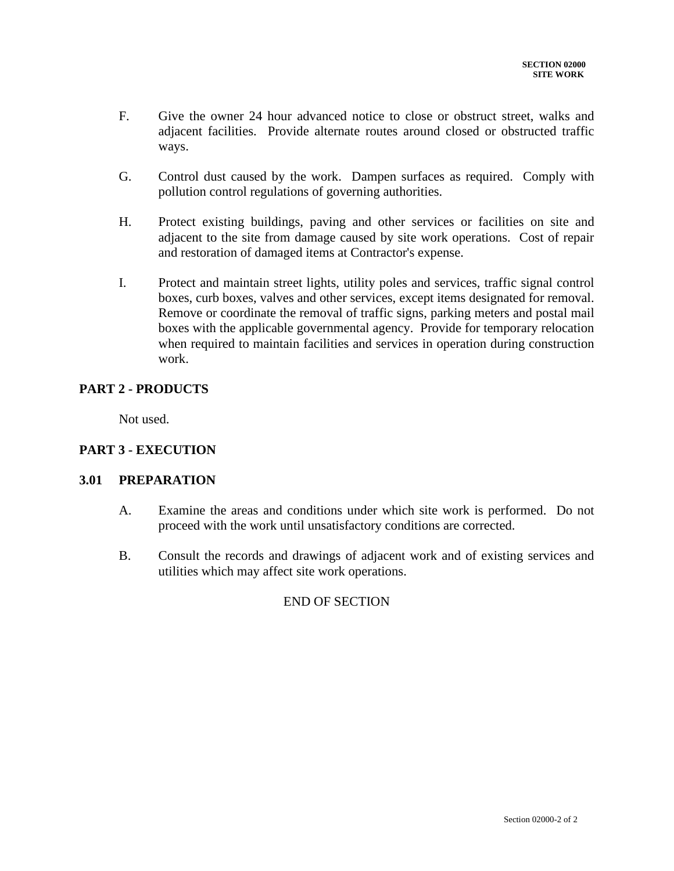- F. Give the owner 24 hour advanced notice to close or obstruct street, walks and adjacent facilities. Provide alternate routes around closed or obstructed traffic ways.
- G. Control dust caused by the work. Dampen surfaces as required. Comply with pollution control regulations of governing authorities.
- H. Protect existing buildings, paving and other services or facilities on site and adjacent to the site from damage caused by site work operations. Cost of repair and restoration of damaged items at Contractor's expense.
- I. Protect and maintain street lights, utility poles and services, traffic signal control boxes, curb boxes, valves and other services, except items designated for removal. Remove or coordinate the removal of traffic signs, parking meters and postal mail boxes with the applicable governmental agency. Provide for temporary relocation when required to maintain facilities and services in operation during construction work.

# **PART 2 - PRODUCTS**

Not used.

## **PART 3 - EXECUTION**

## **3.01 PREPARATION**

- A. Examine the areas and conditions under which site work is performed. Do not proceed with the work until unsatisfactory conditions are corrected.
- B. Consult the records and drawings of adjacent work and of existing services and utilities which may affect site work operations.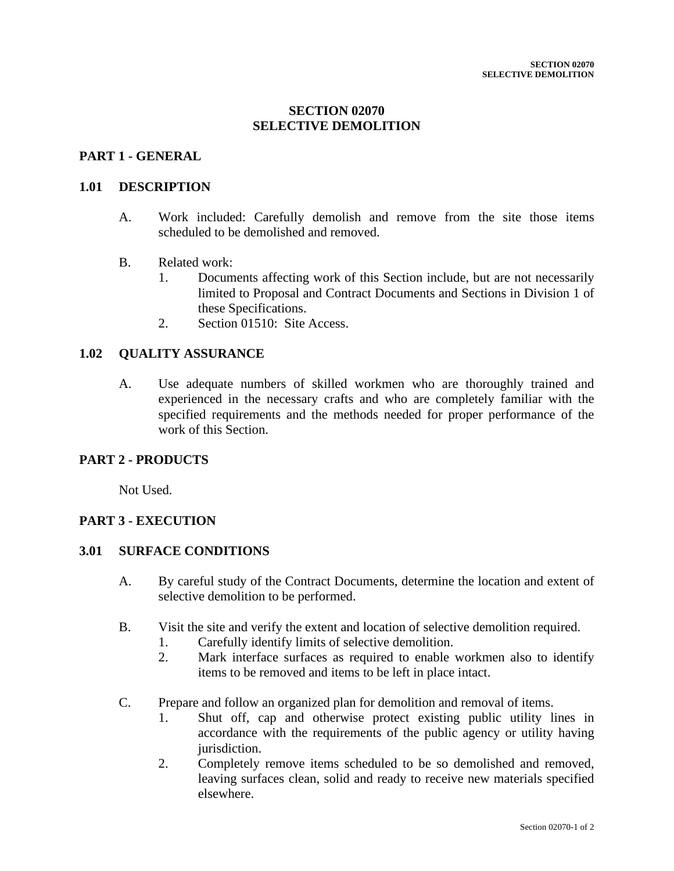#### **SECTION 02070 SELECTIVE DEMOLITION**

# **PART 1 - GENERAL**

#### **1.01 DESCRIPTION**

- A. Work included: Carefully demolish and remove from the site those items scheduled to be demolished and removed.
- B. Related work:
	- 1. Documents affecting work of this Section include, but are not necessarily limited to Proposal and Contract Documents and Sections in Division 1 of these Specifications.
	- 2. Section 01510: Site Access.

#### **1.02 QUALITY ASSURANCE**

A. Use adequate numbers of skilled workmen who are thoroughly trained and experienced in the necessary crafts and who are completely familiar with the specified requirements and the methods needed for proper performance of the work of this Section.

## **PART 2 - PRODUCTS**

Not Used.

## **PART 3 - EXECUTION**

#### **3.01 SURFACE CONDITIONS**

- A. By careful study of the Contract Documents, determine the location and extent of selective demolition to be performed.
- B. Visit the site and verify the extent and location of selective demolition required.
	- 1. Carefully identify limits of selective demolition.
	- 2. Mark interface surfaces as required to enable workmen also to identify items to be removed and items to be left in place intact.
- C. Prepare and follow an organized plan for demolition and removal of items.
	- 1. Shut off, cap and otherwise protect existing public utility lines in accordance with the requirements of the public agency or utility having jurisdiction.
	- 2. Completely remove items scheduled to be so demolished and removed, leaving surfaces clean, solid and ready to receive new materials specified elsewhere.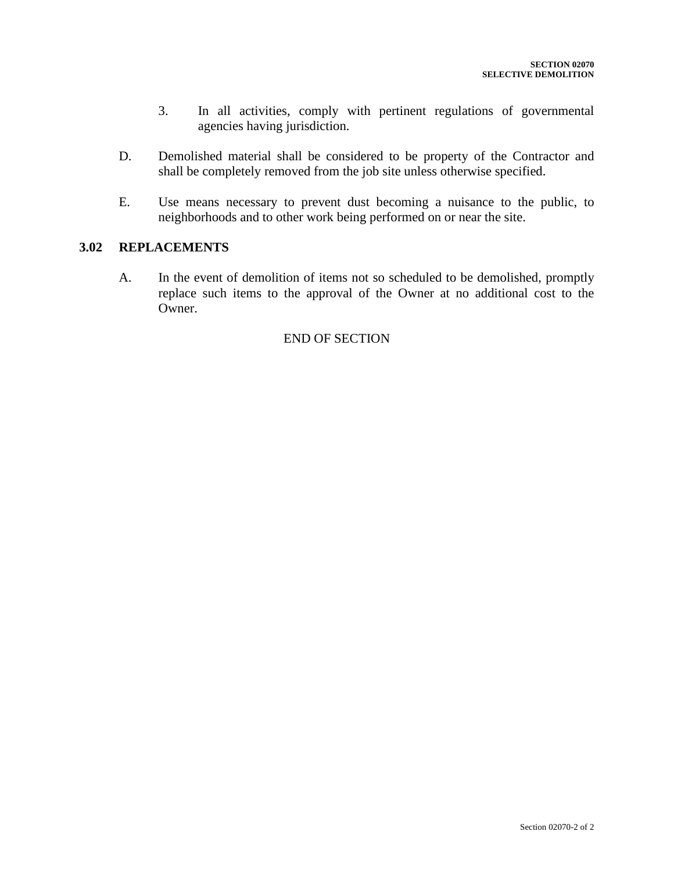- 3. In all activities, comply with pertinent regulations of governmental agencies having jurisdiction.
- D. Demolished material shall be considered to be property of the Contractor and shall be completely removed from the job site unless otherwise specified.
- E. Use means necessary to prevent dust becoming a nuisance to the public, to neighborhoods and to other work being performed on or near the site.

## **3.02 REPLACEMENTS**

A. In the event of demolition of items not so scheduled to be demolished, promptly replace such items to the approval of the Owner at no additional cost to the Owner.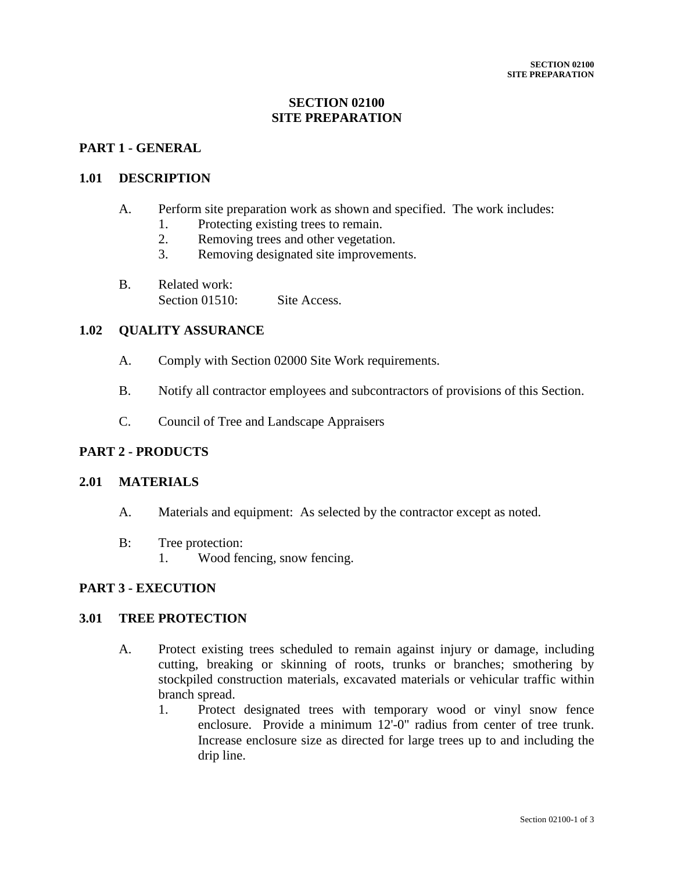# **SECTION 02100 SITE PREPARATION**

# **PART 1 - GENERAL**

#### **1.01 DESCRIPTION**

- A. Perform site preparation work as shown and specified. The work includes:
	- 1. Protecting existing trees to remain.
	- 2. Removing trees and other vegetation.
	- 3. Removing designated site improvements.
- B. Related work: Section 01510: Site Access.

#### **1.02 QUALITY ASSURANCE**

- A. Comply with Section 02000 Site Work requirements.
- B. Notify all contractor employees and subcontractors of provisions of this Section.
- C. Council of Tree and Landscape Appraisers

#### **PART 2 - PRODUCTS**

#### **2.01 MATERIALS**

- A. Materials and equipment: As selected by the contractor except as noted.
- B: Tree protection:
	- 1. Wood fencing, snow fencing.

#### **PART 3 - EXECUTION**

#### **3.01 TREE PROTECTION**

- A. Protect existing trees scheduled to remain against injury or damage, including cutting, breaking or skinning of roots, trunks or branches; smothering by stockpiled construction materials, excavated materials or vehicular traffic within branch spread.
	- 1. Protect designated trees with temporary wood or vinyl snow fence enclosure. Provide a minimum 12'-0" radius from center of tree trunk. Increase enclosure size as directed for large trees up to and including the drip line.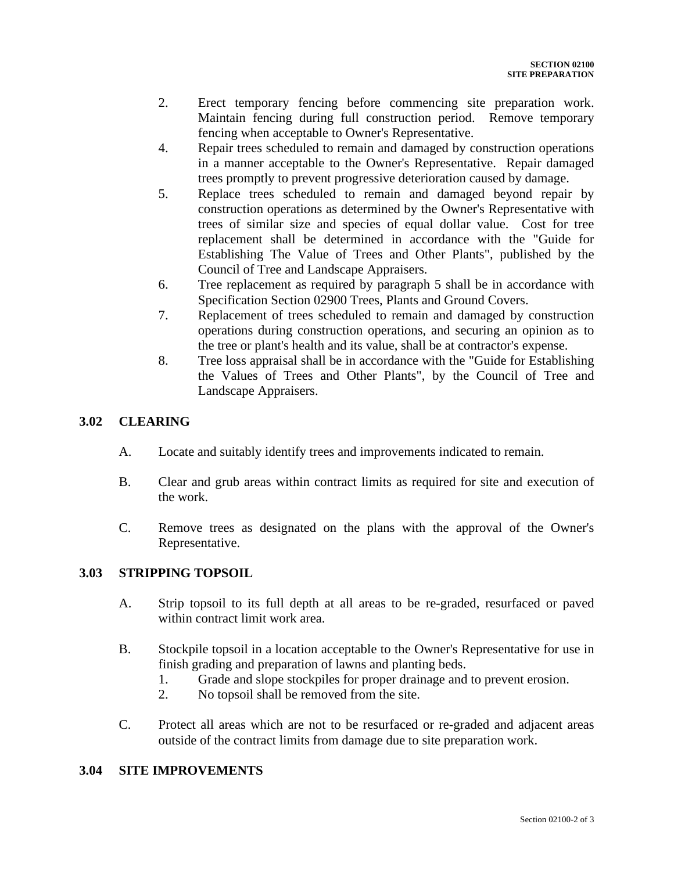- 2. Erect temporary fencing before commencing site preparation work. Maintain fencing during full construction period. Remove temporary fencing when acceptable to Owner's Representative.
- 4. Repair trees scheduled to remain and damaged by construction operations in a manner acceptable to the Owner's Representative. Repair damaged trees promptly to prevent progressive deterioration caused by damage.
- 5. Replace trees scheduled to remain and damaged beyond repair by construction operations as determined by the Owner's Representative with trees of similar size and species of equal dollar value. Cost for tree replacement shall be determined in accordance with the "Guide for Establishing The Value of Trees and Other Plants", published by the Council of Tree and Landscape Appraisers.
- 6. Tree replacement as required by paragraph 5 shall be in accordance with Specification Section 02900 Trees, Plants and Ground Covers.
- 7. Replacement of trees scheduled to remain and damaged by construction operations during construction operations, and securing an opinion as to the tree or plant's health and its value, shall be at contractor's expense.
- 8. Tree loss appraisal shall be in accordance with the "Guide for Establishing the Values of Trees and Other Plants", by the Council of Tree and Landscape Appraisers.

## **3.02 CLEARING**

- A. Locate and suitably identify trees and improvements indicated to remain.
- B. Clear and grub areas within contract limits as required for site and execution of the work.
- C. Remove trees as designated on the plans with the approval of the Owner's Representative.

## **3.03 STRIPPING TOPSOIL**

- A. Strip topsoil to its full depth at all areas to be re-graded, resurfaced or paved within contract limit work area.
- B. Stockpile topsoil in a location acceptable to the Owner's Representative for use in finish grading and preparation of lawns and planting beds.
	- 1. Grade and slope stockpiles for proper drainage and to prevent erosion.
	- 2. No topsoil shall be removed from the site.
- C. Protect all areas which are not to be resurfaced or re-graded and adjacent areas outside of the contract limits from damage due to site preparation work.

#### **3.04 SITE IMPROVEMENTS**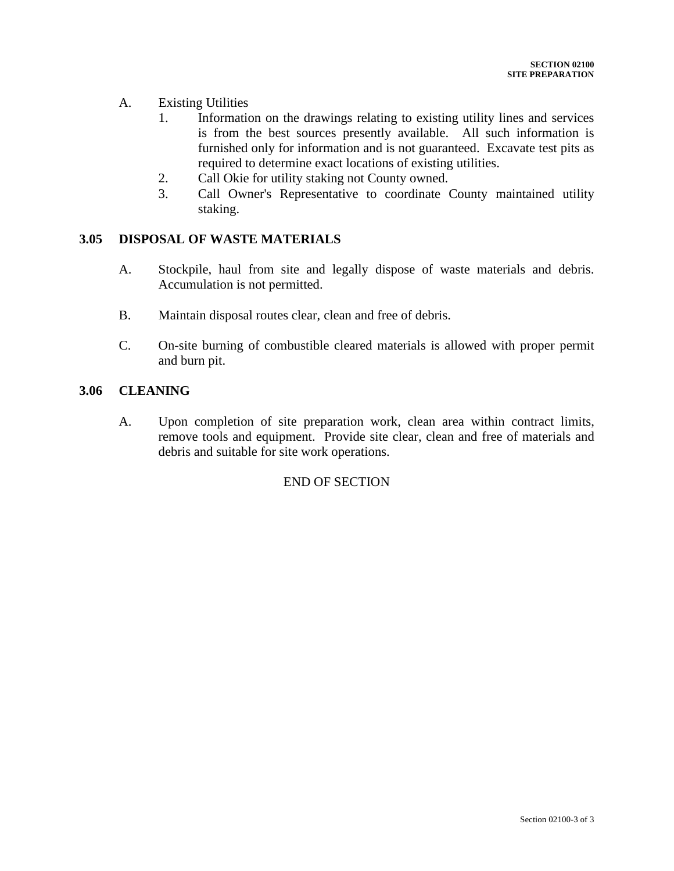# A. Existing Utilities

- 1. Information on the drawings relating to existing utility lines and services is from the best sources presently available. All such information is furnished only for information and is not guaranteed. Excavate test pits as required to determine exact locations of existing utilities.
- 2. Call Okie for utility staking not County owned.
- 3. Call Owner's Representative to coordinate County maintained utility staking.

#### **3.05 DISPOSAL OF WASTE MATERIALS**

- A. Stockpile, haul from site and legally dispose of waste materials and debris. Accumulation is not permitted.
- B. Maintain disposal routes clear, clean and free of debris.
- C. On-site burning of combustible cleared materials is allowed with proper permit and burn pit.

## **3.06 CLEANING**

A. Upon completion of site preparation work, clean area within contract limits, remove tools and equipment. Provide site clear, clean and free of materials and debris and suitable for site work operations.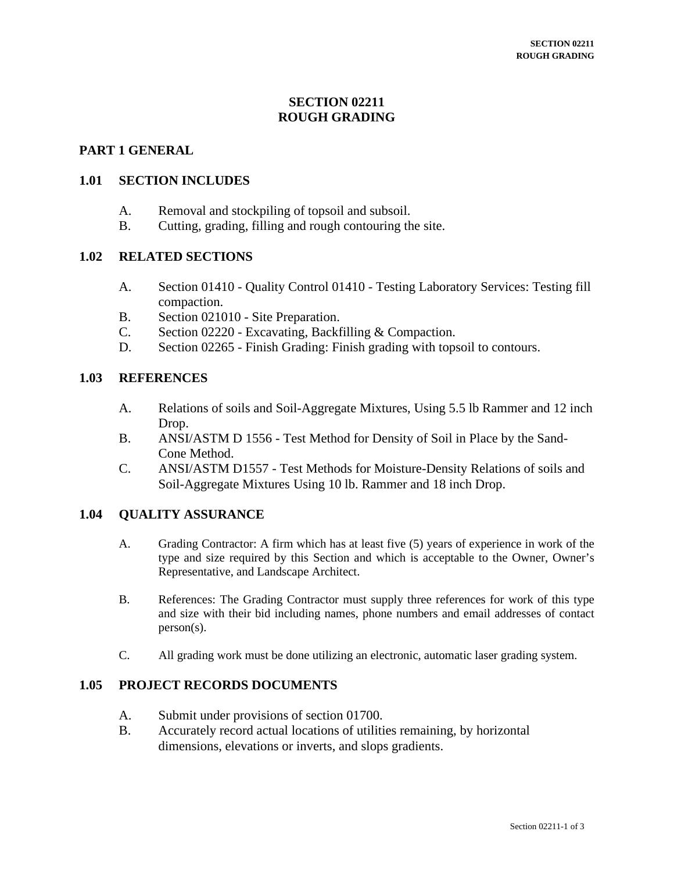# **SECTION 02211 ROUGH GRADING**

## **PART 1 GENERAL**

#### **1.01 SECTION INCLUDES**

- A. Removal and stockpiling of topsoil and subsoil.
- B. Cutting, grading, filling and rough contouring the site.

#### **1.02 RELATED SECTIONS**

- A. Section 01410 Quality Control 01410 Testing Laboratory Services: Testing fill compaction.
- B. Section 021010 Site Preparation.
- C. Section 02220 Excavating, Backfilling & Compaction.
- D. Section 02265 Finish Grading: Finish grading with topsoil to contours.

## **1.03 REFERENCES**

- A. Relations of soils and Soil-Aggregate Mixtures, Using 5.5 lb Rammer and 12 inch Drop.
- B. ANSI/ASTM D 1556 Test Method for Density of Soil in Place by the Sand-Cone Method.
- C. ANSI/ASTM D1557 Test Methods for Moisture-Density Relations of soils and Soil-Aggregate Mixtures Using 10 lb. Rammer and 18 inch Drop.

#### **1.04 QUALITY ASSURANCE**

- A. Grading Contractor: A firm which has at least five (5) years of experience in work of the type and size required by this Section and which is acceptable to the Owner, Owner's Representative, and Landscape Architect.
- B. References: The Grading Contractor must supply three references for work of this type and size with their bid including names, phone numbers and email addresses of contact person(s).
- C. All grading work must be done utilizing an electronic, automatic laser grading system.

## **1.05 PROJECT RECORDS DOCUMENTS**

- A. Submit under provisions of section 01700.
- B. Accurately record actual locations of utilities remaining, by horizontal dimensions, elevations or inverts, and slops gradients.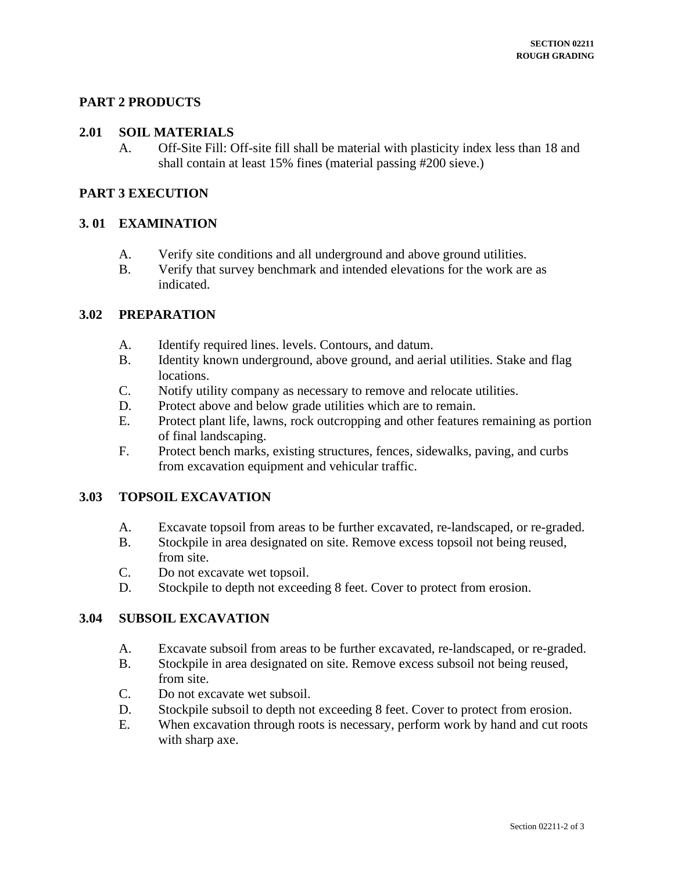# **PART 2 PRODUCTS**

#### **2.01 SOIL MATERIALS**

A. Off-Site Fill: Off-site fill shall be material with plasticity index less than 18 and shall contain at least 15% fines (material passing #200 sieve.)

# **PART 3 EXECUTION**

## **3. 01 EXAMINATION**

- A. Verify site conditions and all underground and above ground utilities.
- B. Verify that survey benchmark and intended elevations for the work are as indicated.

#### **3.02 PREPARATION**

- A. Identify required lines. levels. Contours, and datum.
- B. Identity known underground, above ground, and aerial utilities. Stake and flag locations.
- C. Notify utility company as necessary to remove and relocate utilities.
- D. Protect above and below grade utilities which are to remain.
- E. Protect plant life, lawns, rock outcropping and other features remaining as portion of final landscaping.
- F. Protect bench marks, existing structures, fences, sidewalks, paving, and curbs from excavation equipment and vehicular traffic.

## **3.03 TOPSOIL EXCAVATION**

- A. Excavate topsoil from areas to be further excavated, re-landscaped, or re-graded.
- B. Stockpile in area designated on site. Remove excess topsoil not being reused, from site.
- C. Do not excavate wet topsoil.
- D. Stockpile to depth not exceeding 8 feet. Cover to protect from erosion.

## **3.04 SUBSOIL EXCAVATION**

- A. Excavate subsoil from areas to be further excavated, re-landscaped, or re-graded.
- B. Stockpile in area designated on site. Remove excess subsoil not being reused, from site.
- C. Do not excavate wet subsoil.
- D. Stockpile subsoil to depth not exceeding 8 feet. Cover to protect from erosion.
- E. When excavation through roots is necessary, perform work by hand and cut roots with sharp axe.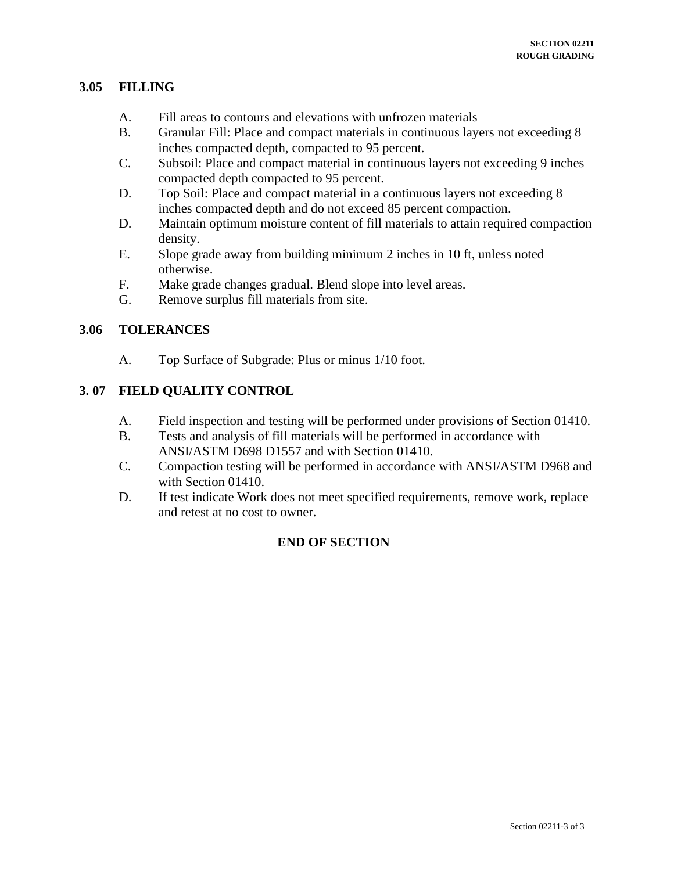## **3.05 FILLING**

- A. Fill areas to contours and elevations with unfrozen materials
- B. Granular Fill: Place and compact materials in continuous layers not exceeding 8 inches compacted depth, compacted to 95 percent.
- C. Subsoil: Place and compact material in continuous layers not exceeding 9 inches compacted depth compacted to 95 percent.
- D. Top Soil: Place and compact material in a continuous layers not exceeding 8 inches compacted depth and do not exceed 85 percent compaction.
- D. Maintain optimum moisture content of fill materials to attain required compaction density.
- E. Slope grade away from building minimum 2 inches in 10 ft, unless noted otherwise.
- F. Make grade changes gradual. Blend slope into level areas.
- G. Remove surplus fill materials from site.

## **3.06 TOLERANCES**

A. Top Surface of Subgrade: Plus or minus 1/10 foot.

## **3. 07 FIELD QUALITY CONTROL**

- A. Field inspection and testing will be performed under provisions of Section 01410.
- B. Tests and analysis of fill materials will be performed in accordance with ANSI/ASTM D698 D1557 and with Section 01410.
- C. Compaction testing will be performed in accordance with ANSI/ASTM D968 and with Section 01410.
- D. If test indicate Work does not meet specified requirements, remove work, replace and retest at no cost to owner.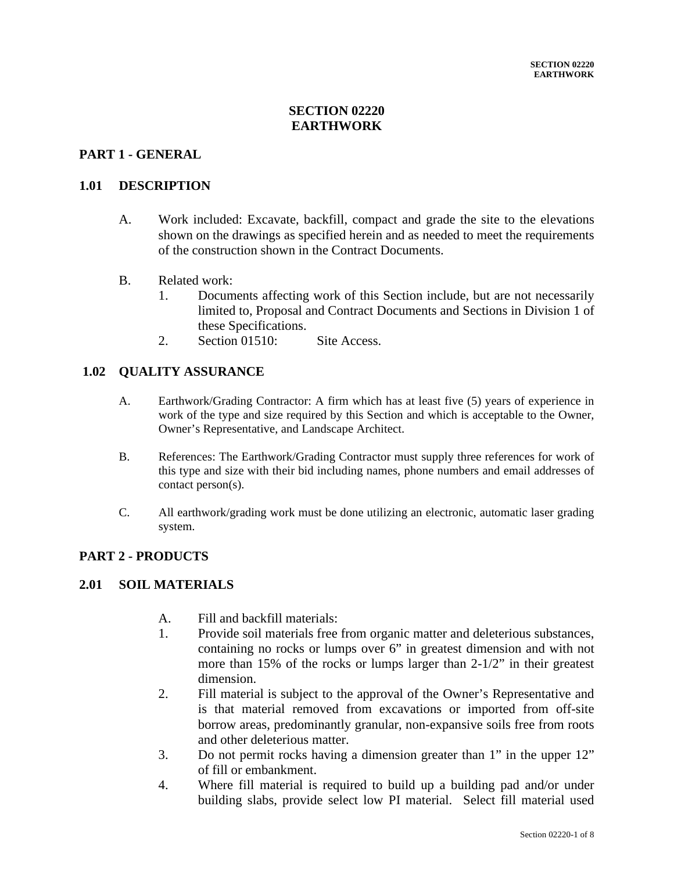## **SECTION 02220 EARTHWORK**

## **PART 1 - GENERAL**

#### **1.01 DESCRIPTION**

- A. Work included: Excavate, backfill, compact and grade the site to the elevations shown on the drawings as specified herein and as needed to meet the requirements of the construction shown in the Contract Documents.
- B. Related work:
	- 1. Documents affecting work of this Section include, but are not necessarily limited to, Proposal and Contract Documents and Sections in Division 1 of these Specifications.
	- 2. Section 01510: Site Access.

#### **1.02 QUALITY ASSURANCE**

- A. Earthwork/Grading Contractor: A firm which has at least five (5) years of experience in work of the type and size required by this Section and which is acceptable to the Owner, Owner's Representative, and Landscape Architect.
- B. References: The Earthwork/Grading Contractor must supply three references for work of this type and size with their bid including names, phone numbers and email addresses of contact person(s).
- C. All earthwork/grading work must be done utilizing an electronic, automatic laser grading system.

# **PART 2 - PRODUCTS**

#### **2.01 SOIL MATERIALS**

- A. Fill and backfill materials:
- 1. Provide soil materials free from organic matter and deleterious substances, containing no rocks or lumps over 6" in greatest dimension and with not more than 15% of the rocks or lumps larger than 2-1/2" in their greatest dimension.
- 2. Fill material is subject to the approval of the Owner's Representative and is that material removed from excavations or imported from off-site borrow areas, predominantly granular, non-expansive soils free from roots and other deleterious matter.
- 3. Do not permit rocks having a dimension greater than 1" in the upper 12" of fill or embankment.
- 4. Where fill material is required to build up a building pad and/or under building slabs, provide select low PI material. Select fill material used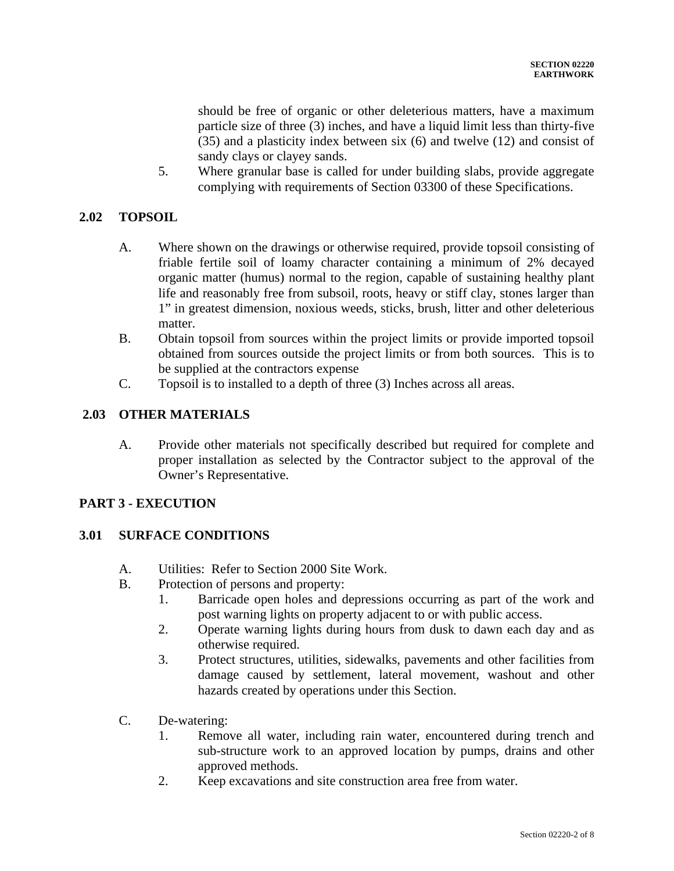should be free of organic or other deleterious matters, have a maximum particle size of three (3) inches, and have a liquid limit less than thirty-five (35) and a plasticity index between six (6) and twelve (12) and consist of sandy clays or clayey sands.

 5. Where granular base is called for under building slabs, provide aggregate complying with requirements of Section 03300 of these Specifications.

# **2.02 TOPSOIL**

- A. Where shown on the drawings or otherwise required, provide topsoil consisting of friable fertile soil of loamy character containing a minimum of 2% decayed organic matter (humus) normal to the region, capable of sustaining healthy plant life and reasonably free from subsoil, roots, heavy or stiff clay, stones larger than 1" in greatest dimension, noxious weeds, sticks, brush, litter and other deleterious matter.
- B. Obtain topsoil from sources within the project limits or provide imported topsoil obtained from sources outside the project limits or from both sources. This is to be supplied at the contractors expense
- C. Topsoil is to installed to a depth of three (3) Inches across all areas.

# **2.03 OTHER MATERIALS**

A. Provide other materials not specifically described but required for complete and proper installation as selected by the Contractor subject to the approval of the Owner's Representative.

## **PART 3 - EXECUTION**

## **3.01 SURFACE CONDITIONS**

- A. Utilities: Refer to Section 2000 Site Work.
- B. Protection of persons and property:
	- 1. Barricade open holes and depressions occurring as part of the work and post warning lights on property adjacent to or with public access.
	- 2. Operate warning lights during hours from dusk to dawn each day and as otherwise required.
	- 3. Protect structures, utilities, sidewalks, pavements and other facilities from damage caused by settlement, lateral movement, washout and other hazards created by operations under this Section.
- C. De-watering:
	- 1. Remove all water, including rain water, encountered during trench and sub-structure work to an approved location by pumps, drains and other approved methods.
	- 2. Keep excavations and site construction area free from water.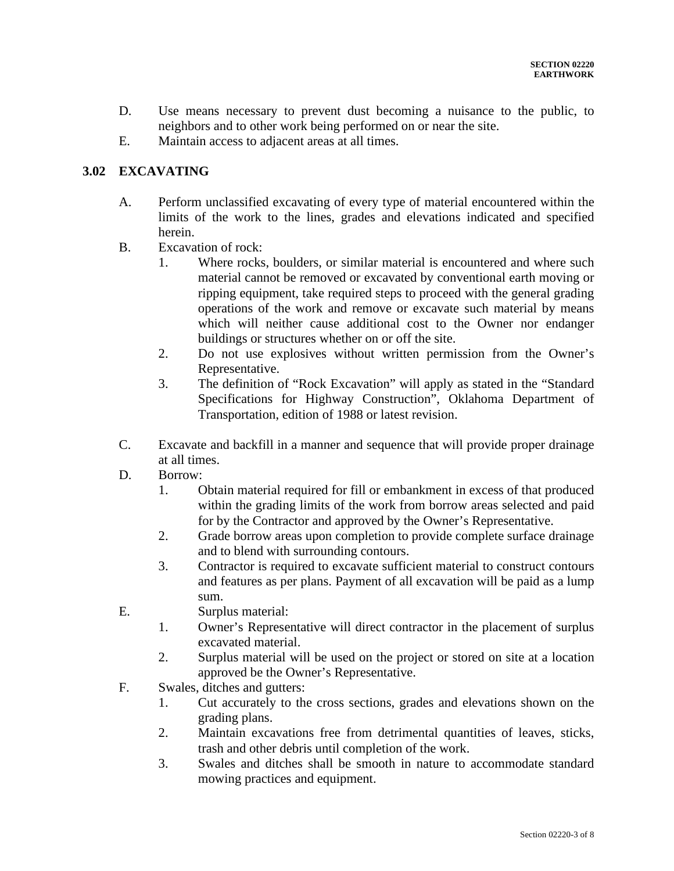- D. Use means necessary to prevent dust becoming a nuisance to the public, to neighbors and to other work being performed on or near the site.
- E. Maintain access to adjacent areas at all times.

# **3.02 EXCAVATING**

- A. Perform unclassified excavating of every type of material encountered within the limits of the work to the lines, grades and elevations indicated and specified herein.
- B. Excavation of rock:
	- 1. Where rocks, boulders, or similar material is encountered and where such material cannot be removed or excavated by conventional earth moving or ripping equipment, take required steps to proceed with the general grading operations of the work and remove or excavate such material by means which will neither cause additional cost to the Owner nor endanger buildings or structures whether on or off the site.
	- 2. Do not use explosives without written permission from the Owner's Representative.
	- 3. The definition of "Rock Excavation" will apply as stated in the "Standard Specifications for Highway Construction", Oklahoma Department of Transportation, edition of 1988 or latest revision.
- C. Excavate and backfill in a manner and sequence that will provide proper drainage at all times.
- D. Borrow:
	- 1. Obtain material required for fill or embankment in excess of that produced within the grading limits of the work from borrow areas selected and paid for by the Contractor and approved by the Owner's Representative.
	- 2. Grade borrow areas upon completion to provide complete surface drainage and to blend with surrounding contours.
	- 3. Contractor is required to excavate sufficient material to construct contours and features as per plans. Payment of all excavation will be paid as a lump sum.
- E. Surplus material:
	- 1. Owner's Representative will direct contractor in the placement of surplus excavated material.
	- 2. Surplus material will be used on the project or stored on site at a location approved be the Owner's Representative.
- F. Swales, ditches and gutters:
	- 1. Cut accurately to the cross sections, grades and elevations shown on the grading plans.
	- 2. Maintain excavations free from detrimental quantities of leaves, sticks, trash and other debris until completion of the work.
	- 3. Swales and ditches shall be smooth in nature to accommodate standard mowing practices and equipment.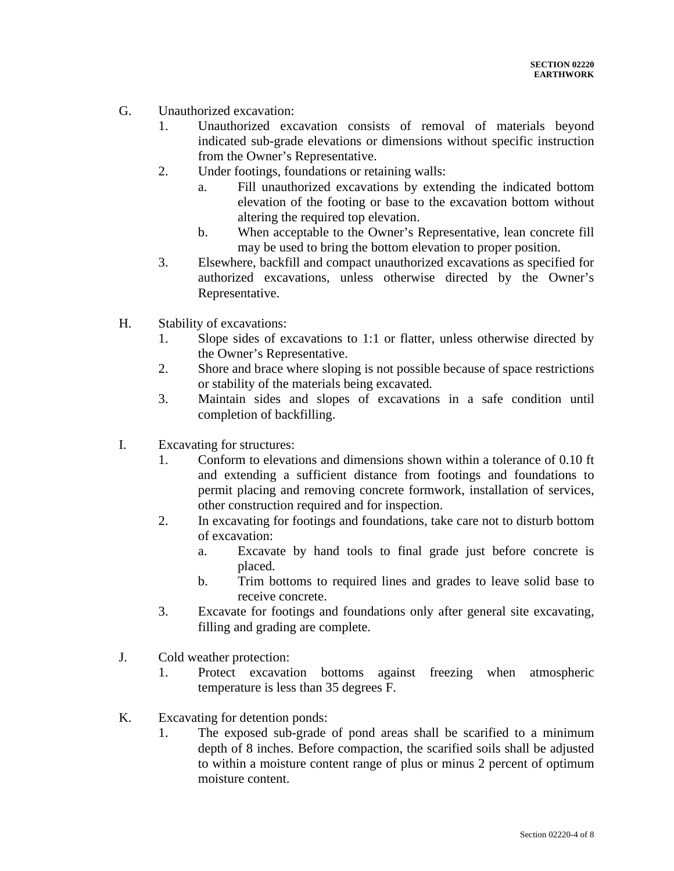- G. Unauthorized excavation:
	- 1. Unauthorized excavation consists of removal of materials beyond indicated sub-grade elevations or dimensions without specific instruction from the Owner's Representative.
	- 2. Under footings, foundations or retaining walls:
		- a. Fill unauthorized excavations by extending the indicated bottom elevation of the footing or base to the excavation bottom without altering the required top elevation.
		- b. When acceptable to the Owner's Representative, lean concrete fill may be used to bring the bottom elevation to proper position.
	- 3. Elsewhere, backfill and compact unauthorized excavations as specified for authorized excavations, unless otherwise directed by the Owner's Representative.
- H. Stability of excavations:
	- 1. Slope sides of excavations to 1:1 or flatter, unless otherwise directed by the Owner's Representative.
	- 2. Shore and brace where sloping is not possible because of space restrictions or stability of the materials being excavated.
	- 3. Maintain sides and slopes of excavations in a safe condition until completion of backfilling.
- I. Excavating for structures:
	- 1. Conform to elevations and dimensions shown within a tolerance of 0.10 ft and extending a sufficient distance from footings and foundations to permit placing and removing concrete formwork, installation of services, other construction required and for inspection.
	- 2. In excavating for footings and foundations, take care not to disturb bottom of excavation:
		- a. Excavate by hand tools to final grade just before concrete is placed.
		- b. Trim bottoms to required lines and grades to leave solid base to receive concrete.
	- 3. Excavate for footings and foundations only after general site excavating, filling and grading are complete.
- J. Cold weather protection:
	- 1. Protect excavation bottoms against freezing when atmospheric temperature is less than 35 degrees F.
- K. Excavating for detention ponds:
	- 1. The exposed sub-grade of pond areas shall be scarified to a minimum depth of 8 inches. Before compaction, the scarified soils shall be adjusted to within a moisture content range of plus or minus 2 percent of optimum moisture content.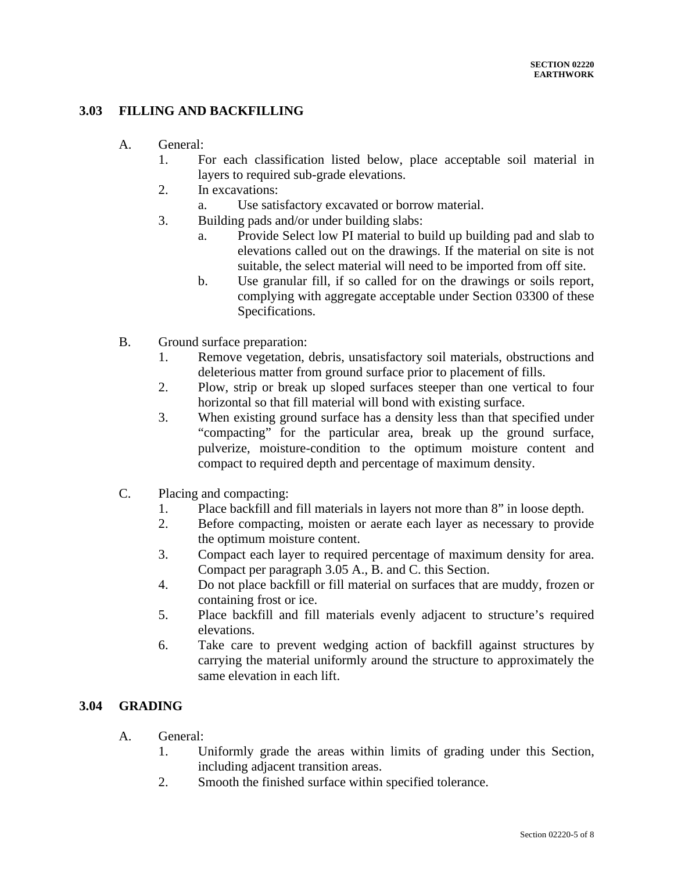# **3.03 FILLING AND BACKFILLING**

- A. General:
	- 1. For each classification listed below, place acceptable soil material in layers to required sub-grade elevations.
	- 2. In excavations:
		- a. Use satisfactory excavated or borrow material.
	- 3. Building pads and/or under building slabs:
		- a. Provide Select low PI material to build up building pad and slab to elevations called out on the drawings. If the material on site is not suitable, the select material will need to be imported from off site.
		- b. Use granular fill, if so called for on the drawings or soils report, complying with aggregate acceptable under Section 03300 of these Specifications.
- B. Ground surface preparation:
	- 1. Remove vegetation, debris, unsatisfactory soil materials, obstructions and deleterious matter from ground surface prior to placement of fills.
	- 2. Plow, strip or break up sloped surfaces steeper than one vertical to four horizontal so that fill material will bond with existing surface.
	- 3. When existing ground surface has a density less than that specified under "compacting" for the particular area, break up the ground surface, pulverize, moisture-condition to the optimum moisture content and compact to required depth and percentage of maximum density.
- C. Placing and compacting:
	- 1. Place backfill and fill materials in layers not more than 8" in loose depth.
	- 2. Before compacting, moisten or aerate each layer as necessary to provide the optimum moisture content.
	- 3. Compact each layer to required percentage of maximum density for area. Compact per paragraph 3.05 A., B. and C. this Section.
	- 4. Do not place backfill or fill material on surfaces that are muddy, frozen or containing frost or ice.
	- 5. Place backfill and fill materials evenly adjacent to structure's required elevations.
	- 6. Take care to prevent wedging action of backfill against structures by carrying the material uniformly around the structure to approximately the same elevation in each lift.

## **3.04 GRADING**

- A. General:
	- 1. Uniformly grade the areas within limits of grading under this Section, including adjacent transition areas.
	- 2. Smooth the finished surface within specified tolerance.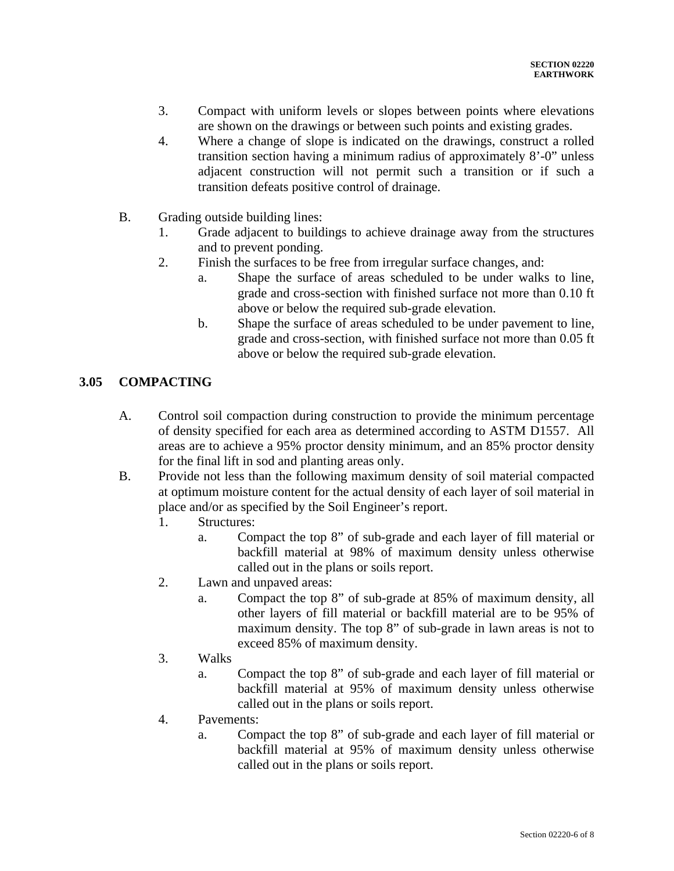- 3. Compact with uniform levels or slopes between points where elevations are shown on the drawings or between such points and existing grades.
- 4. Where a change of slope is indicated on the drawings, construct a rolled transition section having a minimum radius of approximately 8'-0" unless adjacent construction will not permit such a transition or if such a transition defeats positive control of drainage.
- B. Grading outside building lines:
	- 1. Grade adjacent to buildings to achieve drainage away from the structures and to prevent ponding.
	- 2. Finish the surfaces to be free from irregular surface changes, and:
		- a. Shape the surface of areas scheduled to be under walks to line, grade and cross-section with finished surface not more than 0.10 ft above or below the required sub-grade elevation.
		- b. Shape the surface of areas scheduled to be under pavement to line, grade and cross-section, with finished surface not more than 0.05 ft above or below the required sub-grade elevation.

# **3.05 COMPACTING**

- A. Control soil compaction during construction to provide the minimum percentage of density specified for each area as determined according to ASTM D1557. All areas are to achieve a 95% proctor density minimum, and an 85% proctor density for the final lift in sod and planting areas only.
- B. Provide not less than the following maximum density of soil material compacted at optimum moisture content for the actual density of each layer of soil material in place and/or as specified by the Soil Engineer's report.
	- 1. Structures:
		- a. Compact the top 8" of sub-grade and each layer of fill material or backfill material at 98% of maximum density unless otherwise called out in the plans or soils report.
	- 2. Lawn and unpaved areas:
		- a. Compact the top 8" of sub-grade at 85% of maximum density, all other layers of fill material or backfill material are to be 95% of maximum density. The top 8" of sub-grade in lawn areas is not to exceed 85% of maximum density.
	- 3. Walks
		- a. Compact the top 8" of sub-grade and each layer of fill material or backfill material at 95% of maximum density unless otherwise called out in the plans or soils report.
	- 4. Pavements:
		- a. Compact the top 8" of sub-grade and each layer of fill material or backfill material at 95% of maximum density unless otherwise called out in the plans or soils report.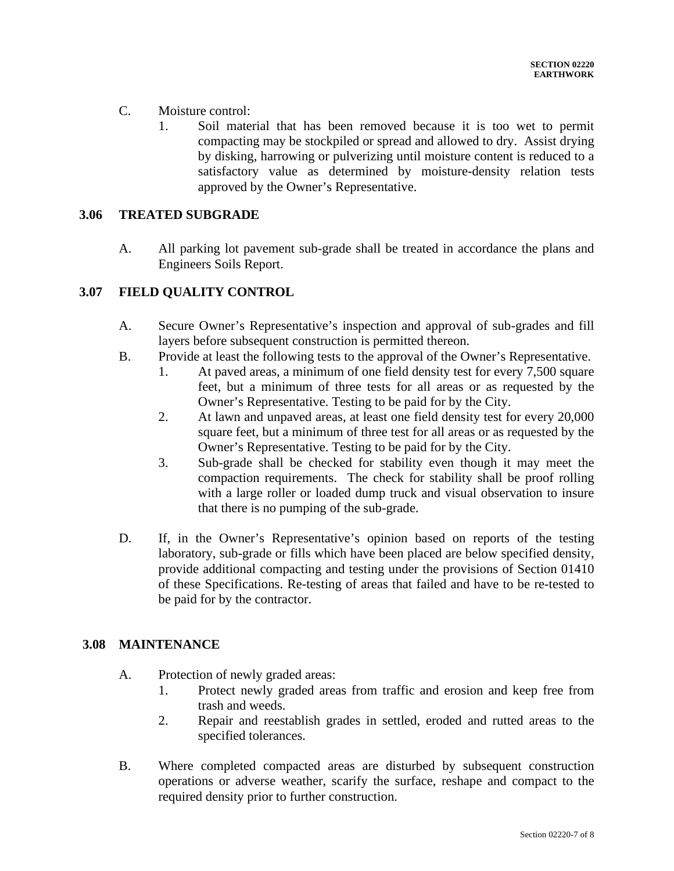- C. Moisture control:
	- 1. Soil material that has been removed because it is too wet to permit compacting may be stockpiled or spread and allowed to dry. Assist drying by disking, harrowing or pulverizing until moisture content is reduced to a satisfactory value as determined by moisture-density relation tests approved by the Owner's Representative.

#### **3.06 TREATED SUBGRADE**

A. All parking lot pavement sub-grade shall be treated in accordance the plans and Engineers Soils Report.

#### **3.07 FIELD QUALITY CONTROL**

- A. Secure Owner's Representative's inspection and approval of sub-grades and fill layers before subsequent construction is permitted thereon.
- B. Provide at least the following tests to the approval of the Owner's Representative.
	- 1. At paved areas, a minimum of one field density test for every 7,500 square feet, but a minimum of three tests for all areas or as requested by the Owner's Representative. Testing to be paid for by the City.
	- 2. At lawn and unpaved areas, at least one field density test for every 20,000 square feet, but a minimum of three test for all areas or as requested by the Owner's Representative. Testing to be paid for by the City.
	- 3. Sub-grade shall be checked for stability even though it may meet the compaction requirements. The check for stability shall be proof rolling with a large roller or loaded dump truck and visual observation to insure that there is no pumping of the sub-grade.
- D. If, in the Owner's Representative's opinion based on reports of the testing laboratory, sub-grade or fills which have been placed are below specified density, provide additional compacting and testing under the provisions of Section 01410 of these Specifications. Re-testing of areas that failed and have to be re-tested to be paid for by the contractor.

## **3.08 MAINTENANCE**

- A. Protection of newly graded areas:
	- 1. Protect newly graded areas from traffic and erosion and keep free from trash and weeds.
	- 2. Repair and reestablish grades in settled, eroded and rutted areas to the specified tolerances.
- B. Where completed compacted areas are disturbed by subsequent construction operations or adverse weather, scarify the surface, reshape and compact to the required density prior to further construction.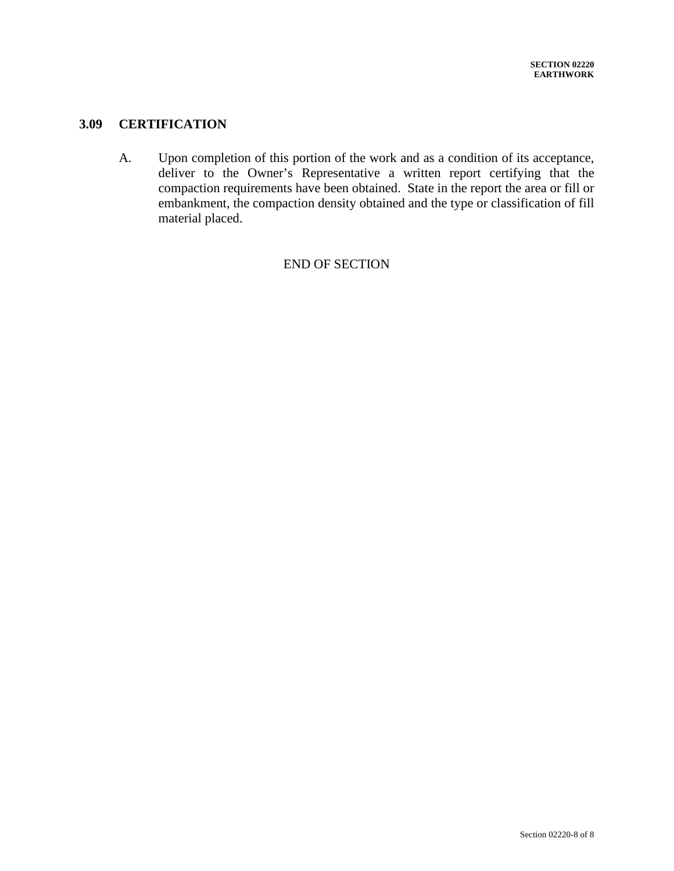# **3.09 CERTIFICATION**

A. Upon completion of this portion of the work and as a condition of its acceptance, deliver to the Owner's Representative a written report certifying that the compaction requirements have been obtained. State in the report the area or fill or embankment, the compaction density obtained and the type or classification of fill material placed.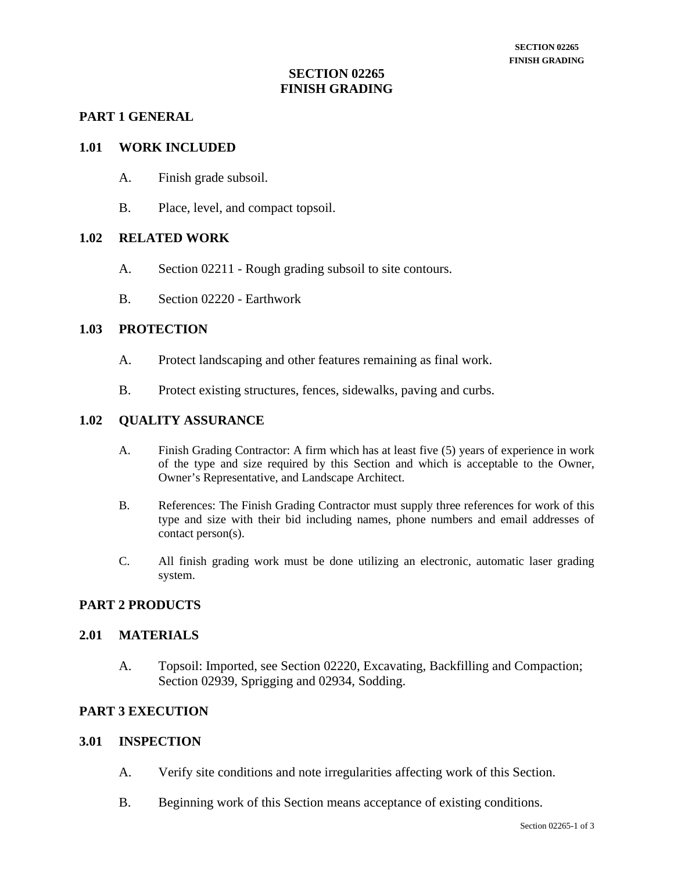## **SECTION 02265 FINISH GRADING**

#### **PART 1 GENERAL**

#### **1.01 WORK INCLUDED**

- A. Finish grade subsoil.
- B. Place, level, and compact topsoil.

#### **1.02 RELATED WORK**

- A. Section 02211 Rough grading subsoil to site contours.
- B. Section 02220 Earthwork

#### **1.03 PROTECTION**

- A. Protect landscaping and other features remaining as final work.
- B. Protect existing structures, fences, sidewalks, paving and curbs.

#### **1.02 QUALITY ASSURANCE**

- A. Finish Grading Contractor: A firm which has at least five (5) years of experience in work of the type and size required by this Section and which is acceptable to the Owner, Owner's Representative, and Landscape Architect.
- B. References: The Finish Grading Contractor must supply three references for work of this type and size with their bid including names, phone numbers and email addresses of contact person(s).
- C. All finish grading work must be done utilizing an electronic, automatic laser grading system.

## **PART 2 PRODUCTS**

#### **2.01 MATERIALS**

A. Topsoil: Imported, see Section 02220, Excavating, Backfilling and Compaction; Section 02939, Sprigging and 02934, Sodding.

#### **PART 3 EXECUTION**

#### **3.01 INSPECTION**

- A. Verify site conditions and note irregularities affecting work of this Section.
- B. Beginning work of this Section means acceptance of existing conditions.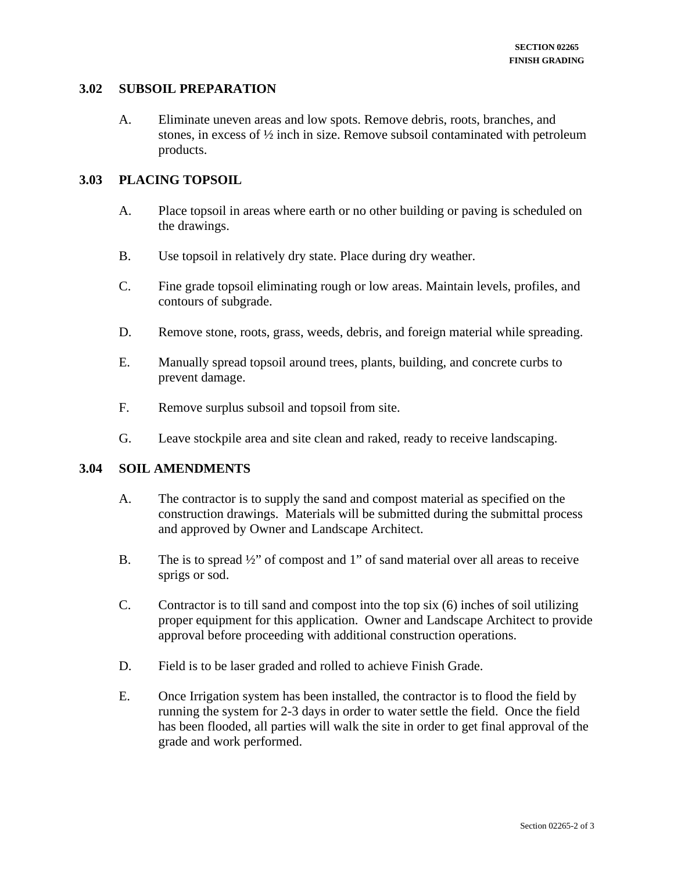#### **3.02 SUBSOIL PREPARATION**

A. Eliminate uneven areas and low spots. Remove debris, roots, branches, and stones, in excess of  $\frac{1}{2}$  inch in size. Remove subsoil contaminated with petroleum products.

#### **3.03 PLACING TOPSOIL**

- A. Place topsoil in areas where earth or no other building or paving is scheduled on the drawings.
- B. Use topsoil in relatively dry state. Place during dry weather.
- C. Fine grade topsoil eliminating rough or low areas. Maintain levels, profiles, and contours of subgrade.
- D. Remove stone, roots, grass, weeds, debris, and foreign material while spreading.
- E. Manually spread topsoil around trees, plants, building, and concrete curbs to prevent damage.
- F. Remove surplus subsoil and topsoil from site.
- G. Leave stockpile area and site clean and raked, ready to receive landscaping.

#### **3.04 SOIL AMENDMENTS**

- A. The contractor is to supply the sand and compost material as specified on the construction drawings. Materials will be submitted during the submittal process and approved by Owner and Landscape Architect.
- B. The is to spread  $\frac{1}{2}$  of compost and 1" of sand material over all areas to receive sprigs or sod.
- C. Contractor is to till sand and compost into the top six (6) inches of soil utilizing proper equipment for this application. Owner and Landscape Architect to provide approval before proceeding with additional construction operations.
- D. Field is to be laser graded and rolled to achieve Finish Grade.
- E. Once Irrigation system has been installed, the contractor is to flood the field by running the system for 2-3 days in order to water settle the field. Once the field has been flooded, all parties will walk the site in order to get final approval of the grade and work performed.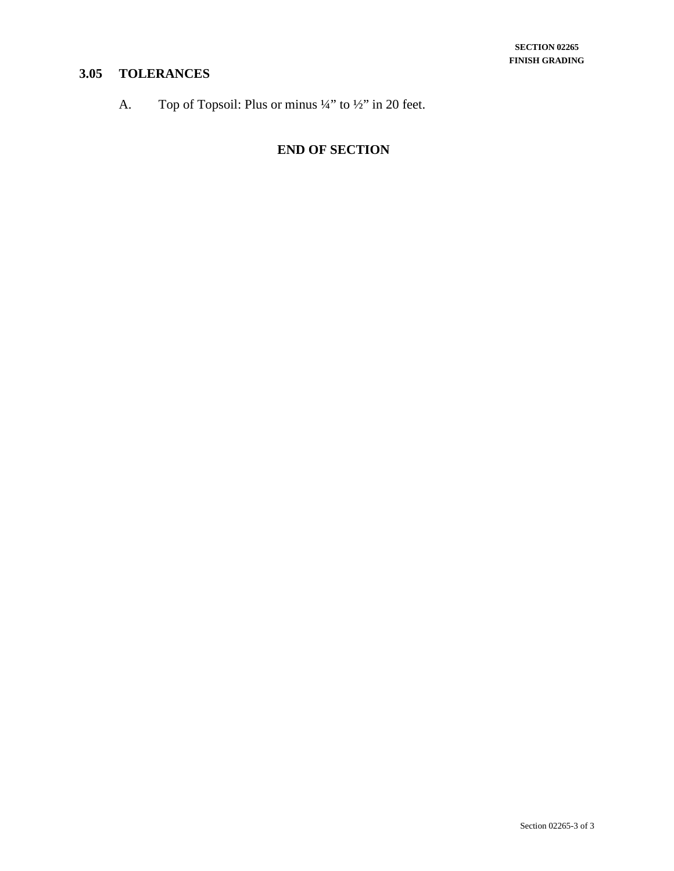# **3.05 TOLERANCES**

A. Top of Topsoil: Plus or minus ¼" to ½" in 20 feet.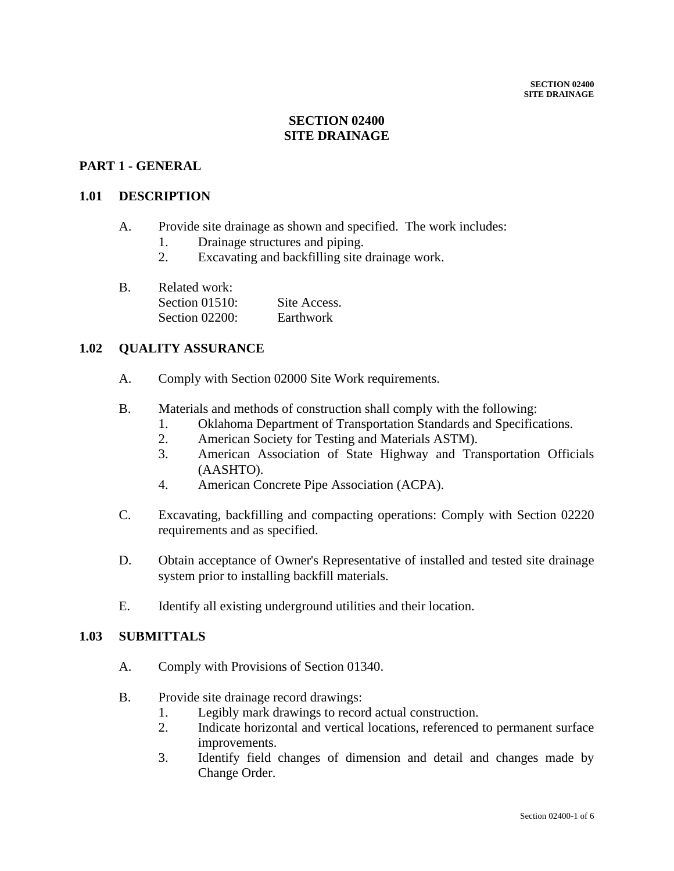# **SECTION 02400 SITE DRAINAGE**

# **PART 1 - GENERAL**

#### **1.01 DESCRIPTION**

- A. Provide site drainage as shown and specified. The work includes:
	- 1. Drainage structures and piping.
	- 2. Excavating and backfilling site drainage work.
- B. Related work: Section 01510: Site Access. Section 02200: Earthwork

## **1.02 QUALITY ASSURANCE**

- A. Comply with Section 02000 Site Work requirements.
- B. Materials and methods of construction shall comply with the following:
	- 1. Oklahoma Department of Transportation Standards and Specifications.
	- 2. American Society for Testing and Materials ASTM).
	- 3. American Association of State Highway and Transportation Officials (AASHTO).
	- 4. American Concrete Pipe Association (ACPA).
- C. Excavating, backfilling and compacting operations: Comply with Section 02220 requirements and as specified.
- D. Obtain acceptance of Owner's Representative of installed and tested site drainage system prior to installing backfill materials.
- E. Identify all existing underground utilities and their location.

#### **1.03 SUBMITTALS**

- A. Comply with Provisions of Section 01340.
- B. Provide site drainage record drawings:
	- 1. Legibly mark drawings to record actual construction.
	- 2. Indicate horizontal and vertical locations, referenced to permanent surface improvements.
	- 3. Identify field changes of dimension and detail and changes made by Change Order.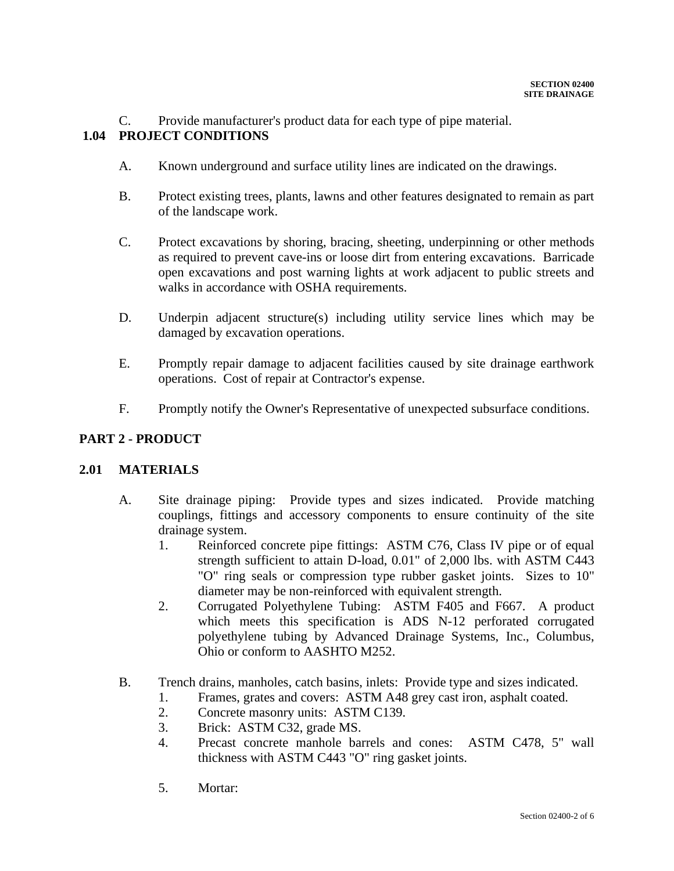C. Provide manufacturer's product data for each type of pipe material.

# **1.04 PROJECT CONDITIONS**

- A. Known underground and surface utility lines are indicated on the drawings.
- B. Protect existing trees, plants, lawns and other features designated to remain as part of the landscape work.
- C. Protect excavations by shoring, bracing, sheeting, underpinning or other methods as required to prevent cave-ins or loose dirt from entering excavations. Barricade open excavations and post warning lights at work adjacent to public streets and walks in accordance with OSHA requirements.
- D. Underpin adjacent structure(s) including utility service lines which may be damaged by excavation operations.
- E. Promptly repair damage to adjacent facilities caused by site drainage earthwork operations. Cost of repair at Contractor's expense.
- F. Promptly notify the Owner's Representative of unexpected subsurface conditions.

# **PART 2 - PRODUCT**

## **2.01 MATERIALS**

- A. Site drainage piping: Provide types and sizes indicated. Provide matching couplings, fittings and accessory components to ensure continuity of the site drainage system.
	- 1. Reinforced concrete pipe fittings: ASTM C76, Class IV pipe or of equal strength sufficient to attain D-load, 0.01" of 2,000 lbs. with ASTM C443 "O" ring seals or compression type rubber gasket joints. Sizes to 10" diameter may be non-reinforced with equivalent strength.
	- 2. Corrugated Polyethylene Tubing: ASTM F405 and F667. A product which meets this specification is ADS N-12 perforated corrugated polyethylene tubing by Advanced Drainage Systems, Inc., Columbus, Ohio or conform to AASHTO M252.
- B. Trench drains, manholes, catch basins, inlets: Provide type and sizes indicated.
	- 1. Frames, grates and covers: ASTM A48 grey cast iron, asphalt coated.
	- 2. Concrete masonry units: ASTM C139.
	- 3. Brick: ASTM C32, grade MS.
	- 4. Precast concrete manhole barrels and cones: ASTM C478, 5" wall thickness with ASTM C443 "O" ring gasket joints.
	- 5. Mortar: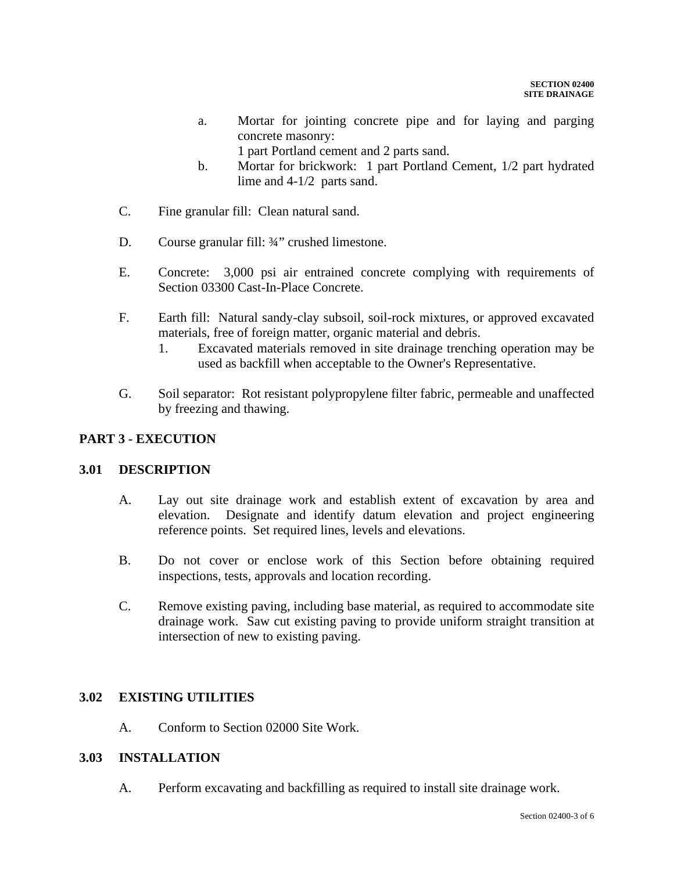- a. Mortar for jointing concrete pipe and for laying and parging concrete masonry: 1 part Portland cement and 2 parts sand.
- b. Mortar for brickwork: 1 part Portland Cement, 1/2 part hydrated lime and 4-1/2 parts sand.
- C. Fine granular fill: Clean natural sand.
- D. Course granular fill: 3/4" crushed limestone.
- E. Concrete: 3,000 psi air entrained concrete complying with requirements of Section 03300 Cast-In-Place Concrete.
- F. Earth fill: Natural sandy-clay subsoil, soil-rock mixtures, or approved excavated materials, free of foreign matter, organic material and debris.
	- 1. Excavated materials removed in site drainage trenching operation may be used as backfill when acceptable to the Owner's Representative.
- G. Soil separator: Rot resistant polypropylene filter fabric, permeable and unaffected by freezing and thawing.

# **PART 3 - EXECUTION**

## **3.01 DESCRIPTION**

- A. Lay out site drainage work and establish extent of excavation by area and elevation. Designate and identify datum elevation and project engineering reference points. Set required lines, levels and elevations.
- B. Do not cover or enclose work of this Section before obtaining required inspections, tests, approvals and location recording.
- C. Remove existing paving, including base material, as required to accommodate site drainage work. Saw cut existing paving to provide uniform straight transition at intersection of new to existing paving.

## **3.02 EXISTING UTILITIES**

A. Conform to Section 02000 Site Work.

#### **3.03 INSTALLATION**

A. Perform excavating and backfilling as required to install site drainage work.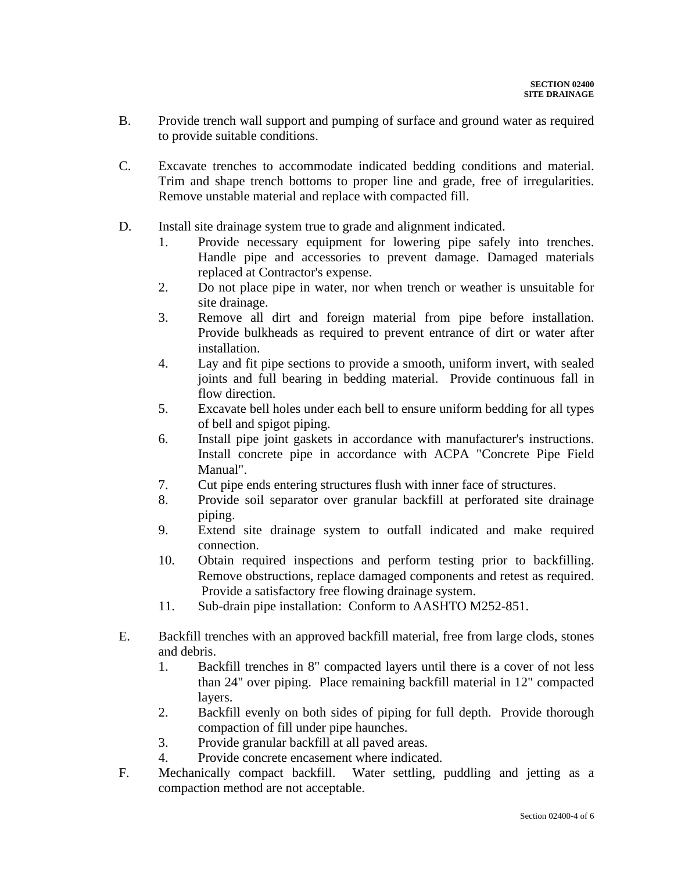- B. Provide trench wall support and pumping of surface and ground water as required to provide suitable conditions.
- C. Excavate trenches to accommodate indicated bedding conditions and material. Trim and shape trench bottoms to proper line and grade, free of irregularities. Remove unstable material and replace with compacted fill.
- D. Install site drainage system true to grade and alignment indicated.
	- 1. Provide necessary equipment for lowering pipe safely into trenches. Handle pipe and accessories to prevent damage. Damaged materials replaced at Contractor's expense.
	- 2. Do not place pipe in water, nor when trench or weather is unsuitable for site drainage.
	- 3. Remove all dirt and foreign material from pipe before installation. Provide bulkheads as required to prevent entrance of dirt or water after installation.
	- 4. Lay and fit pipe sections to provide a smooth, uniform invert, with sealed joints and full bearing in bedding material. Provide continuous fall in flow direction.
	- 5. Excavate bell holes under each bell to ensure uniform bedding for all types of bell and spigot piping.
	- 6. Install pipe joint gaskets in accordance with manufacturer's instructions. Install concrete pipe in accordance with ACPA "Concrete Pipe Field Manual".
	- 7. Cut pipe ends entering structures flush with inner face of structures.
	- 8. Provide soil separator over granular backfill at perforated site drainage piping.
	- 9. Extend site drainage system to outfall indicated and make required connection.
	- 10. Obtain required inspections and perform testing prior to backfilling. Remove obstructions, replace damaged components and retest as required. Provide a satisfactory free flowing drainage system.
	- 11. Sub-drain pipe installation: Conform to AASHTO M252-851.
- E. Backfill trenches with an approved backfill material, free from large clods, stones and debris.
	- 1. Backfill trenches in 8" compacted layers until there is a cover of not less than 24" over piping. Place remaining backfill material in 12" compacted layers.
	- 2. Backfill evenly on both sides of piping for full depth. Provide thorough compaction of fill under pipe haunches.
	- 3. Provide granular backfill at all paved areas.
	- 4. Provide concrete encasement where indicated.
- F. Mechanically compact backfill. Water settling, puddling and jetting as a compaction method are not acceptable.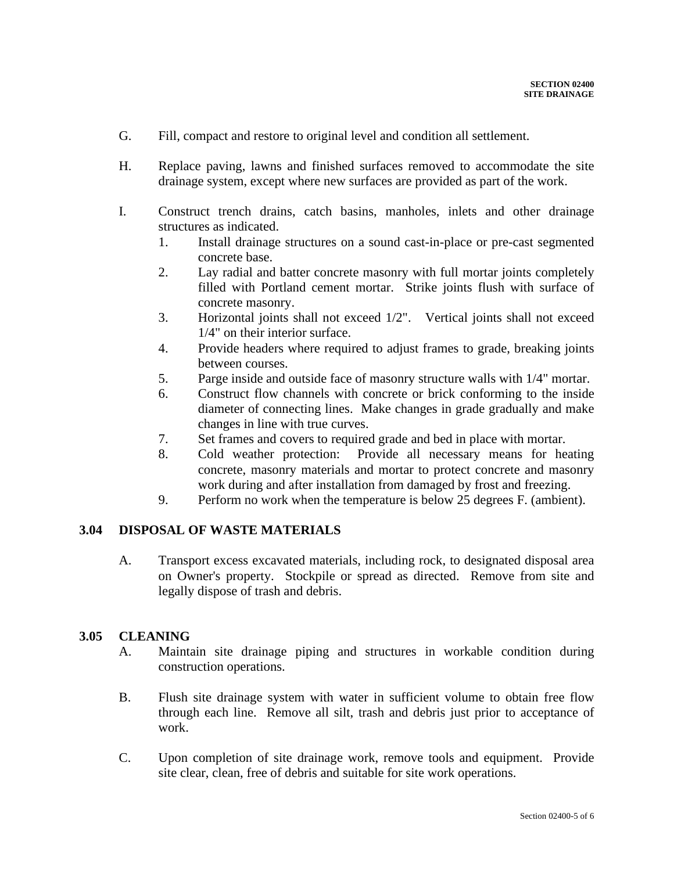- G. Fill, compact and restore to original level and condition all settlement.
- H. Replace paving, lawns and finished surfaces removed to accommodate the site drainage system, except where new surfaces are provided as part of the work.
- I. Construct trench drains, catch basins, manholes, inlets and other drainage structures as indicated.
	- 1. Install drainage structures on a sound cast-in-place or pre-cast segmented concrete base.
	- 2. Lay radial and batter concrete masonry with full mortar joints completely filled with Portland cement mortar. Strike joints flush with surface of concrete masonry.
	- 3. Horizontal joints shall not exceed 1/2". Vertical joints shall not exceed 1/4" on their interior surface.
	- 4. Provide headers where required to adjust frames to grade, breaking joints between courses.
	- 5. Parge inside and outside face of masonry structure walls with 1/4" mortar.
	- 6. Construct flow channels with concrete or brick conforming to the inside diameter of connecting lines. Make changes in grade gradually and make changes in line with true curves.
	- 7. Set frames and covers to required grade and bed in place with mortar.
	- 8. Cold weather protection: Provide all necessary means for heating concrete, masonry materials and mortar to protect concrete and masonry work during and after installation from damaged by frost and freezing.
	- 9. Perform no work when the temperature is below 25 degrees F. (ambient).

#### **3.04 DISPOSAL OF WASTE MATERIALS**

A. Transport excess excavated materials, including rock, to designated disposal area on Owner's property. Stockpile or spread as directed. Remove from site and legally dispose of trash and debris.

#### **3.05 CLEANING**

- A. Maintain site drainage piping and structures in workable condition during construction operations.
- B. Flush site drainage system with water in sufficient volume to obtain free flow through each line. Remove all silt, trash and debris just prior to acceptance of work.
- C. Upon completion of site drainage work, remove tools and equipment. Provide site clear, clean, free of debris and suitable for site work operations.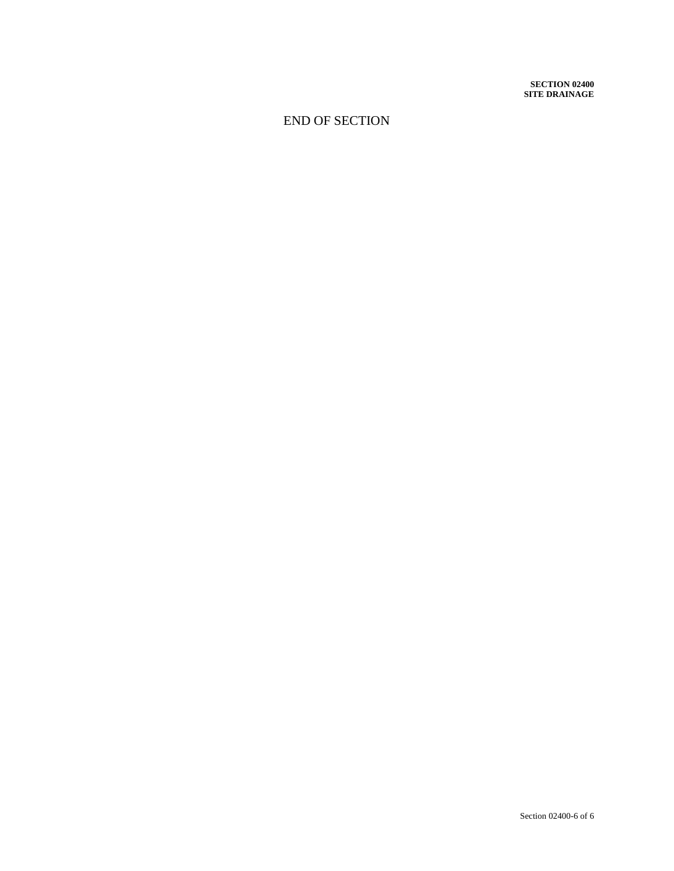**SECTION 02400 SITE DRAINAGE**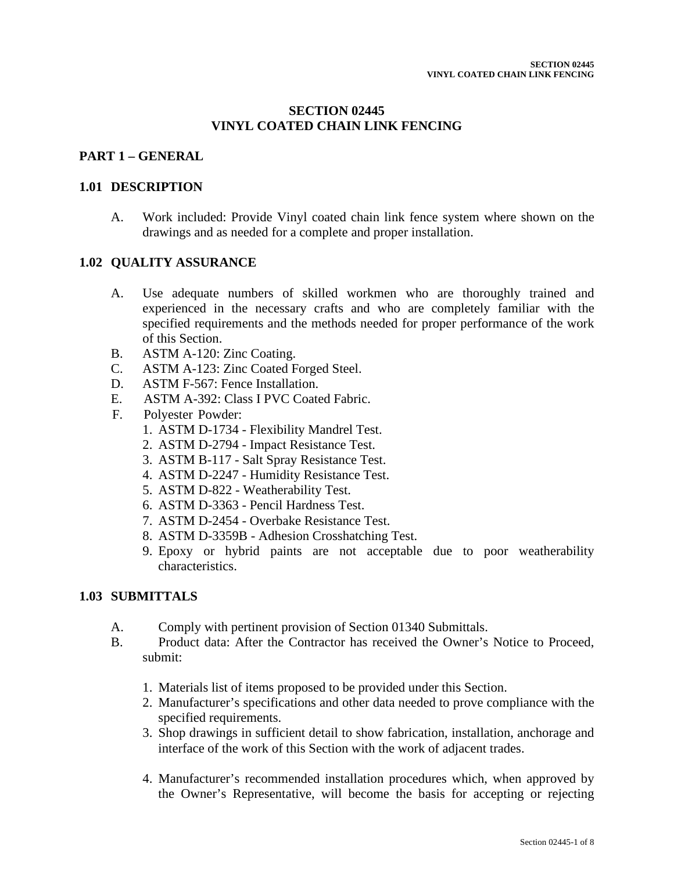## **SECTION 02445 VINYL COATED CHAIN LINK FENCING**

# **PART 1 – GENERAL**

#### **1.01 DESCRIPTION**

A. Work included: Provide Vinyl coated chain link fence system where shown on the drawings and as needed for a complete and proper installation.

#### **1.02 QUALITY ASSURANCE**

- A. Use adequate numbers of skilled workmen who are thoroughly trained and experienced in the necessary crafts and who are completely familiar with the specified requirements and the methods needed for proper performance of the work of this Section.
- B. ASTM A-120: Zinc Coating.
- C. ASTM A-123: Zinc Coated Forged Steel.
- D. ASTM F-567: Fence Installation.
- E. ASTM A-392: Class I PVC Coated Fabric.
- F. Polyester Powder:
	- 1. ASTM D-1734 Flexibility Mandrel Test.
	- 2. ASTM D-2794 Impact Resistance Test.
	- 3. ASTM B-117 Salt Spray Resistance Test.
	- 4. ASTM D-2247 Humidity Resistance Test.
	- 5. ASTM D-822 Weatherability Test.
	- 6. ASTM D-3363 Pencil Hardness Test.
	- 7. ASTM D-2454 Overbake Resistance Test.
	- 8. ASTM D-3359B Adhesion Crosshatching Test.
	- 9. Epoxy or hybrid paints are not acceptable due to poor weatherability characteristics.

## **1.03 SUBMITTALS**

- A. Comply with pertinent provision of Section 01340 Submittals.
- B. Product data: After the Contractor has received the Owner's Notice to Proceed, submit:
	- 1. Materials list of items proposed to be provided under this Section.
	- 2. Manufacturer's specifications and other data needed to prove compliance with the specified requirements.
	- 3. Shop drawings in sufficient detail to show fabrication, installation, anchorage and interface of the work of this Section with the work of adjacent trades.
	- 4. Manufacturer's recommended installation procedures which, when approved by the Owner's Representative, will become the basis for accepting or rejecting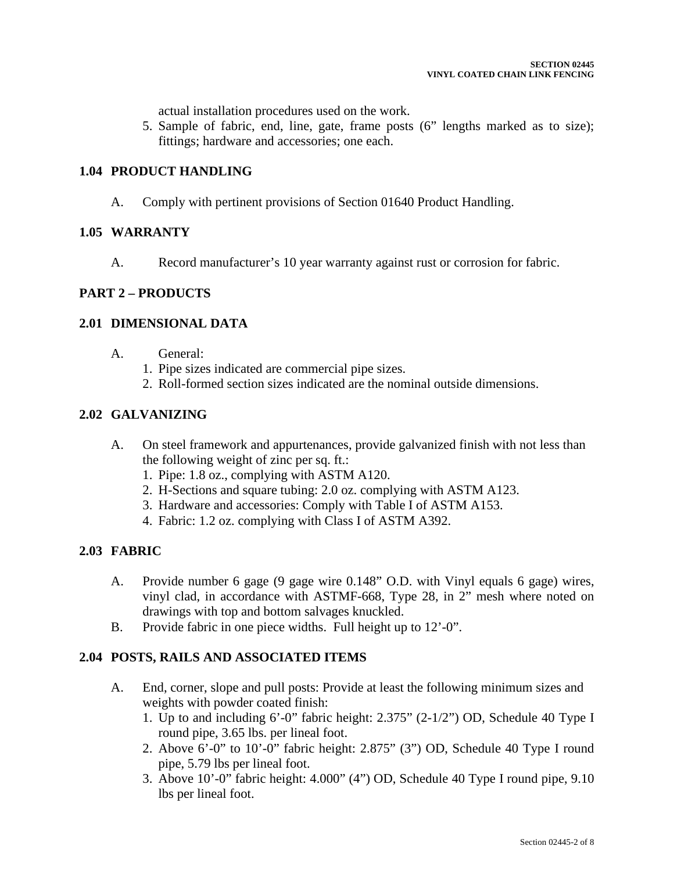actual installation procedures used on the work.

5. Sample of fabric, end, line, gate, frame posts (6" lengths marked as to size); fittings; hardware and accessories; one each.

#### **1.04 PRODUCT HANDLING**

A. Comply with pertinent provisions of Section 01640 Product Handling.

#### **1.05 WARRANTY**

A. Record manufacturer's 10 year warranty against rust or corrosion for fabric.

# **PART 2 – PRODUCTS**

## **2.01 DIMENSIONAL DATA**

- A. General:
	- 1. Pipe sizes indicated are commercial pipe sizes.
	- 2. Roll-formed section sizes indicated are the nominal outside dimensions.

# **2.02 GALVANIZING**

- A. On steel framework and appurtenances, provide galvanized finish with not less than the following weight of zinc per sq. ft.:
	- 1. Pipe: 1.8 oz., complying with ASTM A120.
	- 2. H-Sections and square tubing: 2.0 oz. complying with ASTM A123.
	- 3. Hardware and accessories: Comply with Table I of ASTM A153.
	- 4. Fabric: 1.2 oz. complying with Class I of ASTM A392.

## **2.03 FABRIC**

- A. Provide number 6 gage (9 gage wire 0.148" O.D. with Vinyl equals 6 gage) wires, vinyl clad, in accordance with ASTMF-668, Type 28, in 2" mesh where noted on drawings with top and bottom salvages knuckled.
- B. Provide fabric in one piece widths. Full height up to 12'-0".

## **2.04 POSTS, RAILS AND ASSOCIATED ITEMS**

- A. End, corner, slope and pull posts: Provide at least the following minimum sizes and weights with powder coated finish:
	- 1. Up to and including 6'-0" fabric height: 2.375" (2-1/2") OD, Schedule 40 Type I round pipe, 3.65 lbs. per lineal foot.
	- 2. Above 6'-0" to 10'-0" fabric height: 2.875" (3") OD, Schedule 40 Type I round pipe, 5.79 lbs per lineal foot.
	- 3. Above 10'-0" fabric height: 4.000" (4") OD, Schedule 40 Type I round pipe, 9.10 lbs per lineal foot.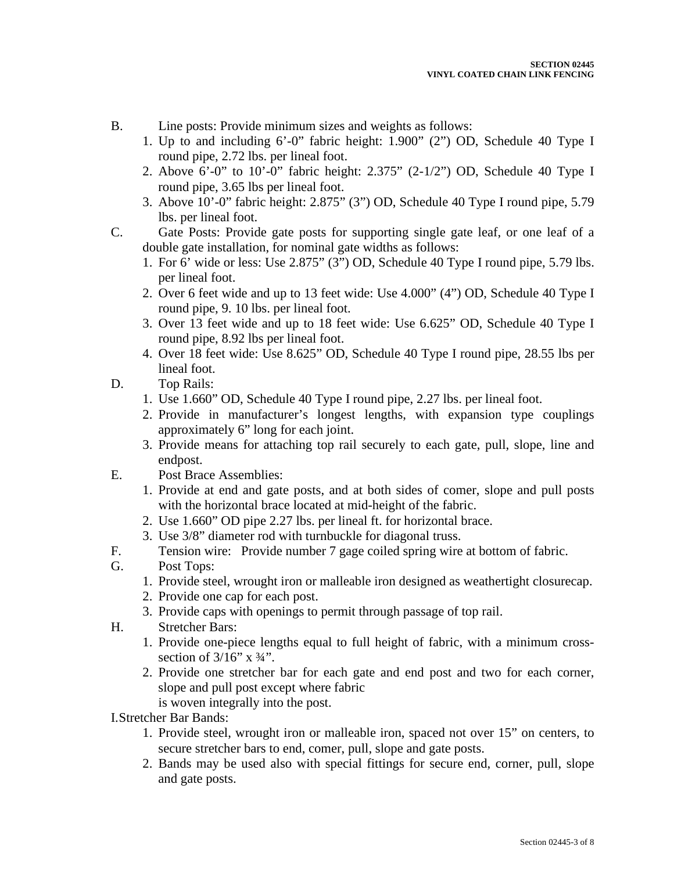- B. Line posts: Provide minimum sizes and weights as follows:
	- 1. Up to and including 6'-0" fabric height: 1.900" (2") OD, Schedule 40 Type I round pipe, 2.72 lbs. per lineal foot.
	- 2. Above 6'-0" to 10'-0" fabric height: 2.375" (2-1/2") OD, Schedule 40 Type I round pipe, 3.65 lbs per lineal foot.
	- 3. Above 10'-0" fabric height: 2.875" (3") OD, Schedule 40 Type I round pipe, 5.79 lbs. per lineal foot.
- C. Gate Posts: Provide gate posts for supporting single gate leaf, or one leaf of a double gate installation, for nominal gate widths as follows:
	- 1. For 6' wide or less: Use 2.875" (3") OD, Schedule 40 Type I round pipe, 5.79 lbs. per lineal foot.
	- 2. Over 6 feet wide and up to 13 feet wide: Use 4.000" (4") OD, Schedule 40 Type I round pipe, 9. 10 lbs. per lineal foot.
	- 3. Over 13 feet wide and up to 18 feet wide: Use 6.625" OD, Schedule 40 Type I round pipe, 8.92 lbs per lineal foot.
	- 4. Over 18 feet wide: Use 8.625" OD, Schedule 40 Type I round pipe, 28.55 lbs per lineal foot.
- D. Top Rails:
	- 1. Use 1.660" OD, Schedule 40 Type I round pipe, 2.27 lbs. per lineal foot.
	- 2. Provide in manufacturer's longest lengths, with expansion type couplings approximately 6" long for each joint.
	- 3. Provide means for attaching top rail securely to each gate, pull, slope, line and endpost.
- E. Post Brace Assemblies:
	- 1. Provide at end and gate posts, and at both sides of comer, slope and pull posts with the horizontal brace located at mid-height of the fabric.
	- 2. Use 1.660" OD pipe 2.27 lbs. per lineal ft. for horizontal brace.
	- 3. Use 3/8" diameter rod with turnbuckle for diagonal truss.
- F. Tension wire: Provide number 7 gage coiled spring wire at bottom of fabric.
- G. Post Tops:
	- 1. Provide steel, wrought iron or malleable iron designed as weathertight closurecap.
	- 2. Provide one cap for each post.
	- 3. Provide caps with openings to permit through passage of top rail.
- H. Stretcher Bars:
	- 1. Provide one-piece lengths equal to full height of fabric, with a minimum crosssection of  $3/16$ " x  $\frac{3}{4}$ ".
	- 2. Provide one stretcher bar for each gate and end post and two for each corner, slope and pull post except where fabric is woven integrally into the post.
- I.Stretcher Bar Bands:
	- 1. Provide steel, wrought iron or malleable iron, spaced not over 15" on centers, to secure stretcher bars to end, comer, pull, slope and gate posts.
	- 2. Bands may be used also with special fittings for secure end, corner, pull, slope and gate posts.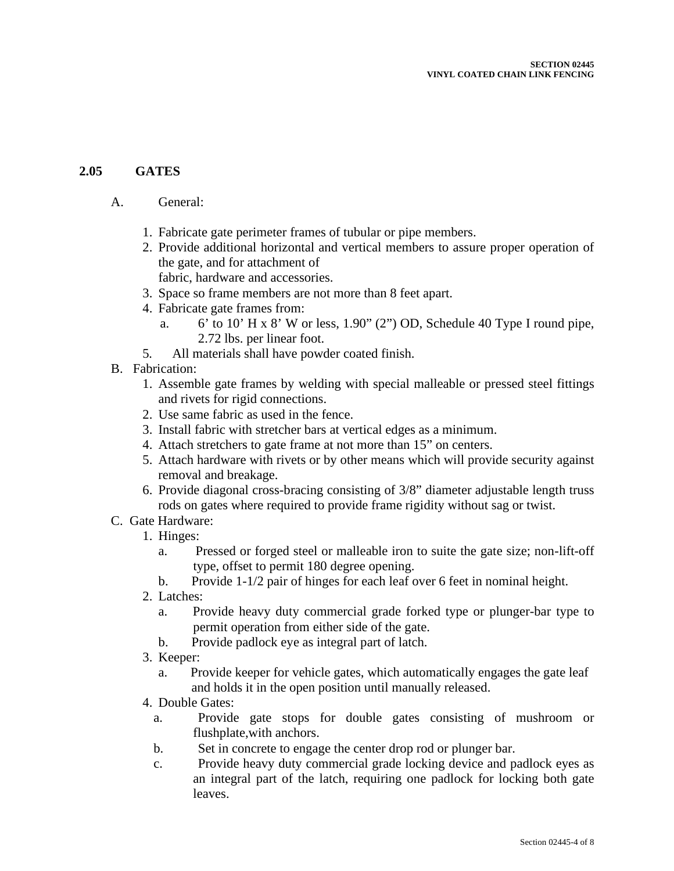# **2.05 GATES**

#### A. General:

- 1. Fabricate gate perimeter frames of tubular or pipe members.
- 2. Provide additional horizontal and vertical members to assure proper operation of the gate, and for attachment of fabric, hardware and accessories.
- 3. Space so frame members are not more than 8 feet apart.
- 4. Fabricate gate frames from:
	- a. 6' to 10' H x 8' W or less, 1.90" (2") OD, Schedule 40 Type I round pipe, 2.72 lbs. per linear foot.
- 5*.* All materials shall have powder coated finish.
- B. Fabrication:
	- 1. Assemble gate frames by welding with special malleable or pressed steel fittings and rivets for rigid connections.
	- 2. Use same fabric as used in the fence.
	- 3. Install fabric with stretcher bars at vertical edges as a minimum.
	- 4. Attach stretchers to gate frame at not more than 15" on centers.
	- 5. Attach hardware with rivets or by other means which will provide security against removal and breakage.
	- 6. Provide diagonal cross-bracing consisting of 3/8" diameter adjustable length truss rods on gates where required to provide frame rigidity without sag or twist.
- C. Gate Hardware:
	- 1. Hinges:
		- a. Pressed or forged steel or malleable iron to suite the gate size; non-lift-off type, offset to permit 180 degree opening.
		- b. Provide 1-1/2 pair of hinges for each leaf over 6 feet in nominal height.
	- 2. Latches:
		- a. Provide heavy duty commercial grade forked type or plunger-bar type to permit operation from either side of the gate.
		- b. Provide padlock eye as integral part of latch.
	- 3. Keeper:
		- a. Provide keeper for vehicle gates, which automatically engages the gate leaf and holds it in the open position until manually released.
	- 4. Double Gates:
		- a. Provide gate stops for double gates consisting of mushroom or flushplate,with anchors.
		- b. Set in concrete to engage the center drop rod or plunger bar.
		- c. Provide heavy duty commercial grade locking device and padlock eyes as an integral part of the latch, requiring one padlock for locking both gate leaves.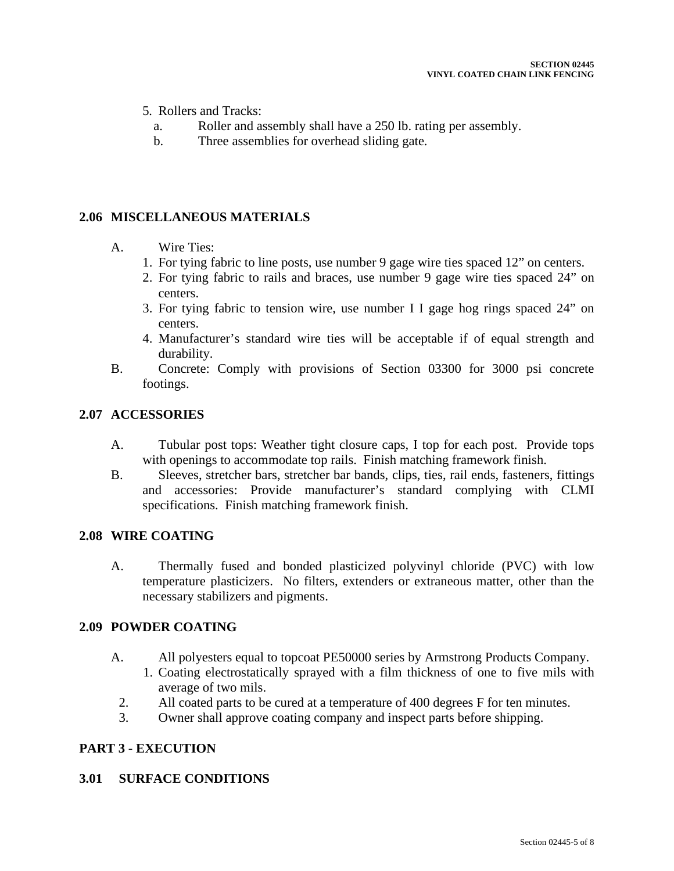- 5*.* Rollers and Tracks:
	- a. Roller and assembly shall have a 250 lb. rating per assembly.
	- b. Three assemblies for overhead sliding gate.

# **2.06 MISCELLANEOUS MATERIALS**

- A. Wire Ties:
	- 1. For tying fabric to line posts, use number 9 gage wire ties spaced 12" on centers.
	- 2. For tying fabric to rails and braces, use number 9 gage wire ties spaced 24" on centers.
	- 3. For tying fabric to tension wire, use number I I gage hog rings spaced 24" on centers.
	- 4. Manufacturer's standard wire ties will be acceptable if of equal strength and durability.
- B. Concrete: Comply with provisions of Section 03300 for 3000 psi concrete footings.

# **2.07 ACCESSORIES**

- A. Tubular post tops: Weather tight closure caps, I top for each post. Provide tops with openings to accommodate top rails. Finish matching framework finish.
- B. Sleeves, stretcher bars, stretcher bar bands, clips, ties, rail ends, fasteners, fittings and accessories: Provide manufacturer's standard complying with CLMI specifications. Finish matching framework finish.

## **2.08 WIRE COATING**

A. Thermally fused and bonded plasticized polyvinyl chloride (PVC) with low temperature plasticizers. No filters, extenders or extraneous matter, other than the necessary stabilizers and pigments.

# **2.09 POWDER COATING**

- A. All polyesters equal to topcoat PE50000 series by Armstrong Products Company.
	- 1. Coating electrostatically sprayed with a film thickness of one to five mils with average of two mils.
	- 2. All coated parts to be cured at a temperature of 400 degrees F for ten minutes.
	- 3. Owner shall approve coating company and inspect parts before shipping.

# **PART 3 - EXECUTION**

## **3.01 SURFACE CONDITIONS**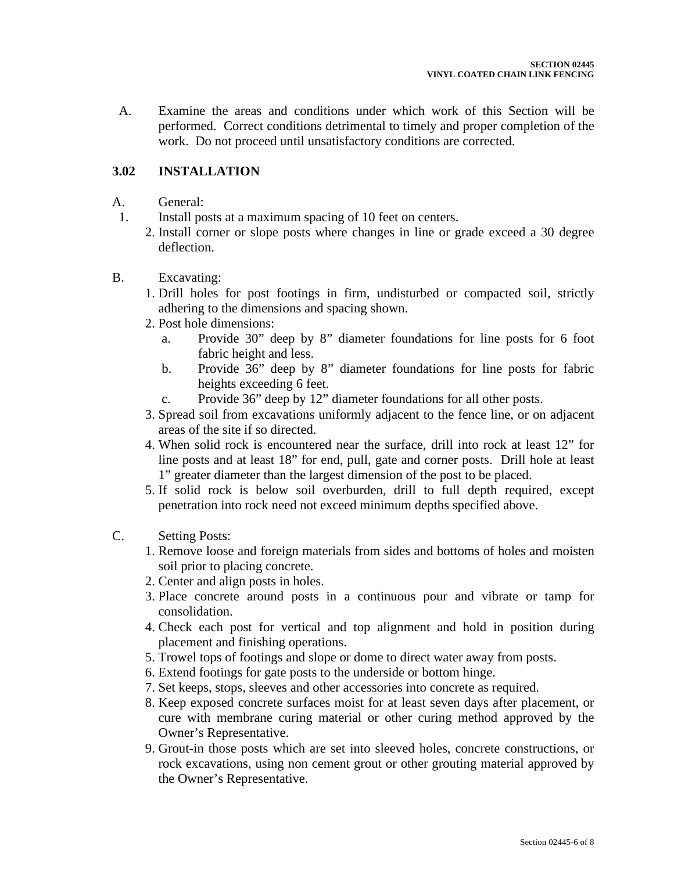A. Examine the areas and conditions under which work of this Section will be performed. Correct conditions detrimental to timely and proper completion of the work. Do not proceed until unsatisfactory conditions are corrected.

# **3.02 INSTALLATION**

- A. General:
- 1. Install posts at a maximum spacing of 10 feet on centers.
	- 2. Install corner or slope posts where changes in line or grade exceed a 30 degree deflection.
- B. Excavating:
	- 1. Drill holes for post footings in firm, undisturbed or compacted soil, strictly adhering to the dimensions and spacing shown.
	- 2. Post hole dimensions:
		- a. Provide 30" deep by 8" diameter foundations for line posts for 6 foot fabric height and less.
		- b. Provide 36" deep by 8" diameter foundations for line posts for fabric heights exceeding 6 feet.
		- c. Provide 36" deep by 12" diameter foundations for all other posts.
	- 3. Spread soil from excavations uniformly adjacent to the fence line, or on adjacent areas of the site if so directed.
	- 4. When solid rock is encountered near the surface, drill into rock at least 12" for line posts and at least 18" for end, pull, gate and corner posts. Drill hole at least 1" greater diameter than the largest dimension of the post to be placed.
	- 5. If solid rock is below soil overburden, drill to full depth required, except penetration into rock need not exceed minimum depths specified above.
- C. Setting Posts:
	- 1. Remove loose and foreign materials from sides and bottoms of holes and moisten soil prior to placing concrete.
	- 2. Center and align posts in holes.
	- 3. Place concrete around posts in a continuous pour and vibrate or tamp for consolidation.
	- 4. Check each post for vertical and top alignment and hold in position during placement and finishing operations.
	- 5. Trowel tops of footings and slope or dome to direct water away from posts.
	- 6. Extend footings for gate posts to the underside or bottom hinge.
	- 7. Set keeps, stops, sleeves and other accessories into concrete as required.
	- 8. Keep exposed concrete surfaces moist for at least seven days after placement, or cure with membrane curing material or other curing method approved by the Owner's Representative.
	- 9. Grout-in those posts which are set into sleeved holes, concrete constructions, or rock excavations, using non cement grout or other grouting material approved by the Owner's Representative.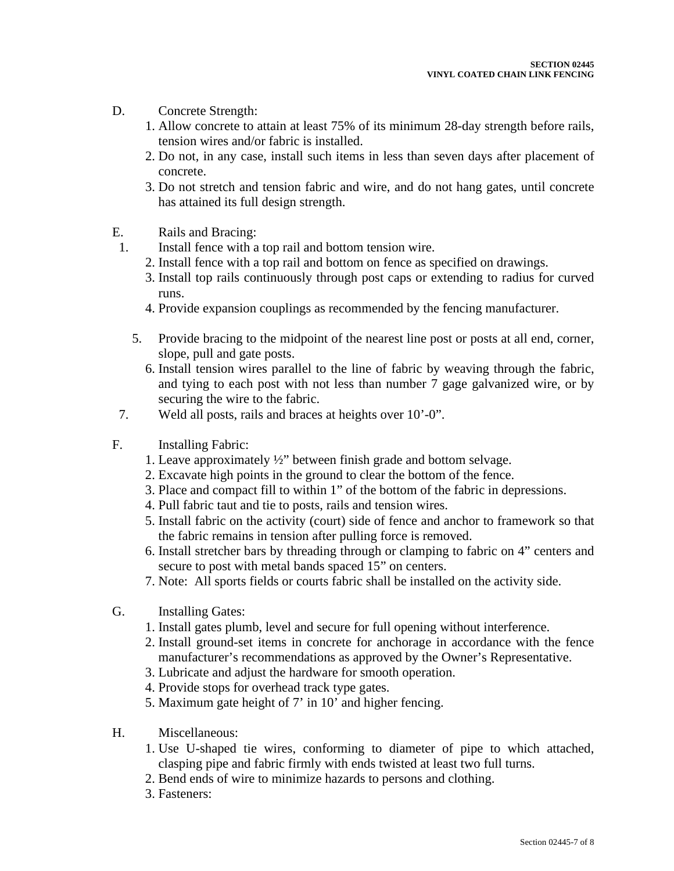- D. Concrete Strength:
	- 1. Allow concrete to attain at least 75% of its minimum 28-day strength before rails, tension wires and/or fabric is installed.
	- 2. Do not, in any case, install such items in less than seven days after placement of concrete.
	- 3. Do not stretch and tension fabric and wire, and do not hang gates, until concrete has attained its full design strength.
- E. Rails and Bracing:
- 1. Install fence with a top rail and bottom tension wire.
	- 2. Install fence with a top rail and bottom on fence as specified on drawings.
	- 3. Install top rails continuously through post caps or extending to radius for curved runs.
	- 4. Provide expansion couplings as recommended by the fencing manufacturer.
	- 5. Provide bracing to the midpoint of the nearest line post or posts at all end, corner, slope, pull and gate posts.
		- 6. Install tension wires parallel to the line of fabric by weaving through the fabric, and tying to each post with not less than number 7 gage galvanized wire, or by securing the wire to the fabric.
- 7. Weld all posts, rails and braces at heights over 10'-0".
- F. Installing Fabric:
	- 1. Leave approximately ½" between finish grade and bottom selvage.
	- 2. Excavate high points in the ground to clear the bottom of the fence.
	- 3. Place and compact fill to within 1" of the bottom of the fabric in depressions.
	- 4. Pull fabric taut and tie to posts, rails and tension wires.
	- 5. Install fabric on the activity (court) side of fence and anchor to framework so that the fabric remains in tension after pulling force is removed.
	- 6. Install stretcher bars by threading through or clamping to fabric on 4" centers and secure to post with metal bands spaced 15" on centers.
	- 7. Note: All sports fields or courts fabric shall be installed on the activity side.
- G. Installing Gates:
	- 1. Install gates plumb, level and secure for full opening without interference.
	- 2. Install ground-set items in concrete for anchorage in accordance with the fence manufacturer's recommendations as approved by the Owner's Representative.
	- 3. Lubricate and adjust the hardware for smooth operation.
	- 4. Provide stops for overhead track type gates.
	- 5. Maximum gate height of 7' in 10' and higher fencing.
- H. Miscellaneous:
	- 1. Use U-shaped tie wires, conforming to diameter of pipe to which attached, clasping pipe and fabric firmly with ends twisted at least two full turns.
	- 2. Bend ends of wire to minimize hazards to persons and clothing.
	- 3. Fasteners: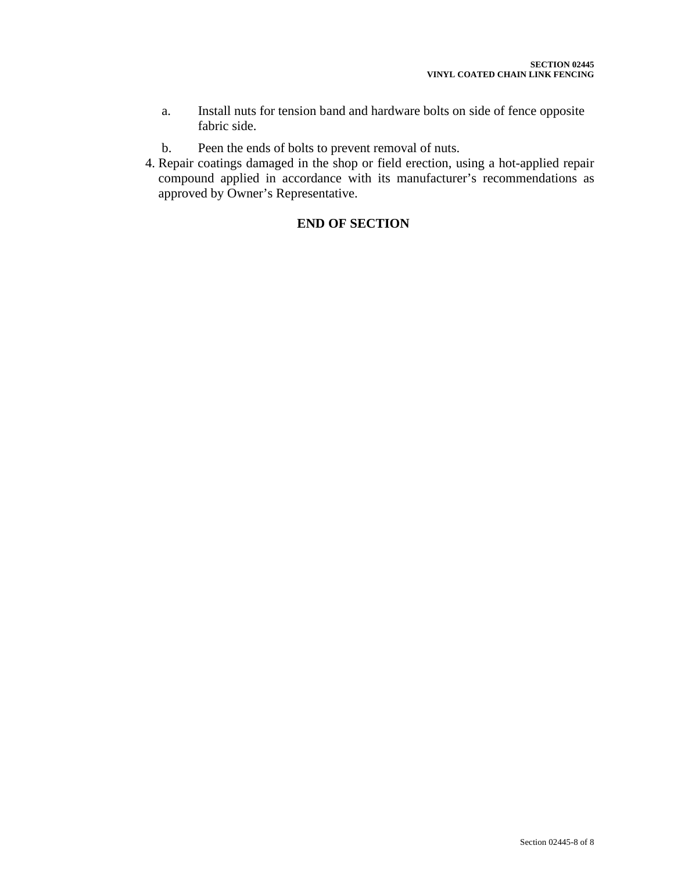- a. Install nuts for tension band and hardware bolts on side of fence opposite fabric side.
- b. Peen the ends of bolts to prevent removal of nuts.
- 4. Repair coatings damaged in the shop or field erection, using a hot-applied repair compound applied in accordance with its manufacturer's recommendations as approved by Owner's Representative.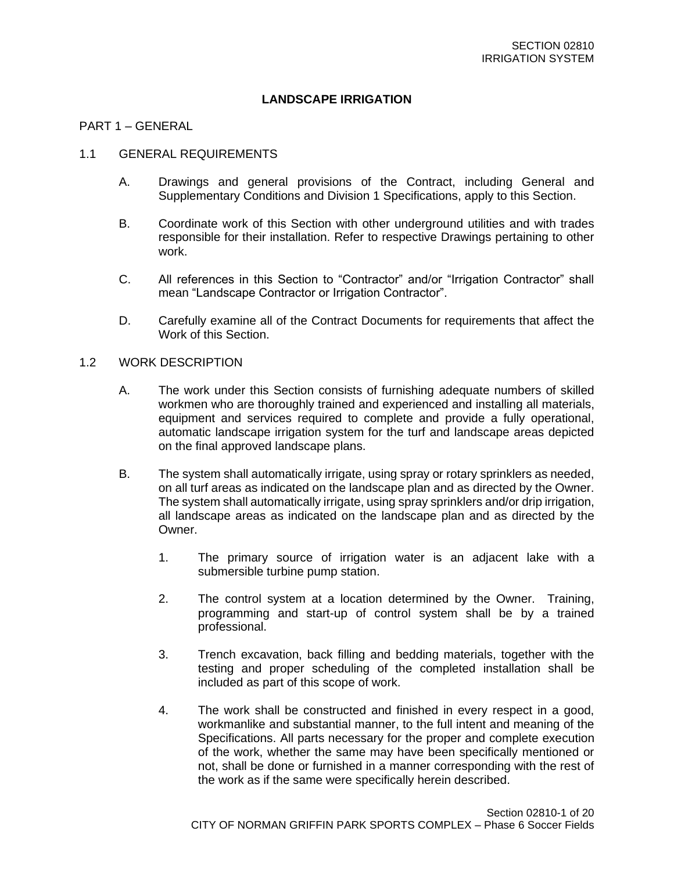#### **LANDSCAPE IRRIGATION**

#### PART 1 – GENERAL

#### 1.1 GENERAL REQUIREMENTS

- A. Drawings and general provisions of the Contract, including General and Supplementary Conditions and Division 1 Specifications, apply to this Section.
- B. Coordinate work of this Section with other underground utilities and with trades responsible for their installation. Refer to respective Drawings pertaining to other work.
- C. All references in this Section to "Contractor" and/or "Irrigation Contractor" shall mean "Landscape Contractor or Irrigation Contractor".
- D. Carefully examine all of the Contract Documents for requirements that affect the Work of this Section.

#### 1.2 WORK DESCRIPTION

- A. The work under this Section consists of furnishing adequate numbers of skilled workmen who are thoroughly trained and experienced and installing all materials, equipment and services required to complete and provide a fully operational, automatic landscape irrigation system for the turf and landscape areas depicted on the final approved landscape plans.
- B. The system shall automatically irrigate, using spray or rotary sprinklers as needed, on all turf areas as indicated on the landscape plan and as directed by the Owner. The system shall automatically irrigate, using spray sprinklers and/or drip irrigation, all landscape areas as indicated on the landscape plan and as directed by the **Owner** 
	- 1. The primary source of irrigation water is an adjacent lake with a submersible turbine pump station.
	- 2. The control system at a location determined by the Owner. Training, programming and start-up of control system shall be by a trained professional.
	- 3. Trench excavation, back filling and bedding materials, together with the testing and proper scheduling of the completed installation shall be included as part of this scope of work.
	- 4. The work shall be constructed and finished in every respect in a good, workmanlike and substantial manner, to the full intent and meaning of the Specifications. All parts necessary for the proper and complete execution of the work, whether the same may have been specifically mentioned or not, shall be done or furnished in a manner corresponding with the rest of the work as if the same were specifically herein described.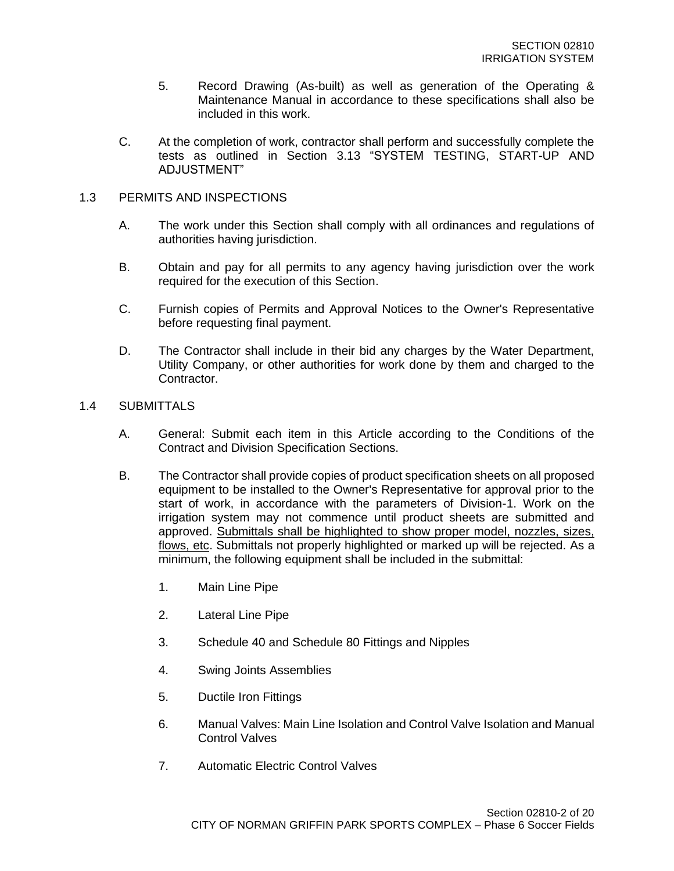- 5. Record Drawing (As-built) as well as generation of the Operating & Maintenance Manual in accordance to these specifications shall also be included in this work.
- C. At the completion of work, contractor shall perform and successfully complete the tests as outlined in Section 3.13 "SYSTEM TESTING, START-UP AND ADJUSTMENT"

#### 1.3 PERMITS AND INSPECTIONS

- A. The work under this Section shall comply with all ordinances and regulations of authorities having jurisdiction.
- B. Obtain and pay for all permits to any agency having jurisdiction over the work required for the execution of this Section.
- C. Furnish copies of Permits and Approval Notices to the Owner's Representative before requesting final payment.
- D. The Contractor shall include in their bid any charges by the Water Department, Utility Company, or other authorities for work done by them and charged to the Contractor.
- 1.4 SUBMITTALS
	- A. General: Submit each item in this Article according to the Conditions of the Contract and Division Specification Sections.
	- B. The Contractor shall provide copies of product specification sheets on all proposed equipment to be installed to the Owner's Representative for approval prior to the start of work, in accordance with the parameters of Division-1. Work on the irrigation system may not commence until product sheets are submitted and approved. Submittals shall be highlighted to show proper model, nozzles, sizes, flows, etc. Submittals not properly highlighted or marked up will be rejected. As a minimum, the following equipment shall be included in the submittal:
		- 1. Main Line Pipe
		- 2. Lateral Line Pipe
		- 3. Schedule 40 and Schedule 80 Fittings and Nipples
		- 4. Swing Joints Assemblies
		- 5. Ductile Iron Fittings
		- 6. Manual Valves: Main Line Isolation and Control Valve Isolation and Manual Control Valves
		- 7. Automatic Electric Control Valves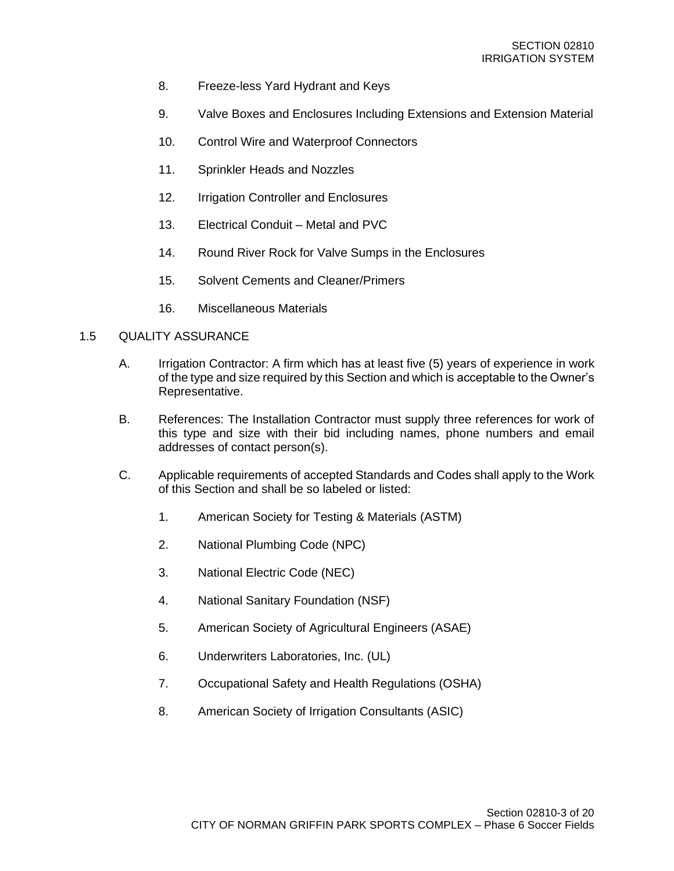- 8. Freeze-less Yard Hydrant and Keys
- 9. Valve Boxes and Enclosures Including Extensions and Extension Material
- 10. Control Wire and Waterproof Connectors
- 11. Sprinkler Heads and Nozzles
- 12. Irrigation Controller and Enclosures
- 13. Electrical Conduit Metal and PVC
- 14. Round River Rock for Valve Sumps in the Enclosures
- 15. Solvent Cements and Cleaner/Primers
- 16. Miscellaneous Materials

### 1.5 QUALITY ASSURANCE

- A. Irrigation Contractor: A firm which has at least five (5) years of experience in work of the type and size required by this Section and which is acceptable to the Owner's Representative.
- B. References: The Installation Contractor must supply three references for work of this type and size with their bid including names, phone numbers and email addresses of contact person(s).
- C. Applicable requirements of accepted Standards and Codes shall apply to the Work of this Section and shall be so labeled or listed:
	- 1. American Society for Testing & Materials (ASTM)
	- 2. National Plumbing Code (NPC)
	- 3. National Electric Code (NEC)
	- 4. National Sanitary Foundation (NSF)
	- 5. American Society of Agricultural Engineers (ASAE)
	- 6. Underwriters Laboratories, Inc. (UL)
	- 7. Occupational Safety and Health Regulations (OSHA)
	- 8. American Society of Irrigation Consultants (ASIC)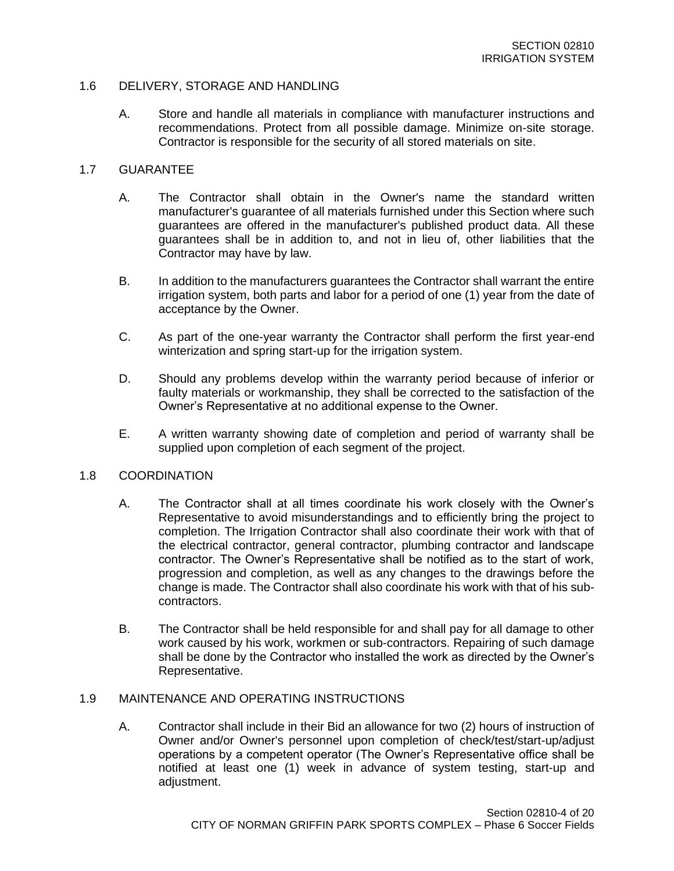#### 1.6 DELIVERY, STORAGE AND HANDLING

A. Store and handle all materials in compliance with manufacturer instructions and recommendations. Protect from all possible damage. Minimize on-site storage. Contractor is responsible for the security of all stored materials on site.

### 1.7 GUARANTEE

- A. The Contractor shall obtain in the Owner's name the standard written manufacturer's guarantee of all materials furnished under this Section where such guarantees are offered in the manufacturer's published product data. All these guarantees shall be in addition to, and not in lieu of, other liabilities that the Contractor may have by law.
- B. In addition to the manufacturers guarantees the Contractor shall warrant the entire irrigation system, both parts and labor for a period of one (1) year from the date of acceptance by the Owner.
- C. As part of the one-year warranty the Contractor shall perform the first year-end winterization and spring start-up for the irrigation system.
- D. Should any problems develop within the warranty period because of inferior or faulty materials or workmanship, they shall be corrected to the satisfaction of the Owner's Representative at no additional expense to the Owner.
- E. A written warranty showing date of completion and period of warranty shall be supplied upon completion of each segment of the project.

#### 1.8 COORDINATION

- A. The Contractor shall at all times coordinate his work closely with the Owner's Representative to avoid misunderstandings and to efficiently bring the project to completion. The Irrigation Contractor shall also coordinate their work with that of the electrical contractor, general contractor, plumbing contractor and landscape contractor. The Owner's Representative shall be notified as to the start of work, progression and completion, as well as any changes to the drawings before the change is made. The Contractor shall also coordinate his work with that of his subcontractors.
- B. The Contractor shall be held responsible for and shall pay for all damage to other work caused by his work, workmen or sub-contractors. Repairing of such damage shall be done by the Contractor who installed the work as directed by the Owner's Representative.

## 1.9 MAINTENANCE AND OPERATING INSTRUCTIONS

A. Contractor shall include in their Bid an allowance for two (2) hours of instruction of Owner and/or Owner's personnel upon completion of check/test/start-up/adjust operations by a competent operator (The Owner's Representative office shall be notified at least one (1) week in advance of system testing, start-up and adjustment.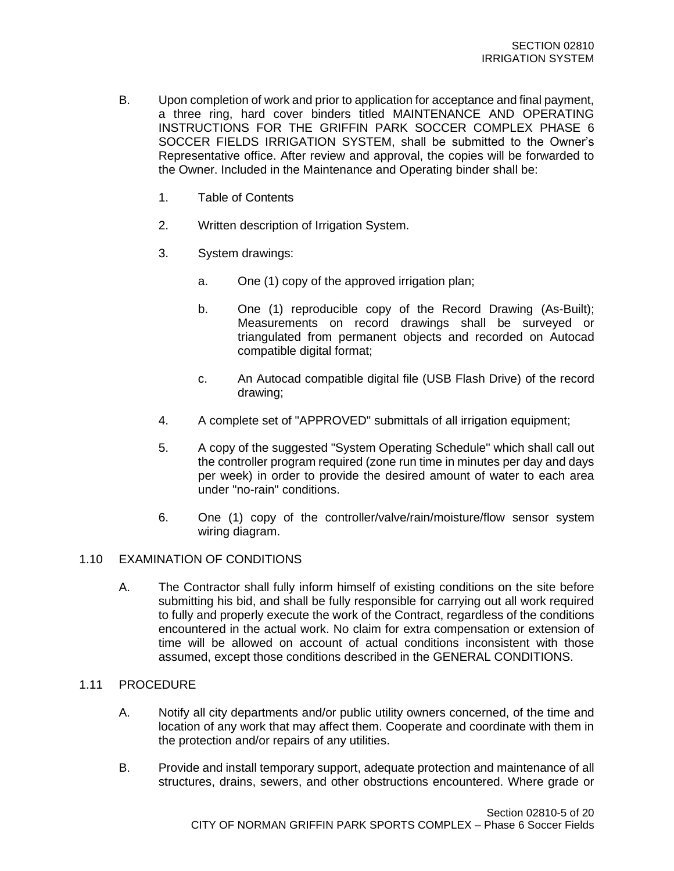- B. Upon completion of work and prior to application for acceptance and final payment, a three ring, hard cover binders titled MAINTENANCE AND OPERATING INSTRUCTIONS FOR THE GRIFFIN PARK SOCCER COMPLEX PHASE 6 SOCCER FIELDS IRRIGATION SYSTEM, shall be submitted to the Owner's Representative office. After review and approval, the copies will be forwarded to the Owner. Included in the Maintenance and Operating binder shall be:
	- 1. Table of Contents
	- 2. Written description of Irrigation System.
	- 3. System drawings:
		- a. One (1) copy of the approved irrigation plan;
		- b. One (1) reproducible copy of the Record Drawing (As-Built); Measurements on record drawings shall be surveyed or triangulated from permanent objects and recorded on Autocad compatible digital format;
		- c. An Autocad compatible digital file (USB Flash Drive) of the record drawing;
	- 4. A complete set of "APPROVED" submittals of all irrigation equipment;
	- 5. A copy of the suggested "System Operating Schedule" which shall call out the controller program required (zone run time in minutes per day and days per week) in order to provide the desired amount of water to each area under "no-rain" conditions.
	- 6. One (1) copy of the controller/valve/rain/moisture/flow sensor system wiring diagram.

# 1.10 EXAMINATION OF CONDITIONS

A. The Contractor shall fully inform himself of existing conditions on the site before submitting his bid, and shall be fully responsible for carrying out all work required to fully and properly execute the work of the Contract, regardless of the conditions encountered in the actual work. No claim for extra compensation or extension of time will be allowed on account of actual conditions inconsistent with those assumed, except those conditions described in the GENERAL CONDITIONS.

# 1.11 PROCEDURE

- A. Notify all city departments and/or public utility owners concerned, of the time and location of any work that may affect them. Cooperate and coordinate with them in the protection and/or repairs of any utilities.
- B. Provide and install temporary support, adequate protection and maintenance of all structures, drains, sewers, and other obstructions encountered. Where grade or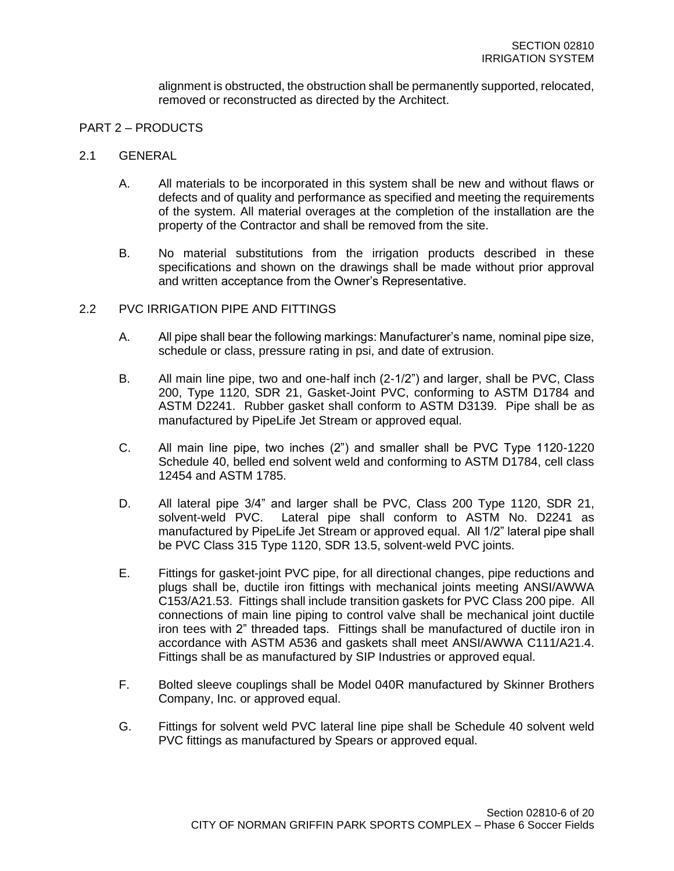alignment is obstructed, the obstruction shall be permanently supported, relocated, removed or reconstructed as directed by the Architect.

#### PART 2 – PRODUCTS

- 2.1 GENERAL
	- A. All materials to be incorporated in this system shall be new and without flaws or defects and of quality and performance as specified and meeting the requirements of the system. All material overages at the completion of the installation are the property of the Contractor and shall be removed from the site.
	- B. No material substitutions from the irrigation products described in these specifications and shown on the drawings shall be made without prior approval and written acceptance from the Owner's Representative.

#### 2.2 PVC IRRIGATION PIPE AND FITTINGS

- A. All pipe shall bear the following markings: Manufacturer's name, nominal pipe size, schedule or class, pressure rating in psi, and date of extrusion.
- B. All main line pipe, two and one-half inch (2-1/2") and larger, shall be PVC, Class 200, Type 1120, SDR 21, Gasket-Joint PVC, conforming to ASTM D1784 and ASTM D2241. Rubber gasket shall conform to ASTM D3139. Pipe shall be as manufactured by PipeLife Jet Stream or approved equal.
- C. All main line pipe, two inches (2") and smaller shall be PVC Type 1120-1220 Schedule 40, belled end solvent weld and conforming to ASTM D1784, cell class 12454 and ASTM 1785.
- D. All lateral pipe 3/4" and larger shall be PVC, Class 200 Type 1120, SDR 21, solvent-weld PVC. Lateral pipe shall conform to ASTM No. D2241 as manufactured by PipeLife Jet Stream or approved equal. All 1/2" lateral pipe shall be PVC Class 315 Type 1120, SDR 13.5, solvent-weld PVC joints.
- E. Fittings for gasket-joint PVC pipe, for all directional changes, pipe reductions and plugs shall be, ductile iron fittings with mechanical joints meeting ANSI/AWWA C153/A21.53. Fittings shall include transition gaskets for PVC Class 200 pipe. All connections of main line piping to control valve shall be mechanical joint ductile iron tees with 2" threaded taps. Fittings shall be manufactured of ductile iron in accordance with ASTM A536 and gaskets shall meet ANSI/AWWA C111/A21.4. Fittings shall be as manufactured by SIP Industries or approved equal.
- F. Bolted sleeve couplings shall be Model 040R manufactured by Skinner Brothers Company, Inc. or approved equal.
- G. Fittings for solvent weld PVC lateral line pipe shall be Schedule 40 solvent weld PVC fittings as manufactured by Spears or approved equal.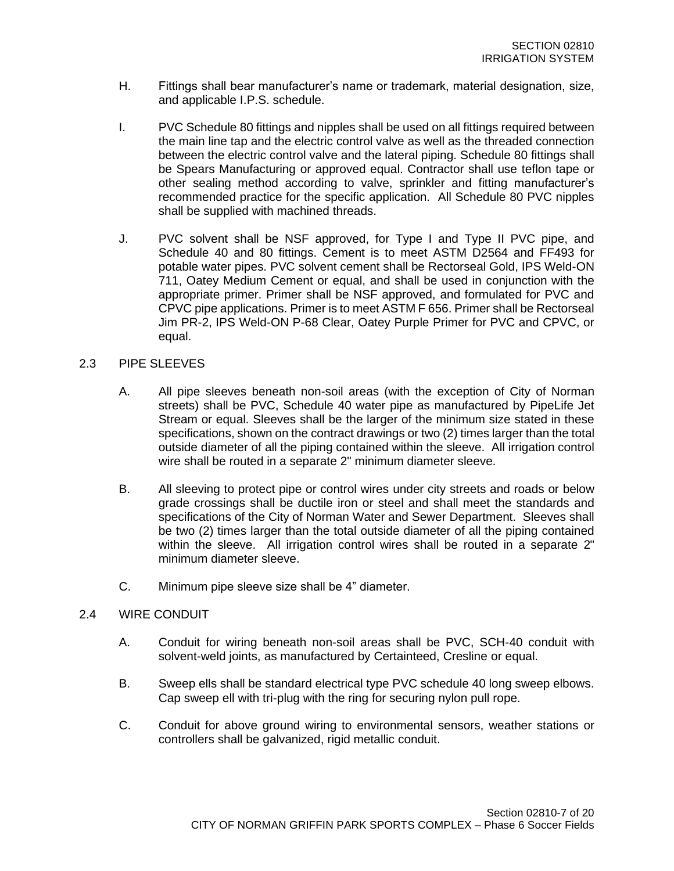- H. Fittings shall bear manufacturer's name or trademark, material designation, size, and applicable I.P.S. schedule.
- I. PVC Schedule 80 fittings and nipples shall be used on all fittings required between the main line tap and the electric control valve as well as the threaded connection between the electric control valve and the lateral piping. Schedule 80 fittings shall be Spears Manufacturing or approved equal. Contractor shall use teflon tape or other sealing method according to valve, sprinkler and fitting manufacturer's recommended practice for the specific application. All Schedule 80 PVC nipples shall be supplied with machined threads.
- J. PVC solvent shall be NSF approved, for Type I and Type II PVC pipe, and Schedule 40 and 80 fittings. Cement is to meet ASTM D2564 and FF493 for potable water pipes. PVC solvent cement shall be Rectorseal Gold, IPS Weld-ON 711, Oatey Medium Cement or equal, and shall be used in conjunction with the appropriate primer. Primer shall be NSF approved, and formulated for PVC and CPVC pipe applications. Primer is to meet ASTM F 656. Primer shall be Rectorseal Jim PR-2, IPS Weld-ON P-68 Clear, Oatey Purple Primer for PVC and CPVC, or equal.

### 2.3 PIPE SLEEVES

- A. All pipe sleeves beneath non-soil areas (with the exception of City of Norman streets) shall be PVC, Schedule 40 water pipe as manufactured by PipeLife Jet Stream or equal. Sleeves shall be the larger of the minimum size stated in these specifications, shown on the contract drawings or two (2) times larger than the total outside diameter of all the piping contained within the sleeve. All irrigation control wire shall be routed in a separate 2" minimum diameter sleeve.
- B. All sleeving to protect pipe or control wires under city streets and roads or below grade crossings shall be ductile iron or steel and shall meet the standards and specifications of the City of Norman Water and Sewer Department. Sleeves shall be two (2) times larger than the total outside diameter of all the piping contained within the sleeve. All irrigation control wires shall be routed in a separate 2" minimum diameter sleeve.
- C. Minimum pipe sleeve size shall be 4" diameter.

#### 2.4 WIRE CONDUIT

- A. Conduit for wiring beneath non-soil areas shall be PVC, SCH-40 conduit with solvent-weld joints, as manufactured by Certainteed, Cresline or equal.
- B. Sweep ells shall be standard electrical type PVC schedule 40 long sweep elbows. Cap sweep ell with tri-plug with the ring for securing nylon pull rope.
- C. Conduit for above ground wiring to environmental sensors, weather stations or controllers shall be galvanized, rigid metallic conduit.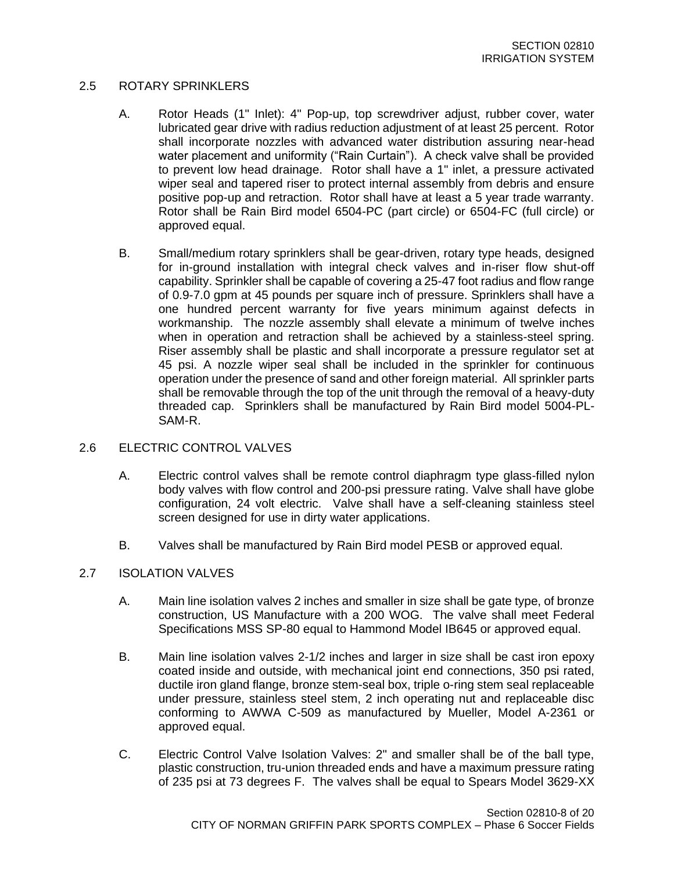#### 2.5 ROTARY SPRINKLERS

- A. Rotor Heads (1" Inlet): 4" Pop-up, top screwdriver adjust, rubber cover, water lubricated gear drive with radius reduction adjustment of at least 25 percent. Rotor shall incorporate nozzles with advanced water distribution assuring near-head water placement and uniformity ("Rain Curtain"). A check valve shall be provided to prevent low head drainage. Rotor shall have a 1" inlet, a pressure activated wiper seal and tapered riser to protect internal assembly from debris and ensure positive pop-up and retraction. Rotor shall have at least a 5 year trade warranty. Rotor shall be Rain Bird model 6504-PC (part circle) or 6504-FC (full circle) or approved equal.
- B. Small/medium rotary sprinklers shall be gear-driven, rotary type heads, designed for in-ground installation with integral check valves and in-riser flow shut-off capability. Sprinkler shall be capable of covering a 25-47 foot radius and flow range of 0.9-7.0 gpm at 45 pounds per square inch of pressure. Sprinklers shall have a one hundred percent warranty for five years minimum against defects in workmanship. The nozzle assembly shall elevate a minimum of twelve inches when in operation and retraction shall be achieved by a stainless-steel spring. Riser assembly shall be plastic and shall incorporate a pressure regulator set at 45 psi. A nozzle wiper seal shall be included in the sprinkler for continuous operation under the presence of sand and other foreign material. All sprinkler parts shall be removable through the top of the unit through the removal of a heavy-duty threaded cap. Sprinklers shall be manufactured by Rain Bird model 5004-PL-SAM-R.

# 2.6 ELECTRIC CONTROL VALVES

- A. Electric control valves shall be remote control diaphragm type glass-filled nylon body valves with flow control and 200-psi pressure rating. Valve shall have globe configuration, 24 volt electric. Valve shall have a self-cleaning stainless steel screen designed for use in dirty water applications.
- B. Valves shall be manufactured by Rain Bird model PESB or approved equal.

#### 2.7 ISOLATION VALVES

- A. Main line isolation valves 2 inches and smaller in size shall be gate type, of bronze construction, US Manufacture with a 200 WOG. The valve shall meet Federal Specifications MSS SP-80 equal to Hammond Model IB645 or approved equal.
- B. Main line isolation valves 2-1/2 inches and larger in size shall be cast iron epoxy coated inside and outside, with mechanical joint end connections, 350 psi rated, ductile iron gland flange, bronze stem-seal box, triple o-ring stem seal replaceable under pressure, stainless steel stem, 2 inch operating nut and replaceable disc conforming to AWWA C-509 as manufactured by Mueller, Model A-2361 or approved equal.
- C. Electric Control Valve Isolation Valves: 2" and smaller shall be of the ball type, plastic construction, tru-union threaded ends and have a maximum pressure rating of 235 psi at 73 degrees F. The valves shall be equal to Spears Model 3629-XX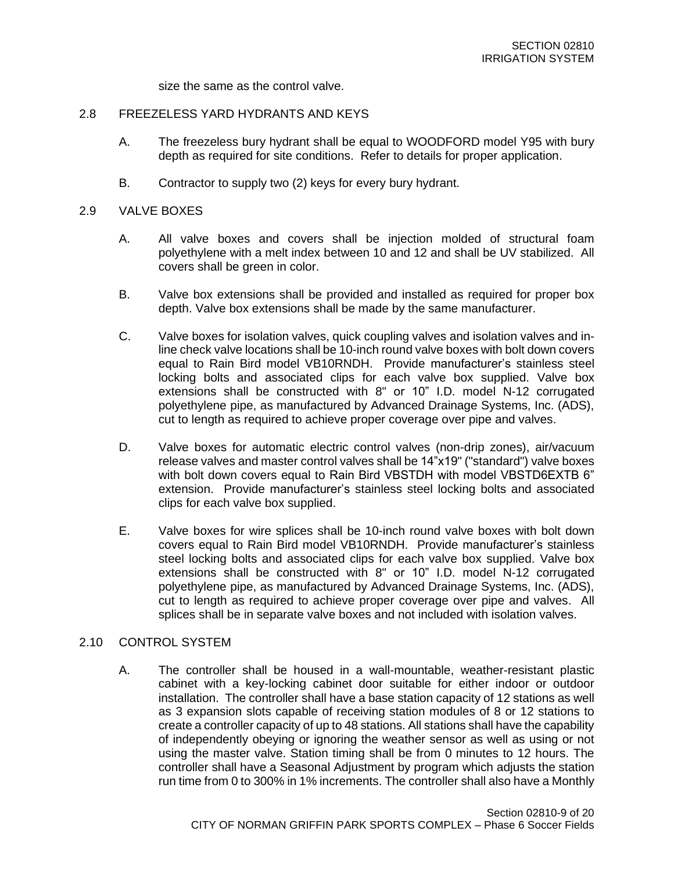size the same as the control valve.

#### 2.8 FREEZELESS YARD HYDRANTS AND KEYS

- A. The freezeless bury hydrant shall be equal to WOODFORD model Y95 with bury depth as required for site conditions. Refer to details for proper application.
- B. Contractor to supply two (2) keys for every bury hydrant.

#### 2.9 VALVE BOXES

- A. All valve boxes and covers shall be injection molded of structural foam polyethylene with a melt index between 10 and 12 and shall be UV stabilized. All covers shall be green in color.
- B. Valve box extensions shall be provided and installed as required for proper box depth. Valve box extensions shall be made by the same manufacturer.
- C. Valve boxes for isolation valves, quick coupling valves and isolation valves and inline check valve locations shall be 10-inch round valve boxes with bolt down covers equal to Rain Bird model VB10RNDH. Provide manufacturer's stainless steel locking bolts and associated clips for each valve box supplied. Valve box extensions shall be constructed with 8" or 10" I.D. model N-12 corrugated polyethylene pipe, as manufactured by Advanced Drainage Systems, Inc. (ADS), cut to length as required to achieve proper coverage over pipe and valves.
- D. Valve boxes for automatic electric control valves (non-drip zones), air/vacuum release valves and master control valves shall be 14"x19" ("standard") valve boxes with bolt down covers equal to Rain Bird VBSTDH with model VBSTD6EXTB 6" extension. Provide manufacturer's stainless steel locking bolts and associated clips for each valve box supplied.
- E. Valve boxes for wire splices shall be 10-inch round valve boxes with bolt down covers equal to Rain Bird model VB10RNDH. Provide manufacturer's stainless steel locking bolts and associated clips for each valve box supplied. Valve box extensions shall be constructed with 8" or 10" I.D. model N-12 corrugated polyethylene pipe, as manufactured by Advanced Drainage Systems, Inc. (ADS), cut to length as required to achieve proper coverage over pipe and valves. All splices shall be in separate valve boxes and not included with isolation valves.

#### 2.10 CONTROL SYSTEM

A. The controller shall be housed in a wall-mountable, weather-resistant plastic cabinet with a key-locking cabinet door suitable for either indoor or outdoor installation. The controller shall have a base station capacity of 12 stations as well as 3 expansion slots capable of receiving station modules of 8 or 12 stations to create a controller capacity of up to 48 stations. All stations shall have the capability of independently obeying or ignoring the weather sensor as well as using or not using the master valve. Station timing shall be from 0 minutes to 12 hours. The controller shall have a Seasonal Adjustment by program which adjusts the station run time from 0 to 300% in 1% increments. The controller shall also have a Monthly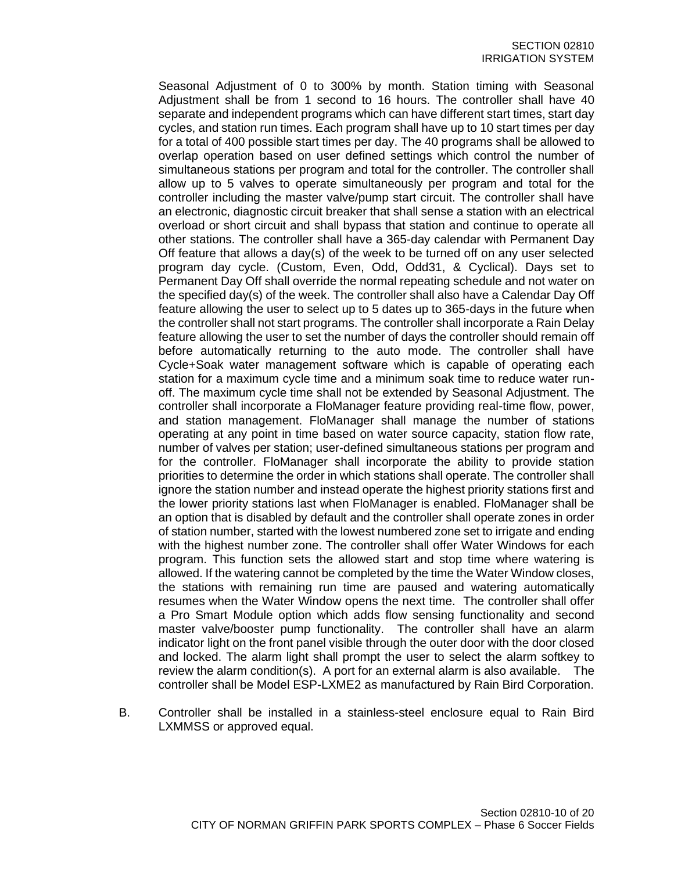Seasonal Adjustment of 0 to 300% by month. Station timing with Seasonal Adjustment shall be from 1 second to 16 hours. The controller shall have 40 separate and independent programs which can have different start times, start day cycles, and station run times. Each program shall have up to 10 start times per day for a total of 400 possible start times per day. The 40 programs shall be allowed to overlap operation based on user defined settings which control the number of simultaneous stations per program and total for the controller. The controller shall allow up to 5 valves to operate simultaneously per program and total for the controller including the master valve/pump start circuit. The controller shall have an electronic, diagnostic circuit breaker that shall sense a station with an electrical overload or short circuit and shall bypass that station and continue to operate all other stations. The controller shall have a 365-day calendar with Permanent Day Off feature that allows a day(s) of the week to be turned off on any user selected program day cycle. (Custom, Even, Odd, Odd31, & Cyclical). Days set to Permanent Day Off shall override the normal repeating schedule and not water on the specified day(s) of the week. The controller shall also have a Calendar Day Off feature allowing the user to select up to 5 dates up to 365-days in the future when the controller shall not start programs. The controller shall incorporate a Rain Delay feature allowing the user to set the number of days the controller should remain off before automatically returning to the auto mode. The controller shall have Cycle+Soak water management software which is capable of operating each station for a maximum cycle time and a minimum soak time to reduce water runoff. The maximum cycle time shall not be extended by Seasonal Adjustment. The controller shall incorporate a FloManager feature providing real-time flow, power, and station management. FloManager shall manage the number of stations operating at any point in time based on water source capacity, station flow rate, number of valves per station; user-defined simultaneous stations per program and for the controller. FloManager shall incorporate the ability to provide station priorities to determine the order in which stations shall operate. The controller shall ignore the station number and instead operate the highest priority stations first and the lower priority stations last when FloManager is enabled. FloManager shall be an option that is disabled by default and the controller shall operate zones in order of station number, started with the lowest numbered zone set to irrigate and ending with the highest number zone. The controller shall offer Water Windows for each program. This function sets the allowed start and stop time where watering is allowed. If the watering cannot be completed by the time the Water Window closes, the stations with remaining run time are paused and watering automatically resumes when the Water Window opens the next time. The controller shall offer a Pro Smart Module option which adds flow sensing functionality and second master valve/booster pump functionality. The controller shall have an alarm indicator light on the front panel visible through the outer door with the door closed and locked. The alarm light shall prompt the user to select the alarm softkey to review the alarm condition(s). A port for an external alarm is also available. The controller shall be Model ESP-LXME2 as manufactured by Rain Bird Corporation.

B. Controller shall be installed in a stainless-steel enclosure equal to Rain Bird LXMMSS or approved equal.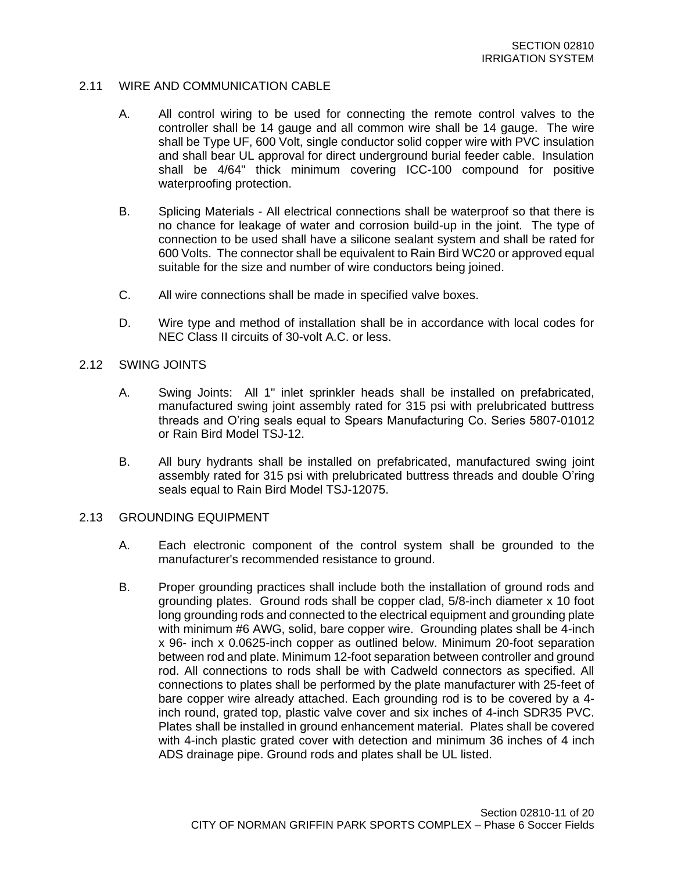#### 2.11 WIRE AND COMMUNICATION CABLE

- A. All control wiring to be used for connecting the remote control valves to the controller shall be 14 gauge and all common wire shall be 14 gauge. The wire shall be Type UF, 600 Volt, single conductor solid copper wire with PVC insulation and shall bear UL approval for direct underground burial feeder cable. Insulation shall be 4/64" thick minimum covering ICC-100 compound for positive waterproofing protection.
- B. Splicing Materials All electrical connections shall be waterproof so that there is no chance for leakage of water and corrosion build-up in the joint. The type of connection to be used shall have a silicone sealant system and shall be rated for 600 Volts. The connector shall be equivalent to Rain Bird WC20 or approved equal suitable for the size and number of wire conductors being joined.
- C. All wire connections shall be made in specified valve boxes.
- D. Wire type and method of installation shall be in accordance with local codes for NEC Class II circuits of 30-volt A.C. or less.
- 2.12 SWING JOINTS
	- A. Swing Joints: All 1" inlet sprinkler heads shall be installed on prefabricated, manufactured swing joint assembly rated for 315 psi with prelubricated buttress threads and O'ring seals equal to Spears Manufacturing Co. Series 5807-01012 or Rain Bird Model TSJ-12.
	- B. All bury hydrants shall be installed on prefabricated, manufactured swing joint assembly rated for 315 psi with prelubricated buttress threads and double O'ring seals equal to Rain Bird Model TSJ-12075.

#### 2.13 GROUNDING EQUIPMENT

- A. Each electronic component of the control system shall be grounded to the manufacturer's recommended resistance to ground.
- B. Proper grounding practices shall include both the installation of ground rods and grounding plates. Ground rods shall be copper clad, 5/8-inch diameter x 10 foot long grounding rods and connected to the electrical equipment and grounding plate with minimum #6 AWG, solid, bare copper wire. Grounding plates shall be 4-inch x 96- inch x 0.0625-inch copper as outlined below. Minimum 20-foot separation between rod and plate. Minimum 12-foot separation between controller and ground rod. All connections to rods shall be with Cadweld connectors as specified. All connections to plates shall be performed by the plate manufacturer with 25-feet of bare copper wire already attached. Each grounding rod is to be covered by a 4 inch round, grated top, plastic valve cover and six inches of 4-inch SDR35 PVC. Plates shall be installed in ground enhancement material. Plates shall be covered with 4-inch plastic grated cover with detection and minimum 36 inches of 4 inch ADS drainage pipe. Ground rods and plates shall be UL listed.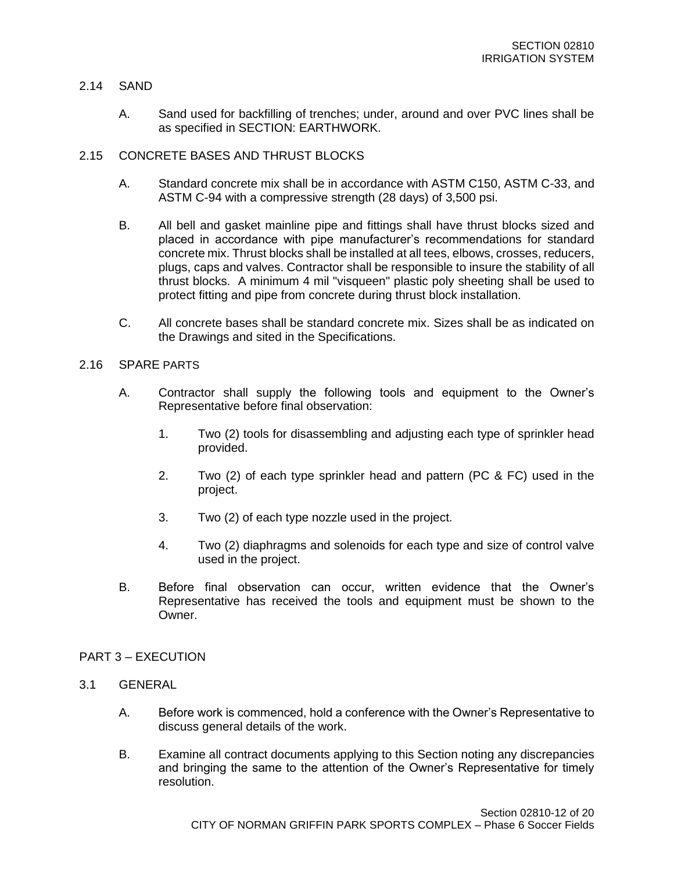### 2.14 SAND

A. Sand used for backfilling of trenches; under, around and over PVC lines shall be as specified in SECTION: EARTHWORK.

### 2.15 CONCRETE BASES AND THRUST BLOCKS

- A. Standard concrete mix shall be in accordance with ASTM C150, ASTM C-33, and ASTM C-94 with a compressive strength (28 days) of 3,500 psi.
- B. All bell and gasket mainline pipe and fittings shall have thrust blocks sized and placed in accordance with pipe manufacturer's recommendations for standard concrete mix. Thrust blocks shall be installed at all tees, elbows, crosses, reducers, plugs, caps and valves. Contractor shall be responsible to insure the stability of all thrust blocks. A minimum 4 mil "visqueen" plastic poly sheeting shall be used to protect fitting and pipe from concrete during thrust block installation.
- C. All concrete bases shall be standard concrete mix. Sizes shall be as indicated on the Drawings and sited in the Specifications.

#### 2.16 SPARE PARTS

- A. Contractor shall supply the following tools and equipment to the Owner's Representative before final observation:
	- 1. Two (2) tools for disassembling and adjusting each type of sprinkler head provided.
	- 2. Two (2) of each type sprinkler head and pattern (PC & FC) used in the project.
	- 3. Two (2) of each type nozzle used in the project.
	- 4. Two (2) diaphragms and solenoids for each type and size of control valve used in the project.
- B. Before final observation can occur, written evidence that the Owner's Representative has received the tools and equipment must be shown to the Owner.

#### PART 3 – EXECUTION

### 3.1 GENERAL

- A. Before work is commenced, hold a conference with the Owner's Representative to discuss general details of the work.
- B. Examine all contract documents applying to this Section noting any discrepancies and bringing the same to the attention of the Owner's Representative for timely resolution.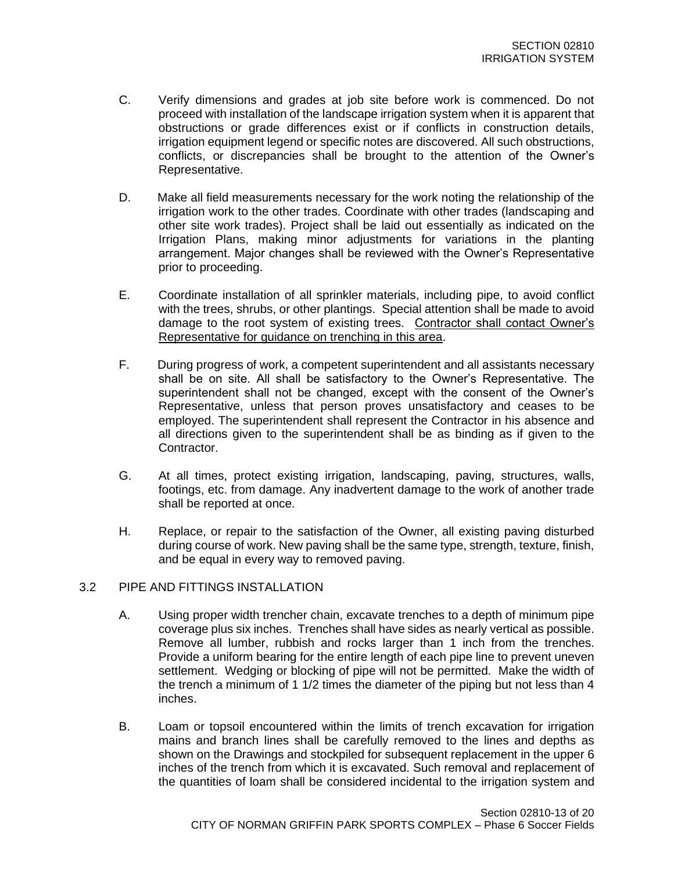- C. Verify dimensions and grades at job site before work is commenced. Do not proceed with installation of the landscape irrigation system when it is apparent that obstructions or grade differences exist or if conflicts in construction details, irrigation equipment legend or specific notes are discovered. All such obstructions, conflicts, or discrepancies shall be brought to the attention of the Owner's Representative.
- D. Make all field measurements necessary for the work noting the relationship of the irrigation work to the other trades. Coordinate with other trades (landscaping and other site work trades). Project shall be laid out essentially as indicated on the Irrigation Plans, making minor adjustments for variations in the planting arrangement. Major changes shall be reviewed with the Owner's Representative prior to proceeding.
- E. Coordinate installation of all sprinkler materials, including pipe, to avoid conflict with the trees, shrubs, or other plantings. Special attention shall be made to avoid damage to the root system of existing trees. Contractor shall contact Owner's Representative for guidance on trenching in this area.
- F. During progress of work, a competent superintendent and all assistants necessary shall be on site. All shall be satisfactory to the Owner's Representative. The superintendent shall not be changed, except with the consent of the Owner's Representative, unless that person proves unsatisfactory and ceases to be employed. The superintendent shall represent the Contractor in his absence and all directions given to the superintendent shall be as binding as if given to the Contractor.
- G. At all times, protect existing irrigation, landscaping, paving, structures, walls, footings, etc. from damage. Any inadvertent damage to the work of another trade shall be reported at once.
- H. Replace, or repair to the satisfaction of the Owner, all existing paving disturbed during course of work. New paving shall be the same type, strength, texture, finish, and be equal in every way to removed paving.

# 3.2 PIPE AND FITTINGS INSTALLATION

- A. Using proper width trencher chain, excavate trenches to a depth of minimum pipe coverage plus six inches. Trenches shall have sides as nearly vertical as possible. Remove all lumber, rubbish and rocks larger than 1 inch from the trenches. Provide a uniform bearing for the entire length of each pipe line to prevent uneven settlement. Wedging or blocking of pipe will not be permitted. Make the width of the trench a minimum of 1 1/2 times the diameter of the piping but not less than 4 inches.
- B. Loam or topsoil encountered within the limits of trench excavation for irrigation mains and branch lines shall be carefully removed to the lines and depths as shown on the Drawings and stockpiled for subsequent replacement in the upper 6 inches of the trench from which it is excavated. Such removal and replacement of the quantities of loam shall be considered incidental to the irrigation system and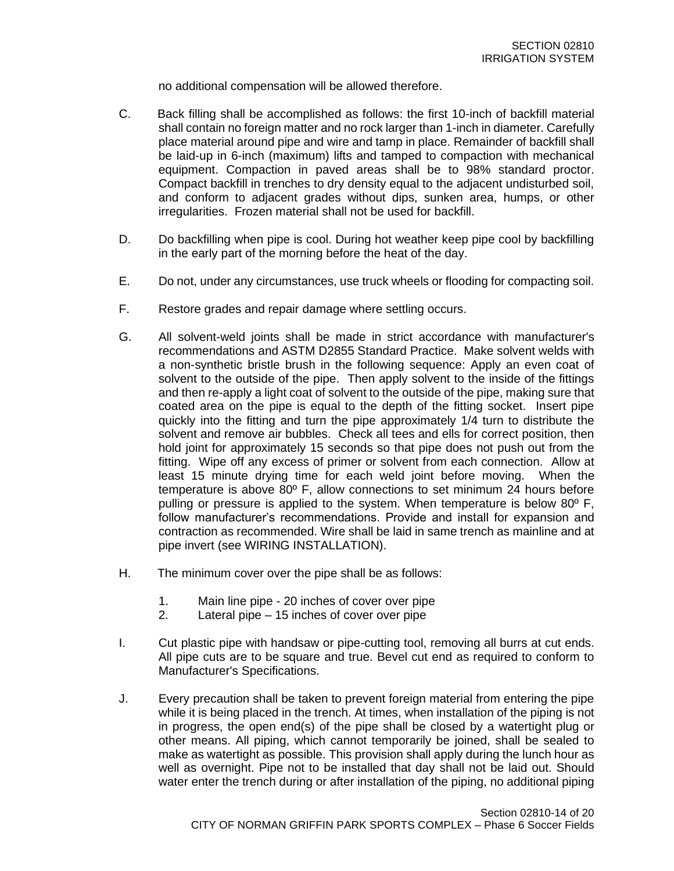no additional compensation will be allowed therefore.

- C. Back filling shall be accomplished as follows: the first 10-inch of backfill material shall contain no foreign matter and no rock larger than 1-inch in diameter. Carefully place material around pipe and wire and tamp in place. Remainder of backfill shall be laid-up in 6-inch (maximum) lifts and tamped to compaction with mechanical equipment. Compaction in paved areas shall be to 98% standard proctor. Compact backfill in trenches to dry density equal to the adjacent undisturbed soil, and conform to adjacent grades without dips, sunken area, humps, or other irregularities. Frozen material shall not be used for backfill.
- D. Do backfilling when pipe is cool. During hot weather keep pipe cool by backfilling in the early part of the morning before the heat of the day.
- E. Do not, under any circumstances, use truck wheels or flooding for compacting soil.
- F. Restore grades and repair damage where settling occurs.
- G. All solvent-weld joints shall be made in strict accordance with manufacturer's recommendations and ASTM D2855 Standard Practice. Make solvent welds with a non-synthetic bristle brush in the following sequence: Apply an even coat of solvent to the outside of the pipe. Then apply solvent to the inside of the fittings and then re-apply a light coat of solvent to the outside of the pipe, making sure that coated area on the pipe is equal to the depth of the fitting socket. Insert pipe quickly into the fitting and turn the pipe approximately 1/4 turn to distribute the solvent and remove air bubbles. Check all tees and ells for correct position, then hold joint for approximately 15 seconds so that pipe does not push out from the fitting. Wipe off any excess of primer or solvent from each connection. Allow at least 15 minute drying time for each weld joint before moving. When the temperature is above 80º F, allow connections to set minimum 24 hours before pulling or pressure is applied to the system. When temperature is below 80º F, follow manufacturer's recommendations. Provide and install for expansion and contraction as recommended. Wire shall be laid in same trench as mainline and at pipe invert (see WIRING INSTALLATION).
- H. The minimum cover over the pipe shall be as follows:
	- 1. Main line pipe 20 inches of cover over pipe
	- 2. Lateral pipe 15 inches of cover over pipe
- I. Cut plastic pipe with handsaw or pipe-cutting tool, removing all burrs at cut ends. All pipe cuts are to be square and true. Bevel cut end as required to conform to Manufacturer's Specifications.
- J. Every precaution shall be taken to prevent foreign material from entering the pipe while it is being placed in the trench. At times, when installation of the piping is not in progress, the open end(s) of the pipe shall be closed by a watertight plug or other means. All piping, which cannot temporarily be joined, shall be sealed to make as watertight as possible. This provision shall apply during the lunch hour as well as overnight. Pipe not to be installed that day shall not be laid out. Should water enter the trench during or after installation of the piping, no additional piping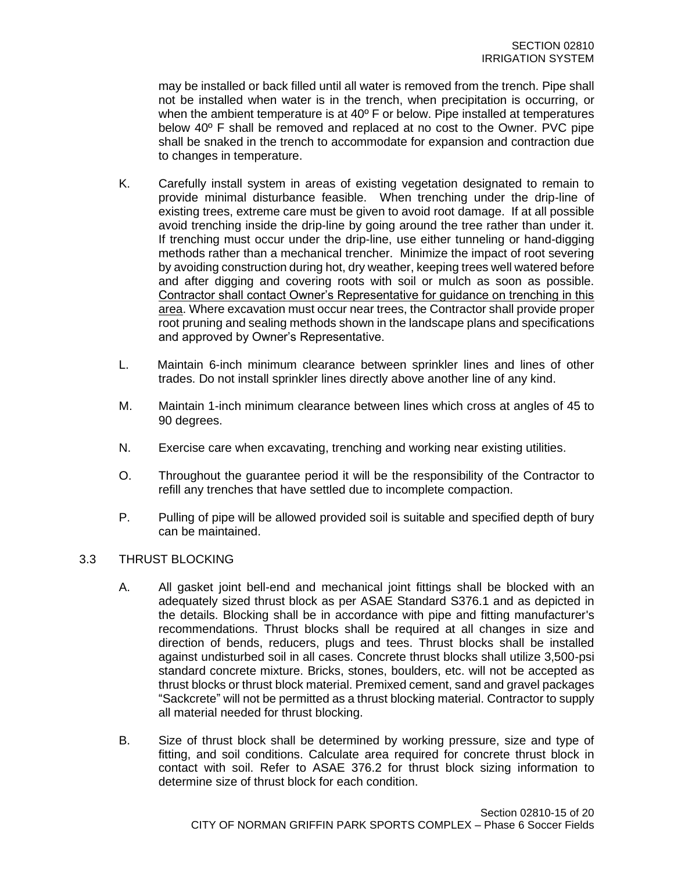may be installed or back filled until all water is removed from the trench. Pipe shall not be installed when water is in the trench, when precipitation is occurring, or when the ambient temperature is at 40<sup>o</sup> F or below. Pipe installed at temperatures below 40º F shall be removed and replaced at no cost to the Owner. PVC pipe shall be snaked in the trench to accommodate for expansion and contraction due to changes in temperature.

- K. Carefully install system in areas of existing vegetation designated to remain to provide minimal disturbance feasible. When trenching under the drip-line of existing trees, extreme care must be given to avoid root damage. If at all possible avoid trenching inside the drip-line by going around the tree rather than under it. If trenching must occur under the drip-line, use either tunneling or hand-digging methods rather than a mechanical trencher. Minimize the impact of root severing by avoiding construction during hot, dry weather, keeping trees well watered before and after digging and covering roots with soil or mulch as soon as possible. Contractor shall contact Owner's Representative for guidance on trenching in this area. Where excavation must occur near trees, the Contractor shall provide proper root pruning and sealing methods shown in the landscape plans and specifications and approved by Owner's Representative.
- L. Maintain 6-inch minimum clearance between sprinkler lines and lines of other trades. Do not install sprinkler lines directly above another line of any kind.
- M. Maintain 1-inch minimum clearance between lines which cross at angles of 45 to 90 degrees.
- N. Exercise care when excavating, trenching and working near existing utilities.
- O. Throughout the guarantee period it will be the responsibility of the Contractor to refill any trenches that have settled due to incomplete compaction.
- P. Pulling of pipe will be allowed provided soil is suitable and specified depth of bury can be maintained.

# 3.3 THRUST BLOCKING

- A. All gasket joint bell-end and mechanical joint fittings shall be blocked with an adequately sized thrust block as per ASAE Standard S376.1 and as depicted in the details. Blocking shall be in accordance with pipe and fitting manufacturer's recommendations. Thrust blocks shall be required at all changes in size and direction of bends, reducers, plugs and tees. Thrust blocks shall be installed against undisturbed soil in all cases. Concrete thrust blocks shall utilize 3,500-psi standard concrete mixture. Bricks, stones, boulders, etc. will not be accepted as thrust blocks or thrust block material. Premixed cement, sand and gravel packages "Sackcrete" will not be permitted as a thrust blocking material. Contractor to supply all material needed for thrust blocking.
- B. Size of thrust block shall be determined by working pressure, size and type of fitting, and soil conditions. Calculate area required for concrete thrust block in contact with soil. Refer to ASAE 376.2 for thrust block sizing information to determine size of thrust block for each condition.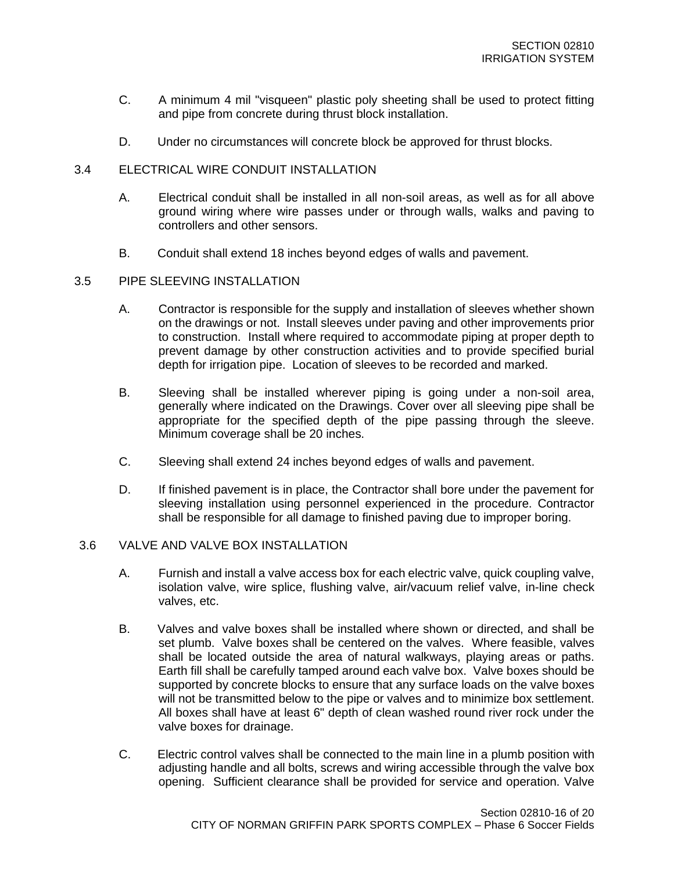- C. A minimum 4 mil "visqueen" plastic poly sheeting shall be used to protect fitting and pipe from concrete during thrust block installation.
- D. Under no circumstances will concrete block be approved for thrust blocks.

### 3.4 ELECTRICAL WIRE CONDUIT INSTALLATION

- A. Electrical conduit shall be installed in all non-soil areas, as well as for all above ground wiring where wire passes under or through walls, walks and paving to controllers and other sensors.
- B. Conduit shall extend 18 inches beyond edges of walls and pavement.

#### 3.5 PIPE SLEEVING INSTALLATION

- A. Contractor is responsible for the supply and installation of sleeves whether shown on the drawings or not. Install sleeves under paving and other improvements prior to construction. Install where required to accommodate piping at proper depth to prevent damage by other construction activities and to provide specified burial depth for irrigation pipe. Location of sleeves to be recorded and marked.
- B. Sleeving shall be installed wherever piping is going under a non-soil area, generally where indicated on the Drawings. Cover over all sleeving pipe shall be appropriate for the specified depth of the pipe passing through the sleeve. Minimum coverage shall be 20 inches.
- C. Sleeving shall extend 24 inches beyond edges of walls and pavement.
- D. If finished pavement is in place, the Contractor shall bore under the pavement for sleeving installation using personnel experienced in the procedure. Contractor shall be responsible for all damage to finished paving due to improper boring.

### 3.6 VALVE AND VALVE BOX INSTALLATION

- A. Furnish and install a valve access box for each electric valve, quick coupling valve, isolation valve, wire splice, flushing valve, air/vacuum relief valve, in-line check valves, etc.
- B. Valves and valve boxes shall be installed where shown or directed, and shall be set plumb. Valve boxes shall be centered on the valves. Where feasible, valves shall be located outside the area of natural walkways, playing areas or paths. Earth fill shall be carefully tamped around each valve box. Valve boxes should be supported by concrete blocks to ensure that any surface loads on the valve boxes will not be transmitted below to the pipe or valves and to minimize box settlement. All boxes shall have at least 6" depth of clean washed round river rock under the valve boxes for drainage.
- C. Electric control valves shall be connected to the main line in a plumb position with adjusting handle and all bolts, screws and wiring accessible through the valve box opening. Sufficient clearance shall be provided for service and operation. Valve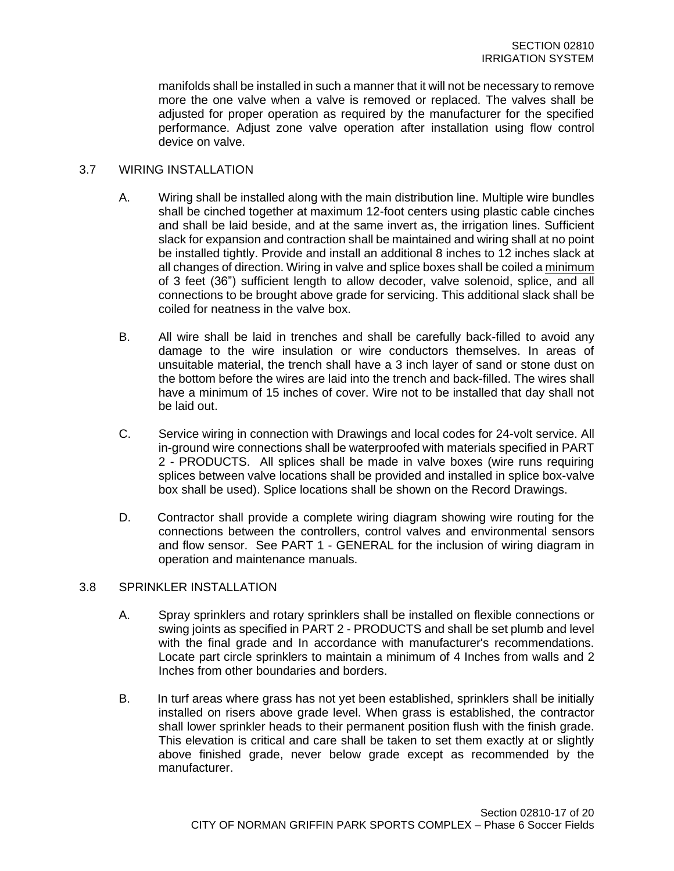manifolds shall be installed in such a manner that it will not be necessary to remove more the one valve when a valve is removed or replaced. The valves shall be adjusted for proper operation as required by the manufacturer for the specified performance. Adjust zone valve operation after installation using flow control device on valve.

### 3.7 WIRING INSTALLATION

- A. Wiring shall be installed along with the main distribution line. Multiple wire bundles shall be cinched together at maximum 12-foot centers using plastic cable cinches and shall be laid beside, and at the same invert as, the irrigation lines. Sufficient slack for expansion and contraction shall be maintained and wiring shall at no point be installed tightly. Provide and install an additional 8 inches to 12 inches slack at all changes of direction. Wiring in valve and splice boxes shall be coiled a minimum of 3 feet (36") sufficient length to allow decoder, valve solenoid, splice, and all connections to be brought above grade for servicing. This additional slack shall be coiled for neatness in the valve box.
- B. All wire shall be laid in trenches and shall be carefully back-filled to avoid any damage to the wire insulation or wire conductors themselves. In areas of unsuitable material, the trench shall have a 3 inch layer of sand or stone dust on the bottom before the wires are laid into the trench and back-filled. The wires shall have a minimum of 15 inches of cover. Wire not to be installed that day shall not be laid out.
- C. Service wiring in connection with Drawings and local codes for 24-volt service. All in-ground wire connections shall be waterproofed with materials specified in PART 2 - PRODUCTS. All splices shall be made in valve boxes (wire runs requiring splices between valve locations shall be provided and installed in splice box-valve box shall be used). Splice locations shall be shown on the Record Drawings.
- D. Contractor shall provide a complete wiring diagram showing wire routing for the connections between the controllers, control valves and environmental sensors and flow sensor. See PART 1 - GENERAL for the inclusion of wiring diagram in operation and maintenance manuals.

# 3.8 SPRINKLER INSTALLATION

- A. Spray sprinklers and rotary sprinklers shall be installed on flexible connections or swing joints as specified in PART 2 - PRODUCTS and shall be set plumb and level with the final grade and In accordance with manufacturer's recommendations. Locate part circle sprinklers to maintain a minimum of 4 Inches from walls and 2 Inches from other boundaries and borders.
- B. In turf areas where grass has not yet been established, sprinklers shall be initially installed on risers above grade level. When grass is established, the contractor shall lower sprinkler heads to their permanent position flush with the finish grade. This elevation is critical and care shall be taken to set them exactly at or slightly above finished grade, never below grade except as recommended by the manufacturer.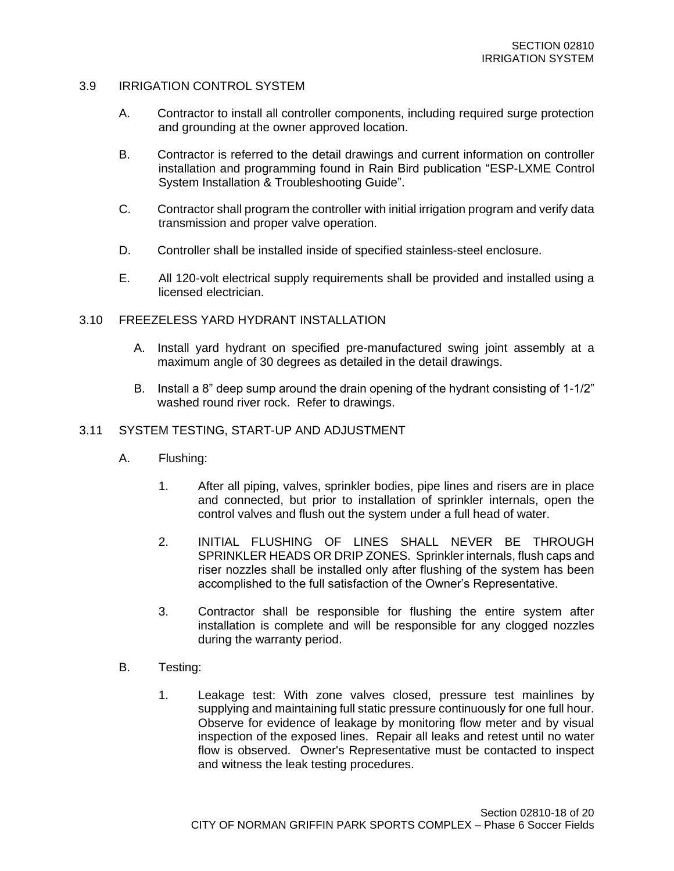### 3.9 IRRIGATION CONTROL SYSTEM

- A. Contractor to install all controller components, including required surge protection and grounding at the owner approved location.
- B. Contractor is referred to the detail drawings and current information on controller installation and programming found in Rain Bird publication "ESP-LXME Control System Installation & Troubleshooting Guide".
- C. Contractor shall program the controller with initial irrigation program and verify data transmission and proper valve operation.
- D. Controller shall be installed inside of specified stainless-steel enclosure.
- E. All 120-volt electrical supply requirements shall be provided and installed using a licensed electrician.

#### 3.10 FREEZELESS YARD HYDRANT INSTALLATION

- A. Install yard hydrant on specified pre-manufactured swing joint assembly at a maximum angle of 30 degrees as detailed in the detail drawings.
- B. Install a 8" deep sump around the drain opening of the hydrant consisting of 1-1/2" washed round river rock. Refer to drawings.

#### 3.11 SYSTEM TESTING, START-UP AND ADJUSTMENT

- A. Flushing:
	- 1. After all piping, valves, sprinkler bodies, pipe lines and risers are in place and connected, but prior to installation of sprinkler internals, open the control valves and flush out the system under a full head of water.
	- 2. INITIAL FLUSHING OF LINES SHALL NEVER BE THROUGH SPRINKLER HEADS OR DRIP ZONES. Sprinkler internals, flush caps and riser nozzles shall be installed only after flushing of the system has been accomplished to the full satisfaction of the Owner's Representative.
	- 3. Contractor shall be responsible for flushing the entire system after installation is complete and will be responsible for any clogged nozzles during the warranty period.
- B. Testing:
	- 1. Leakage test: With zone valves closed, pressure test mainlines by supplying and maintaining full static pressure continuously for one full hour. Observe for evidence of leakage by monitoring flow meter and by visual inspection of the exposed lines. Repair all leaks and retest until no water flow is observed. Owner's Representative must be contacted to inspect and witness the leak testing procedures.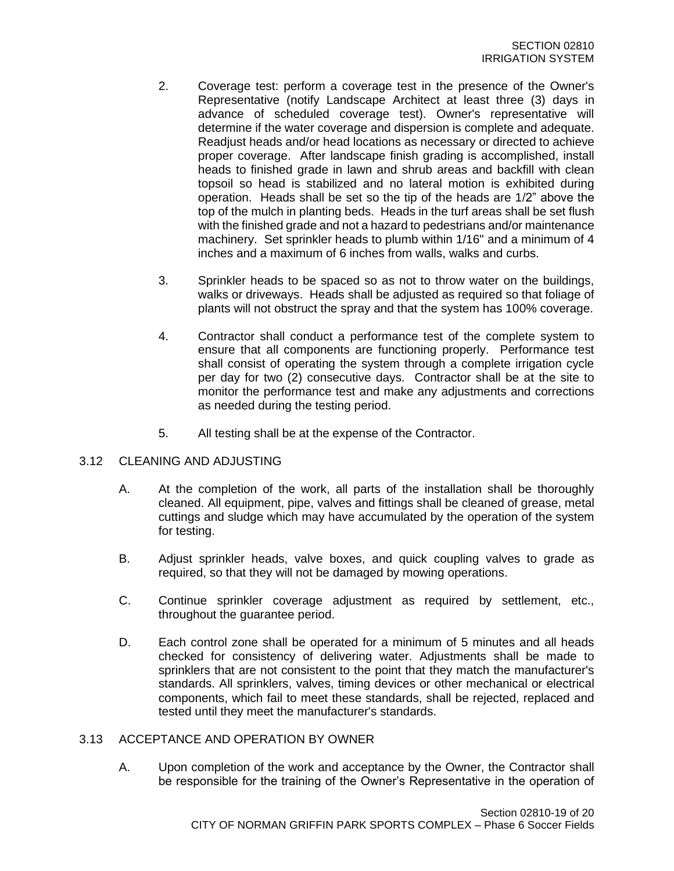- 2. Coverage test: perform a coverage test in the presence of the Owner's Representative (notify Landscape Architect at least three (3) days in advance of scheduled coverage test). Owner's representative will determine if the water coverage and dispersion is complete and adequate. Readjust heads and/or head locations as necessary or directed to achieve proper coverage. After landscape finish grading is accomplished, install heads to finished grade in lawn and shrub areas and backfill with clean topsoil so head is stabilized and no lateral motion is exhibited during operation. Heads shall be set so the tip of the heads are 1/2" above the top of the mulch in planting beds. Heads in the turf areas shall be set flush with the finished grade and not a hazard to pedestrians and/or maintenance machinery. Set sprinkler heads to plumb within 1/16" and a minimum of 4 inches and a maximum of 6 inches from walls, walks and curbs.
- 3. Sprinkler heads to be spaced so as not to throw water on the buildings, walks or driveways. Heads shall be adjusted as required so that foliage of plants will not obstruct the spray and that the system has 100% coverage.
- 4. Contractor shall conduct a performance test of the complete system to ensure that all components are functioning properly. Performance test shall consist of operating the system through a complete irrigation cycle per day for two (2) consecutive days. Contractor shall be at the site to monitor the performance test and make any adjustments and corrections as needed during the testing period.
- 5. All testing shall be at the expense of the Contractor.

#### 3.12 CLEANING AND ADJUSTING

- A. At the completion of the work, all parts of the installation shall be thoroughly cleaned. All equipment, pipe, valves and fittings shall be cleaned of grease, metal cuttings and sludge which may have accumulated by the operation of the system for testing.
- B. Adjust sprinkler heads, valve boxes, and quick coupling valves to grade as required, so that they will not be damaged by mowing operations.
- C. Continue sprinkler coverage adjustment as required by settlement, etc., throughout the guarantee period.
- D. Each control zone shall be operated for a minimum of 5 minutes and all heads checked for consistency of delivering water. Adjustments shall be made to sprinklers that are not consistent to the point that they match the manufacturer's standards. All sprinklers, valves, timing devices or other mechanical or electrical components, which fail to meet these standards, shall be rejected, replaced and tested until they meet the manufacturer's standards.

## 3.13 ACCEPTANCE AND OPERATION BY OWNER

A. Upon completion of the work and acceptance by the Owner, the Contractor shall be responsible for the training of the Owner's Representative in the operation of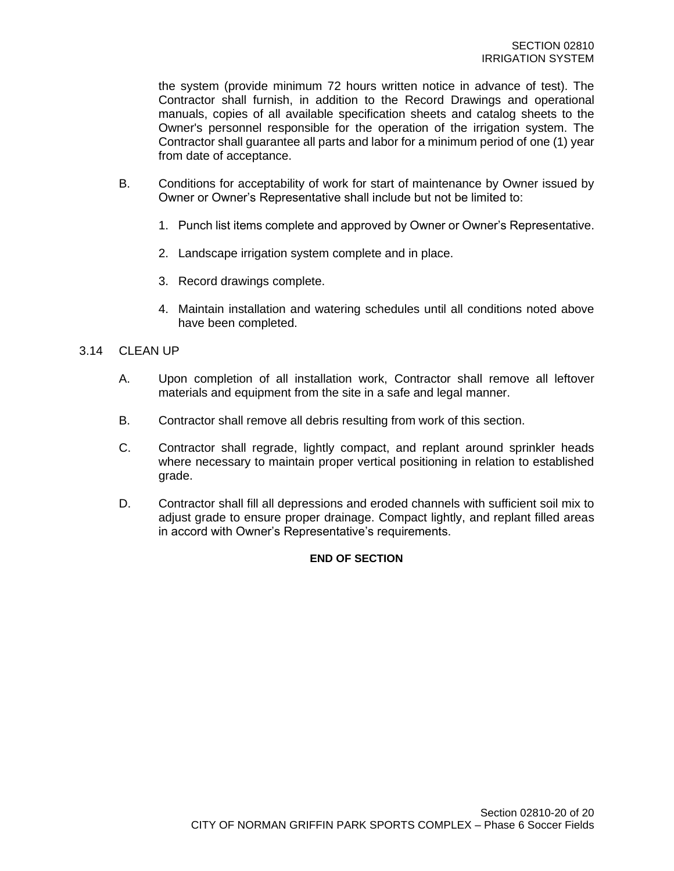the system (provide minimum 72 hours written notice in advance of test). The Contractor shall furnish, in addition to the Record Drawings and operational manuals, copies of all available specification sheets and catalog sheets to the Owner's personnel responsible for the operation of the irrigation system. The Contractor shall guarantee all parts and labor for a minimum period of one (1) year from date of acceptance.

- B. Conditions for acceptability of work for start of maintenance by Owner issued by Owner or Owner's Representative shall include but not be limited to:
	- 1. Punch list items complete and approved by Owner or Owner's Representative.
	- 2. Landscape irrigation system complete and in place.
	- 3. Record drawings complete.
	- 4. Maintain installation and watering schedules until all conditions noted above have been completed.

#### 3.14 CLEAN UP

- A. Upon completion of all installation work, Contractor shall remove all leftover materials and equipment from the site in a safe and legal manner.
- B. Contractor shall remove all debris resulting from work of this section.
- C. Contractor shall regrade, lightly compact, and replant around sprinkler heads where necessary to maintain proper vertical positioning in relation to established grade.
- D. Contractor shall fill all depressions and eroded channels with sufficient soil mix to adjust grade to ensure proper drainage. Compact lightly, and replant filled areas in accord with Owner's Representative's requirements.

#### **END OF SECTION**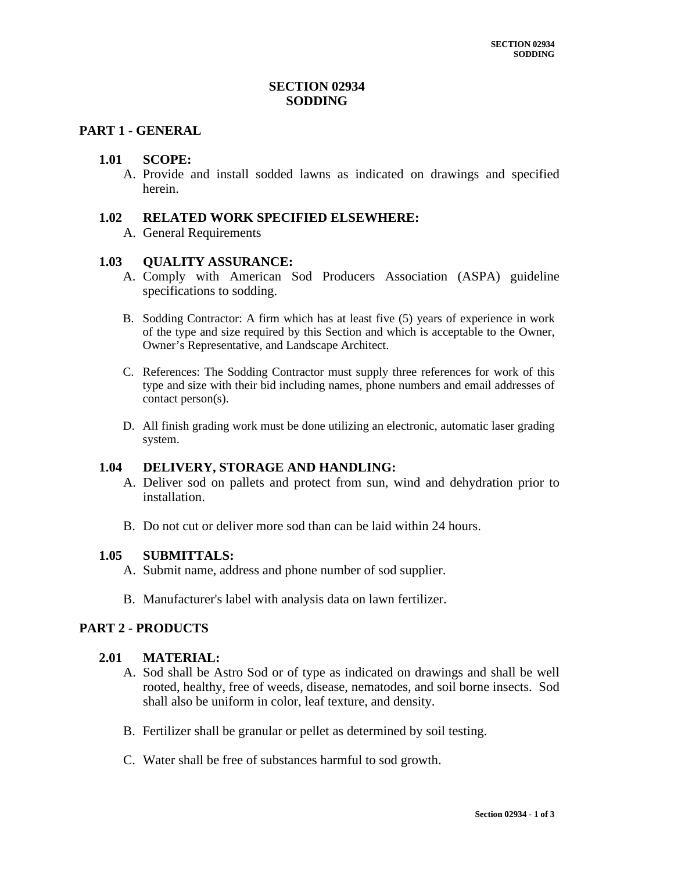# **SECTION 02934 SODDING**

# **PART 1 - GENERAL**

#### **1.01 SCOPE:**

A. Provide and install sodded lawns as indicated on drawings and specified herein.

#### **1.02 RELATED WORK SPECIFIED ELSEWHERE:**

A. General Requirements

### **1.03 QUALITY ASSURANCE:**

- A. Comply with American Sod Producers Association (ASPA) guideline specifications to sodding.
- B. Sodding Contractor: A firm which has at least five (5) years of experience in work of the type and size required by this Section and which is acceptable to the Owner, Owner's Representative, and Landscape Architect.
- C. References: The Sodding Contractor must supply three references for work of this type and size with their bid including names, phone numbers and email addresses of contact person(s).
- D. All finish grading work must be done utilizing an electronic, automatic laser grading system.

## **1.04 DELIVERY, STORAGE AND HANDLING:**

- A. Deliver sod on pallets and protect from sun, wind and dehydration prior to installation.
- B. Do not cut or deliver more sod than can be laid within 24 hours.

#### **1.05 SUBMITTALS:**

- A. Submit name, address and phone number of sod supplier.
- B. Manufacturer's label with analysis data on lawn fertilizer.

#### **PART 2 - PRODUCTS**

#### **2.01 MATERIAL:**

- A. Sod shall be Astro Sod or of type as indicated on drawings and shall be well rooted, healthy, free of weeds, disease, nematodes, and soil borne insects. Sod shall also be uniform in color, leaf texture, and density.
- B. Fertilizer shall be granular or pellet as determined by soil testing.
- C. Water shall be free of substances harmful to sod growth.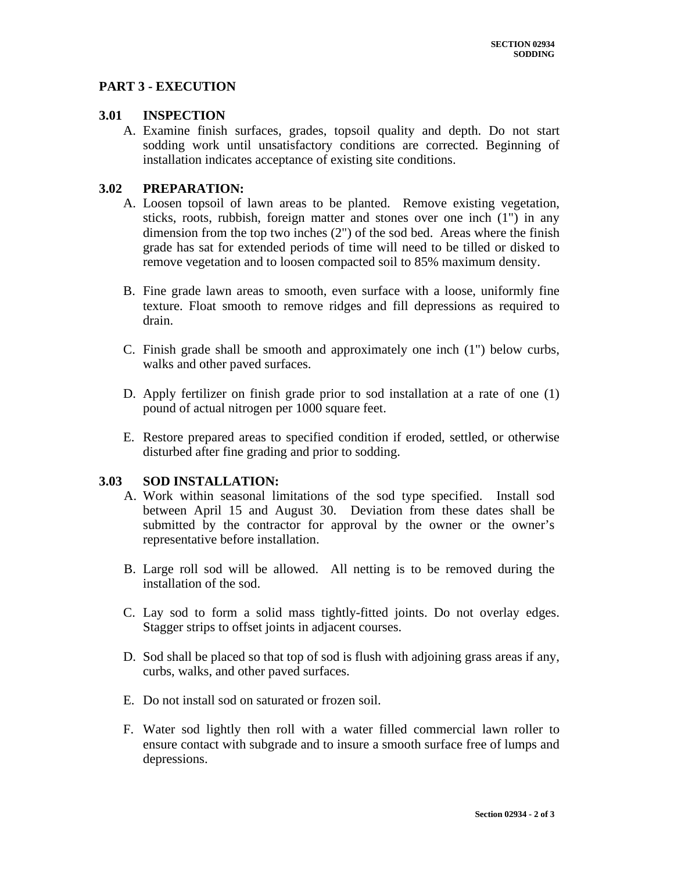# **PART 3 - EXECUTION**

# **3.01 INSPECTION**

A. Examine finish surfaces, grades, topsoil quality and depth. Do not start sodding work until unsatisfactory conditions are corrected. Beginning of installation indicates acceptance of existing site conditions.

# **3.02 PREPARATION:**

- A. Loosen topsoil of lawn areas to be planted. Remove existing vegetation, sticks, roots, rubbish, foreign matter and stones over one inch (1") in any dimension from the top two inches (2") of the sod bed. Areas where the finish grade has sat for extended periods of time will need to be tilled or disked to remove vegetation and to loosen compacted soil to 85% maximum density.
- B. Fine grade lawn areas to smooth, even surface with a loose, uniformly fine texture. Float smooth to remove ridges and fill depressions as required to drain.
- C. Finish grade shall be smooth and approximately one inch (1") below curbs, walks and other paved surfaces.
- D. Apply fertilizer on finish grade prior to sod installation at a rate of one (1) pound of actual nitrogen per 1000 square feet.
- E. Restore prepared areas to specified condition if eroded, settled, or otherwise disturbed after fine grading and prior to sodding.

# **3.03 SOD INSTALLATION:**

- A. Work within seasonal limitations of the sod type specified. Install sod between April 15 and August 30. Deviation from these dates shall be submitted by the contractor for approval by the owner or the owner's representative before installation.
- B. Large roll sod will be allowed. All netting is to be removed during the installation of the sod.
- C. Lay sod to form a solid mass tightly-fitted joints. Do not overlay edges. Stagger strips to offset joints in adjacent courses.
- D. Sod shall be placed so that top of sod is flush with adjoining grass areas if any, curbs, walks, and other paved surfaces.
- E. Do not install sod on saturated or frozen soil.
- F. Water sod lightly then roll with a water filled commercial lawn roller to ensure contact with subgrade and to insure a smooth surface free of lumps and depressions.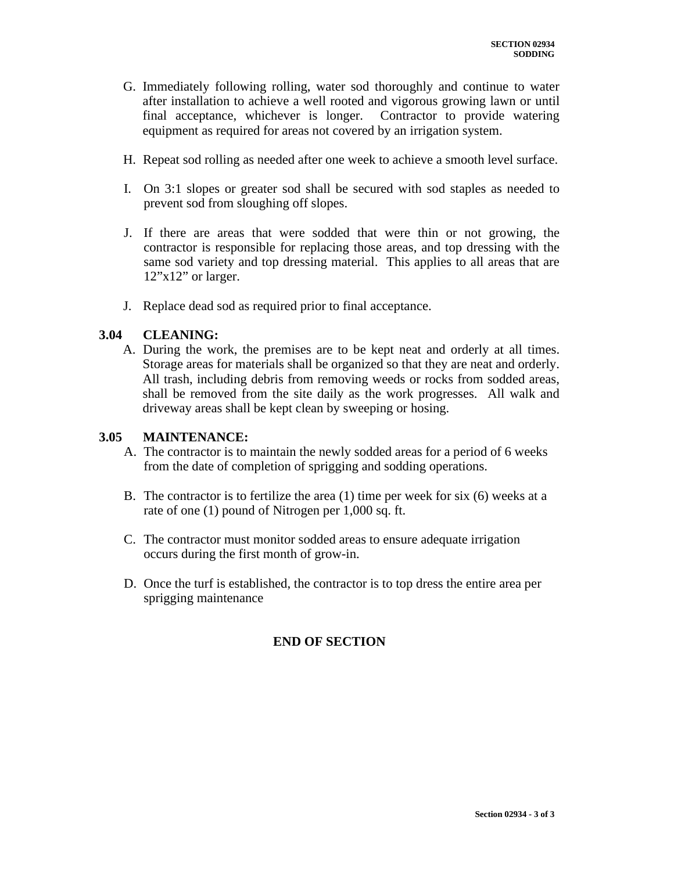- G. Immediately following rolling, water sod thoroughly and continue to water after installation to achieve a well rooted and vigorous growing lawn or until final acceptance, whichever is longer. Contractor to provide watering equipment as required for areas not covered by an irrigation system.
- H. Repeat sod rolling as needed after one week to achieve a smooth level surface.
- I. On 3:1 slopes or greater sod shall be secured with sod staples as needed to prevent sod from sloughing off slopes.
- J. If there are areas that were sodded that were thin or not growing, the contractor is responsible for replacing those areas, and top dressing with the same sod variety and top dressing material. This applies to all areas that are 12"x12" or larger.
- J. Replace dead sod as required prior to final acceptance.

# **3.04 CLEANING:**

A. During the work, the premises are to be kept neat and orderly at all times. Storage areas for materials shall be organized so that they are neat and orderly. All trash, including debris from removing weeds or rocks from sodded areas, shall be removed from the site daily as the work progresses. All walk and driveway areas shall be kept clean by sweeping or hosing.

# **3.05 MAINTENANCE:**

- A. The contractor is to maintain the newly sodded areas for a period of 6 weeks from the date of completion of sprigging and sodding operations.
- B. The contractor is to fertilize the area (1) time per week for six (6) weeks at a rate of one (1) pound of Nitrogen per 1,000 sq. ft.
- C. The contractor must monitor sodded areas to ensure adequate irrigation occurs during the first month of grow-in.
- D. Once the turf is established, the contractor is to top dress the entire area per sprigging maintenance

# **END OF SECTION**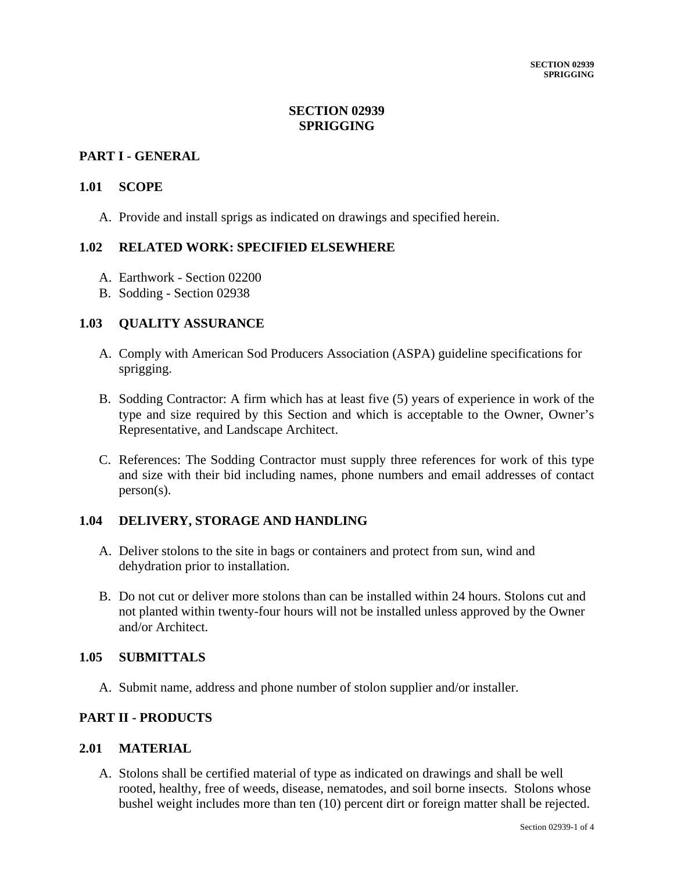# **SECTION 02939 SPRIGGING**

# **PART I - GENERAL**

### **1.01 SCOPE**

A. Provide and install sprigs as indicated on drawings and specified herein.

# **1.02 RELATED WORK: SPECIFIED ELSEWHERE**

- A. Earthwork Section 02200
- B. Sodding Section 02938

### **1.03 QUALITY ASSURANCE**

- A. Comply with American Sod Producers Association (ASPA) guideline specifications for sprigging.
- B. Sodding Contractor: A firm which has at least five (5) years of experience in work of the type and size required by this Section and which is acceptable to the Owner, Owner's Representative, and Landscape Architect.
- C. References: The Sodding Contractor must supply three references for work of this type and size with their bid including names, phone numbers and email addresses of contact person(s).

# **1.04 DELIVERY, STORAGE AND HANDLING**

- A. Deliver stolons to the site in bags or containers and protect from sun, wind and dehydration prior to installation.
- B. Do not cut or deliver more stolons than can be installed within 24 hours. Stolons cut and not planted within twenty-four hours will not be installed unless approved by the Owner and/or Architect.

#### **1.05 SUBMITTALS**

A. Submit name, address and phone number of stolon supplier and/or installer.

# **PART II - PRODUCTS**

#### **2.01 MATERIAL**

A. Stolons shall be certified material of type as indicated on drawings and shall be well rooted, healthy, free of weeds, disease, nematodes, and soil borne insects. Stolons whose bushel weight includes more than ten (10) percent dirt or foreign matter shall be rejected.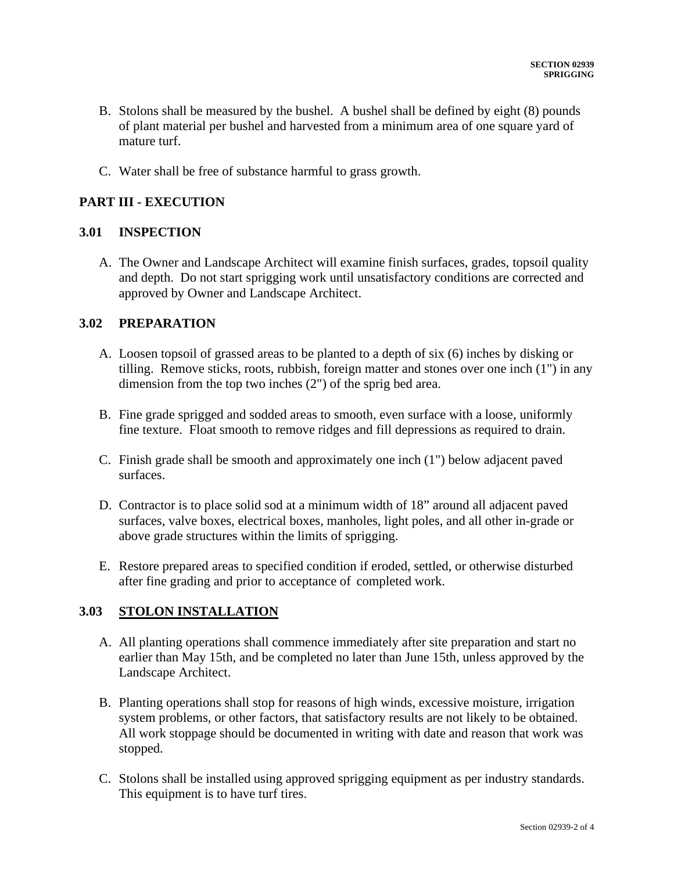- B. Stolons shall be measured by the bushel. A bushel shall be defined by eight (8) pounds of plant material per bushel and harvested from a minimum area of one square yard of mature turf.
- C. Water shall be free of substance harmful to grass growth.

# **PART III - EXECUTION**

### **3.01 INSPECTION**

A. The Owner and Landscape Architect will examine finish surfaces, grades, topsoil quality and depth. Do not start sprigging work until unsatisfactory conditions are corrected and approved by Owner and Landscape Architect.

# **3.02 PREPARATION**

- A. Loosen topsoil of grassed areas to be planted to a depth of six (6) inches by disking or tilling. Remove sticks, roots, rubbish, foreign matter and stones over one inch (1") in any dimension from the top two inches (2") of the sprig bed area.
- B. Fine grade sprigged and sodded areas to smooth, even surface with a loose, uniformly fine texture. Float smooth to remove ridges and fill depressions as required to drain.
- C. Finish grade shall be smooth and approximately one inch (1") below adjacent paved surfaces.
- D. Contractor is to place solid sod at a minimum width of 18" around all adjacent paved surfaces, valve boxes, electrical boxes, manholes, light poles, and all other in-grade or above grade structures within the limits of sprigging.
- E. Restore prepared areas to specified condition if eroded, settled, or otherwise disturbed after fine grading and prior to acceptance of completed work.

# **3.03 STOLON INSTALLATION**

- A. All planting operations shall commence immediately after site preparation and start no earlier than May 15th, and be completed no later than June 15th, unless approved by the Landscape Architect.
- B. Planting operations shall stop for reasons of high winds, excessive moisture, irrigation system problems, or other factors, that satisfactory results are not likely to be obtained. All work stoppage should be documented in writing with date and reason that work was stopped.
- C. Stolons shall be installed using approved sprigging equipment as per industry standards. This equipment is to have turf tires.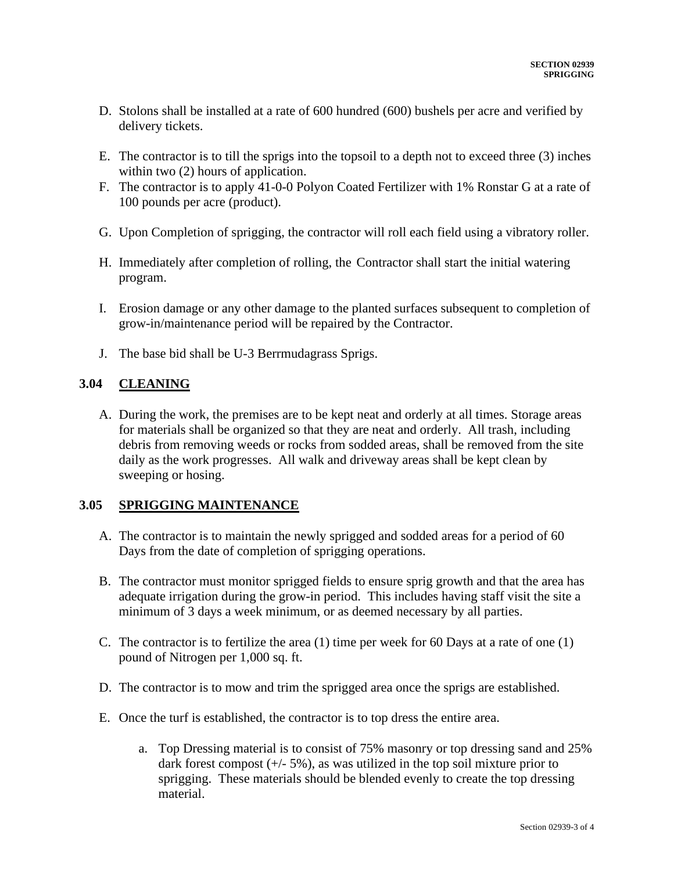- D. Stolons shall be installed at a rate of 600 hundred (600) bushels per acre and verified by delivery tickets.
- E. The contractor is to till the sprigs into the topsoil to a depth not to exceed three (3) inches within two  $(2)$  hours of application.
- F. The contractor is to apply 41-0-0 Polyon Coated Fertilizer with 1% Ronstar G at a rate of 100 pounds per acre (product).
- G. Upon Completion of sprigging, the contractor will roll each field using a vibratory roller.
- H. Immediately after completion of rolling, the Contractor shall start the initial watering program.
- I. Erosion damage or any other damage to the planted surfaces subsequent to completion of grow-in/maintenance period will be repaired by the Contractor.
- J. The base bid shall be U-3 Berrmudagrass Sprigs.

# **3.04 CLEANING**

A. During the work, the premises are to be kept neat and orderly at all times. Storage areas for materials shall be organized so that they are neat and orderly. All trash, including debris from removing weeds or rocks from sodded areas, shall be removed from the site daily as the work progresses. All walk and driveway areas shall be kept clean by sweeping or hosing.

# **3.05 SPRIGGING MAINTENANCE**

- A. The contractor is to maintain the newly sprigged and sodded areas for a period of 60 Days from the date of completion of sprigging operations.
- B. The contractor must monitor sprigged fields to ensure sprig growth and that the area has adequate irrigation during the grow-in period. This includes having staff visit the site a minimum of 3 days a week minimum, or as deemed necessary by all parties.
- C. The contractor is to fertilize the area (1) time per week for 60 Days at a rate of one (1) pound of Nitrogen per 1,000 sq. ft.
- D. The contractor is to mow and trim the sprigged area once the sprigs are established.
- E. Once the turf is established, the contractor is to top dress the entire area.
	- a. Top Dressing material is to consist of 75% masonry or top dressing sand and 25% dark forest compost  $(+/- 5\%)$ , as was utilized in the top soil mixture prior to sprigging. These materials should be blended evenly to create the top dressing material.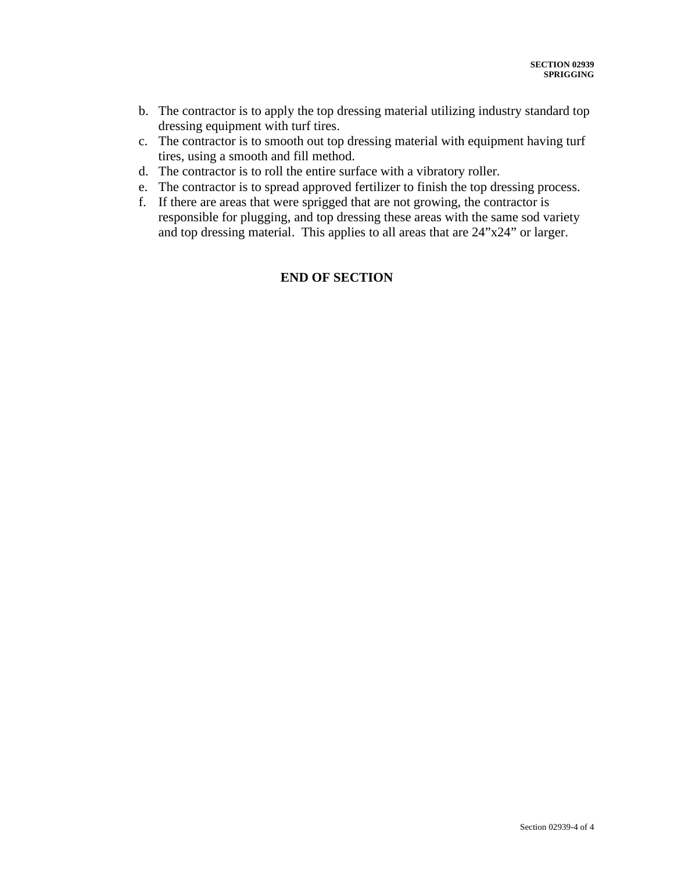- b. The contractor is to apply the top dressing material utilizing industry standard top dressing equipment with turf tires.
- c. The contractor is to smooth out top dressing material with equipment having turf tires, using a smooth and fill method.
- d. The contractor is to roll the entire surface with a vibratory roller.
- e. The contractor is to spread approved fertilizer to finish the top dressing process.
- f. If there are areas that were sprigged that are not growing, the contractor is responsible for plugging, and top dressing these areas with the same sod variety and top dressing material. This applies to all areas that are 24"x24" or larger.

# **END OF SECTION**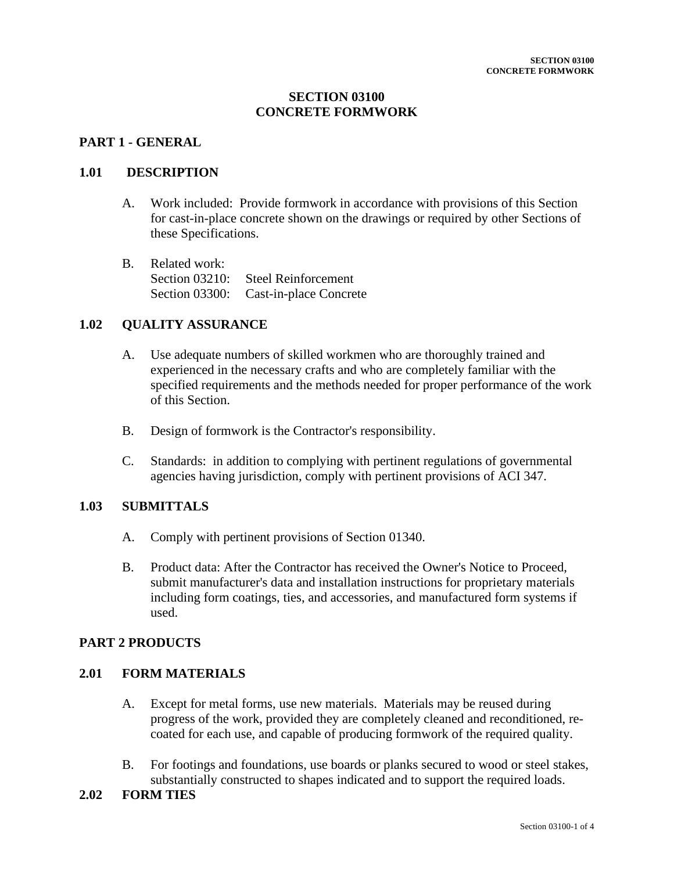# **SECTION 03100 CONCRETE FORMWORK**

### **PART 1 - GENERAL**

### **1.01 DESCRIPTION**

- A. Work included: Provide formwork in accordance with provisions of this Section for cast-in-place concrete shown on the drawings or required by other Sections of these Specifications.
- B. Related work: Section 03210: Steel Reinforcement Section 03300: Cast-in-place Concrete

## **1.02 QUALITY ASSURANCE**

- A. Use adequate numbers of skilled workmen who are thoroughly trained and experienced in the necessary crafts and who are completely familiar with the specified requirements and the methods needed for proper performance of the work of this Section.
- B. Design of formwork is the Contractor's responsibility.
- C. Standards: in addition to complying with pertinent regulations of governmental agencies having jurisdiction, comply with pertinent provisions of ACI 347.

#### **1.03 SUBMITTALS**

- A. Comply with pertinent provisions of Section 01340.
- B. Product data: After the Contractor has received the Owner's Notice to Proceed, submit manufacturer's data and installation instructions for proprietary materials including form coatings, ties, and accessories, and manufactured form systems if used.

### **PART 2 PRODUCTS**

### **2.01 FORM MATERIALS**

- A. Except for metal forms, use new materials. Materials may be reused during progress of the work, provided they are completely cleaned and reconditioned, recoated for each use, and capable of producing formwork of the required quality.
- B. For footings and foundations, use boards or planks secured to wood or steel stakes, substantially constructed to shapes indicated and to support the required loads.

### **2.02 FORM TIES**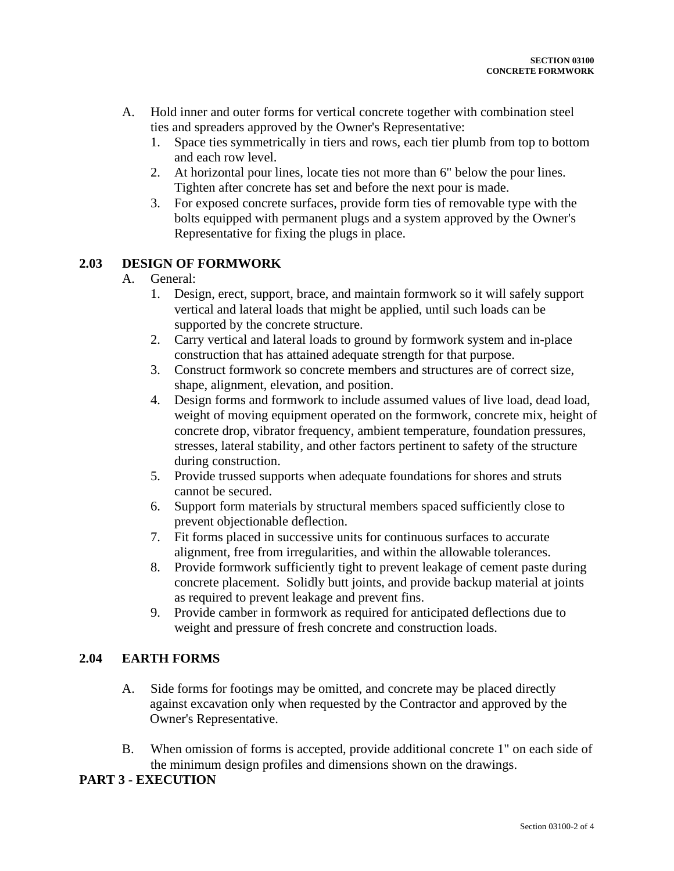- A. Hold inner and outer forms for vertical concrete together with combination steel ties and spreaders approved by the Owner's Representative:
	- 1. Space ties symmetrically in tiers and rows, each tier plumb from top to bottom and each row level.
	- 2. At horizontal pour lines, locate ties not more than 6" below the pour lines. Tighten after concrete has set and before the next pour is made.
	- 3. For exposed concrete surfaces, provide form ties of removable type with the bolts equipped with permanent plugs and a system approved by the Owner's Representative for fixing the plugs in place.

# **2.03 DESIGN OF FORMWORK**

- A. General:
	- 1. Design, erect, support, brace, and maintain formwork so it will safely support vertical and lateral loads that might be applied, until such loads can be supported by the concrete structure.
	- 2. Carry vertical and lateral loads to ground by formwork system and in-place construction that has attained adequate strength for that purpose.
	- 3. Construct formwork so concrete members and structures are of correct size, shape, alignment, elevation, and position.
	- 4. Design forms and formwork to include assumed values of live load, dead load, weight of moving equipment operated on the formwork, concrete mix, height of concrete drop, vibrator frequency, ambient temperature, foundation pressures, stresses, lateral stability, and other factors pertinent to safety of the structure during construction.
	- 5. Provide trussed supports when adequate foundations for shores and struts cannot be secured.
	- 6. Support form materials by structural members spaced sufficiently close to prevent objectionable deflection.
	- 7. Fit forms placed in successive units for continuous surfaces to accurate alignment, free from irregularities, and within the allowable tolerances.
	- 8. Provide formwork sufficiently tight to prevent leakage of cement paste during concrete placement. Solidly butt joints, and provide backup material at joints as required to prevent leakage and prevent fins.
	- 9. Provide camber in formwork as required for anticipated deflections due to weight and pressure of fresh concrete and construction loads.

# **2.04 EARTH FORMS**

- A. Side forms for footings may be omitted, and concrete may be placed directly against excavation only when requested by the Contractor and approved by the Owner's Representative.
- B. When omission of forms is accepted, provide additional concrete 1" on each side of the minimum design profiles and dimensions shown on the drawings.

# **PART 3 - EXECUTION**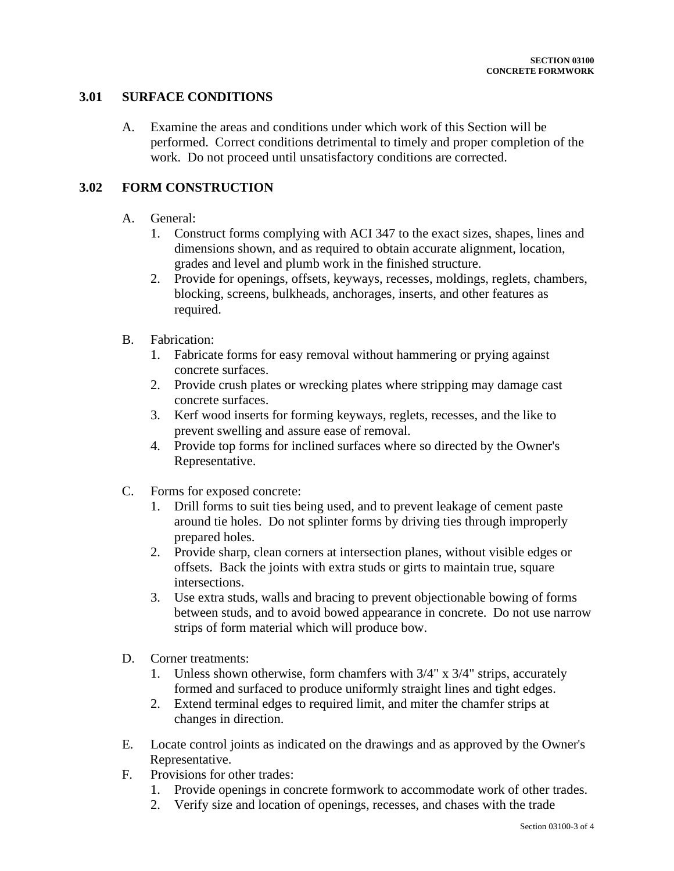# **3.01 SURFACE CONDITIONS**

A. Examine the areas and conditions under which work of this Section will be performed. Correct conditions detrimental to timely and proper completion of the work. Do not proceed until unsatisfactory conditions are corrected.

# **3.02 FORM CONSTRUCTION**

- A. General:
	- 1. Construct forms complying with ACI 347 to the exact sizes, shapes, lines and dimensions shown, and as required to obtain accurate alignment, location, grades and level and plumb work in the finished structure.
	- 2. Provide for openings, offsets, keyways, recesses, moldings, reglets, chambers, blocking, screens, bulkheads, anchorages, inserts, and other features as required.
- B. Fabrication:
	- 1. Fabricate forms for easy removal without hammering or prying against concrete surfaces.
	- 2. Provide crush plates or wrecking plates where stripping may damage cast concrete surfaces.
	- 3. Kerf wood inserts for forming keyways, reglets, recesses, and the like to prevent swelling and assure ease of removal.
	- 4. Provide top forms for inclined surfaces where so directed by the Owner's Representative.
- C. Forms for exposed concrete:
	- 1. Drill forms to suit ties being used, and to prevent leakage of cement paste around tie holes. Do not splinter forms by driving ties through improperly prepared holes.
	- 2. Provide sharp, clean corners at intersection planes, without visible edges or offsets. Back the joints with extra studs or girts to maintain true, square intersections.
	- 3. Use extra studs, walls and bracing to prevent objectionable bowing of forms between studs, and to avoid bowed appearance in concrete. Do not use narrow strips of form material which will produce bow.
- D. Corner treatments:
	- 1. Unless shown otherwise, form chamfers with 3/4" x 3/4" strips, accurately formed and surfaced to produce uniformly straight lines and tight edges.
	- 2. Extend terminal edges to required limit, and miter the chamfer strips at changes in direction.
- E. Locate control joints as indicated on the drawings and as approved by the Owner's Representative.
- F. Provisions for other trades:
	- 1. Provide openings in concrete formwork to accommodate work of other trades.
	- 2. Verify size and location of openings, recesses, and chases with the trade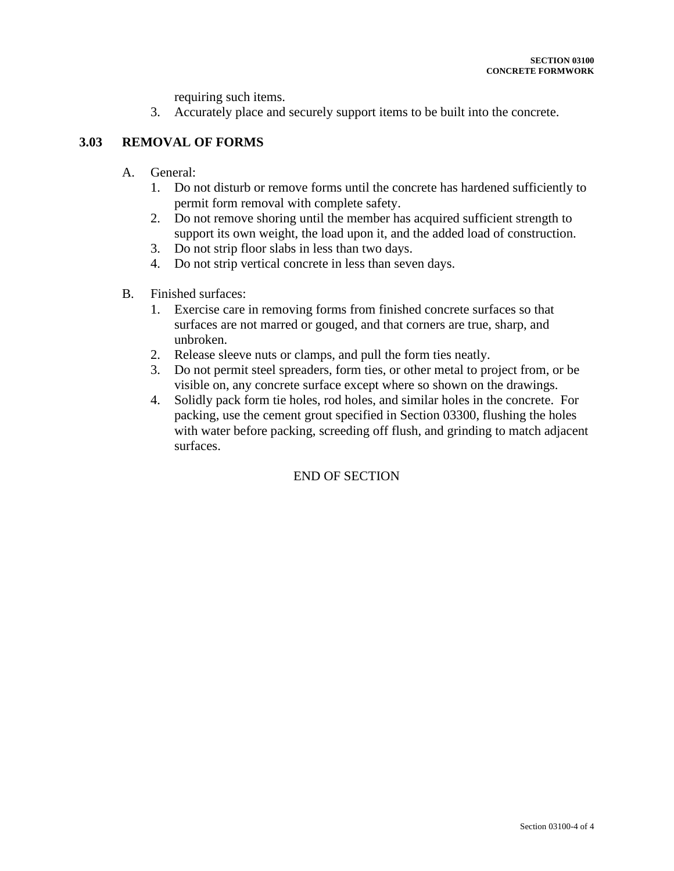requiring such items.

3. Accurately place and securely support items to be built into the concrete.

# **3.03 REMOVAL OF FORMS**

- A. General:
	- 1. Do not disturb or remove forms until the concrete has hardened sufficiently to permit form removal with complete safety.
	- 2. Do not remove shoring until the member has acquired sufficient strength to support its own weight, the load upon it, and the added load of construction.
	- 3. Do not strip floor slabs in less than two days.
	- 4. Do not strip vertical concrete in less than seven days.
- B. Finished surfaces:
	- 1. Exercise care in removing forms from finished concrete surfaces so that surfaces are not marred or gouged, and that corners are true, sharp, and unbroken.
	- 2. Release sleeve nuts or clamps, and pull the form ties neatly.
	- 3. Do not permit steel spreaders, form ties, or other metal to project from, or be visible on, any concrete surface except where so shown on the drawings.
	- 4. Solidly pack form tie holes, rod holes, and similar holes in the concrete. For packing, use the cement grout specified in Section 03300, flushing the holes with water before packing, screeding off flush, and grinding to match adjacent surfaces.

# END OF SECTION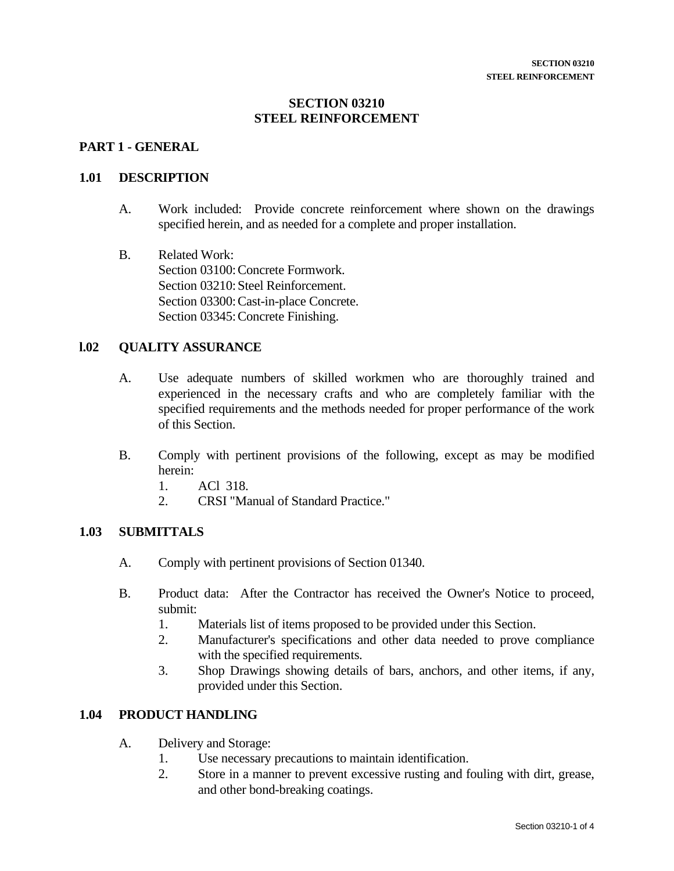# **SECTION 03210 STEEL REINFORCEMENT**

# **PART 1 - GENERAL**

### **1.01 DESCRIPTION**

- A. Work included: Provide concrete reinforcement where shown on the drawings specified herein, and as needed for a complete and proper installation.
- B. Related Work: Section 03100: Concrete Formwork. Section 03210: Steel Reinforcement. Section 03300: Cast-in-place Concrete. Section 03345: Concrete Finishing.

### **l.02 QUALITY ASSURANCE**

- A. Use adequate numbers of skilled workmen who are thoroughly trained and experienced in the necessary crafts and who are completely familiar with the specified requirements and the methods needed for proper performance of the work of this Section.
- B. Comply with pertinent provisions of the following, except as may be modified herein:
	- 1. ACl 318.
	- 2. CRSI "Manual of Standard Practice."

# **1.03 SUBMITTALS**

- A. Comply with pertinent provisions of Section 01340.
- B. Product data: After the Contractor has received the Owner's Notice to proceed, submit:
	- 1. Materials list of items proposed to be provided under this Section.
	- 2. Manufacturer's specifications and other data needed to prove compliance with the specified requirements.
	- 3. Shop Drawings showing details of bars, anchors, and other items, if any, provided under this Section.

# **1.04 PRODUCT HANDLING**

- A. Delivery and Storage:
	- 1. Use necessary precautions to maintain identification.
	- 2. Store in a manner to prevent excessive rusting and fouling with dirt, grease, and other bond-breaking coatings.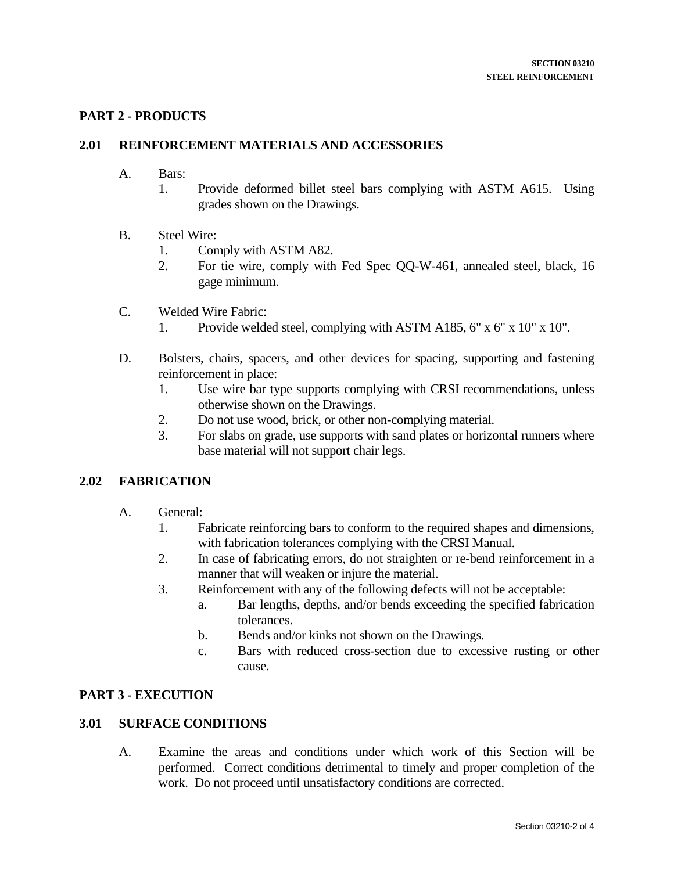# **PART 2 - PRODUCTS**

# **2.01 REINFORCEMENT MATERIALS AND ACCESSORIES**

- A. Bars:
	- 1. Provide deformed billet steel bars complying with ASTM A615. Using grades shown on the Drawings.
- B. Steel Wire:
	- 1. Comply with ASTM A82.
	- 2. For tie wire, comply with Fed Spec QQ-W-461, annealed steel, black, 16 gage minimum.
- C. Welded Wire Fabric:
	- 1. Provide welded steel, complying with ASTM A185, 6" x 6" x 10" x 10".
- D. Bolsters, chairs, spacers, and other devices for spacing, supporting and fastening reinforcement in place:
	- 1. Use wire bar type supports complying with CRSI recommendations, unless otherwise shown on the Drawings.
	- 2. Do not use wood, brick, or other non-complying material.
	- 3. For slabs on grade, use supports with sand plates or horizontal runners where base material will not support chair legs.

### **2.02 FABRICATION**

- A. General:
	- 1. Fabricate reinforcing bars to conform to the required shapes and dimensions, with fabrication tolerances complying with the CRSI Manual.
	- 2. In case of fabricating errors, do not straighten or re-bend reinforcement in a manner that will weaken or injure the material.
	- 3. Reinforcement with any of the following defects will not be acceptable:
		- a. Bar lengths, depths, and/or bends exceeding the specified fabrication tolerances.
		- b. Bends and/or kinks not shown on the Drawings.
		- c. Bars with reduced cross-section due to excessive rusting or other cause.

# **PART 3 - EXECUTION**

#### **3.01 SURFACE CONDITIONS**

A. Examine the areas and conditions under which work of this Section will be performed. Correct conditions detrimental to timely and proper completion of the work. Do not proceed until unsatisfactory conditions are corrected.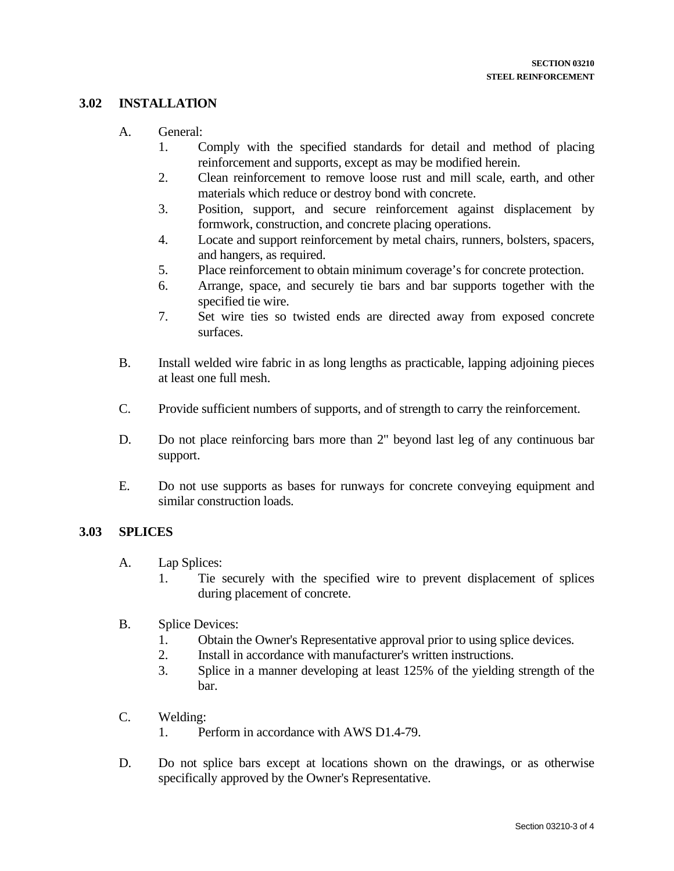# **3.02 INSTALLATlON**

### A. General:

- 1. Comply with the specified standards for detail and method of placing reinforcement and supports, except as may be modified herein.
- 2. Clean reinforcement to remove loose rust and mill scale, earth, and other materials which reduce or destroy bond with concrete.
- 3. Position, support, and secure reinforcement against displacement by formwork, construction, and concrete placing operations.
- 4. Locate and support reinforcement by metal chairs, runners, bolsters, spacers, and hangers, as required.
- 5. Place reinforcement to obtain minimum coverage's for concrete protection.
- 6. Arrange, space, and securely tie bars and bar supports together with the specified tie wire.
- 7. Set wire ties so twisted ends are directed away from exposed concrete surfaces.
- B. Install welded wire fabric in as long lengths as practicable, lapping adjoining pieces at least one full mesh.
- C. Provide sufficient numbers of supports, and of strength to carry the reinforcement.
- D. Do not place reinforcing bars more than 2" beyond last leg of any continuous bar support.
- E. Do not use supports as bases for runways for concrete conveying equipment and similar construction loads.

# **3.03 SPLICES**

- A. Lap Splices:
	- 1. Tie securely with the specified wire to prevent displacement of splices during placement of concrete.
- B. Splice Devices:
	- 1. Obtain the Owner's Representative approval prior to using splice devices.
	- 2. Install in accordance with manufacturer's written instructions.
	- 3. Splice in a manner developing at least 125% of the yielding strength of the bar.
- C. Welding:
	- 1. Perform in accordance with AWS D1.4-79.
- D. Do not splice bars except at locations shown on the drawings, or as otherwise specifically approved by the Owner's Representative.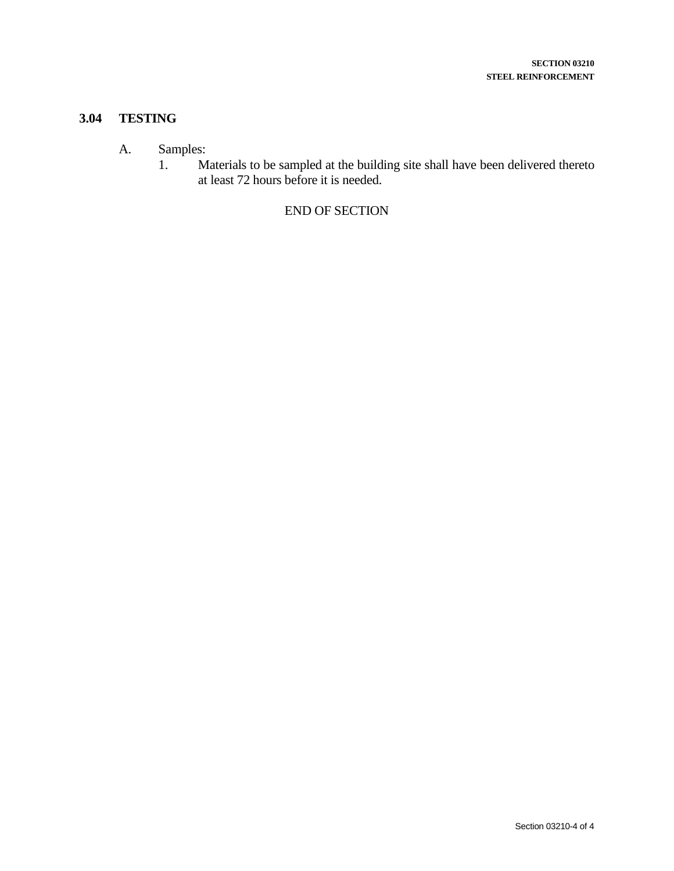### **3.04 TESTING**

- A. Samples:<br>1. M
	- 1. Materials to be sampled at the building site shall have been delivered thereto at least 72 hours before it is needed.

# END OF SECTION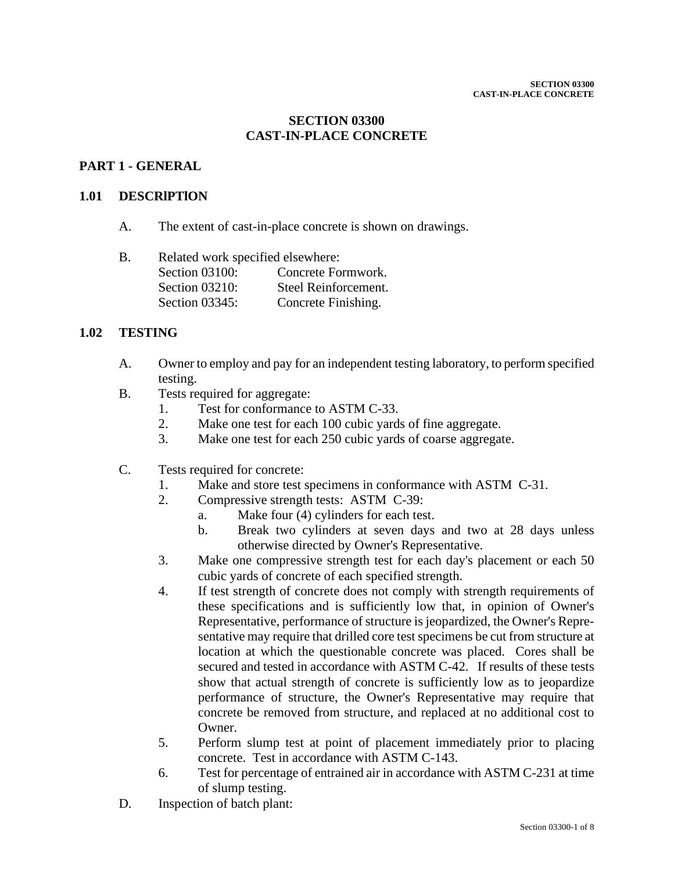# **SECTION 03300 CAST-IN-PLACE CONCRETE**

# **PART 1 - GENERAL**

# **1.01 DESCRlPTlON**

A. The extent of cast-in-place concrete is shown on drawings.

| B. | Related work specified elsewhere: |                      |
|----|-----------------------------------|----------------------|
|    | Section 03100:                    | Concrete Formwork.   |
|    | Section 03210:                    | Steel Reinforcement. |
|    | Section 03345:                    | Concrete Finishing.  |

# **1.02 TESTING**

- A. Owner to employ and pay for an independent testing laboratory, to perform specified testing.
- B. Tests required for aggregate:
	- 1. Test for conformance to ASTM C-33.
	- 2. Make one test for each 100 cubic yards of fine aggregate.
	- 3. Make one test for each 250 cubic yards of coarse aggregate.
- C. Tests required for concrete:
	- 1. Make and store test specimens in conformance with ASTM C-31.
	- 2. Compressive strength tests: ASTM C-39:
		- a. Make four (4) cylinders for each test.
		- b. Break two cylinders at seven days and two at 28 days unless otherwise directed by Owner's Representative.
	- 3. Make one compressive strength test for each day's placement or each 50 cubic yards of concrete of each specified strength.
	- 4. If test strength of concrete does not comply with strength requirements of these specifications and is sufficiently low that, in opinion of Owner's Representative, performance of structure is jeopardized, the Owner's Representative may require that drilled core test specimens be cut from structure at location at which the questionable concrete was placed. Cores shall be secured and tested in accordance with ASTM C-42. If results of these tests show that actual strength of concrete is sufficiently low as to jeopardize performance of structure, the Owner's Representative may require that concrete be removed from structure, and replaced at no additional cost to Owner.
	- 5. Perform slump test at point of placement immediately prior to placing concrete. Test in accordance with ASTM C-143.
	- 6. Test for percentage of entrained air in accordance with ASTM C-231 at time of slump testing.
- D. Inspection of batch plant: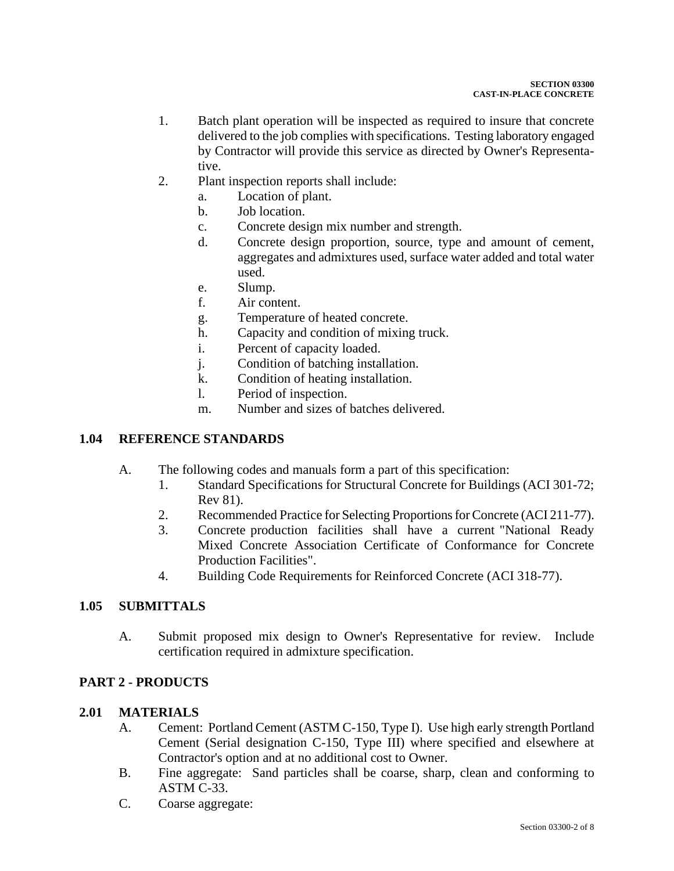- 1. Batch plant operation will be inspected as required to insure that concrete delivered to the job complies with specifications. Testing laboratory engaged by Contractor will provide this service as directed by Owner's Representative.
- 2. Plant inspection reports shall include:
	- a. Location of plant.
	- b. Job location.
	- c. Concrete design mix number and strength.
	- d. Concrete design proportion, source, type and amount of cement, aggregates and admixtures used, surface water added and total water used.
	- e. Slump.
	- f. Air content.
	- g. Temperature of heated concrete.
	- h. Capacity and condition of mixing truck.
	- i. Percent of capacity loaded.
	- j. Condition of batching installation.
	- k. Condition of heating installation.
	- l. Period of inspection.
	- m. Number and sizes of batches delivered.

# **1.04 REFERENCE STANDARDS**

- A. The following codes and manuals form a part of this specification:
	- 1. Standard Specifications for Structural Concrete for Buildings (ACI 301-72; Rev 81).
	- 2. Recommended Practice for Selecting Proportions for Concrete (ACI 211-77).
	- 3. Concrete production facilities shall have a current "National Ready Mixed Concrete Association Certificate of Conformance for Concrete Production Facilities".
	- 4. Building Code Requirements for Reinforced Concrete (ACI 318-77).

# **1.05 SUBMITTALS**

A. Submit proposed mix design to Owner's Representative for review. Include certification required in admixture specification.

# **PART 2 - PRODUCTS**

# **2.01 MATERIALS**

- A. Cement: Portland Cement (ASTM C-150, Type I). Use high early strength Portland Cement (Serial designation C-150, Type III) where specified and elsewhere at Contractor's option and at no additional cost to Owner.
- B. Fine aggregate: Sand particles shall be coarse, sharp, clean and conforming to ASTM C-33.
- C. Coarse aggregate: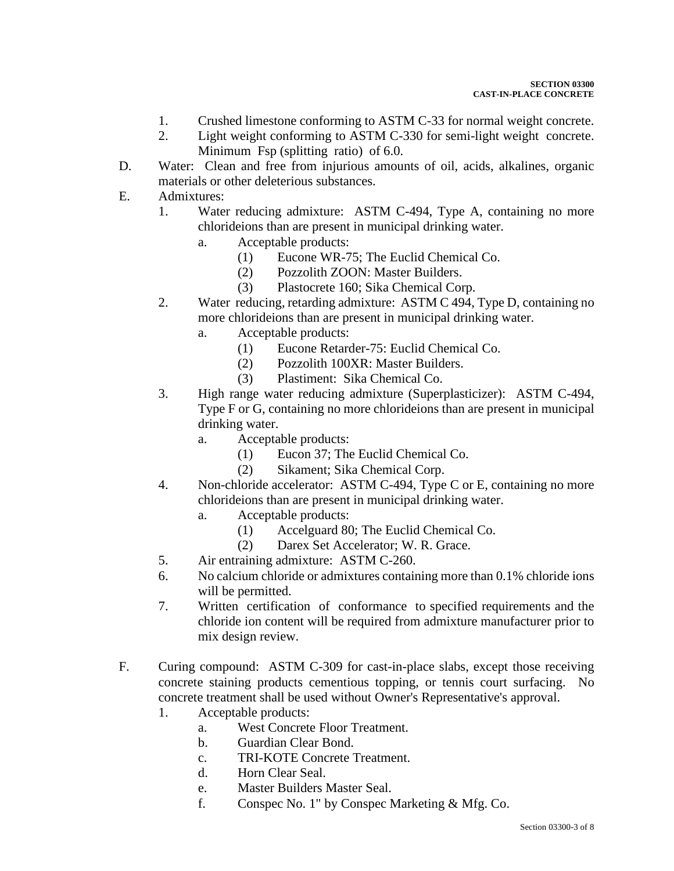- 1. Crushed limestone conforming to ASTM C-33 for normal weight concrete.
- 2. Light weight conforming to ASTM C-330 for semi-light weight concrete. Minimum Fsp (splitting ratio) of 6.0.
- D. Water: Clean and free from injurious amounts of oil, acids, alkalines, organic materials or other deleterious substances.
- E. Admixtures:
	- 1. Water reducing admixture: ASTM C-494, Type A, containing no more chlorideions than are present in municipal drinking water.
		- a. Acceptable products:
			- (1) Eucone WR-75; The Euclid Chemical Co.
			- (2) Pozzolith ZOON: Master Builders.
			- (3) Plastocrete 160; Sika Chemical Corp.
	- 2. Water reducing, retarding admixture: ASTM C 494, Type D, containing no more chlorideions than are present in municipal drinking water.
		- a. Acceptable products:
			- (1) Eucone Retarder-75: Euclid Chemical Co.
			- (2) Pozzolith 100XR: Master Builders.
			- (3) Plastiment: Sika Chemical Co.
	- 3. High range water reducing admixture (Superplasticizer): ASTM C-494, Type F or G, containing no more chlorideions than are present in municipal drinking water.
		- a. Acceptable products:
			- (1) Eucon 37; The Euclid Chemical Co.
			- (2) Sikament; Sika Chemical Corp.
	- 4. Non-chloride accelerator: ASTM C-494, Type C or E, containing no more chlorideions than are present in municipal drinking water.
		- a. Acceptable products:
			- (1) Accelguard 80; The Euclid Chemical Co.
			- (2) Darex Set Accelerator; W. R. Grace.
	- 5. Air entraining admixture: ASTM C-260.
	- 6. No calcium chloride or admixtures containing more than 0.1% chloride ions will be permitted.
	- 7. Written certification of conformance to specified requirements and the chloride ion content will be required from admixture manufacturer prior to mix design review.
- F. Curing compound: ASTM C-309 for cast-in-place slabs, except those receiving concrete staining products cementious topping, or tennis court surfacing. No concrete treatment shall be used without Owner's Representative's approval.
	- 1. Acceptable products:
		- a. West Concrete Floor Treatment.
		- b. Guardian Clear Bond.
		- c. TRI-KOTE Concrete Treatment.
		- d. Horn Clear Seal.
		- e. Master Builders Master Seal.
		- f. Conspec No. 1" by Conspec Marketing & Mfg. Co.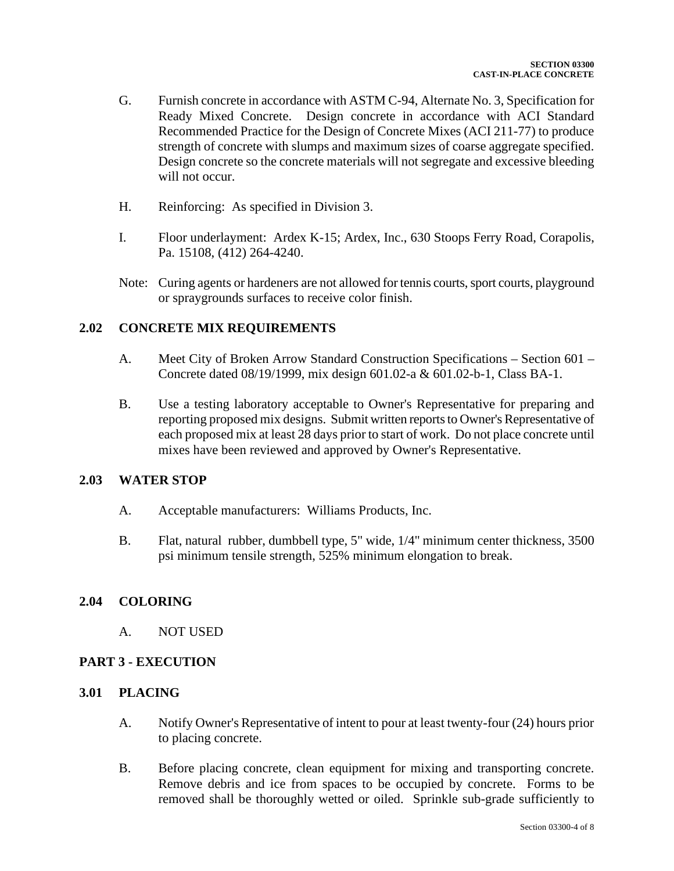- G. Furnish concrete in accordance with ASTM C-94, Alternate No. 3, Specification for Ready Mixed Concrete. Design concrete in accordance with ACI Standard Recommended Practice for the Design of Concrete Mixes (ACI 211-77) to produce strength of concrete with slumps and maximum sizes of coarse aggregate specified. Design concrete so the concrete materials will not segregate and excessive bleeding will not occur.
- H. Reinforcing: As specified in Division 3.
- I. Floor underlayment: Ardex K-15; Ardex, Inc., 630 Stoops Ferry Road, Corapolis, Pa. 15108, (412) 264-4240.
- Note: Curing agents or hardeners are not allowed for tennis courts, sport courts, playground or spraygrounds surfaces to receive color finish.

# **2.02 CONCRETE MIX REQUIREMENTS**

- A. Meet City of Broken Arrow Standard Construction Specifications Section 601 Concrete dated 08/19/1999, mix design 601.02-a & 601.02-b-1, Class BA-1.
- B. Use a testing laboratory acceptable to Owner's Representative for preparing and reporting proposed mix designs. Submit written reports to Owner's Representative of each proposed mix at least 28 days prior to start of work. Do not place concrete until mixes have been reviewed and approved by Owner's Representative.

## **2.03 WATER STOP**

- A. Acceptable manufacturers: Williams Products, Inc.
- B. Flat, natural rubber, dumbbell type, 5" wide, 1/4" minimum center thickness, 3500 psi minimum tensile strength, 525% minimum elongation to break.

## **2.04 COLORING**

A. NOT USED

# **PART 3 - EXECUTION**

## **3.01 PLACING**

- A. Notify Owner's Representative of intent to pour at least twenty-four (24) hours prior to placing concrete.
- B. Before placing concrete, clean equipment for mixing and transporting concrete. Remove debris and ice from spaces to be occupied by concrete. Forms to be removed shall be thoroughly wetted or oiled. Sprinkle sub-grade sufficiently to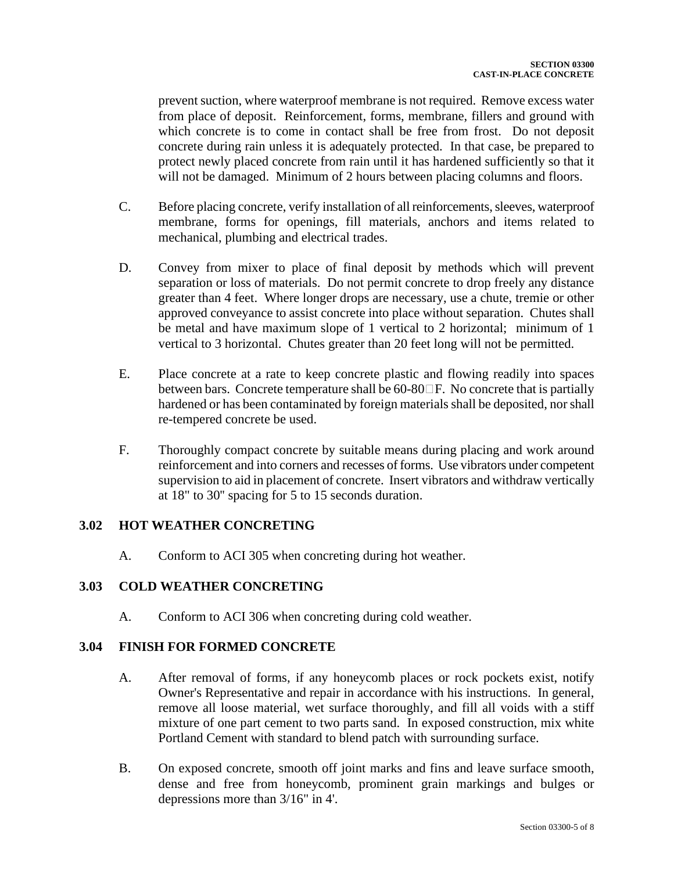prevent suction, where waterproof membrane is not required. Remove excess water from place of deposit. Reinforcement, forms, membrane, fillers and ground with which concrete is to come in contact shall be free from frost. Do not deposit concrete during rain unless it is adequately protected. In that case, be prepared to protect newly placed concrete from rain until it has hardened sufficiently so that it will not be damaged. Minimum of 2 hours between placing columns and floors.

- C. Before placing concrete, verify installation of all reinforcements, sleeves, waterproof membrane, forms for openings, fill materials, anchors and items related to mechanical, plumbing and electrical trades.
- D. Convey from mixer to place of final deposit by methods which will prevent separation or loss of materials. Do not permit concrete to drop freely any distance greater than 4 feet. Where longer drops are necessary, use a chute, tremie or other approved conveyance to assist concrete into place without separation. Chutes shall be metal and have maximum slope of 1 vertical to 2 horizontal; minimum of 1 vertical to 3 horizontal. Chutes greater than 20 feet long will not be permitted.
- E. Place concrete at a rate to keep concrete plastic and flowing readily into spaces between bars. Concrete temperature shall be  $60-80\degree F$ . No concrete that is partially hardened or has been contaminated by foreign materials shall be deposited, nor shall re-tempered concrete be used.
- F. Thoroughly compact concrete by suitable means during placing and work around reinforcement and into corners and recesses of forms. Use vibrators under competent supervision to aid in placement of concrete. Insert vibrators and withdraw vertically at 18" to 30'' spacing for 5 to 15 seconds duration.

# **3.02 HOT WEATHER CONCRETING**

A. Conform to ACI 305 when concreting during hot weather.

# **3.03 COLD WEATHER CONCRETING**

A. Conform to ACI 306 when concreting during cold weather.

# **3.04 FINISH FOR FORMED CONCRETE**

- A. After removal of forms, if any honeycomb places or rock pockets exist, notify Owner's Representative and repair in accordance with his instructions. In general, remove all loose material, wet surface thoroughly, and fill all voids with a stiff mixture of one part cement to two parts sand. In exposed construction, mix white Portland Cement with standard to blend patch with surrounding surface.
- B. On exposed concrete, smooth off joint marks and fins and leave surface smooth, dense and free from honeycomb, prominent grain markings and bulges or depressions more than 3/16" in 4'.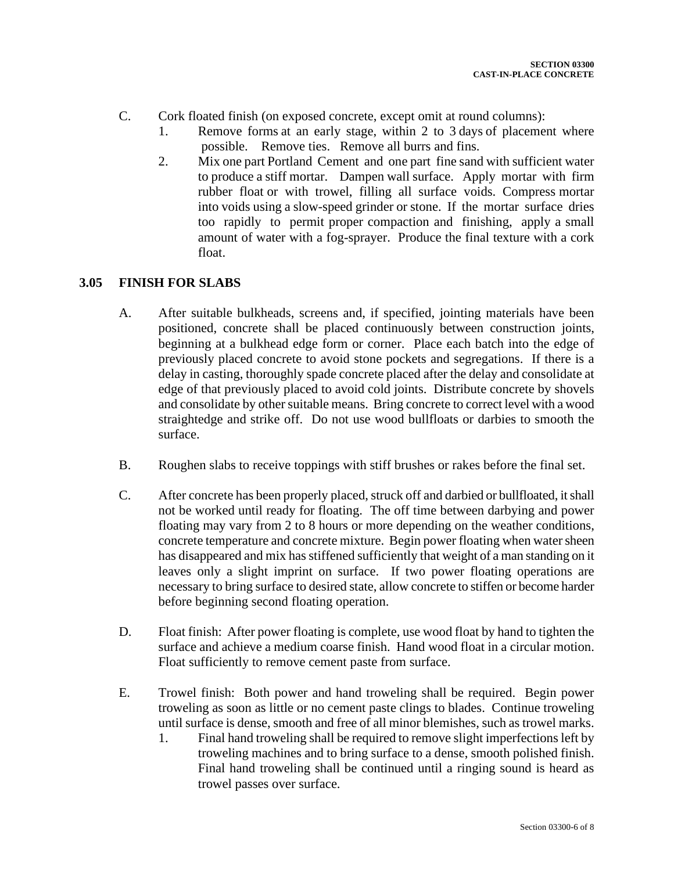- C. Cork floated finish (on exposed concrete, except omit at round columns):
	- 1. Remove forms at an early stage, within 2 to 3 days of placement where possible. Remove ties. Remove all burrs and fins.
	- 2. Mix one part Portland Cement and one part fine sand with sufficient water to produce a stiff mortar. Dampen wall surface. Apply mortar with firm rubber float or with trowel, filling all surface voids. Compress mortar into voids using a slow-speed grinder or stone. If the mortar surface dries too rapidly to permit proper compaction and finishing, apply a small amount of water with a fog-sprayer. Produce the final texture with a cork float.

# **3.05 FINISH FOR SLABS**

- A. After suitable bulkheads, screens and, if specified, jointing materials have been positioned, concrete shall be placed continuously between construction joints, beginning at a bulkhead edge form or corner. Place each batch into the edge of previously placed concrete to avoid stone pockets and segregations. If there is a delay in casting, thoroughly spade concrete placed after the delay and consolidate at edge of that previously placed to avoid cold joints. Distribute concrete by shovels and consolidate by other suitable means. Bring concrete to correct level with a wood straightedge and strike off. Do not use wood bullfloats or darbies to smooth the surface.
- B. Roughen slabs to receive toppings with stiff brushes or rakes before the final set.
- C. After concrete has been properly placed, struck off and darbied or bullfloated, it shall not be worked until ready for floating. The off time between darbying and power floating may vary from 2 to 8 hours or more depending on the weather conditions, concrete temperature and concrete mixture. Begin power floating when water sheen has disappeared and mix has stiffened sufficiently that weight of a man standing on it leaves only a slight imprint on surface. If two power floating operations are necessary to bring surface to desired state, allow concrete to stiffen or become harder before beginning second floating operation.
- D. Float finish: After power floating is complete, use wood float by hand to tighten the surface and achieve a medium coarse finish. Hand wood float in a circular motion. Float sufficiently to remove cement paste from surface.
- E. Trowel finish: Both power and hand troweling shall be required. Begin power troweling as soon as little or no cement paste clings to blades. Continue troweling until surface is dense, smooth and free of all minor blemishes, such as trowel marks.
	- 1. Final hand troweling shall be required to remove slight imperfections left by troweling machines and to bring surface to a dense, smooth polished finish. Final hand troweling shall be continued until a ringing sound is heard as trowel passes over surface.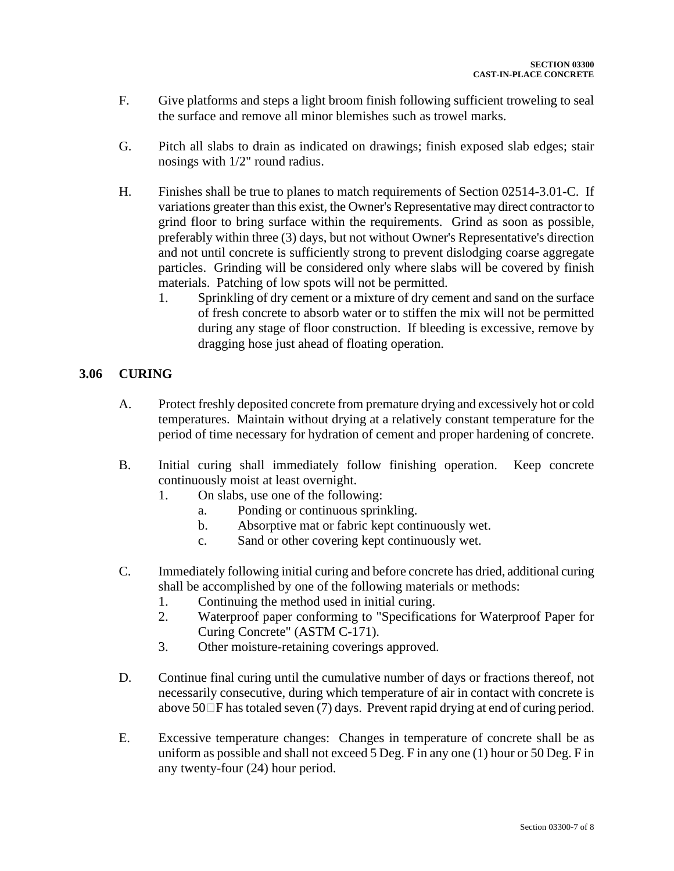- F. Give platforms and steps a light broom finish following sufficient troweling to seal the surface and remove all minor blemishes such as trowel marks.
- G. Pitch all slabs to drain as indicated on drawings; finish exposed slab edges; stair nosings with 1/2" round radius.
- H. Finishes shall be true to planes to match requirements of Section 02514-3.01-C. If variations greater than this exist, the Owner's Representative may direct contractor to grind floor to bring surface within the requirements. Grind as soon as possible, preferably within three (3) days, but not without Owner's Representative's direction and not until concrete is sufficiently strong to prevent dislodging coarse aggregate particles. Grinding will be considered only where slabs will be covered by finish materials. Patching of low spots will not be permitted.
	- 1. Sprinkling of dry cement or a mixture of dry cement and sand on the surface of fresh concrete to absorb water or to stiffen the mix will not be permitted during any stage of floor construction. If bleeding is excessive, remove by dragging hose just ahead of floating operation.

# **3.06 CURING**

- A. Protect freshly deposited concrete from premature drying and excessively hot or cold temperatures. Maintain without drying at a relatively constant temperature for the period of time necessary for hydration of cement and proper hardening of concrete.
- B. Initial curing shall immediately follow finishing operation. Keep concrete continuously moist at least overnight.
	- 1. On slabs, use one of the following:
		- a. Ponding or continuous sprinkling.
		- b. Absorptive mat or fabric kept continuously wet.
		- c. Sand or other covering kept continuously wet.
- C. Immediately following initial curing and before concrete has dried, additional curing shall be accomplished by one of the following materials or methods:
	- 1. Continuing the method used in initial curing.
	- 2. Waterproof paper conforming to "Specifications for Waterproof Paper for Curing Concrete" (ASTM C-171).
	- 3. Other moisture-retaining coverings approved.
- D. Continue final curing until the cumulative number of days or fractions thereof, not necessarily consecutive, during which temperature of air in contact with concrete is above  $50\Box F$  has totaled seven (7) days. Prevent rapid drying at end of curing period.
- E. Excessive temperature changes: Changes in temperature of concrete shall be as uniform as possible and shall not exceed 5 Deg. F in any one (1) hour or 50 Deg. F in any twenty-four (24) hour period.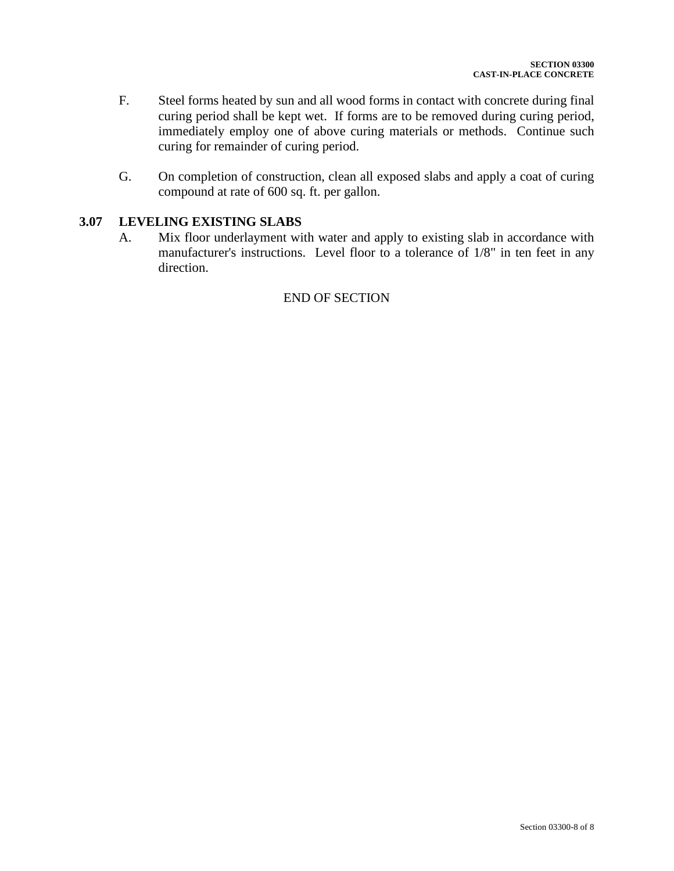- F. Steel forms heated by sun and all wood forms in contact with concrete during final curing period shall be kept wet. If forms are to be removed during curing period, immediately employ one of above curing materials or methods. Continue such curing for remainder of curing period.
- G. On completion of construction, clean all exposed slabs and apply a coat of curing compound at rate of 600 sq. ft. per gallon.

# **3.07 LEVELING EXISTING SLABS**

A. Mix floor underlayment with water and apply to existing slab in accordance with manufacturer's instructions. Level floor to a tolerance of 1/8" in ten feet in any direction.

# END OF SECTION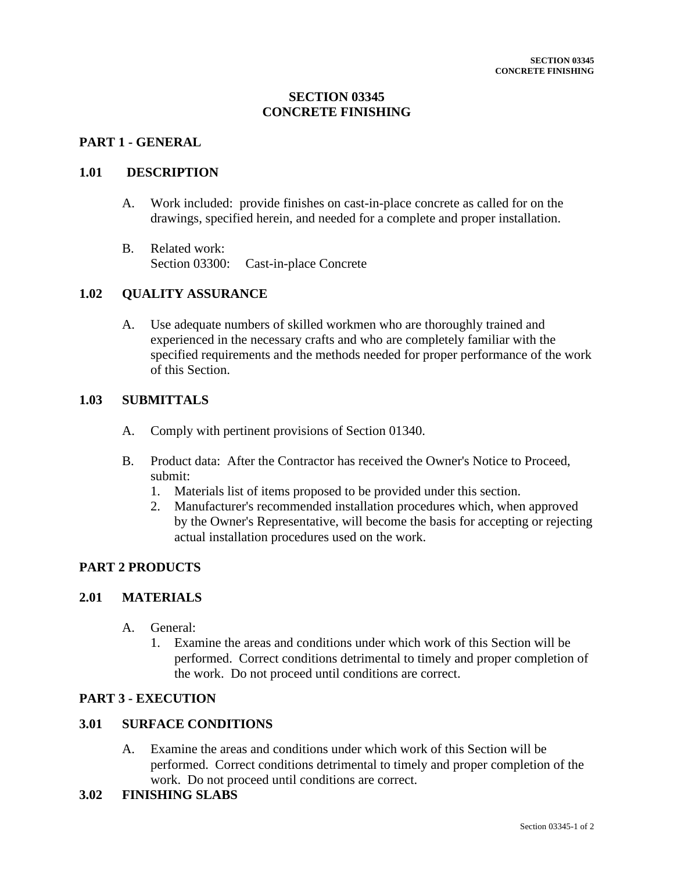# **SECTION 03345 CONCRETE FINISHING**

# **PART 1 - GENERAL**

# **1.01 DESCRIPTION**

- A. Work included: provide finishes on cast-in-place concrete as called for on the drawings, specified herein, and needed for a complete and proper installation.
- B. Related work: Section 03300: Cast-in-place Concrete

# **1.02 QUALITY ASSURANCE**

A. Use adequate numbers of skilled workmen who are thoroughly trained and experienced in the necessary crafts and who are completely familiar with the specified requirements and the methods needed for proper performance of the work of this Section.

# **1.03 SUBMITTALS**

- A. Comply with pertinent provisions of Section 01340.
- B. Product data: After the Contractor has received the Owner's Notice to Proceed, submit:
	- 1. Materials list of items proposed to be provided under this section.
	- 2. Manufacturer's recommended installation procedures which, when approved by the Owner's Representative, will become the basis for accepting or rejecting actual installation procedures used on the work.

# **PART 2 PRODUCTS**

## **2.01 MATERIALS**

- A. General:
	- 1. Examine the areas and conditions under which work of this Section will be performed. Correct conditions detrimental to timely and proper completion of the work. Do not proceed until conditions are correct.

# **PART 3 - EXECUTION**

## **3.01 SURFACE CONDITIONS**

- A. Examine the areas and conditions under which work of this Section will be performed. Correct conditions detrimental to timely and proper completion of the work. Do not proceed until conditions are correct.
- **3.02 FINISHING SLABS**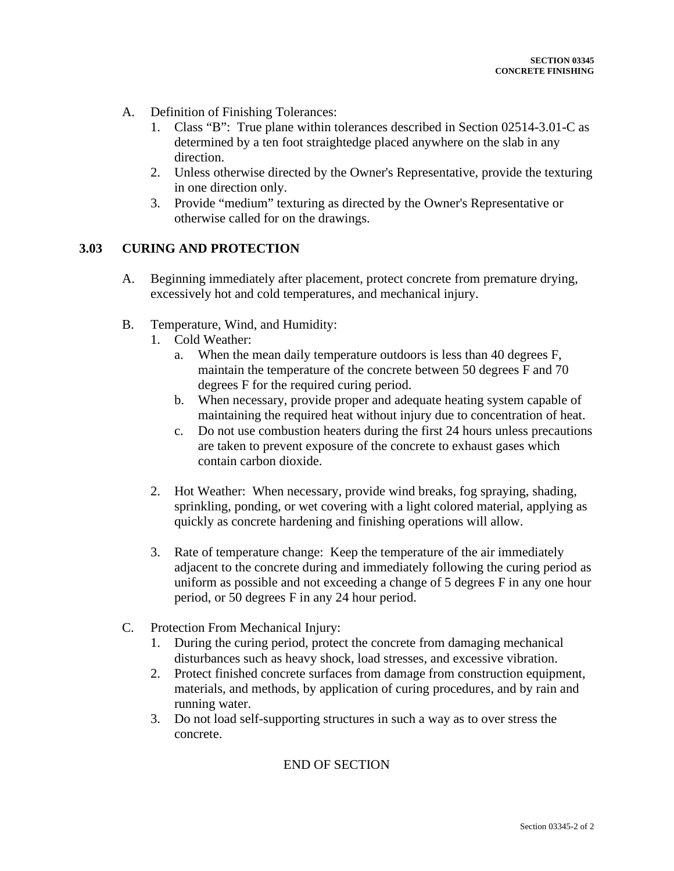- A. Definition of Finishing Tolerances:
	- 1. Class "B": True plane within tolerances described in Section 02514-3.01-C as determined by a ten foot straightedge placed anywhere on the slab in any direction.
	- 2. Unless otherwise directed by the Owner's Representative, provide the texturing in one direction only.
	- 3. Provide "medium" texturing as directed by the Owner's Representative or otherwise called for on the drawings.

# **3.03 CURING AND PROTECTION**

- A. Beginning immediately after placement, protect concrete from premature drying, excessively hot and cold temperatures, and mechanical injury.
- B. Temperature, Wind, and Humidity:
	- 1. Cold Weather:
		- a. When the mean daily temperature outdoors is less than 40 degrees F, maintain the temperature of the concrete between 50 degrees F and 70 degrees F for the required curing period.
		- b. When necessary, provide proper and adequate heating system capable of maintaining the required heat without injury due to concentration of heat.
		- c. Do not use combustion heaters during the first 24 hours unless precautions are taken to prevent exposure of the concrete to exhaust gases which contain carbon dioxide.
	- 2. Hot Weather: When necessary, provide wind breaks, fog spraying, shading, sprinkling, ponding, or wet covering with a light colored material, applying as quickly as concrete hardening and finishing operations will allow.
	- 3. Rate of temperature change: Keep the temperature of the air immediately adjacent to the concrete during and immediately following the curing period as uniform as possible and not exceeding a change of 5 degrees F in any one hour period, or 50 degrees F in any 24 hour period.
- C. Protection From Mechanical Injury:
	- 1. During the curing period, protect the concrete from damaging mechanical disturbances such as heavy shock, load stresses, and excessive vibration.
	- 2. Protect finished concrete surfaces from damage from construction equipment, materials, and methods, by application of curing procedures, and by rain and running water.
	- 3. Do not load self-supporting structures in such a way as to over stress the concrete.

# END OF SECTION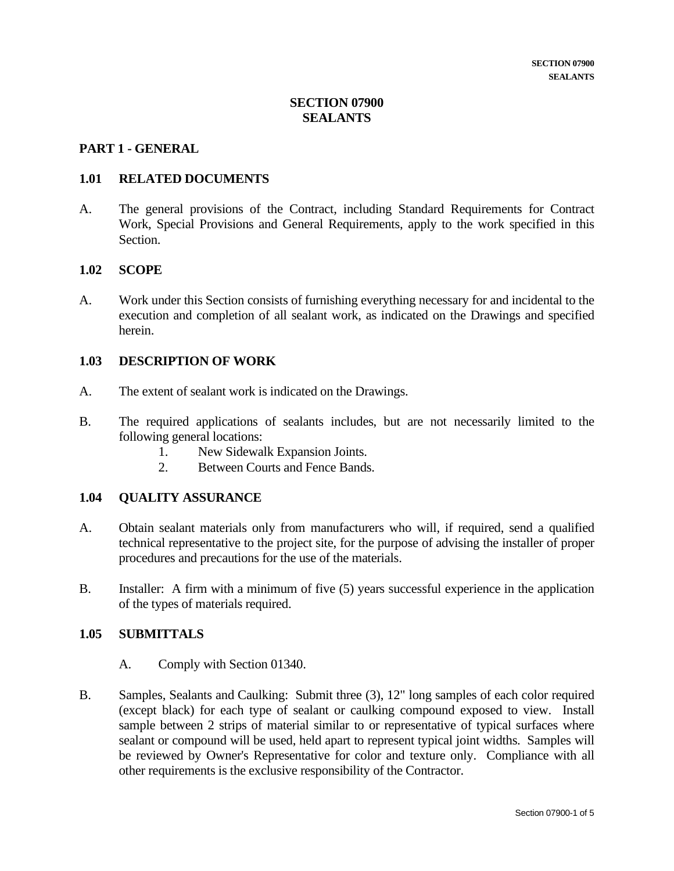# **SECTION 07900 SEALANTS**

# **PART 1 - GENERAL**

# **1.01 RELATED DOCUMENTS**

A. The general provisions of the Contract, including Standard Requirements for Contract Work, Special Provisions and General Requirements, apply to the work specified in this Section.

# **1.02 SCOPE**

A. Work under this Section consists of furnishing everything necessary for and incidental to the execution and completion of all sealant work, as indicated on the Drawings and specified herein.

## **1.03 DESCRIPTION OF WORK**

- A. The extent of sealant work is indicated on the Drawings.
- B. The required applications of sealants includes, but are not necessarily limited to the following general locations:
	- 1. New Sidewalk Expansion Joints.
	- 2. Between Courts and Fence Bands.

# **1.04 QUALITY ASSURANCE**

- A. Obtain sealant materials only from manufacturers who will, if required, send a qualified technical representative to the project site, for the purpose of advising the installer of proper procedures and precautions for the use of the materials.
- B. Installer: A firm with a minimum of five (5) years successful experience in the application of the types of materials required.

## **1.05 SUBMITTALS**

- A. Comply with Section 01340.
- B. Samples, Sealants and Caulking: Submit three (3), 12" long samples of each color required (except black) for each type of sealant or caulking compound exposed to view. Install sample between 2 strips of material similar to or representative of typical surfaces where sealant or compound will be used, held apart to represent typical joint widths. Samples will be reviewed by Owner's Representative for color and texture only. Compliance with all other requirements is the exclusive responsibility of the Contractor.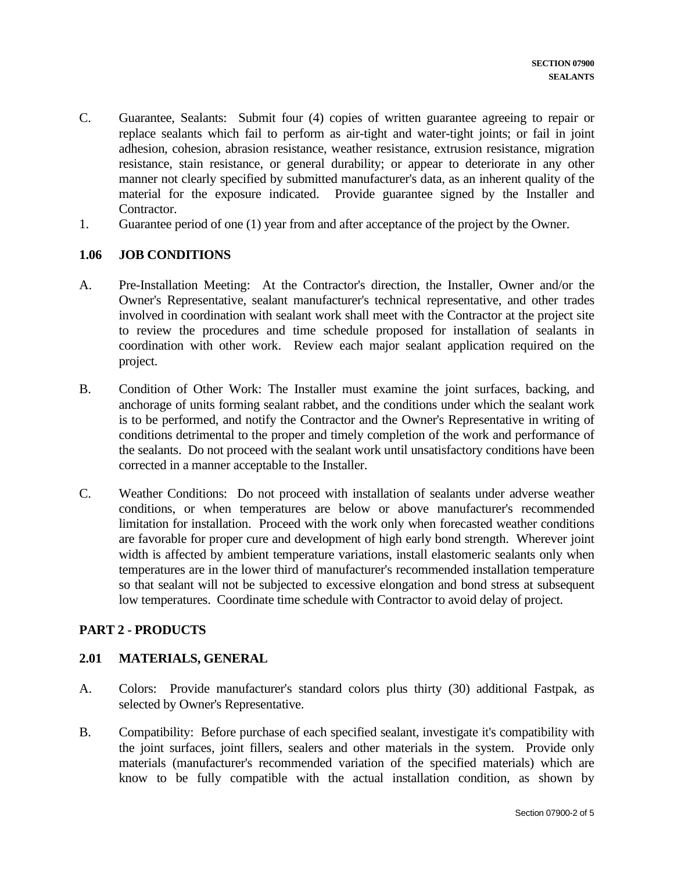- C. Guarantee, Sealants: Submit four (4) copies of written guarantee agreeing to repair or replace sealants which fail to perform as air-tight and water-tight joints; or fail in joint adhesion, cohesion, abrasion resistance, weather resistance, extrusion resistance, migration resistance, stain resistance, or general durability; or appear to deteriorate in any other manner not clearly specified by submitted manufacturer's data, as an inherent quality of the material for the exposure indicated. Provide guarantee signed by the Installer and Contractor.
- 1. Guarantee period of one (1) year from and after acceptance of the project by the Owner.

# **1.06 JOB CONDITIONS**

- A. Pre-Installation Meeting: At the Contractor's direction, the Installer, Owner and/or the Owner's Representative, sealant manufacturer's technical representative, and other trades involved in coordination with sealant work shall meet with the Contractor at the project site to review the procedures and time schedule proposed for installation of sealants in coordination with other work. Review each major sealant application required on the project.
- B. Condition of Other Work: The Installer must examine the joint surfaces, backing, and anchorage of units forming sealant rabbet, and the conditions under which the sealant work is to be performed, and notify the Contractor and the Owner's Representative in writing of conditions detrimental to the proper and timely completion of the work and performance of the sealants. Do not proceed with the sealant work until unsatisfactory conditions have been corrected in a manner acceptable to the Installer.
- C. Weather Conditions: Do not proceed with installation of sealants under adverse weather conditions, or when temperatures are below or above manufacturer's recommended limitation for installation. Proceed with the work only when forecasted weather conditions are favorable for proper cure and development of high early bond strength. Wherever joint width is affected by ambient temperature variations, install elastomeric sealants only when temperatures are in the lower third of manufacturer's recommended installation temperature so that sealant will not be subjected to excessive elongation and bond stress at subsequent low temperatures. Coordinate time schedule with Contractor to avoid delay of project.

# **PART 2 - PRODUCTS**

# **2.01 MATERIALS, GENERAL**

- A. Colors: Provide manufacturer's standard colors plus thirty (30) additional Fastpak, as selected by Owner's Representative.
- B. Compatibility: Before purchase of each specified sealant, investigate it's compatibility with the joint surfaces, joint fillers, sealers and other materials in the system. Provide only materials (manufacturer's recommended variation of the specified materials) which are know to be fully compatible with the actual installation condition, as shown by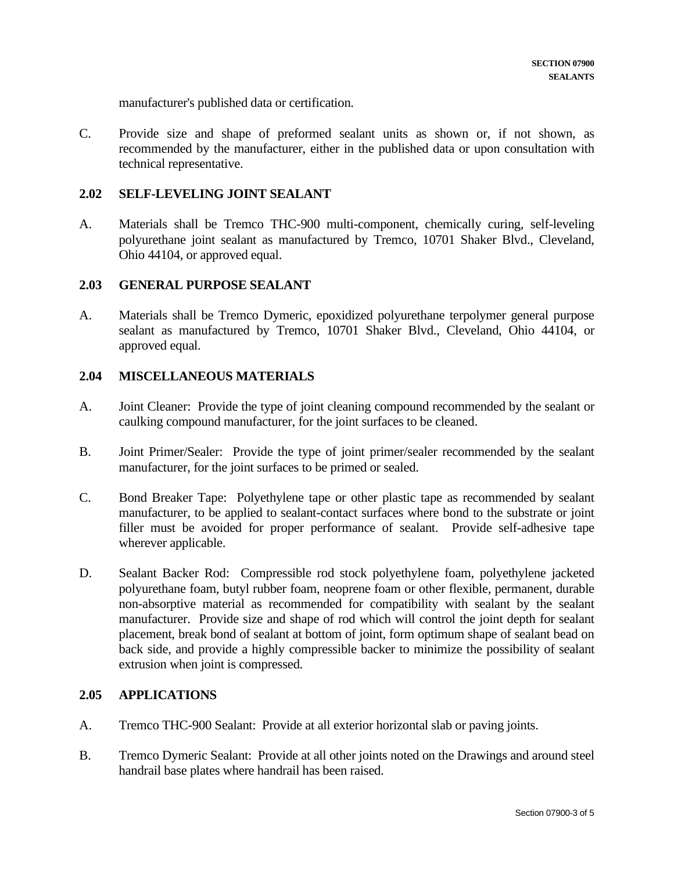manufacturer's published data or certification.

C. Provide size and shape of preformed sealant units as shown or, if not shown, as recommended by the manufacturer, either in the published data or upon consultation with technical representative.

# **2.02 SELF-LEVELING JOINT SEALANT**

A. Materials shall be Tremco THC-900 multi-component, chemically curing, self-leveling polyurethane joint sealant as manufactured by Tremco, 10701 Shaker Blvd., Cleveland, Ohio 44104, or approved equal.

# **2.03 GENERAL PURPOSE SEALANT**

A. Materials shall be Tremco Dymeric, epoxidized polyurethane terpolymer general purpose sealant as manufactured by Tremco, 10701 Shaker Blvd., Cleveland, Ohio 44104, or approved equal.

# **2.04 MISCELLANEOUS MATERIALS**

- A. Joint Cleaner: Provide the type of joint cleaning compound recommended by the sealant or caulking compound manufacturer, for the joint surfaces to be cleaned.
- B. Joint Primer/Sealer: Provide the type of joint primer/sealer recommended by the sealant manufacturer, for the joint surfaces to be primed or sealed.
- C. Bond Breaker Tape: Polyethylene tape or other plastic tape as recommended by sealant manufacturer, to be applied to sealant-contact surfaces where bond to the substrate or joint filler must be avoided for proper performance of sealant. Provide self-adhesive tape wherever applicable.
- D. Sealant Backer Rod: Compressible rod stock polyethylene foam, polyethylene jacketed polyurethane foam, butyl rubber foam, neoprene foam or other flexible, permanent, durable non-absorptive material as recommended for compatibility with sealant by the sealant manufacturer. Provide size and shape of rod which will control the joint depth for sealant placement, break bond of sealant at bottom of joint, form optimum shape of sealant bead on back side, and provide a highly compressible backer to minimize the possibility of sealant extrusion when joint is compressed.

## **2.05 APPLICATIONS**

- A. Tremco THC-900 Sealant: Provide at all exterior horizontal slab or paving joints.
- B. Tremco Dymeric Sealant: Provide at all other joints noted on the Drawings and around steel handrail base plates where handrail has been raised.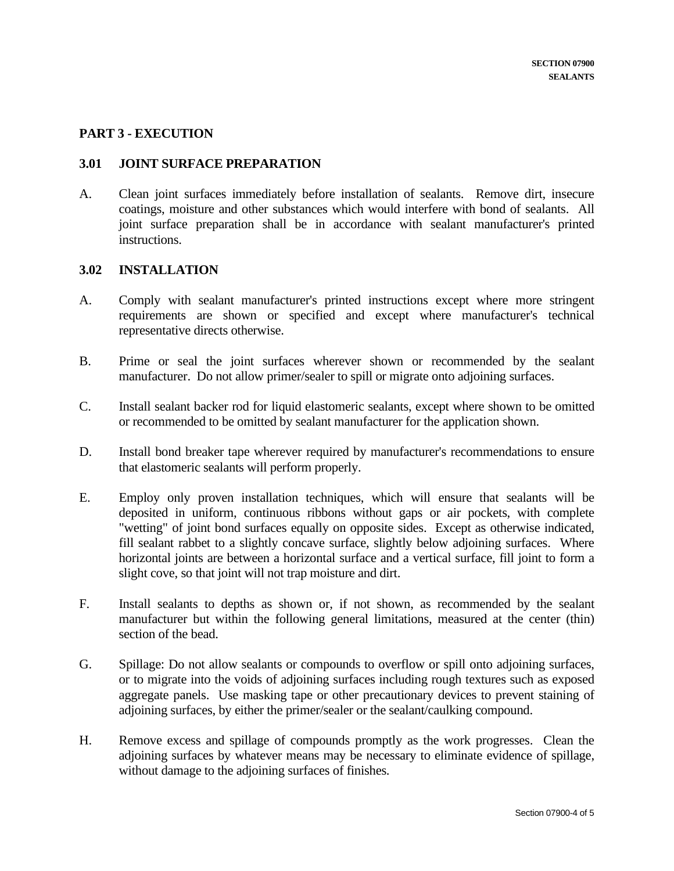# **PART 3 - EXECUTION**

## **3.01 JOINT SURFACE PREPARATION**

A. Clean joint surfaces immediately before installation of sealants. Remove dirt, insecure coatings, moisture and other substances which would interfere with bond of sealants. All joint surface preparation shall be in accordance with sealant manufacturer's printed instructions.

# **3.02 INSTALLATION**

- A. Comply with sealant manufacturer's printed instructions except where more stringent requirements are shown or specified and except where manufacturer's technical representative directs otherwise.
- B. Prime or seal the joint surfaces wherever shown or recommended by the sealant manufacturer. Do not allow primer/sealer to spill or migrate onto adjoining surfaces.
- C. Install sealant backer rod for liquid elastomeric sealants, except where shown to be omitted or recommended to be omitted by sealant manufacturer for the application shown.
- D. Install bond breaker tape wherever required by manufacturer's recommendations to ensure that elastomeric sealants will perform properly.
- E. Employ only proven installation techniques, which will ensure that sealants will be deposited in uniform, continuous ribbons without gaps or air pockets, with complete "wetting" of joint bond surfaces equally on opposite sides. Except as otherwise indicated, fill sealant rabbet to a slightly concave surface, slightly below adjoining surfaces. Where horizontal joints are between a horizontal surface and a vertical surface, fill joint to form a slight cove, so that joint will not trap moisture and dirt.
- F. Install sealants to depths as shown or, if not shown, as recommended by the sealant manufacturer but within the following general limitations, measured at the center (thin) section of the bead.
- G. Spillage: Do not allow sealants or compounds to overflow or spill onto adjoining surfaces, or to migrate into the voids of adjoining surfaces including rough textures such as exposed aggregate panels. Use masking tape or other precautionary devices to prevent staining of adjoining surfaces, by either the primer/sealer or the sealant/caulking compound.
- H. Remove excess and spillage of compounds promptly as the work progresses. Clean the adjoining surfaces by whatever means may be necessary to eliminate evidence of spillage, without damage to the adjoining surfaces of finishes.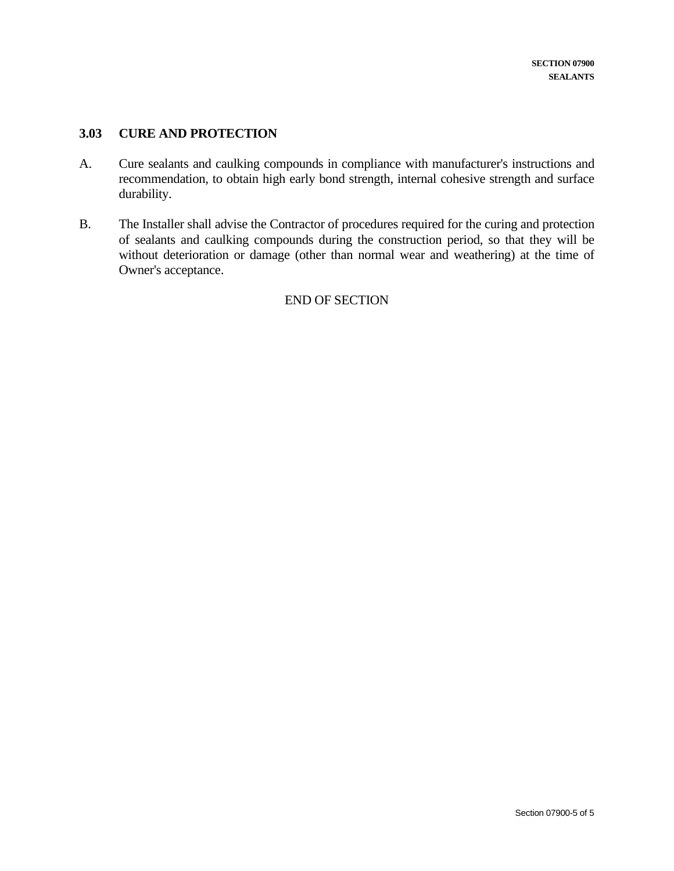# **3.03 CURE AND PROTECTION**

- A. Cure sealants and caulking compounds in compliance with manufacturer's instructions and recommendation, to obtain high early bond strength, internal cohesive strength and surface durability.
- B. The Installer shall advise the Contractor of procedures required for the curing and protection of sealants and caulking compounds during the construction period, so that they will be without deterioration or damage (other than normal wear and weathering) at the time of Owner's acceptance.

# END OF SECTION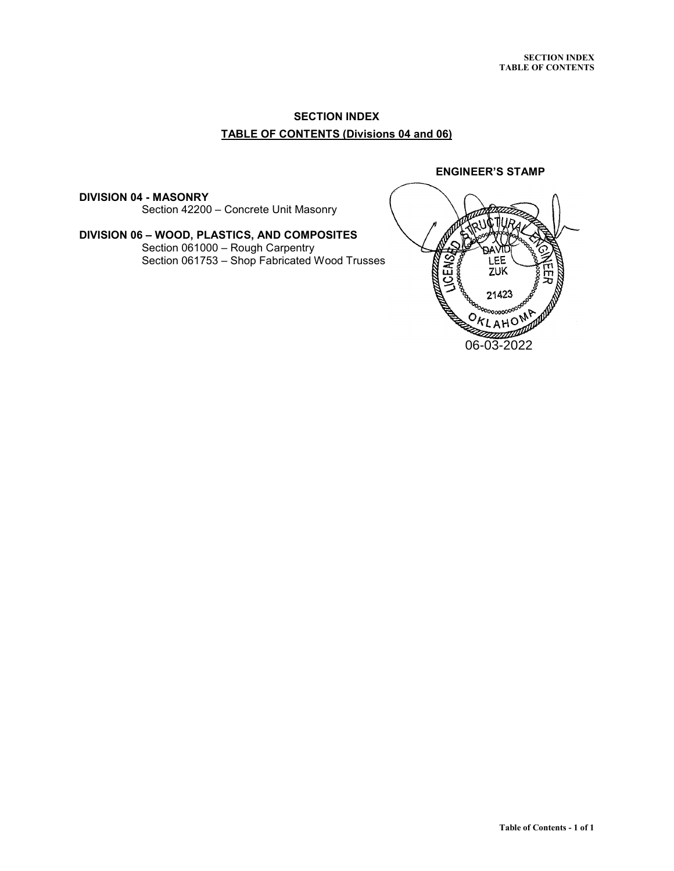# **SECTION INDEX TABLE OF CONTENTS (Divisions 04 and 06)**

**DIVISION 04 - MASONRY** Section 42200 – Concrete Unit Masonry

**DIVISION 06 – WOOD, PLASTICS, AND COMPOSITES** Section 061000 – Rough Carpentry Section 061753 – Shop Fabricated Wood Trusses

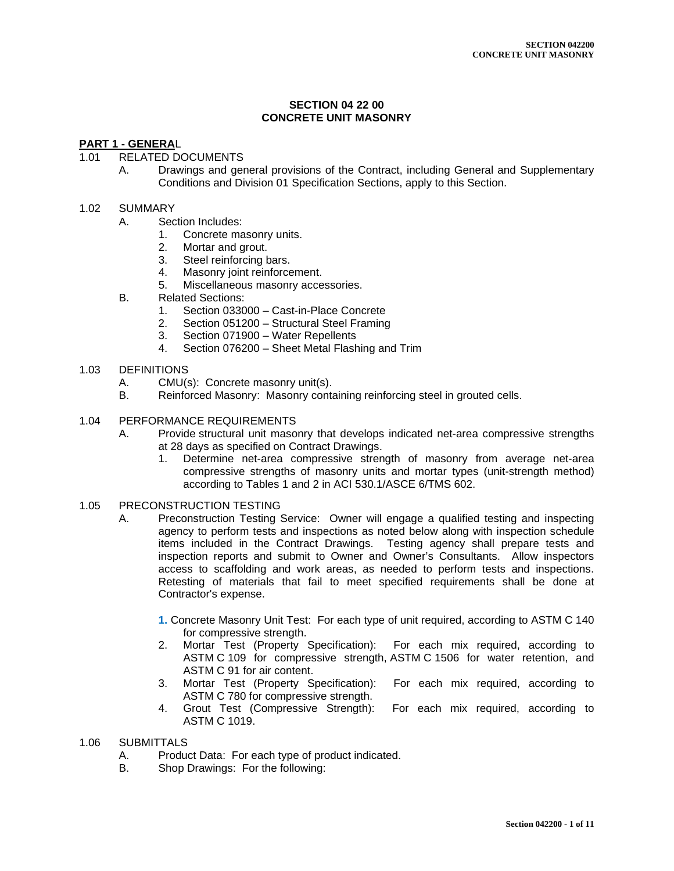## **SECTION 04 22 00 CONCRETE UNIT MASONRY**

#### **PART 1 - GENERA**L

- 1.01 RELATED DOCUMENTS
	- A. Drawings and general provisions of the Contract, including General and Supplementary Conditions and Division 01 Specification Sections, apply to this Section.

#### 1.02 SUMMARY

- A. Section Includes:
	- 1. Concrete masonry units.
	- 2. Mortar and grout.
	- 3. Steel reinforcing bars.
	- 4. Masonry joint reinforcement.
	- 5. Miscellaneous masonry accessories.
- B. Related Sections:
	- 1. Section 033000 Cast-in-Place Concrete
	- 2. Section 051200 Structural Steel Framing
	- 3. Section 071900 Water Repellents
	- 4. Section 076200 Sheet Metal Flashing and Trim

#### 1.03 DEFINITIONS

- A. CMU(s): Concrete masonry unit(s).
- B. Reinforced Masonry: Masonry containing reinforcing steel in grouted cells.

#### 1.04 PERFORMANCE REQUIREMENTS

- A. Provide structural unit masonry that develops indicated net-area compressive strengths at 28 days as specified on Contract Drawings.
	- 1. Determine net-area compressive strength of masonry from average net-area compressive strengths of masonry units and mortar types (unit-strength method) according to Tables 1 and 2 in ACI 530.1/ASCE 6/TMS 602.

#### 1.05 PRECONSTRUCTION TESTING

- A. Preconstruction Testing Service: Owner will engage a qualified testing and inspecting agency to perform tests and inspections as noted below along with inspection schedule items included in the Contract Drawings. Testing agency shall prepare tests and inspection reports and submit to Owner and Owner's Consultants. Allow inspectors access to scaffolding and work areas, as needed to perform tests and inspections. Retesting of materials that fail to meet specified requirements shall be done at Contractor's expense.
	- **1.** Concrete Masonry Unit Test: For each type of unit required, according to ASTM C 140 for compressive strength.
	- 2. Mortar Test (Property Specification): For each mix required, according to ASTM C 109 for compressive strength, ASTM C 1506 for water retention, and
	- ASTM C 91 for air content.<br>Mortar Test (Property Specification): 3. Mortar Test (Property Specification): For each mix required, according to ASTM C 780 for compressive strength.
	- 4. Grout Test (Compressive Strength): For each mix required, according to ASTM C 1019.
- 1.06 SUBMITTALS
	- A. Product Data: For each type of product indicated.
	- B. Shop Drawings: For the following: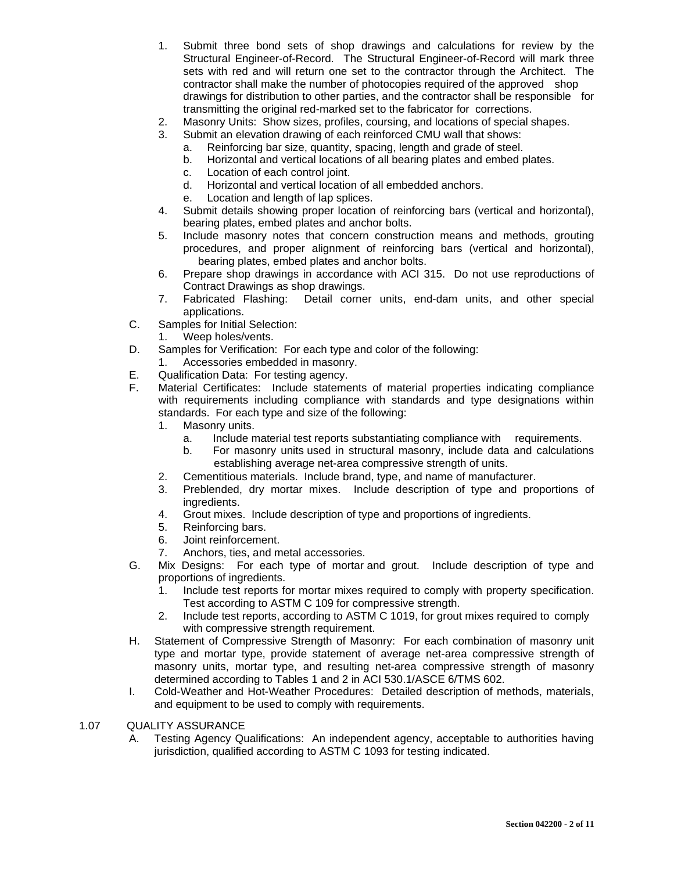- 1. Submit three bond sets of shop drawings and calculations for review by the Structural Engineer-of-Record. The Structural Engineer-of-Record will mark three sets with red and will return one set to the contractor through the Architect. The contractor shall make the number of photocopies required of the approved shop drawings for distribution to other parties, and the contractor shall be responsible for transmitting the original red-marked set to the fabricator for corrections.
- 2. Masonry Units: Show sizes, profiles, coursing, and locations of special shapes.
- 3. Submit an elevation drawing of each reinforced CMU wall that shows:
	- a. Reinforcing bar size, quantity, spacing, length and grade of steel.
	- b. Horizontal and vertical locations of all bearing plates and embed plates.
	- c. Location of each control joint.
	- d. Horizontal and vertical location of all embedded anchors.
	- e. Location and length of lap splices.
- 4. Submit details showing proper location of reinforcing bars (vertical and horizontal), bearing plates, embed plates and anchor bolts.
- 5. Include masonry notes that concern construction means and methods, grouting procedures, and proper alignment of reinforcing bars (vertical and horizontal), bearing plates, embed plates and anchor bolts.
- 6. Prepare shop drawings in accordance with ACI 315. Do not use reproductions of Contract Drawings as shop drawings.
- 7. Fabricated Flashing: Detail corner units, end-dam units, and other special applications.
- C. Samples for Initial Selection:
	- 1. Weep holes/vents.
- D. Samples for Verification: For each type and color of the following:
- 1. Accessories embedded in masonry.
- E. Qualification Data: For testing agency.
- F. Material Certificates: Include statements of material properties indicating compliance with requirements including compliance with standards and type designations within standards. For each type and size of the following:
	- 1. Masonry units.
		- a. Include material test reports substantiating compliance with requirements.
		- b. For masonry units used in structural masonry, include data and calculations establishing average net-area compressive strength of units.
	- 2. Cementitious materials. Include brand, type, and name of manufacturer.
	- 3. Preblended, dry mortar mixes. Include description of type and proportions of ingredients.
	- 4. Grout mixes. Include description of type and proportions of ingredients.
	- 5. Reinforcing bars.
	-
	- 6. Joint reinforcement.<br>7. Anchors, ties, and m Anchors, ties, and metal accessories.
- G. Mix Designs: For each type of mortar and grout. Include description of type and proportions of ingredients.
	- 1. Include test reports for mortar mixes required to comply with property specification. Test according to ASTM C 109 for compressive strength.
	- 2. Include test reports, according to ASTM C 1019, for grout mixes required to comply with compressive strength requirement.
- H. Statement of Compressive Strength of Masonry: For each combination of masonry unit type and mortar type, provide statement of average net-area compressive strength of masonry units, mortar type, and resulting net-area compressive strength of masonry determined according to Tables 1 and 2 in ACI 530.1/ASCE 6/TMS 602.
- I. Cold-Weather and Hot-Weather Procedures: Detailed description of methods, materials, and equipment to be used to comply with requirements.
- 1.07 QUALITY ASSURANCE
	- A. Testing Agency Qualifications: An independent agency, acceptable to authorities having jurisdiction, qualified according to ASTM C 1093 for testing indicated.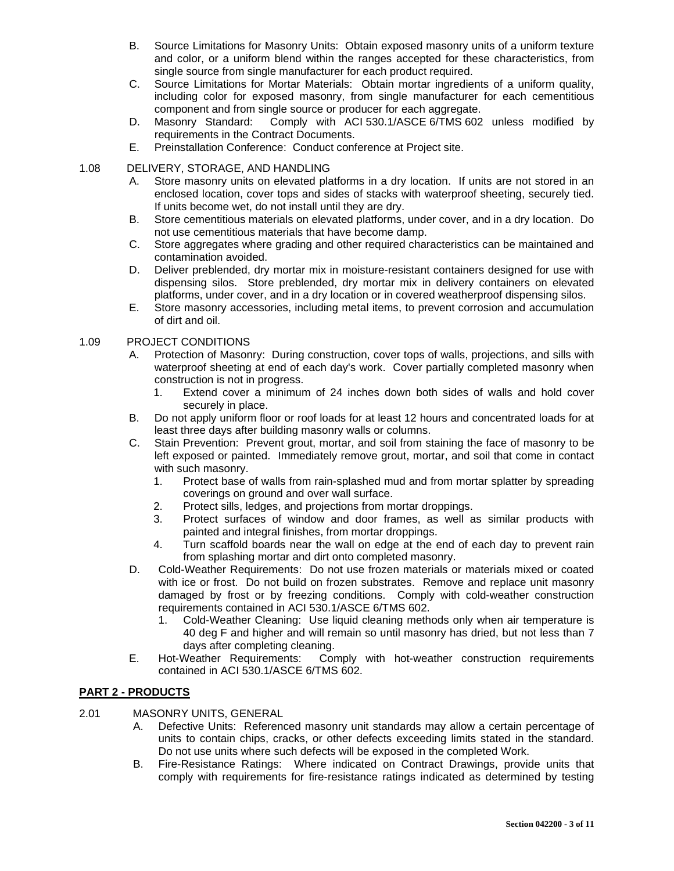- B. Source Limitations for Masonry Units: Obtain exposed masonry units of a uniform texture and color, or a uniform blend within the ranges accepted for these characteristics, from single source from single manufacturer for each product required.
- C. Source Limitations for Mortar Materials: Obtain mortar ingredients of a uniform quality, including color for exposed masonry, from single manufacturer for each cementitious component and from single source or producer for each aggregate.
- D. Masonry Standard: Comply with ACI 530.1/ASCE 6/TMS 602 unless modified by requirements in the Contract Documents.
- E. Preinstallation Conference: Conduct conference at Project site.

#### 1.08 DELIVERY, STORAGE, AND HANDLING

- A. Store masonry units on elevated platforms in a dry location. If units are not stored in an enclosed location, cover tops and sides of stacks with waterproof sheeting, securely tied. If units become wet, do not install until they are dry.
- B. Store cementitious materials on elevated platforms, under cover, and in a dry location. Do not use cementitious materials that have become damp.
- C. Store aggregates where grading and other required characteristics can be maintained and contamination avoided.
- D. Deliver preblended, dry mortar mix in moisture-resistant containers designed for use with dispensing silos. Store preblended, dry mortar mix in delivery containers on elevated platforms, under cover, and in a dry location or in covered weatherproof dispensing silos.
- E. Store masonry accessories, including metal items, to prevent corrosion and accumulation of dirt and oil.

## 1.09 PROJECT CONDITIONS

- A. Protection of Masonry: During construction, cover tops of walls, projections, and sills with waterproof sheeting at end of each day's work. Cover partially completed masonry when construction is not in progress.
	- 1. Extend cover a minimum of 24 inches down both sides of walls and hold cover securely in place.
- B. Do not apply uniform floor or roof loads for at least 12 hours and concentrated loads for at least three days after building masonry walls or columns.
- C. Stain Prevention: Prevent grout, mortar, and soil from staining the face of masonry to be left exposed or painted. Immediately remove grout, mortar, and soil that come in contact with such masonry.
	- 1. Protect base of walls from rain-splashed mud and from mortar splatter by spreading coverings on ground and over wall surface.
	- 2. Protect sills, ledges, and projections from mortar droppings.
	- 3. Protect surfaces of window and door frames, as well as similar products with painted and integral finishes, from mortar droppings.
	- 4. Turn scaffold boards near the wall on edge at the end of each day to prevent rain from splashing mortar and dirt onto completed masonry.
- D. Cold-Weather Requirements: Do not use frozen materials or materials mixed or coated with ice or frost. Do not build on frozen substrates. Remove and replace unit masonry damaged by frost or by freezing conditions. Comply with cold-weather construction requirements contained in ACI 530.1/ASCE 6/TMS 602.
	- 1. Cold-Weather Cleaning: Use liquid cleaning methods only when air temperature is 40 deg F and higher and will remain so until masonry has dried, but not less than 7 days after completing cleaning.
- E. Hot-Weather Requirements: Comply with hot-weather construction requirements contained in ACI 530.1/ASCE 6/TMS 602.

## **PART 2 - PRODUCTS**

- 2.01 MASONRY UNITS, GENERAL
	- A. Defective Units: Referenced masonry unit standards may allow a certain percentage of units to contain chips, cracks, or other defects exceeding limits stated in the standard. Do not use units where such defects will be exposed in the completed Work.
	- B. Fire-Resistance Ratings: Where indicated on Contract Drawings, provide units that comply with requirements for fire-resistance ratings indicated as determined by testing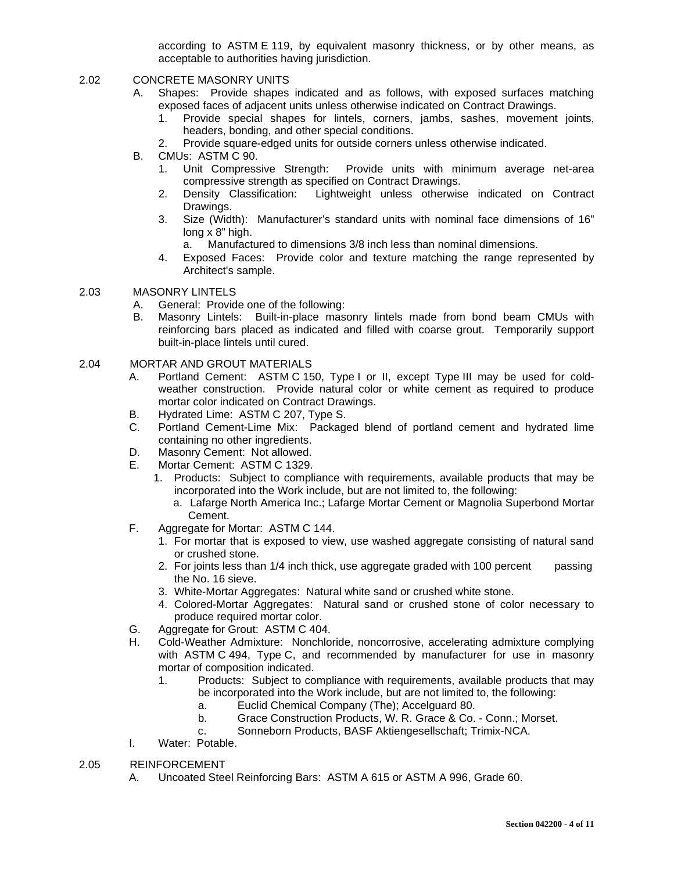according to ASTM E 119, by equivalent masonry thickness, or by other means, as acceptable to authorities having jurisdiction.

## 2.02 CONCRETE MASONRY UNITS

- A. Shapes: Provide shapes indicated and as follows, with exposed surfaces matching exposed faces of adjacent units unless otherwise indicated on Contract Drawings.
	- 1. Provide special shapes for lintels, corners, jambs, sashes, movement joints, headers, bonding, and other special conditions.
	- 2. Provide square-edged units for outside corners unless otherwise indicated.
- B. CMUs: ASTM C 90.
	- 1. Unit Compressive Strength: Provide units with minimum average net-area compressive strength as specified on Contract Drawings.
	- 2. Density Classification: Lightweight unless otherwise indicated on Contract Drawings.
	- 3. Size (Width): Manufacturer's standard units with nominal face dimensions of 16" long x 8" high.
		- a. Manufactured to dimensions 3/8 inch less than nominal dimensions.
	- 4. Exposed Faces: Provide color and texture matching the range represented by Architect's sample.
- 2.03 MASONRY LINTELS
	- A. General: Provide one of the following:
	- B. Masonry Lintels: Built-in-place masonry lintels made from bond beam CMUs with reinforcing bars placed as indicated and filled with coarse grout. Temporarily support built-in-place lintels until cured.
- 2.04 MORTAR AND GROUT MATERIALS
	- A. Portland Cement: ASTM C 150, Type I or II, except Type III may be used for coldweather construction. Provide natural color or white cement as required to produce mortar color indicated on Contract Drawings.
	- B. Hydrated Lime: ASTM C 207, Type S.
	- C. Portland Cement-Lime Mix: Packaged blend of portland cement and hydrated lime containing no other ingredients.
	- D. Masonry Cement: Not allowed.
	- E. Mortar Cement: ASTM C 1329.
		- 1. [Products:](http://www.specagent.com/LookUp/?ulid=1405&mf=04&mf=95&src=wd&mf=04&src=wd) Subject to compliance with requirements, available products that may be incorporated into the Work include, but are not limited to, the following:
			- a. [Lafarge North America Inc.;](http://www.specagent.com/LookUp/?uid=123456826045&mf=04&&mf=04&src=wd) Lafarge Mortar Cement or Magnolia Superbond Mortar Cement.
	- F. Aggregate for Mortar: ASTM C 144.
		- 1. For mortar that is exposed to view, use washed aggregate consisting of natural sand or crushed stone.
		- 2. For joints less than 1/4 inch thick, use aggregate graded with 100 percent passing the No. 16 sieve.
		- 3. White-Mortar Aggregates: Natural white sand or crushed white stone.
		- 4. Colored-Mortar Aggregates: Natural sand or crushed stone of color necessary to produce required mortar color.
	- G. Aggregate for Grout: ASTM C 404.
	- H. Cold-Weather Admixture: Nonchloride, noncorrosive, accelerating admixture complying with ASTM C 494, Type C, and recommended by manufacturer for use in masonry mortar of composition indicated.
		- 1. [Products:](http://www.specagent.com/LookUp/?ulid=1416&mf=04&mf=95&src=wd&mf=04&src=wd) Subject to compliance with requirements, available products that may be incorporated into the Work include, but are not limited to, the following:
			- a. [Euclid Chemical Company \(The\);](http://www.specagent.com/LookUp/?uid=123456826060&mf=04&&mf=04&src=wd) Accelguard 80.
			- b. [Grace Construction Products, W. R. Grace & Co. Conn.](http://www.specagent.com/LookUp/?uid=123456826061&mf=04&&mf=04&src=wd); Morset.
			- c. [Sonneborn Products, BASF Aktiengesellschaft;](http://www.specagent.com/LookUp/?uid=123456826062&mf=04&&mf=04&src=wd) Trimix-NCA.
	- I. Water: Potable.
- 2.05 REINFORCEMENT
	- A. Uncoated Steel Reinforcing Bars: ASTM A 615 or ASTM A 996, Grade 60.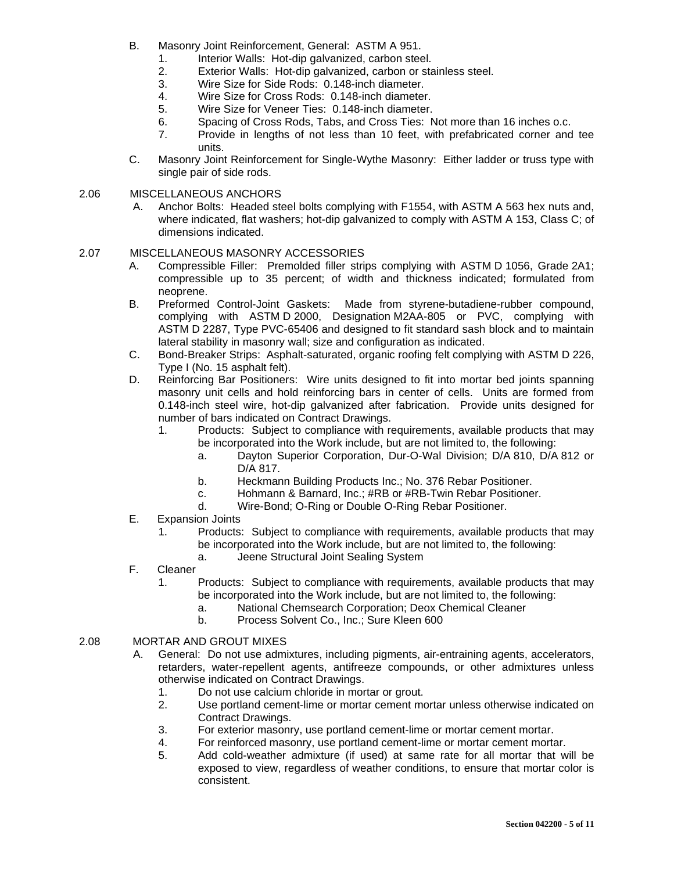- B. Masonry Joint Reinforcement, General: ASTM A 951.
	- 1. Interior Walls: Hot-dip galvanized, carbon steel.
	- 2. Exterior Walls: Hot-dip galvanized, carbon or stainless steel.
	- 3. Wire Size for Side Rods: 0.148-inch diameter.
	-
	- 4. Wire Size for Cross Rods: 0.148-inch diameter.<br>5. Wire Size for Veneer Ties: 0.148-inch diameter. Wire Size for Veneer Ties: 0.148-inch diameter.
	- 6. Spacing of Cross Rods, Tabs, and Cross Ties: Not more than 16 inches o.c.
	- 7. Provide in lengths of not less than 10 feet, with prefabricated corner and tee units.
- C. Masonry Joint Reinforcement for Single-Wythe Masonry: Either ladder or truss type with single pair of side rods.

#### 2.06 MISCELLANEOUS ANCHORS

A. Anchor Bolts: Headed steel bolts complying with F1554, with ASTM A 563 hex nuts and, where indicated, flat washers; hot-dip galvanized to comply with ASTM A 153, Class C; of dimensions indicated.

#### 2.07 MISCELLANEOUS MASONRY ACCESSORIES

- A. Compressible Filler: Premolded filler strips complying with ASTM D 1056, Grade 2A1; compressible up to 35 percent; of width and thickness indicated; formulated from neoprene.
- B. Preformed Control-Joint Gaskets: Made from styrene-butadiene-rubber compound, complying with ASTM D 2000, Designation M2AA-805 or PVC, complying with ASTM D 2287, Type PVC-65406 and designed to fit standard sash block and to maintain lateral stability in masonry wall; size and configuration as indicated.
- C. Bond-Breaker Strips: Asphalt-saturated, organic roofing felt complying with ASTM D 226, Type I (No. 15 asphalt felt).
- D. Reinforcing Bar Positioners: Wire units designed to fit into mortar bed joints spanning masonry unit cells and hold reinforcing bars in center of cells. Units are formed from 0.148-inch steel wire, hot-dip galvanized after fabrication. Provide units designed for number of bars indicated on Contract Drawings.
	- 1. [Products:](http://www.specagent.com/LookUp/?ulid=1441&mf=04&mf=95&src=wd&mf=04&src=wd) Subject to compliance with requirements, available products that may be incorporated into the Work include, but are not limited to, the following:
		- a. [Dayton Superior Corporation, Dur-O-Wal Division;](http://www.specagent.com/LookUp/?uid=123456826101&mf=04&&mf=04&src=wd) D/A 810, D/A 812 or D/A 817.
		- b. [Heckmann Building Products Inc.](http://www.specagent.com/LookUp/?uid=123456826102&mf=04&&mf=04&src=wd); No. 376 Rebar Positioner.
		- c. [Hohmann & Barnard, Inc.](http://www.specagent.com/LookUp/?uid=123456826103&mf=04&&mf=04&src=wd); #RB or #RB-Twin Rebar Positioner.
		- d. [Wire-Bond;](http://www.specagent.com/LookUp/?uid=123456826104&mf=04&&mf=04&src=wd) O-Ring or Double O-Ring Rebar Positioner.
- E. Expansion Joints
	- 1. Products: Subject to compliance with requirements, available products that may be incorporated into the Work include, but are not limited to, the following:
		- a. Jeene Structural Joint Sealing System
- F. Cleaner
	- 1. Products: Subject to compliance with requirements, available products that may be incorporated into the Work include, but are not limited to, the following:
		- a. National Chemsearch Corporation; Deox Chemical Cleaner
		- b. Process Solvent Co., Inc.; Sure Kleen 600
- 2.08 MORTAR AND GROUT MIXES
	- A. General: Do not use admixtures, including pigments, air-entraining agents, accelerators, retarders, water-repellent agents, antifreeze compounds, or other admixtures unless otherwise indicated on Contract Drawings.
		- 1. Do not use calcium chloride in mortar or grout.
		- 2. Use portland cement-lime or mortar cement mortar unless otherwise indicated on Contract Drawings.
		- 3. For exterior masonry, use portland cement-lime or mortar cement mortar.
		- 4. For reinforced masonry, use portland cement-lime or mortar cement mortar.
		- 5. Add cold-weather admixture (if used) at same rate for all mortar that will be exposed to view, regardless of weather conditions, to ensure that mortar color is consistent.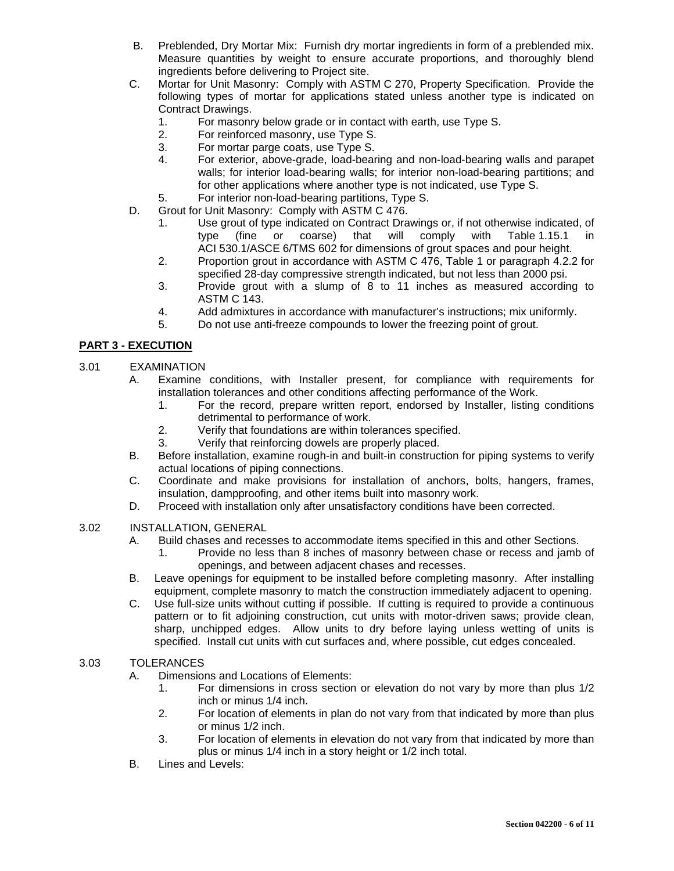- B. Preblended, Dry Mortar Mix: Furnish dry mortar ingredients in form of a preblended mix. Measure quantities by weight to ensure accurate proportions, and thoroughly blend ingredients before delivering to Project site.
- C. Mortar for Unit Masonry: Comply with ASTM C 270, Property Specification. Provide the following types of mortar for applications stated unless another type is indicated on Contract Drawings.
	- 1. For masonry below grade or in contact with earth, use Type S.
	- 2. For reinforced masonry, use Type S.
	- 3. For mortar parge coats, use Type S.
	- 4. For exterior, above-grade, load-bearing and non-load-bearing walls and parapet walls; for interior load-bearing walls; for interior non-load-bearing partitions; and for other applications where another type is not indicated, use Type S.
	- 5. For interior non-load-bearing partitions, Type S.
- D. Grout for Unit Masonry: Comply with ASTM C 476.
	- 1. Use grout of type indicated on Contract Drawings or, if not otherwise indicated, of type (fine or coarse) that will comply with Table 1.15.1 in ACI 530.1/ASCE 6/TMS 602 for dimensions of grout spaces and pour height.
	- 2. Proportion grout in accordance with ASTM C 476, Table 1 or paragraph 4.2.2 for specified 28-day compressive strength indicated, but not less than 2000 psi.
	- 3. Provide grout with a slump of 8 to 11 inches as measured according to ASTM C 143.
	- 4. Add admixtures in accordance with manufacturer's instructions; mix uniformly.
	- 5. Do not use anti-freeze compounds to lower the freezing point of grout.

# **PART 3 - EXECUTION**

## 3.01 EXAMINATION

- A. Examine conditions, with Installer present, for compliance with requirements for installation tolerances and other conditions affecting performance of the Work.
	- 1. For the record, prepare written report, endorsed by Installer, listing conditions detrimental to performance of work.
	- 2. Verify that foundations are within tolerances specified.
	- 3. Verify that reinforcing dowels are properly placed.
- B. Before installation, examine rough-in and built-in construction for piping systems to verify actual locations of piping connections.
- C. Coordinate and make provisions for installation of anchors, bolts, hangers, frames, insulation, dampproofing, and other items built into masonry work.
- D. Proceed with installation only after unsatisfactory conditions have been corrected.

## 3.02 INSTALLATION, GENERAL

- A. Build chases and recesses to accommodate items specified in this and other Sections.
	- 1. Provide no less than 8 inches of masonry between chase or recess and jamb of openings, and between adjacent chases and recesses.
- B. Leave openings for equipment to be installed before completing masonry. After installing equipment, complete masonry to match the construction immediately adjacent to opening.
- C. Use full-size units without cutting if possible. If cutting is required to provide a continuous pattern or to fit adjoining construction, cut units with motor-driven saws; provide clean, sharp, unchipped edges. Allow units to dry before laying unless wetting of units is specified. Install cut units with cut surfaces and, where possible, cut edges concealed.

## 3.03 TOLERANCES

- A. Dimensions and Locations of Elements:
	- 1. For dimensions in cross section or elevation do not vary by more than plus 1/2 inch or minus 1/4 inch.
	- 2. For location of elements in plan do not vary from that indicated by more than plus or minus 1/2 inch.
	- 3. For location of elements in elevation do not vary from that indicated by more than plus or minus 1/4 inch in a story height or 1/2 inch total.
- B. Lines and Levels: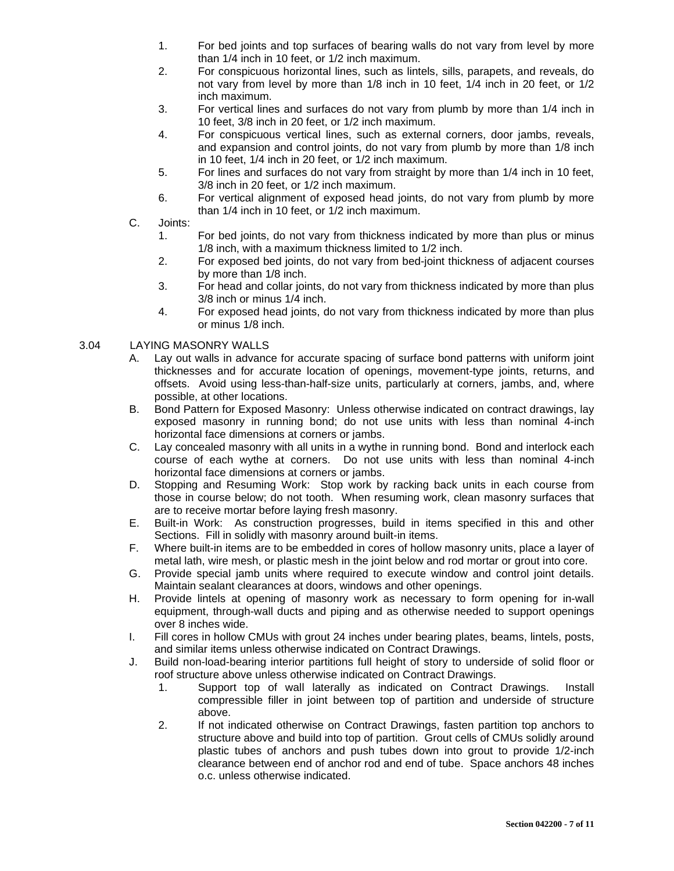- 1. For bed joints and top surfaces of bearing walls do not vary from level by more than 1/4 inch in 10 feet, or 1/2 inch maximum.
- 2. For conspicuous horizontal lines, such as lintels, sills, parapets, and reveals, do not vary from level by more than 1/8 inch in 10 feet, 1/4 inch in 20 feet, or 1/2 inch maximum.
- 3. For vertical lines and surfaces do not vary from plumb by more than 1/4 inch in 10 feet, 3/8 inch in 20 feet, or 1/2 inch maximum.
- 4. For conspicuous vertical lines, such as external corners, door jambs, reveals, and expansion and control joints, do not vary from plumb by more than 1/8 inch in 10 feet, 1/4 inch in 20 feet, or 1/2 inch maximum.
- 5. For lines and surfaces do not vary from straight by more than 1/4 inch in 10 feet, 3/8 inch in 20 feet, or 1/2 inch maximum.
- 6. For vertical alignment of exposed head joints, do not vary from plumb by more than 1/4 inch in 10 feet, or 1/2 inch maximum.
- C. Joints:
	- 1. For bed joints, do not vary from thickness indicated by more than plus or minus 1/8 inch, with a maximum thickness limited to 1/2 inch.
	- 2. For exposed bed joints, do not vary from bed-joint thickness of adjacent courses by more than 1/8 inch.
	- 3. For head and collar joints, do not vary from thickness indicated by more than plus 3/8 inch or minus 1/4 inch.
	- 4. For exposed head joints, do not vary from thickness indicated by more than plus or minus 1/8 inch.

## 3.04 LAYING MASONRY WALLS

- A. Lay out walls in advance for accurate spacing of surface bond patterns with uniform joint thicknesses and for accurate location of openings, movement-type joints, returns, and offsets. Avoid using less-than-half-size units, particularly at corners, jambs, and, where possible, at other locations.
- B. Bond Pattern for Exposed Masonry: Unless otherwise indicated on contract drawings, lay exposed masonry in running bond; do not use units with less than nominal 4-inch horizontal face dimensions at corners or jambs.
- C. Lay concealed masonry with all units in a wythe in running bond. Bond and interlock each course of each wythe at corners. Do not use units with less than nominal 4-inch horizontal face dimensions at corners or jambs.
- D. Stopping and Resuming Work: Stop work by racking back units in each course from those in course below; do not tooth. When resuming work, clean masonry surfaces that are to receive mortar before laying fresh masonry.
- E. Built-in Work: As construction progresses, build in items specified in this and other Sections. Fill in solidly with masonry around built-in items.
- F. Where built-in items are to be embedded in cores of hollow masonry units, place a layer of metal lath, wire mesh, or plastic mesh in the joint below and rod mortar or grout into core.
- G. Provide special jamb units where required to execute window and control joint details. Maintain sealant clearances at doors, windows and other openings.
- H. Provide lintels at opening of masonry work as necessary to form opening for in-wall equipment, through-wall ducts and piping and as otherwise needed to support openings over 8 inches wide.
- I. Fill cores in hollow CMUs with grout 24 inches under bearing plates, beams, lintels, posts, and similar items unless otherwise indicated on Contract Drawings.
- J. Build non-load-bearing interior partitions full height of story to underside of solid floor or roof structure above unless otherwise indicated on Contract Drawings.
	- 1. Support top of wall laterally as indicated on Contract Drawings. Install compressible filler in joint between top of partition and underside of structure above.
	- 2. If not indicated otherwise on Contract Drawings, fasten partition top anchors to structure above and build into top of partition. Grout cells of CMUs solidly around plastic tubes of anchors and push tubes down into grout to provide 1/2-inch clearance between end of anchor rod and end of tube. Space anchors 48 inches o.c. unless otherwise indicated.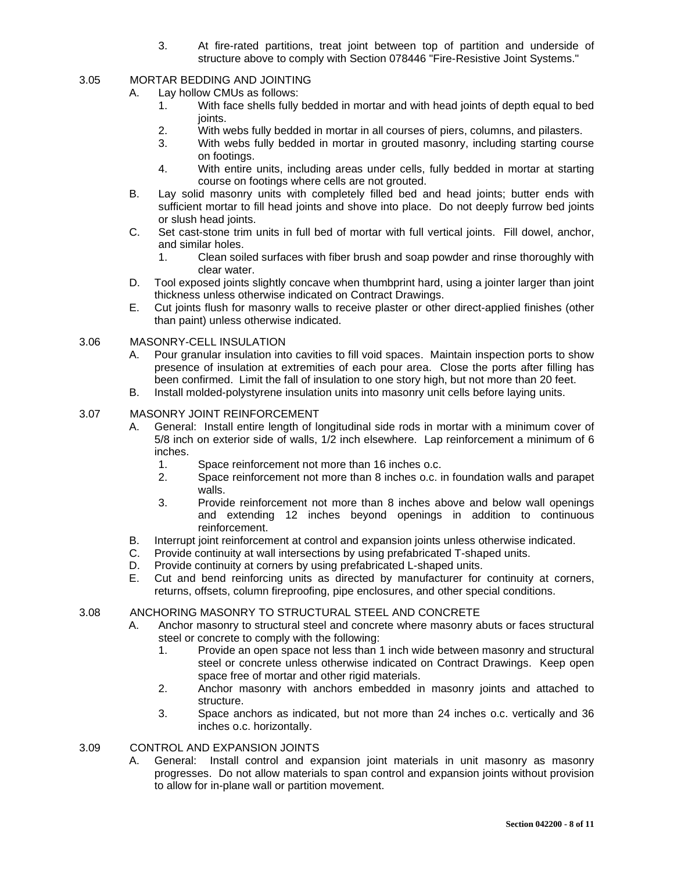3. At fire-rated partitions, treat joint between top of partition and underside of structure above to comply with Section 078446 "Fire-Resistive Joint Systems."

## 3.05 MORTAR BEDDING AND JOINTING

- A. Lay hollow CMUs as follows:
	- 1. With face shells fully bedded in mortar and with head joints of depth equal to bed ioints.
	- 2. With webs fully bedded in mortar in all courses of piers, columns, and pilasters.
	- 3. With webs fully bedded in mortar in grouted masonry, including starting course on footings.
	- 4. With entire units, including areas under cells, fully bedded in mortar at starting course on footings where cells are not grouted.
- B. Lay solid masonry units with completely filled bed and head joints; butter ends with sufficient mortar to fill head joints and shove into place. Do not deeply furrow bed joints or slush head joints.
- C. Set cast-stone trim units in full bed of mortar with full vertical joints. Fill dowel, anchor, and similar holes.
	- 1. Clean soiled surfaces with fiber brush and soap powder and rinse thoroughly with clear water.
- D. Tool exposed joints slightly concave when thumbprint hard, using a jointer larger than joint thickness unless otherwise indicated on Contract Drawings.
- E. Cut joints flush for masonry walls to receive plaster or other direct-applied finishes (other than paint) unless otherwise indicated.

## 3.06 MASONRY-CELL INSULATION

- A. Pour granular insulation into cavities to fill void spaces. Maintain inspection ports to show presence of insulation at extremities of each pour area. Close the ports after filling has been confirmed. Limit the fall of insulation to one story high, but not more than 20 feet.
- B. Install molded-polystyrene insulation units into masonry unit cells before laying units.

## 3.07 MASONRY JOINT REINFORCEMENT

- A. General: Install entire length of longitudinal side rods in mortar with a minimum cover of 5/8 inch on exterior side of walls, 1/2 inch elsewhere. Lap reinforcement a minimum of 6 inches.
	- 1. Space reinforcement not more than 16 inches o.c.
	- 2. Space reinforcement not more than 8 inches o.c. in foundation walls and parapet walls.
	- 3. Provide reinforcement not more than 8 inches above and below wall openings and extending 12 inches beyond openings in addition to continuous reinforcement.
- B. Interrupt joint reinforcement at control and expansion joints unless otherwise indicated.
- C. Provide continuity at wall intersections by using prefabricated T-shaped units.
- D. Provide continuity at corners by using prefabricated L-shaped units.
- E. Cut and bend reinforcing units as directed by manufacturer for continuity at corners, returns, offsets, column fireproofing, pipe enclosures, and other special conditions.

#### 3.08 ANCHORING MASONRY TO STRUCTURAL STEEL AND CONCRETE

- A. Anchor masonry to structural steel and concrete where masonry abuts or faces structural steel or concrete to comply with the following:
	- 1. Provide an open space not less than 1 inch wide between masonry and structural steel or concrete unless otherwise indicated on Contract Drawings. Keep open space free of mortar and other rigid materials.
	- 2. Anchor masonry with anchors embedded in masonry joints and attached to structure.
	- 3. Space anchors as indicated, but not more than 24 inches o.c. vertically and 36 inches o.c. horizontally.

#### 3.09 CONTROL AND EXPANSION JOINTS

A. General: Install control and expansion joint materials in unit masonry as masonry progresses. Do not allow materials to span control and expansion joints without provision to allow for in-plane wall or partition movement.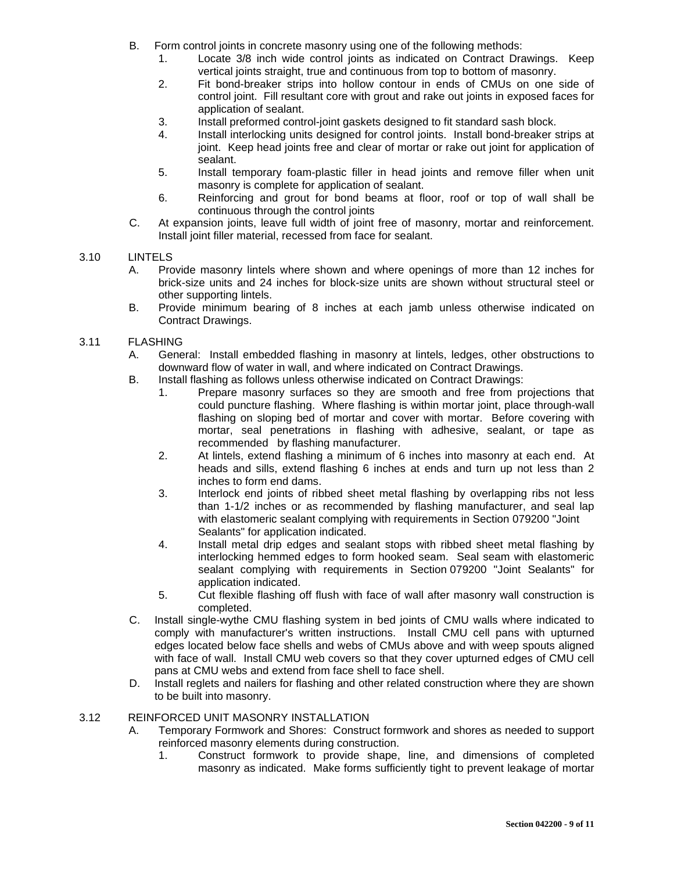- B. Form control joints in concrete masonry using one of the following methods:
	- 1. Locate 3/8 inch wide control joints as indicated on Contract Drawings. Keep vertical joints straight, true and continuous from top to bottom of masonry.
	- 2. Fit bond-breaker strips into hollow contour in ends of CMUs on one side of control joint. Fill resultant core with grout and rake out joints in exposed faces for application of sealant.
	- 3. Install preformed control-joint gaskets designed to fit standard sash block.
	- 4. Install interlocking units designed for control joints. Install bond-breaker strips at joint. Keep head joints free and clear of mortar or rake out joint for application of sealant.
	- 5. Install temporary foam-plastic filler in head joints and remove filler when unit masonry is complete for application of sealant.
	- 6. Reinforcing and grout for bond beams at floor, roof or top of wall shall be continuous through the control joints
- C. At expansion joints, leave full width of joint free of masonry, mortar and reinforcement. Install joint filler material, recessed from face for sealant.

## 3.10 LINTELS

- A. Provide masonry lintels where shown and where openings of more than 12 inches for brick-size units and 24 inches for block-size units are shown without structural steel or other supporting lintels.
- B. Provide minimum bearing of 8 inches at each jamb unless otherwise indicated on Contract Drawings.

## 3.11 FLASHING

- A. General: Install embedded flashing in masonry at lintels, ledges, other obstructions to downward flow of water in wall, and where indicated on Contract Drawings.
- B. Install flashing as follows unless otherwise indicated on Contract Drawings:
	- 1. Prepare masonry surfaces so they are smooth and free from projections that could puncture flashing. Where flashing is within mortar joint, place through-wall flashing on sloping bed of mortar and cover with mortar. Before covering with mortar, seal penetrations in flashing with adhesive, sealant, or tape as recommended by flashing manufacturer.
	- 2. At lintels, extend flashing a minimum of 6 inches into masonry at each end. At heads and sills, extend flashing 6 inches at ends and turn up not less than 2 inches to form end dams.
	- 3. Interlock end joints of ribbed sheet metal flashing by overlapping ribs not less than 1-1/2 inches or as recommended by flashing manufacturer, and seal lap with elastomeric sealant complying with requirements in Section 079200 "Joint Sealants" for application indicated.
	- 4. Install metal drip edges and sealant stops with ribbed sheet metal flashing by interlocking hemmed edges to form hooked seam. Seal seam with elastomeric sealant complying with requirements in Section 079200 "Joint Sealants" for application indicated.
	- 5. Cut flexible flashing off flush with face of wall after masonry wall construction is completed.
- C. Install single-wythe CMU flashing system in bed joints of CMU walls where indicated to comply with manufacturer's written instructions. Install CMU cell pans with upturned edges located below face shells and webs of CMUs above and with weep spouts aligned with face of wall. Install CMU web covers so that they cover upturned edges of CMU cell pans at CMU webs and extend from face shell to face shell.
- D. Install reglets and nailers for flashing and other related construction where they are shown to be built into masonry.

#### 3.12 REINFORCED UNIT MASONRY INSTALLATION

- A. Temporary Formwork and Shores: Construct formwork and shores as needed to support reinforced masonry elements during construction.
	- 1. Construct formwork to provide shape, line, and dimensions of completed masonry as indicated. Make forms sufficiently tight to prevent leakage of mortar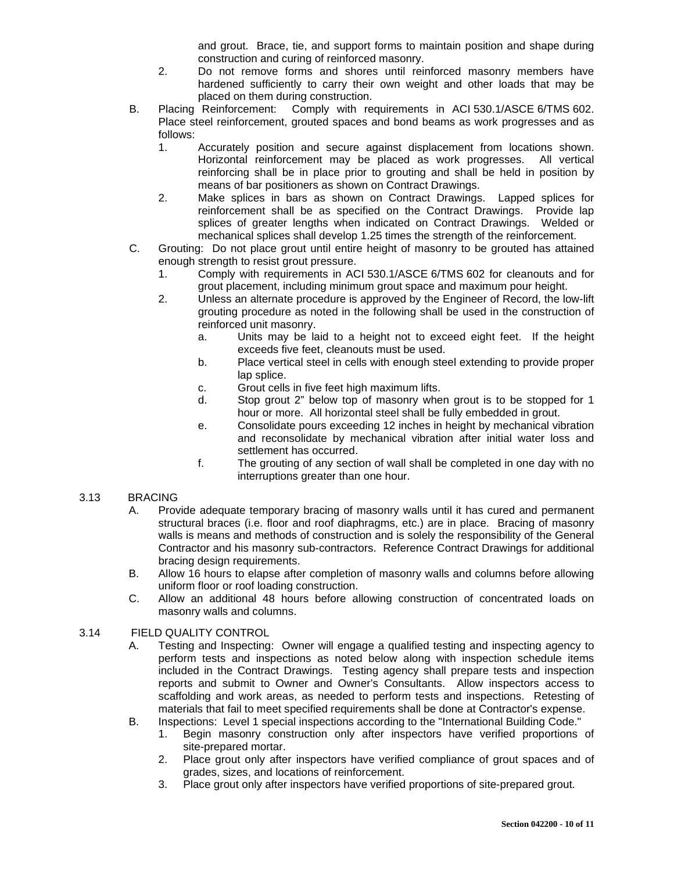and grout. Brace, tie, and support forms to maintain position and shape during construction and curing of reinforced masonry.

- 2. Do not remove forms and shores until reinforced masonry members have hardened sufficiently to carry their own weight and other loads that may be placed on them during construction.
- B. Placing Reinforcement: Comply with requirements in ACI 530.1/ASCE 6/TMS 602. Place steel reinforcement, grouted spaces and bond beams as work progresses and as follows:
	- 1. Accurately position and secure against displacement from locations shown. Horizontal reinforcement may be placed as work progresses. All vertical reinforcing shall be in place prior to grouting and shall be held in position by means of bar positioners as shown on Contract Drawings.
	- 2. Make splices in bars as shown on Contract Drawings. Lapped splices for reinforcement shall be as specified on the Contract Drawings. Provide lap splices of greater lengths when indicated on Contract Drawings. Welded or mechanical splices shall develop 1.25 times the strength of the reinforcement.
- C. Grouting: Do not place grout until entire height of masonry to be grouted has attained enough strength to resist grout pressure.
	- 1. Comply with requirements in ACI 530.1/ASCE 6/TMS 602 for cleanouts and for grout placement, including minimum grout space and maximum pour height.
	- 2. Unless an alternate procedure is approved by the Engineer of Record, the low-lift grouting procedure as noted in the following shall be used in the construction of reinforced unit masonry.
		- a. Units may be laid to a height not to exceed eight feet. If the height exceeds five feet, cleanouts must be used.
		- b. Place vertical steel in cells with enough steel extending to provide proper lap splice.
		- c. Grout cells in five feet high maximum lifts.
		- d. Stop grout 2" below top of masonry when grout is to be stopped for 1 hour or more. All horizontal steel shall be fully embedded in grout.
		- e. Consolidate pours exceeding 12 inches in height by mechanical vibration and reconsolidate by mechanical vibration after initial water loss and settlement has occurred.
		- f. The grouting of any section of wall shall be completed in one day with no interruptions greater than one hour.

## 3.13 BRACING

- A. Provide adequate temporary bracing of masonry walls until it has cured and permanent structural braces (i.e. floor and roof diaphragms, etc.) are in place. Bracing of masonry walls is means and methods of construction and is solely the responsibility of the General Contractor and his masonry sub-contractors. Reference Contract Drawings for additional bracing design requirements.
- B. Allow 16 hours to elapse after completion of masonry walls and columns before allowing uniform floor or roof loading construction.
- C. Allow an additional 48 hours before allowing construction of concentrated loads on masonry walls and columns.

## 3.14 FIELD QUALITY CONTROL

- A. Testing and Inspecting: Owner will engage a qualified testing and inspecting agency to perform tests and inspections as noted below along with inspection schedule items included in the Contract Drawings. Testing agency shall prepare tests and inspection reports and submit to Owner and Owner's Consultants. Allow inspectors access to scaffolding and work areas, as needed to perform tests and inspections. Retesting of materials that fail to meet specified requirements shall be done at Contractor's expense.
- B. Inspections: Level 1 special inspections according to the "International Building Code."
	- 1. Begin masonry construction only after inspectors have verified proportions of site-prepared mortar.
	- 2. Place grout only after inspectors have verified compliance of grout spaces and of grades, sizes, and locations of reinforcement.
	- 3. Place grout only after inspectors have verified proportions of site-prepared grout.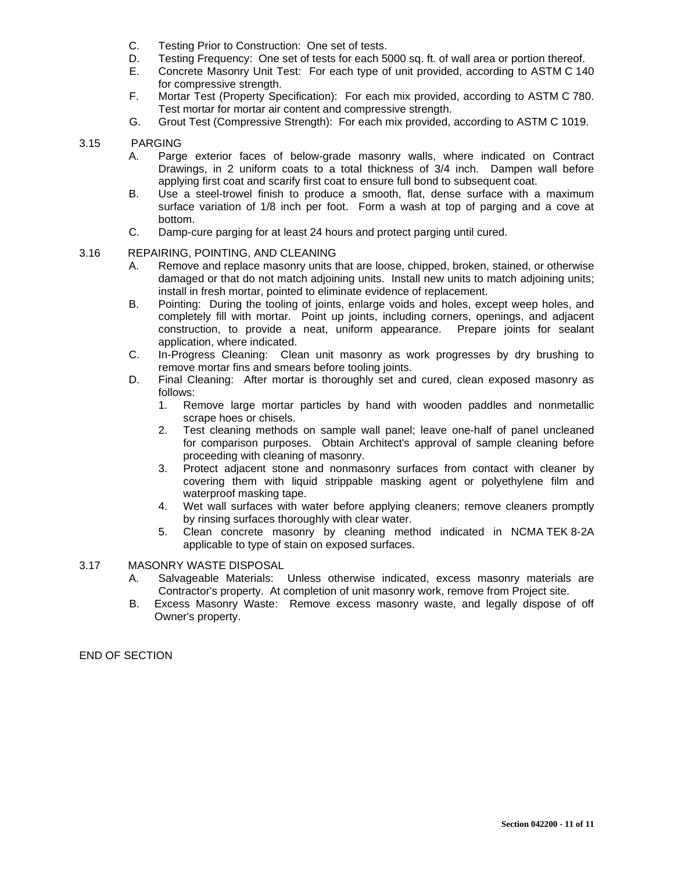- C. Testing Prior to Construction: One set of tests.
- D. Testing Frequency: One set of tests for each 5000 sq. ft. of wall area or portion thereof.
- E. Concrete Masonry Unit Test: For each type of unit provided, according to ASTM C 140 for compressive strength.
- F. Mortar Test (Property Specification): For each mix provided, according to ASTM C 780. Test mortar for mortar air content and compressive strength.
- G. Grout Test (Compressive Strength): For each mix provided, according to ASTM C 1019.
- 3.15 PARGING
	- A. Parge exterior faces of below-grade masonry walls, where indicated on Contract Drawings, in 2 uniform coats to a total thickness of 3/4 inch. Dampen wall before applying first coat and scarify first coat to ensure full bond to subsequent coat.
	- B. Use a steel-trowel finish to produce a smooth, flat, dense surface with a maximum surface variation of 1/8 inch per foot. Form a wash at top of parging and a cove at bottom.
	- C. Damp-cure parging for at least 24 hours and protect parging until cured.
- 3.16 REPAIRING, POINTING, AND CLEANING
	- A. Remove and replace masonry units that are loose, chipped, broken, stained, or otherwise damaged or that do not match adjoining units. Install new units to match adjoining units; install in fresh mortar, pointed to eliminate evidence of replacement.
	- B. Pointing: During the tooling of joints, enlarge voids and holes, except weep holes, and completely fill with mortar. Point up joints, including corners, openings, and adjacent construction, to provide a neat, uniform appearance. Prepare joints for sealant application, where indicated.
	- C. In-Progress Cleaning: Clean unit masonry as work progresses by dry brushing to remove mortar fins and smears before tooling joints.
	- D. Final Cleaning: After mortar is thoroughly set and cured, clean exposed masonry as follows:
		- 1. Remove large mortar particles by hand with wooden paddles and nonmetallic scrape hoes or chisels.
		- 2. Test cleaning methods on sample wall panel; leave one-half of panel uncleaned for comparison purposes. Obtain Architect's approval of sample cleaning before proceeding with cleaning of masonry.
		- 3. Protect adjacent stone and nonmasonry surfaces from contact with cleaner by covering them with liquid strippable masking agent or polyethylene film and waterproof masking tape.
		- 4. Wet wall surfaces with water before applying cleaners; remove cleaners promptly by rinsing surfaces thoroughly with clear water.
		- 5. Clean concrete masonry by cleaning method indicated in NCMA TEK 8-2A applicable to type of stain on exposed surfaces.
- 3.17 MASONRY WASTE DISPOSAL
	- A. Salvageable Materials: Unless otherwise indicated, excess masonry materials are Contractor's property. At completion of unit masonry work, remove from Project site.
	- B. Excess Masonry Waste: Remove excess masonry waste, and legally dispose of off Owner's property.

END OF SECTION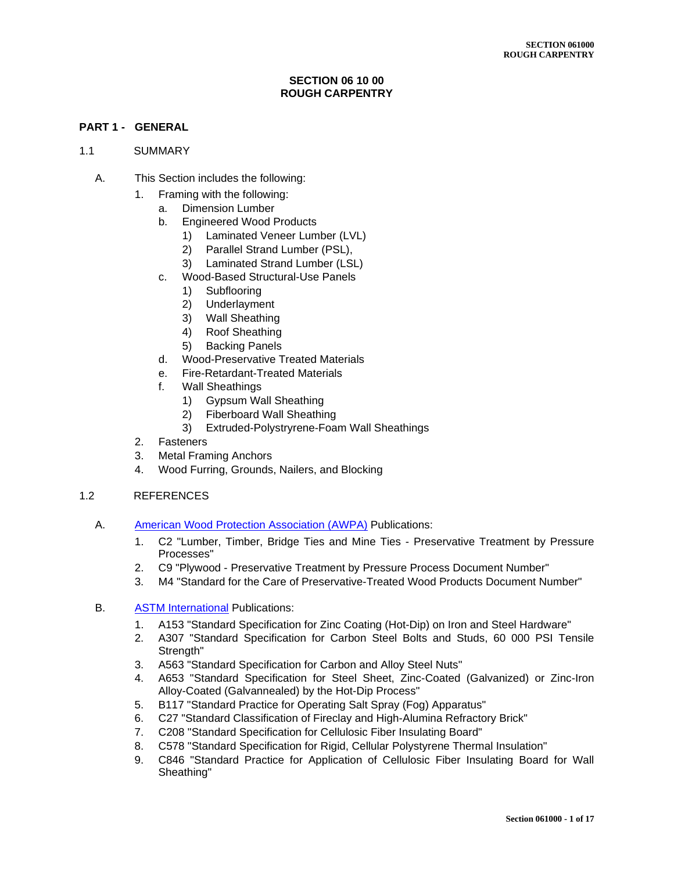## **SECTION 06 10 00 ROUGH CARPENTRY**

#### **PART 1 - GENERAL**

#### 1.1 SUMMARY

- A. This Section includes the following:
	- 1. Framing with the following:
		- a. Dimension Lumber
		- b. Engineered Wood Products
			- 1) Laminated Veneer Lumber (LVL)
			- 2) Parallel Strand Lumber (PSL),
			- 3) Laminated Strand Lumber (LSL)
		- c. Wood-Based Structural-Use Panels
			- 1) Subflooring
			- 2) Underlayment
			- 3) Wall Sheathing
			- 4) Roof Sheathing
			- 5) Backing Panels
		- d. Wood-Preservative Treated Materials
		- e. Fire-Retardant-Treated Materials
		- f. Wall Sheathings
			- 1) Gypsum Wall Sheathing
			- 2) Fiberboard Wall Sheathing
			- 3) Extruded-Polystryrene-Foam Wall Sheathings
	- 2. Fasteners
	- 3. Metal Framing Anchors
	- 4. Wood Furring, Grounds, Nailers, and Blocking

## 1.2 REFERENCES

- A. American Wood Protection [Association \(AWPA\)](http://www.awpa.com/) Publications:
	- 1. C2 "Lumber, Timber, Bridge Ties and Mine Ties Preservative Treatment by Pressure Processes"
	- 2. C9 "Plywood Preservative Treatment by Pressure Process Document Number"
	- 3. M4 "Standard for the Care of Preservative-Treated Wood Products Document Number"

#### B. [ASTM International](http://www.astm.org/) Publications:

- 1. A153 "Standard Specification for Zinc Coating (Hot-Dip) on Iron and Steel Hardware"
- 2. A307 "Standard Specification for Carbon Steel Bolts and Studs, 60 000 PSI Tensile Strength"
- 3. A563 "Standard Specification for Carbon and Alloy Steel Nuts"
- 4. A653 "Standard Specification for Steel Sheet, Zinc-Coated (Galvanized) or Zinc-Iron Alloy-Coated (Galvannealed) by the Hot-Dip Process"
- 5. B117 "Standard Practice for Operating Salt Spray (Fog) Apparatus"
- 6. C27 "Standard Classification of Fireclay and High-Alumina Refractory Brick"
- 7. C208 "Standard Specification for Cellulosic Fiber Insulating Board"
- 8. C578 "Standard Specification for Rigid, Cellular Polystyrene Thermal Insulation"
- 9. C846 "Standard Practice for Application of Cellulosic Fiber Insulating Board for Wall Sheathing"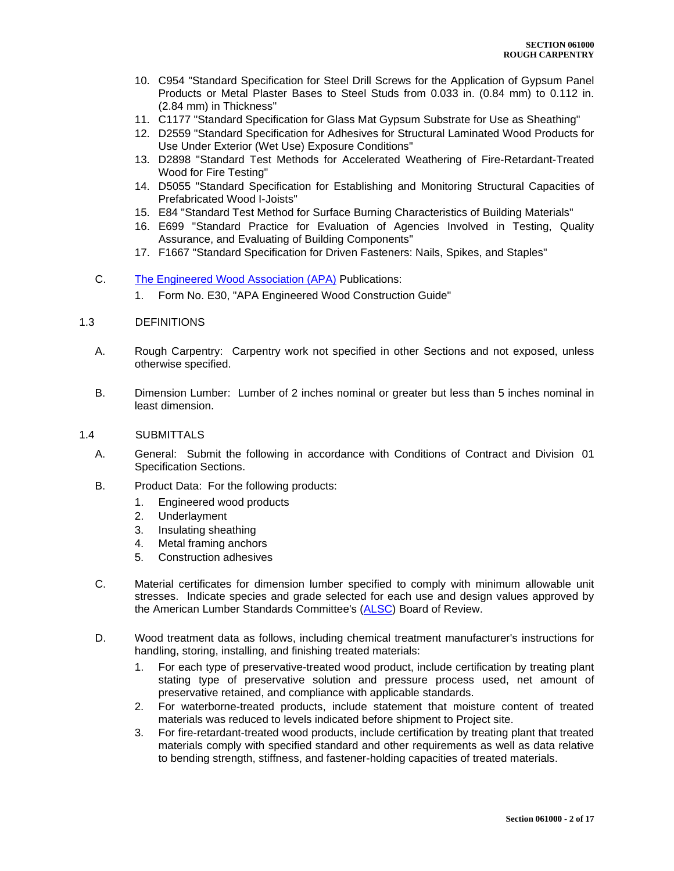- 10. C954 "Standard Specification for Steel Drill Screws for the Application of Gypsum Panel Products or Metal Plaster Bases to Steel Studs from 0.033 in. (0.84 mm) to 0.112 in. (2.84 mm) in Thickness"
- 11. C1177 "Standard Specification for Glass Mat Gypsum Substrate for Use as Sheathing"
- 12. D2559 "Standard Specification for Adhesives for Structural Laminated Wood Products for Use Under Exterior (Wet Use) Exposure Conditions"
- 13. D2898 "Standard Test Methods for Accelerated Weathering of Fire-Retardant-Treated Wood for Fire Testing"
- 14. D5055 "Standard Specification for Establishing and Monitoring Structural Capacities of Prefabricated Wood I-Joists"
- 15. E84 "Standard Test Method for Surface Burning Characteristics of Building Materials"
- 16. E699 "Standard Practice for Evaluation of Agencies Involved in Testing, Quality Assurance, and Evaluating of Building Components"
- 17. F1667 "Standard Specification for Driven Fasteners: Nails, Spikes, and Staples"
- C. [The Engineered Wood Association \(APA\)](http://www.apawood.org/) Publications:
	- 1. Form No. E30, "APA Engineered Wood Construction Guide"

#### 1.3 DEFINITIONS

- A. Rough Carpentry: Carpentry work not specified in other Sections and not exposed, unless otherwise specified.
- B. Dimension Lumber: Lumber of 2 inches nominal or greater but less than 5 inches nominal in least dimension.

#### 1.4 SUBMITTALS

- A. General: Submit the following in accordance with Conditions of Contract and Division 01 Specification Sections.
- B. Product Data: For the following products:
	- 1. Engineered wood products
	- 2. Underlayment
	- 3. Insulating sheathing
	- 4. Metal framing anchors
	- 5. Construction adhesives
- C. Material certificates for dimension lumber specified to comply with minimum allowable unit stresses. Indicate species and grade selected for each use and design values approved by the American Lumber Standards Committee's [\(ALSC\)](http://www.alsc.org/) Board of Review.
- D. Wood treatment data as follows, including chemical treatment manufacturer's instructions for handling, storing, installing, and finishing treated materials:
	- 1. For each type of preservative-treated wood product, include certification by treating plant stating type of preservative solution and pressure process used, net amount of preservative retained, and compliance with applicable standards.
	- 2. For waterborne-treated products, include statement that moisture content of treated materials was reduced to levels indicated before shipment to Project site.
	- 3. For fire-retardant-treated wood products, include certification by treating plant that treated materials comply with specified standard and other requirements as well as data relative to bending strength, stiffness, and fastener-holding capacities of treated materials.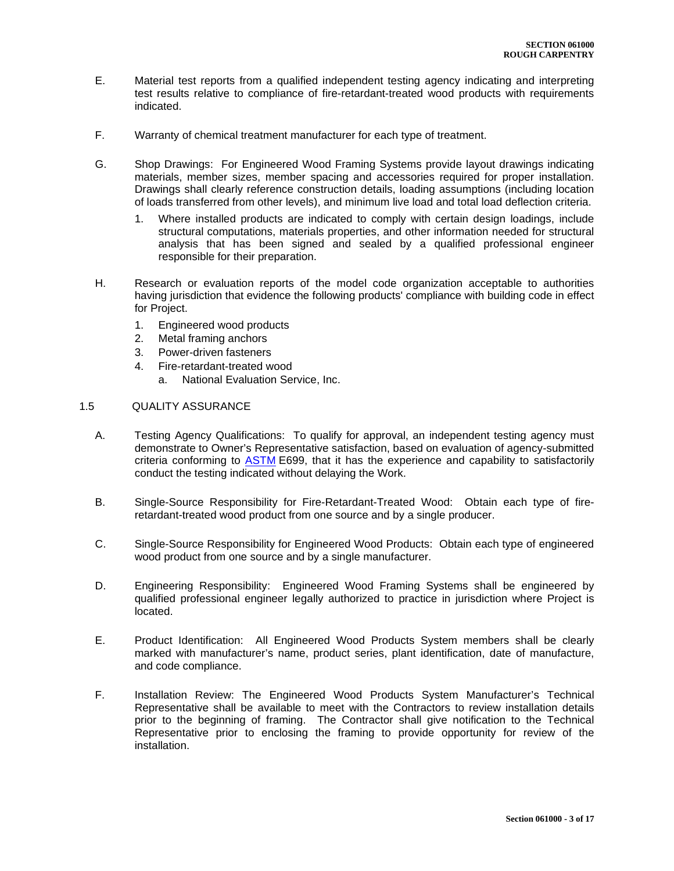- E. Material test reports from a qualified independent testing agency indicating and interpreting test results relative to compliance of fire-retardant-treated wood products with requirements indicated.
- F. Warranty of chemical treatment manufacturer for each type of treatment.
- G. Shop Drawings: For Engineered Wood Framing Systems provide layout drawings indicating materials, member sizes, member spacing and accessories required for proper installation. Drawings shall clearly reference construction details, loading assumptions (including location of loads transferred from other levels), and minimum live load and total load deflection criteria.
	- 1. Where installed products are indicated to comply with certain design loadings, include structural computations, materials properties, and other information needed for structural analysis that has been signed and sealed by a qualified professional engineer responsible for their preparation.
- H. Research or evaluation reports of the model code organization acceptable to authorities having jurisdiction that evidence the following products' compliance with building code in effect for Project.
	- 1. Engineered wood products
	- 2. Metal framing anchors
	- 3. Power-driven fasteners
	- 4. Fire-retardant-treated wood
		- a. National Evaluation Service, Inc.

## 1.5 QUALITY ASSURANCE

- A. Testing Agency Qualifications: To qualify for approval, an independent testing agency must demonstrate to Owner's Representative satisfaction, based on evaluation of agency-submitted criteria conforming to [ASTM](http://www.astm.org/) E699, that it has the experience and capability to satisfactorily conduct the testing indicated without delaying the Work.
- B. Single-Source Responsibility for Fire-Retardant-Treated Wood: Obtain each type of fireretardant-treated wood product from one source and by a single producer.
- C. Single-Source Responsibility for Engineered Wood Products: Obtain each type of engineered wood product from one source and by a single manufacturer.
- D. Engineering Responsibility: Engineered Wood Framing Systems shall be engineered by qualified professional engineer legally authorized to practice in jurisdiction where Project is located.
- E. Product Identification: All Engineered Wood Products System members shall be clearly marked with manufacturer's name, product series, plant identification, date of manufacture, and code compliance.
- F. Installation Review: The Engineered Wood Products System Manufacturer's Technical Representative shall be available to meet with the Contractors to review installation details prior to the beginning of framing. The Contractor shall give notification to the Technical Representative prior to enclosing the framing to provide opportunity for review of the installation.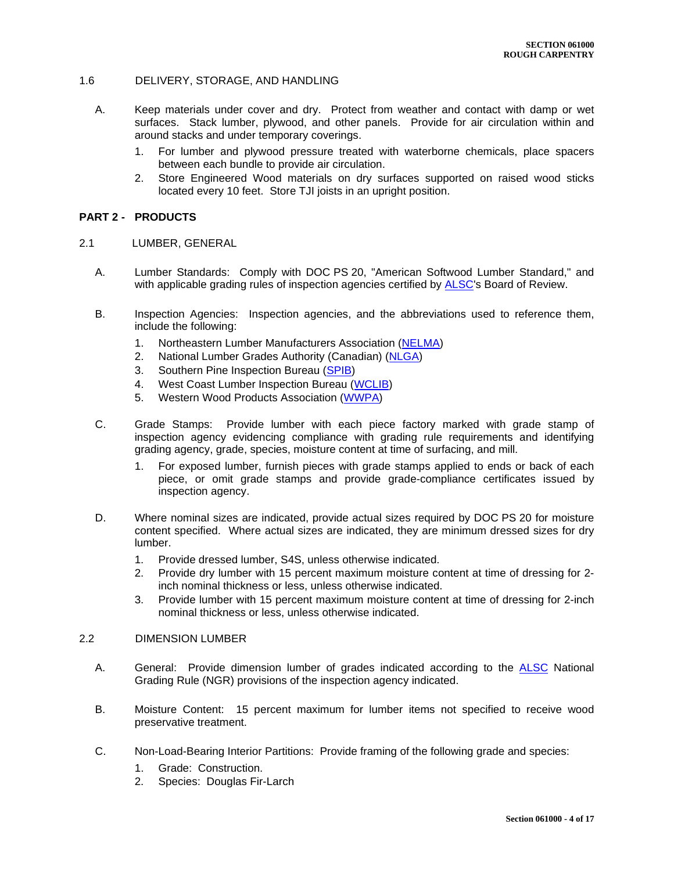#### 1.6 DELIVERY, STORAGE, AND HANDLING

- A. Keep materials under cover and dry. Protect from weather and contact with damp or wet surfaces. Stack lumber, plywood, and other panels. Provide for air circulation within and around stacks and under temporary coverings.
	- 1. For lumber and plywood pressure treated with waterborne chemicals, place spacers between each bundle to provide air circulation.
	- 2. Store Engineered Wood materials on dry surfaces supported on raised wood sticks located every 10 feet. Store TJI joists in an upright position.

#### **PART 2 - PRODUCTS**

- 2.1 LUMBER, GENERAL
	- A. Lumber Standards: Comply with DOC PS 20, "American Softwood Lumber Standard," and with applicable grading rules of inspection agencies certified by [ALSC's](http://www.alsc.org/) Board of Review.
	- B. Inspection Agencies: Inspection agencies, and the abbreviations used to reference them, include the following:
		- 1. Northeastern Lumber Manufacturers Association [\(NELMA\)](http://www.nelma.org/)
		- 2. National Lumber Grades Authority (Canadian) [\(NLGA\)](http://www.nlga.org/)
		- 3. Southern Pine Inspection Bureau [\(SPIB\)](file://OKC-SERVER/Jobs/www.spib.org)
		- 4. West Coast Lumber Inspection Bureau [\(WCLIB\)](http://www.wclib.org/)
		- 5. Western Wood Products Association [\(WWPA\)](file://OKC-SERVER/Jobs/www.wwpa.org)
	- C. Grade Stamps: Provide lumber with each piece factory marked with grade stamp of inspection agency evidencing compliance with grading rule requirements and identifying grading agency, grade, species, moisture content at time of surfacing, and mill.
		- 1. For exposed lumber, furnish pieces with grade stamps applied to ends or back of each piece, or omit grade stamps and provide grade-compliance certificates issued by inspection agency.
	- D. Where nominal sizes are indicated, provide actual sizes required by DOC PS 20 for moisture content specified. Where actual sizes are indicated, they are minimum dressed sizes for dry lumber.
		- 1. Provide dressed lumber, S4S, unless otherwise indicated.
		- 2. Provide dry lumber with 15 percent maximum moisture content at time of dressing for 2 inch nominal thickness or less, unless otherwise indicated.
		- 3. Provide lumber with 15 percent maximum moisture content at time of dressing for 2-inch nominal thickness or less, unless otherwise indicated.

#### 2.2 DIMENSION LUMBER

- A. General: Provide dimension lumber of grades indicated according to the [ALSC](http://www.alsc.org/) National Grading Rule (NGR) provisions of the inspection agency indicated.
- B. Moisture Content: 15 percent maximum for lumber items not specified to receive wood preservative treatment.
- C. Non-Load-Bearing Interior Partitions: Provide framing of the following grade and species:
	- 1. Grade: Construction.
	- 2. Species: Douglas Fir-Larch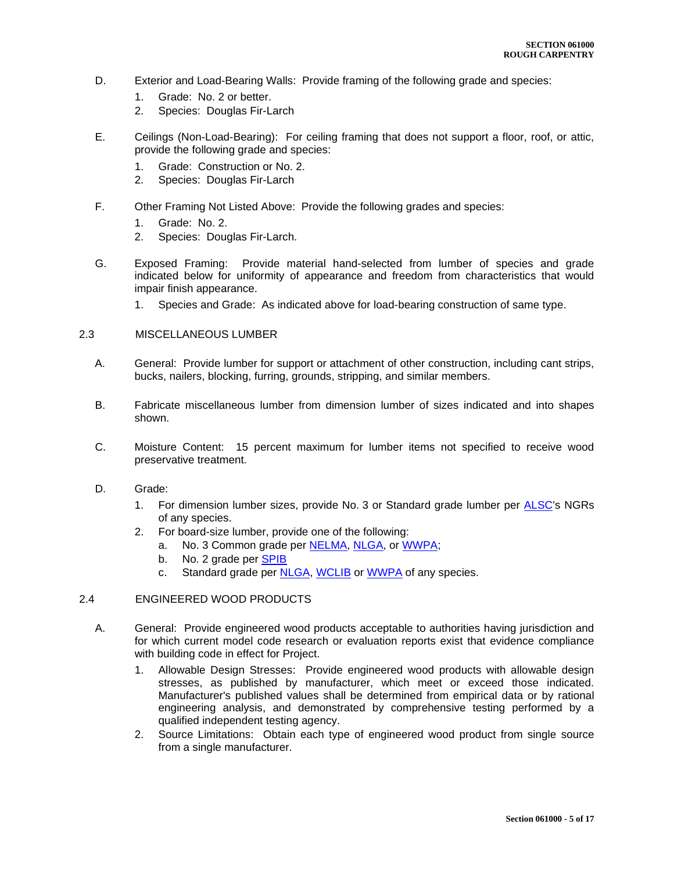- D. Exterior and Load-Bearing Walls: Provide framing of the following grade and species:
	- 1. Grade: No. 2 or better.
	- 2. Species: Douglas Fir-Larch
- E. Ceilings (Non-Load-Bearing): For ceiling framing that does not support a floor, roof, or attic, provide the following grade and species:
	- 1. Grade: Construction or No. 2.
	- 2. Species: Douglas Fir-Larch
- F. Other Framing Not Listed Above: Provide the following grades and species:
	- 1. Grade: No. 2.
	- 2. Species: Douglas Fir-Larch.
- G. Exposed Framing: Provide material hand-selected from lumber of species and grade indicated below for uniformity of appearance and freedom from characteristics that would impair finish appearance.
	- 1. Species and Grade: As indicated above for load-bearing construction of same type.

#### 2.3 MISCELLANEOUS LUMBER

- A. General: Provide lumber for support or attachment of other construction, including cant strips, bucks, nailers, blocking, furring, grounds, stripping, and similar members.
- B. Fabricate miscellaneous lumber from dimension lumber of sizes indicated and into shapes shown.
- C. Moisture Content: 15 percent maximum for lumber items not specified to receive wood preservative treatment.
- D. Grade:
	- 1. For dimension lumber sizes, provide No. 3 or Standard grade lumber per ALSC's NGRs of any species.
	- 2. For board-size lumber, provide one of the following:
		- a. No. 3 Common grade per [NELMA,](http://www.nelma.org/) [NLGA,](http://www.nlga.org/) or WWPA;
		- b. No. 2 grade per SPIB
		- c. Standard grade per [NLGA,](http://www.nlga.org/) [WCLIB](http://www.wclib.org/) or WWPA of any species.

## 2.4 ENGINEERED WOOD PRODUCTS

- A. General: Provide engineered wood products acceptable to authorities having jurisdiction and for which current model code research or evaluation reports exist that evidence compliance with building code in effect for Project.
	- 1. Allowable Design Stresses: Provide engineered wood products with allowable design stresses, as published by manufacturer, which meet or exceed those indicated. Manufacturer's published values shall be determined from empirical data or by rational engineering analysis, and demonstrated by comprehensive testing performed by a qualified independent testing agency.
	- 2. Source Limitations: Obtain each type of engineered wood product from single source from a single manufacturer.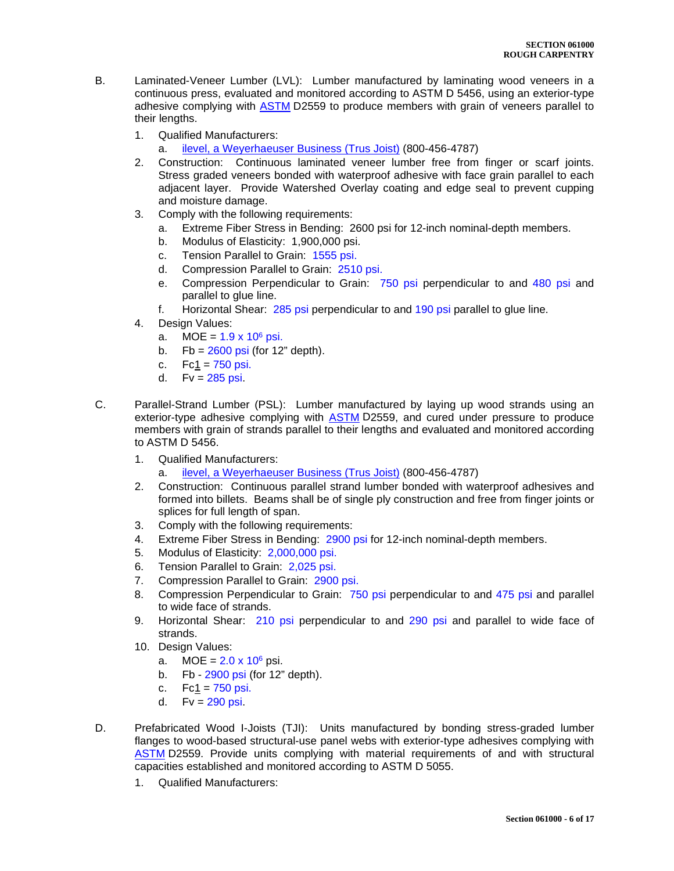- B. Laminated-Veneer Lumber (LVL): Lumber manufactured by laminating wood veneers in a continuous press, evaluated and monitored according to ASTM D 5456, using an exterior-type adhesive complying with [ASTM](http://www.astm.org/) D2559 to produce members with grain of veneers parallel to their lengths.
	- 1. Qualified Manufacturers:
		- a. [ilevel, a Weyerhaeuser Business \(Trus Joist\)](http://www.ilevel.com/) (800-456-4787)
	- 2. Construction: Continuous laminated veneer lumber free from finger or scarf joints. Stress graded veneers bonded with waterproof adhesive with face grain parallel to each adjacent layer. Provide Watershed Overlay coating and edge seal to prevent cupping and moisture damage.
	- 3. Comply with the following requirements:
		- a. Extreme Fiber Stress in Bending: 2600 psi for 12-inch nominal-depth members.
		- b. Modulus of Elasticity: 1,900,000 psi.
		- c. Tension Parallel to Grain: 1555 psi.
		- d. Compression Parallel to Grain: 2510 psi.
		- e. Compression Perpendicular to Grain: 750 psi perpendicular to and 480 psi and parallel to glue line.
		- f. Horizontal Shear: 285 psi perpendicular to and 190 psi parallel to glue line.
	- 4. Design Values:
		- a.  $MOE = 1.9 \times 10^6 \text{ psi.}$
		- b.  $Fb = 2600 \text{ psi}$  (for 12" depth).
		- c.  $Fc1 = 750 \text{ psi.}$
		- d.  $Fv = 285$  psi.
- C. Parallel-Strand Lumber (PSL): Lumber manufactured by laying up wood strands using an exterior-type adhesive complying with [ASTM](http://www.astm.org/) D2559, and cured under pressure to produce members with grain of strands parallel to their lengths and evaluated and monitored according to ASTM D 5456.
	- 1. Qualified Manufacturers:
		- a. [ilevel, a Weyerhaeuser Business \(Trus Joist\)](http://www.ilevel.com/) (800-456-4787)
	- 2. Construction: Continuous parallel strand lumber bonded with waterproof adhesives and formed into billets. Beams shall be of single ply construction and free from finger joints or splices for full length of span.
	- 3. Comply with the following requirements:
	- 4. Extreme Fiber Stress in Bending: 2900 psi for 12-inch nominal-depth members.
	- 5. Modulus of Elasticity: 2,000,000 psi.
	- 6. Tension Parallel to Grain: 2,025 psi.
	- 7. Compression Parallel to Grain: 2900 psi.
	- 8. Compression Perpendicular to Grain: 750 psi perpendicular to and 475 psi and parallel to wide face of strands.
	- 9. Horizontal Shear: 210 psi perpendicular to and 290 psi and parallel to wide face of strands.
	- 10. Design Values:
		- a.  $MOE = 2.0 \times 10^6 \text{ psi.}$
		- b. Fb 2900 psi (for 12" depth).
		- c.  $Fc1 = 750$  psi.
		- d.  $Fv = 290 \text{ psi}$ .
- D. Prefabricated Wood I-Joists (TJI): Units manufactured by bonding stress-graded lumber flanges to wood-based structural-use panel webs with exterior-type adhesives complying with [ASTM](http://www.astm.org/) D2559. Provide units complying with material requirements of and with structural capacities established and monitored according to ASTM D 5055.
	- 1. Qualified Manufacturers: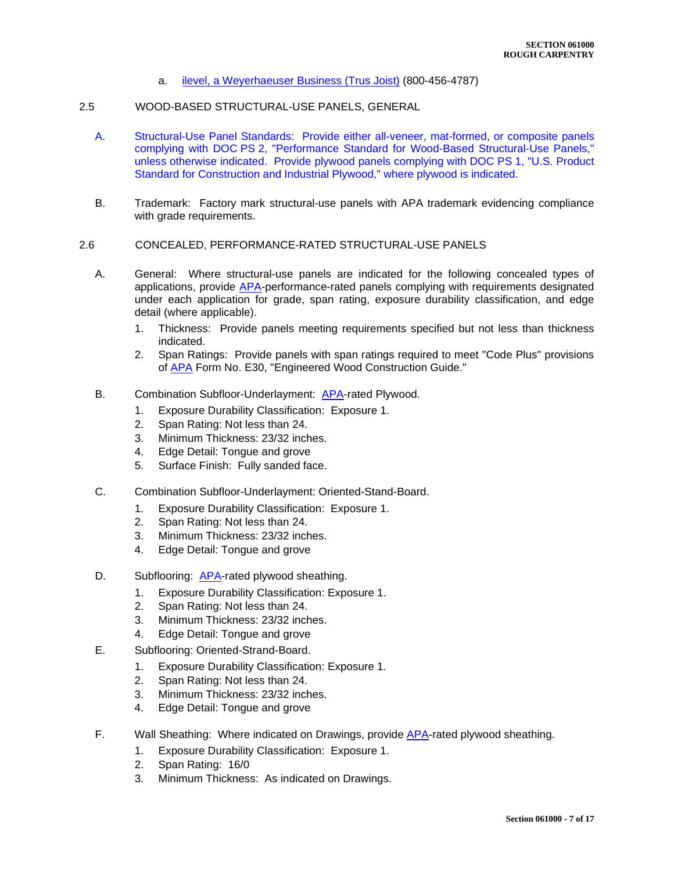a. [ilevel, a Weyerhaeuser Business \(Trus Joist\)](http://www.ilevel.com/) (800-456-4787)

#### 2.5 WOOD-BASED STRUCTURAL-USE PANELS, GENERAL

- A. Structural-Use Panel Standards: Provide either all-veneer, mat-formed, or composite panels complying with DOC PS 2, "Performance Standard for Wood-Based Structural-Use Panels," unless otherwise indicated. Provide plywood panels complying with DOC PS 1, "U.S. Product Standard for Construction and Industrial Plywood," where plywood is indicated.
- B. Trademark: Factory mark structural-use panels with APA trademark evidencing compliance with grade requirements.

#### 2.6 CONCEALED, PERFORMANCE-RATED STRUCTURAL-USE PANELS

- A. General: Where structural-use panels are indicated for the following concealed types of applications, provide [APA-](http://www.apawood.org/)performance-rated panels complying with requirements designated under each application for grade, span rating, exposure durability classification, and edge detail (where applicable).
	- 1. Thickness: Provide panels meeting requirements specified but not less than thickness indicated.
	- 2. Span Ratings: Provide panels with span ratings required to meet "Code Plus" provisions of [APA](http://www.apawood.org/) Form No. E30, "Engineered Wood Construction Guide."
- B. Combination Subfloor-Underlayment: [APA-](http://www.apawood.org/)rated Plywood.
	- 1. Exposure Durability Classification: Exposure 1.
	- 2. Span Rating: Not less than 24.
	- 3. Minimum Thickness: 23/32 inches.
	- 4. Edge Detail: Tongue and grove
	- 5. Surface Finish: Fully sanded face.
- C. Combination Subfloor-Underlayment: Oriented-Stand-Board.
	- 1. Exposure Durability Classification: Exposure 1.
	- 2. Span Rating: Not less than 24.
	- 3. Minimum Thickness: 23/32 inches.
	- 4. Edge Detail: Tongue and grove
- D. Subflooring: [APA-](http://www.apawood.org/)rated plywood sheathing.
	- 1. Exposure Durability Classification: Exposure 1.
	- 2. Span Rating: Not less than 24.
	- 3. Minimum Thickness: 23/32 inches.
	- 4. Edge Detail: Tongue and grove
- E. Subflooring: Oriented-Strand-Board.
	- 1. Exposure Durability Classification: Exposure 1.
	- 2. Span Rating: Not less than 24.
	- 3. Minimum Thickness: 23/32 inches.
	- 4. Edge Detail: Tongue and grove
- F. Wall Sheathing: Where indicated on Drawings, provide [APA-](http://www.apawood.org/)rated plywood sheathing.
	- 1. Exposure Durability Classification: Exposure 1.
	- 2. Span Rating: 16/0
	- 3. Minimum Thickness: As indicated on Drawings.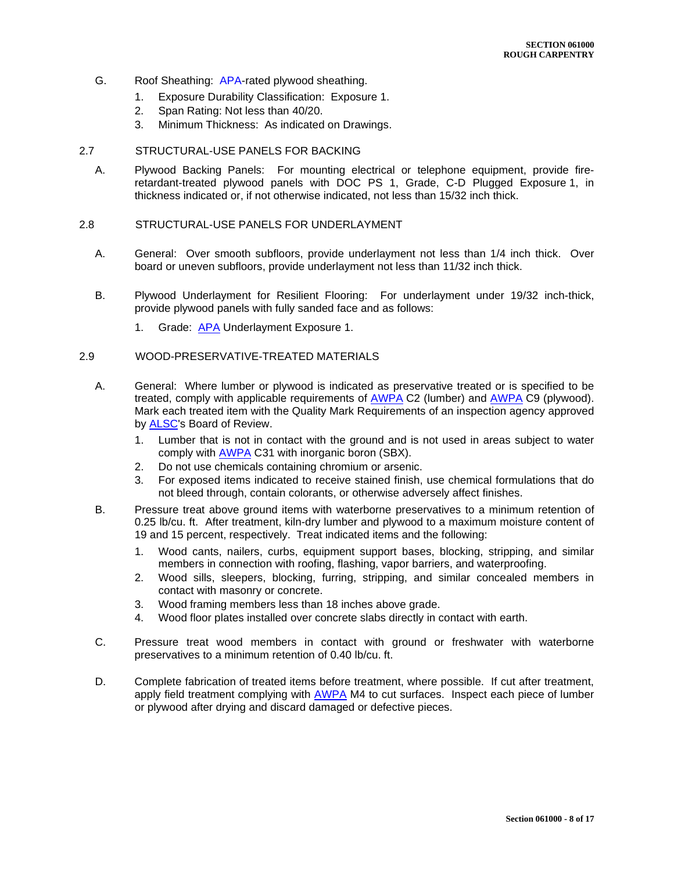- G. Roof Sheathing: [APA-](http://www.apawood.org/)rated plywood sheathing.
	- 1. Exposure Durability Classification: Exposure 1.
	- 2. Span Rating: Not less than 40/20.
	- 3. Minimum Thickness: As indicated on Drawings.

#### 2.7 STRUCTURAL-USE PANELS FOR BACKING

A. Plywood Backing Panels: For mounting electrical or telephone equipment, provide fireretardant-treated plywood panels with DOC PS 1, Grade, C-D Plugged Exposure 1, in thickness indicated or, if not otherwise indicated, not less than 15/32 inch thick.

#### 2.8 STRUCTURAL-USE PANELS FOR UNDERLAYMENT

- A. General: Over smooth subfloors, provide underlayment not less than 1/4 inch thick. Over board or uneven subfloors, provide underlayment not less than 11/32 inch thick.
- B. Plywood Underlayment for Resilient Flooring: For underlayment under 19/32 inch-thick, provide plywood panels with fully sanded face and as follows:
	- 1. Grade: [APA](http://www.apawood.org/) Underlayment Exposure 1.

#### 2.9 WOOD-PRESERVATIVE-TREATED MATERIALS

- A. General: Where lumber or plywood is indicated as preservative treated or is specified to be treated, comply with applicable requirements of [AWPA](http://www.awpa.com/) C2 (lumber) and [AWPA](http://www.awpa.com/) C9 (plywood). Mark each treated item with the Quality Mark Requirements of an inspection agency approved by ALSC's Board of Review.
	- 1. Lumber that is not in contact with the ground and is not used in areas subject to water comply with [AWPA](http://www.awpa.com/) C31 with inorganic boron (SBX).
	- 2. Do not use chemicals containing chromium or arsenic.
	- 3. For exposed items indicated to receive stained finish, use chemical formulations that do not bleed through, contain colorants, or otherwise adversely affect finishes.
- B. Pressure treat above ground items with waterborne preservatives to a minimum retention of 0.25 lb/cu. ft. After treatment, kiln-dry lumber and plywood to a maximum moisture content of 19 and 15 percent, respectively. Treat indicated items and the following:
	- 1. Wood cants, nailers, curbs, equipment support bases, blocking, stripping, and similar members in connection with roofing, flashing, vapor barriers, and waterproofing.
	- 2. Wood sills, sleepers, blocking, furring, stripping, and similar concealed members in contact with masonry or concrete.
	- 3. Wood framing members less than 18 inches above grade.
	- 4. Wood floor plates installed over concrete slabs directly in contact with earth.
- C. Pressure treat wood members in contact with ground or freshwater with waterborne preservatives to a minimum retention of 0.40 lb/cu. ft.
- D. Complete fabrication of treated items before treatment, where possible. If cut after treatment, apply field treatment complying with [AWPA](http://www.awpa.com/) M4 to cut surfaces. Inspect each piece of lumber or plywood after drying and discard damaged or defective pieces.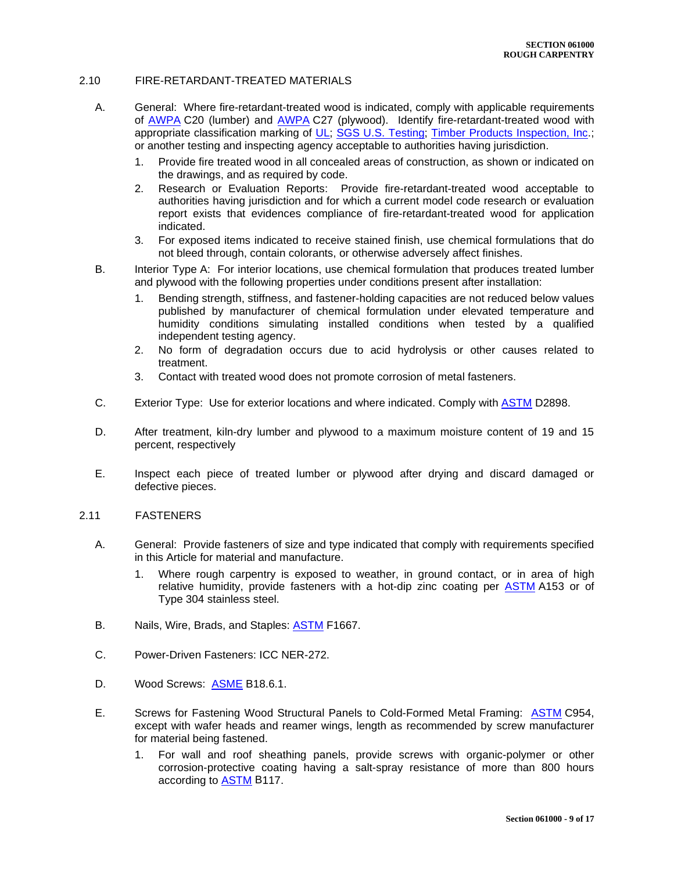## 2.10 FIRE-RETARDANT-TREATED MATERIALS

- A. General: Where fire-retardant-treated wood is indicated, comply with applicable requirements of [AWPA](http://www.awpa.com/) C20 (lumber) and [AWPA](http://www.awpa.com/) C27 (plywood). Identify fire-retardant-treated wood with appropriate classification marking of [UL;](http://www.ul.com/) [SGS U.S. Testing;](http://www.us.sgs.com/) [Timber Products Inspection, Inc.](http://www.tpinspection.com/); or another testing and inspecting agency acceptable to authorities having jurisdiction.
	- 1. Provide fire treated wood in all concealed areas of construction, as shown or indicated on the drawings, and as required by code.
	- 2. Research or Evaluation Reports: Provide fire-retardant-treated wood acceptable to authorities having jurisdiction and for which a current model code research or evaluation report exists that evidences compliance of fire-retardant-treated wood for application indicated.
	- 3. For exposed items indicated to receive stained finish, use chemical formulations that do not bleed through, contain colorants, or otherwise adversely affect finishes.
- B. Interior Type A: For interior locations, use chemical formulation that produces treated lumber and plywood with the following properties under conditions present after installation:
	- 1. Bending strength, stiffness, and fastener-holding capacities are not reduced below values published by manufacturer of chemical formulation under elevated temperature and humidity conditions simulating installed conditions when tested by a qualified independent testing agency.
	- 2. No form of degradation occurs due to acid hydrolysis or other causes related to treatment.
	- 3. Contact with treated wood does not promote corrosion of metal fasteners.
- C. Exterior Type: Use for exterior locations and where indicated. Comply with [ASTM](http://www.astm.org/) D2898.
- D. After treatment, kiln-dry lumber and plywood to a maximum moisture content of 19 and 15 percent, respectively
- E. Inspect each piece of treated lumber or plywood after drying and discard damaged or defective pieces.

#### 2.11 FASTENERS

- A. General: Provide fasteners of size and type indicated that comply with requirements specified in this Article for material and manufacture.
	- 1. Where rough carpentry is exposed to weather, in ground contact, or in area of high relative humidity, provide fasteners with a hot-dip zinc coating per [ASTM](http://www.astm.org/) A153 or of Type 304 stainless steel.
- B. Nails, Wire, Brads, and Staples: [ASTM](http://www.astm.org/) F1667.
- C. Power-Driven Fasteners: ICC NER-272.
- D. Wood Screws: [ASME](http://www.asme.org/) B18.6.1.
- E. Screws for Fastening Wood Structural Panels to Cold-Formed Metal Framing: **[ASTM](http://www.astm.org/)** C954, except with wafer heads and reamer wings, length as recommended by screw manufacturer for material being fastened.
	- 1. For wall and roof sheathing panels, provide screws with organic-polymer or other corrosion-protective coating having a salt-spray resistance of more than 800 hours according to [ASTM](http://www.astm.org/) B117.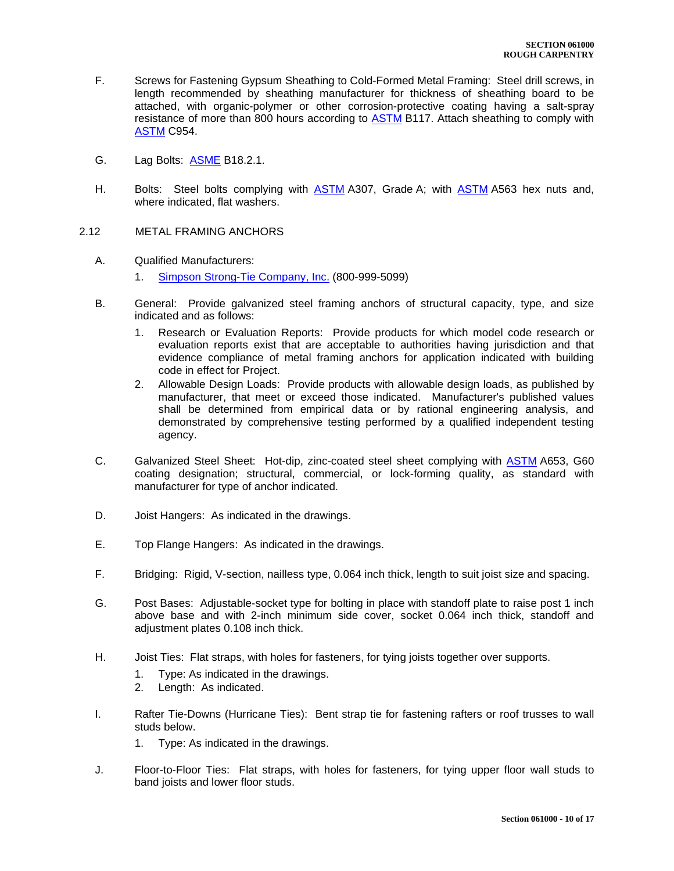- F. Screws for Fastening Gypsum Sheathing to Cold-Formed Metal Framing: Steel drill screws, in length recommended by sheathing manufacturer for thickness of sheathing board to be attached, with organic-polymer or other corrosion-protective coating having a salt-spray resistance of more than 800 hours according to [ASTM](http://www.astm.org/) B117. Attach sheathing to comply with [ASTM](http://www.astm.org/) C954.
- G. Lag Bolts: [ASME](http://www.asme.org/) B18.2.1.
- H. Bolts: Steel bolts complying with [ASTM](http://www.astm.org/) A307, Grade A; with [ASTM](http://www.astm.org/) A563 hex nuts and, where indicated, flat washers.
- 2.12 METAL FRAMING ANCHORS
	- A. Qualified Manufacturers:
		- 1. [Simpson Strong-Tie Company, Inc.](http://www.strongtie.com/) (800-999-5099)
	- B. General: Provide galvanized steel framing anchors of structural capacity, type, and size indicated and as follows:
		- 1. Research or Evaluation Reports: Provide products for which model code research or evaluation reports exist that are acceptable to authorities having jurisdiction and that evidence compliance of metal framing anchors for application indicated with building code in effect for Project.
		- 2. Allowable Design Loads: Provide products with allowable design loads, as published by manufacturer, that meet or exceed those indicated. Manufacturer's published values shall be determined from empirical data or by rational engineering analysis, and demonstrated by comprehensive testing performed by a qualified independent testing agency.
	- C. Galvanized Steel Sheet: Hot-dip, zinc-coated steel sheet complying with [ASTM](http://www.astm.org/) A653, G60 coating designation; structural, commercial, or lock-forming quality, as standard with manufacturer for type of anchor indicated.
	- D. Joist Hangers: As indicated in the drawings.
	- E. Top Flange Hangers: As indicated in the drawings.
	- F. Bridging: Rigid, V-section, nailless type, 0.064 inch thick, length to suit joist size and spacing.
	- G. Post Bases: Adjustable-socket type for bolting in place with standoff plate to raise post 1 inch above base and with 2-inch minimum side cover, socket 0.064 inch thick, standoff and adjustment plates 0.108 inch thick.
	- H. Joist Ties: Flat straps, with holes for fasteners, for tying joists together over supports.
		- 1. Type: As indicated in the drawings.
		- 2. Length: As indicated.
	- I. Rafter Tie-Downs (Hurricane Ties): Bent strap tie for fastening rafters or roof trusses to wall studs below.
		- 1. Type: As indicated in the drawings.
	- J. Floor-to-Floor Ties: Flat straps, with holes for fasteners, for tying upper floor wall studs to band joists and lower floor studs.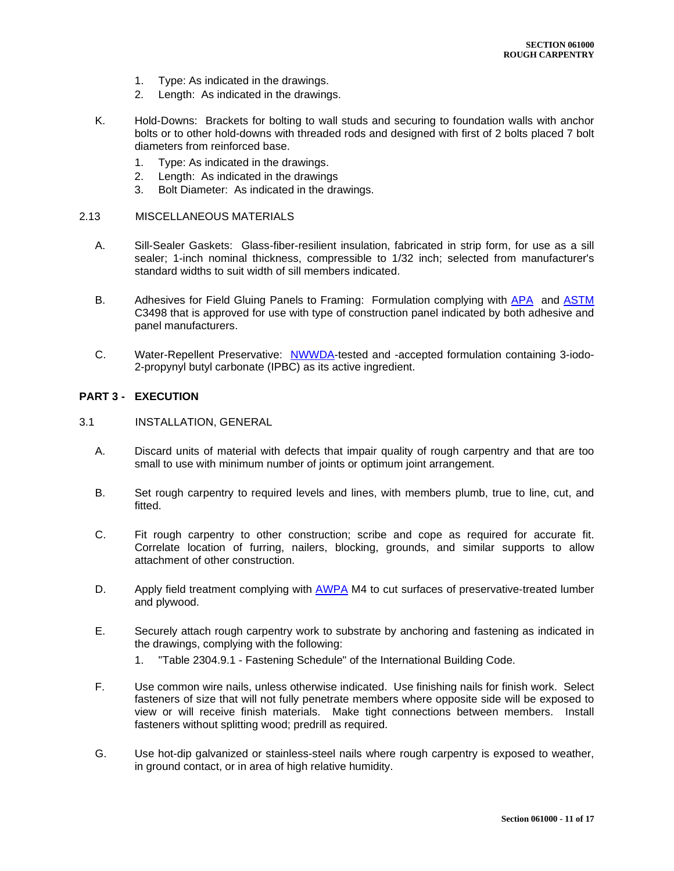- 1. Type: As indicated in the drawings.
- 2. Length: As indicated in the drawings.
- K. Hold-Downs: Brackets for bolting to wall studs and securing to foundation walls with anchor bolts or to other hold-downs with threaded rods and designed with first of 2 bolts placed 7 bolt diameters from reinforced base.
	- 1. Type: As indicated in the drawings.
	- 2. Length: As indicated in the drawings
	- 3. Bolt Diameter: As indicated in the drawings.

#### 2.13 MISCELLANEOUS MATERIALS

- A. Sill-Sealer Gaskets: Glass-fiber-resilient insulation, fabricated in strip form, for use as a sill sealer; 1-inch nominal thickness, compressible to 1/32 inch; selected from manufacturer's standard widths to suit width of sill members indicated.
- B. Adhesives for Field Gluing Panels to Framing: Formulation complying with [APA](http://www.apawood.org/) and [ASTM](http://www.astm.org/) C3498 that is approved for use with type of construction panel indicated by both adhesive and panel manufacturers.
- C. Water-Repellent Preservative: [NWWDA-](http://www.nwwda.org/)tested and -accepted formulation containing 3-iodo-2-propynyl butyl carbonate (IPBC) as its active ingredient.

#### **PART 3 - EXECUTION**

- 3.1 INSTALLATION, GENERAL
	- A. Discard units of material with defects that impair quality of rough carpentry and that are too small to use with minimum number of joints or optimum joint arrangement.
	- B. Set rough carpentry to required levels and lines, with members plumb, true to line, cut, and fitted.
	- C. Fit rough carpentry to other construction; scribe and cope as required for accurate fit. Correlate location of furring, nailers, blocking, grounds, and similar supports to allow attachment of other construction.
	- D. Apply field treatment complying with [AWPA](http://www.awpa.com/) M4 to cut surfaces of preservative-treated lumber and plywood.
	- E. Securely attach rough carpentry work to substrate by anchoring and fastening as indicated in the drawings, complying with the following:
		- 1. "Table 2304.9.1 Fastening Schedule" of the International Building Code.
	- F. Use common wire nails, unless otherwise indicated. Use finishing nails for finish work. Select fasteners of size that will not fully penetrate members where opposite side will be exposed to view or will receive finish materials. Make tight connections between members. Install fasteners without splitting wood; predrill as required.
	- G. Use hot-dip galvanized or stainless-steel nails where rough carpentry is exposed to weather, in ground contact, or in area of high relative humidity.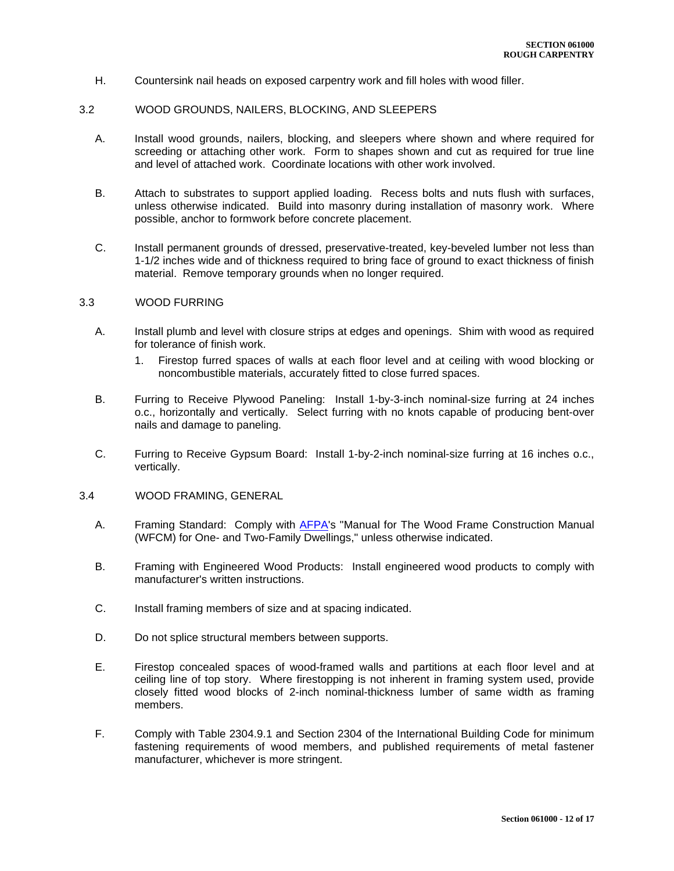H. Countersink nail heads on exposed carpentry work and fill holes with wood filler.

#### 3.2 WOOD GROUNDS, NAILERS, BLOCKING, AND SLEEPERS

- A. Install wood grounds, nailers, blocking, and sleepers where shown and where required for screeding or attaching other work. Form to shapes shown and cut as required for true line and level of attached work. Coordinate locations with other work involved.
- B. Attach to substrates to support applied loading. Recess bolts and nuts flush with surfaces, unless otherwise indicated. Build into masonry during installation of masonry work. Where possible, anchor to formwork before concrete placement.
- C. Install permanent grounds of dressed, preservative-treated, key-beveled lumber not less than 1-1/2 inches wide and of thickness required to bring face of ground to exact thickness of finish material. Remove temporary grounds when no longer required.

#### 3.3 WOOD FURRING

- A. Install plumb and level with closure strips at edges and openings. Shim with wood as required for tolerance of finish work.
	- 1. Firestop furred spaces of walls at each floor level and at ceiling with wood blocking or noncombustible materials, accurately fitted to close furred spaces.
- B. Furring to Receive Plywood Paneling: Install 1-by-3-inch nominal-size furring at 24 inches o.c., horizontally and vertically. Select furring with no knots capable of producing bent-over nails and damage to paneling.
- C. Furring to Receive Gypsum Board: Install 1-by-2-inch nominal-size furring at 16 inches o.c., vertically.
- 3.4 WOOD FRAMING, GENERAL
	- A. Framing Standard: Comply with [AFPA's](http://www.afandpa.org/) "Manual for The Wood Frame Construction Manual (WFCM) for One- and Two-Family Dwellings," unless otherwise indicated.
	- B. Framing with Engineered Wood Products: Install engineered wood products to comply with manufacturer's written instructions.
	- C. Install framing members of size and at spacing indicated.
	- D. Do not splice structural members between supports.
	- E. Firestop concealed spaces of wood-framed walls and partitions at each floor level and at ceiling line of top story. Where firestopping is not inherent in framing system used, provide closely fitted wood blocks of 2-inch nominal-thickness lumber of same width as framing members.
	- F. Comply with Table 2304.9.1 and Section 2304 of the International Building Code for minimum fastening requirements of wood members, and published requirements of metal fastener manufacturer, whichever is more stringent.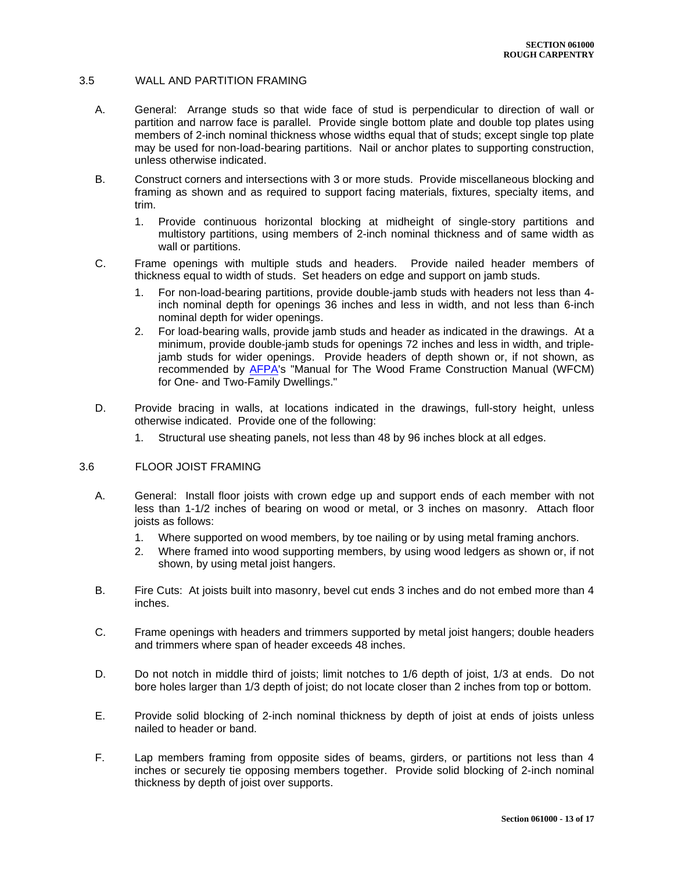#### 3.5 WALL AND PARTITION FRAMING

- A. General: Arrange studs so that wide face of stud is perpendicular to direction of wall or partition and narrow face is parallel. Provide single bottom plate and double top plates using members of 2-inch nominal thickness whose widths equal that of studs; except single top plate may be used for non-load-bearing partitions. Nail or anchor plates to supporting construction, unless otherwise indicated.
- B. Construct corners and intersections with 3 or more studs. Provide miscellaneous blocking and framing as shown and as required to support facing materials, fixtures, specialty items, and trim.
	- 1. Provide continuous horizontal blocking at midheight of single-story partitions and multistory partitions, using members of 2-inch nominal thickness and of same width as wall or partitions.
- C. Frame openings with multiple studs and headers. Provide nailed header members of thickness equal to width of studs. Set headers on edge and support on jamb studs.
	- 1. For non-load-bearing partitions, provide double-jamb studs with headers not less than 4 inch nominal depth for openings 36 inches and less in width, and not less than 6-inch nominal depth for wider openings.
	- 2. For load-bearing walls, provide jamb studs and header as indicated in the drawings. At a minimum, provide double-jamb studs for openings 72 inches and less in width, and triplejamb studs for wider openings. Provide headers of depth shown or, if not shown, as recommended by [AFPA's](http://www.afandpa.org/) "Manual for The Wood Frame Construction Manual (WFCM) for One- and Two-Family Dwellings."
- D. Provide bracing in walls, at locations indicated in the drawings, full-story height, unless otherwise indicated. Provide one of the following:
	- 1. Structural use sheating panels, not less than 48 by 96 inches block at all edges.

## 3.6 FLOOR JOIST FRAMING

- A. General: Install floor joists with crown edge up and support ends of each member with not less than 1-1/2 inches of bearing on wood or metal, or 3 inches on masonry. Attach floor joists as follows:
	- 1. Where supported on wood members, by toe nailing or by using metal framing anchors.
	- 2. Where framed into wood supporting members, by using wood ledgers as shown or, if not shown, by using metal joist hangers.
- B. Fire Cuts: At joists built into masonry, bevel cut ends 3 inches and do not embed more than 4 inches.
- C. Frame openings with headers and trimmers supported by metal joist hangers; double headers and trimmers where span of header exceeds 48 inches.
- D. Do not notch in middle third of joists; limit notches to 1/6 depth of joist, 1/3 at ends. Do not bore holes larger than 1/3 depth of joist; do not locate closer than 2 inches from top or bottom.
- E. Provide solid blocking of 2-inch nominal thickness by depth of joist at ends of joists unless nailed to header or band.
- F. Lap members framing from opposite sides of beams, girders, or partitions not less than 4 inches or securely tie opposing members together. Provide solid blocking of 2-inch nominal thickness by depth of joist over supports.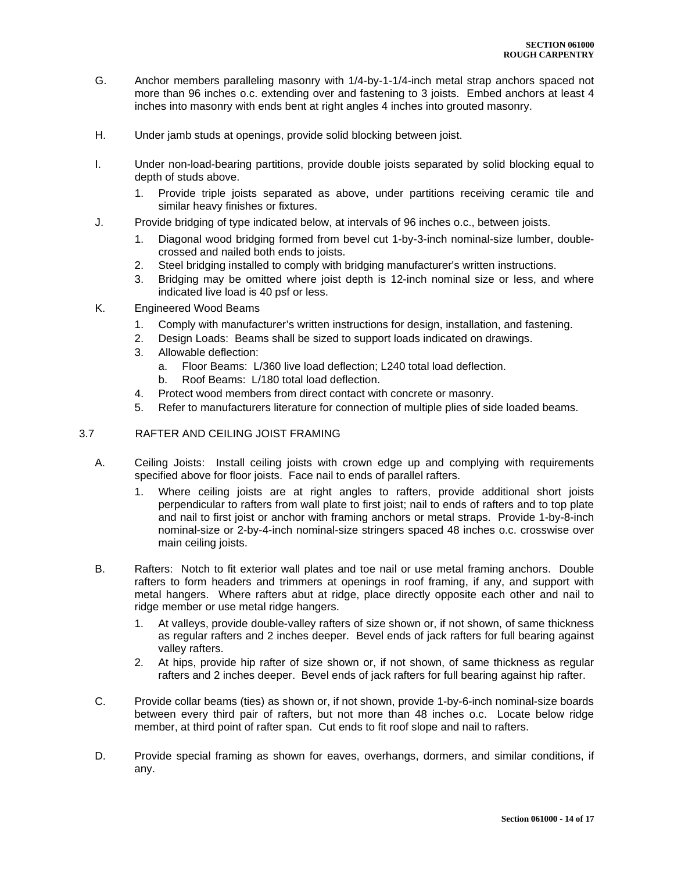- G. Anchor members paralleling masonry with 1/4-by-1-1/4-inch metal strap anchors spaced not more than 96 inches o.c. extending over and fastening to 3 joists. Embed anchors at least 4 inches into masonry with ends bent at right angles 4 inches into grouted masonry.
- H. Under jamb studs at openings, provide solid blocking between joist.
- I. Under non-load-bearing partitions, provide double joists separated by solid blocking equal to depth of studs above.
	- 1. Provide triple joists separated as above, under partitions receiving ceramic tile and similar heavy finishes or fixtures.
- J. Provide bridging of type indicated below, at intervals of 96 inches o.c., between joists.
	- 1. Diagonal wood bridging formed from bevel cut 1-by-3-inch nominal-size lumber, doublecrossed and nailed both ends to joists.
	- 2. Steel bridging installed to comply with bridging manufacturer's written instructions.
	- 3. Bridging may be omitted where joist depth is 12-inch nominal size or less, and where indicated live load is 40 psf or less.
- K. Engineered Wood Beams
	- 1. Comply with manufacturer's written instructions for design, installation, and fastening.
	- 2. Design Loads: Beams shall be sized to support loads indicated on drawings.
	- 3. Allowable deflection:
		- a. Floor Beams: L/360 live load deflection; L240 total load deflection.
		- b. Roof Beams: L/180 total load deflection.
	- 4. Protect wood members from direct contact with concrete or masonry.
	- 5. Refer to manufacturers literature for connection of multiple plies of side loaded beams.

## 3.7 RAFTER AND CEILING JOIST FRAMING

- A. Ceiling Joists: Install ceiling joists with crown edge up and complying with requirements specified above for floor joists. Face nail to ends of parallel rafters.
	- 1. Where ceiling joists are at right angles to rafters, provide additional short joists perpendicular to rafters from wall plate to first joist; nail to ends of rafters and to top plate and nail to first joist or anchor with framing anchors or metal straps. Provide 1-by-8-inch nominal-size or 2-by-4-inch nominal-size stringers spaced 48 inches o.c. crosswise over main ceiling joists.
- B. Rafters: Notch to fit exterior wall plates and toe nail or use metal framing anchors. Double rafters to form headers and trimmers at openings in roof framing, if any, and support with metal hangers. Where rafters abut at ridge, place directly opposite each other and nail to ridge member or use metal ridge hangers.
	- 1. At valleys, provide double-valley rafters of size shown or, if not shown, of same thickness as regular rafters and 2 inches deeper. Bevel ends of jack rafters for full bearing against valley rafters.
	- 2. At hips, provide hip rafter of size shown or, if not shown, of same thickness as regular rafters and 2 inches deeper. Bevel ends of jack rafters for full bearing against hip rafter.
- C. Provide collar beams (ties) as shown or, if not shown, provide 1-by-6-inch nominal-size boards between every third pair of rafters, but not more than 48 inches o.c. Locate below ridge member, at third point of rafter span. Cut ends to fit roof slope and nail to rafters.
- D. Provide special framing as shown for eaves, overhangs, dormers, and similar conditions, if any.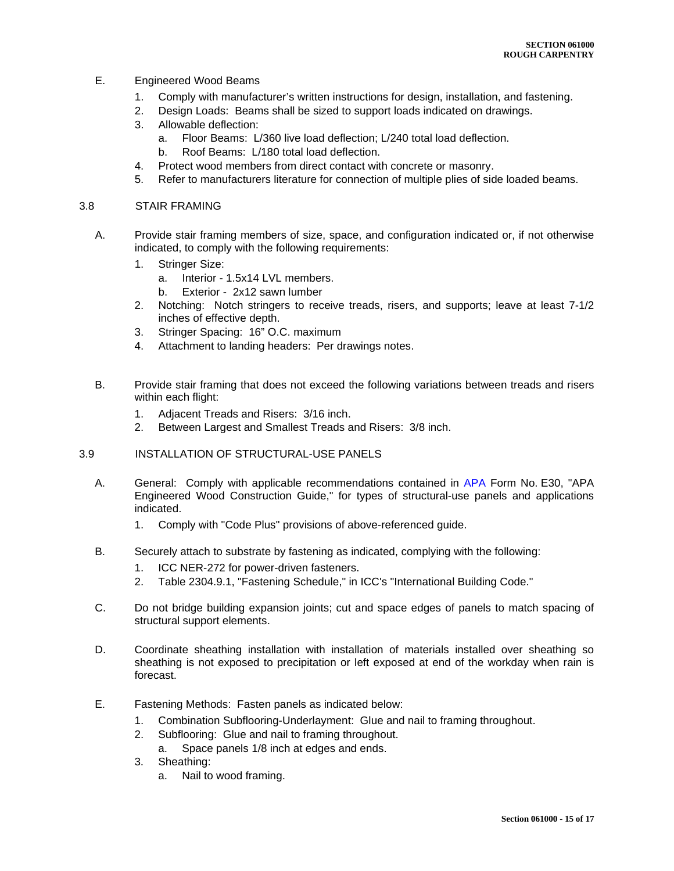- E. Engineered Wood Beams
	- 1. Comply with manufacturer's written instructions for design, installation, and fastening.
	- 2. Design Loads: Beams shall be sized to support loads indicated on drawings.
	- 3. Allowable deflection:
		- a. Floor Beams: L/360 live load deflection; L/240 total load deflection.
		- b. Roof Beams: L/180 total load deflection.
	- 4. Protect wood members from direct contact with concrete or masonry.
	- 5. Refer to manufacturers literature for connection of multiple plies of side loaded beams.

#### 3.8 STAIR FRAMING

- A. Provide stair framing members of size, space, and configuration indicated or, if not otherwise indicated, to comply with the following requirements:
	- 1. Stringer Size:
		- a. Interior 1.5x14 LVL members.
		- b. Exterior 2x12 sawn lumber
	- 2. Notching: Notch stringers to receive treads, risers, and supports; leave at least 7-1/2 inches of effective depth.
	- 3. Stringer Spacing: 16" O.C. maximum
	- 4. Attachment to landing headers: Per drawings notes.
- B. Provide stair framing that does not exceed the following variations between treads and risers within each flight:
	- 1. Adjacent Treads and Risers: 3/16 inch.
	- 2. Between Largest and Smallest Treads and Risers: 3/8 inch.

## 3.9 INSTALLATION OF STRUCTURAL-USE PANELS

- A. General: Comply with applicable recommendations contained in [APA](http://www.apawood.org/) Form No. E30, "APA Engineered Wood Construction Guide," for types of structural-use panels and applications indicated.
	- 1. Comply with "Code Plus" provisions of above-referenced guide.
- B. Securely attach to substrate by fastening as indicated, complying with the following:
	- 1. ICC NER-272 for power-driven fasteners.
	- 2. Table 2304.9.1, "Fastening Schedule," in ICC's "International Building Code."
- C. Do not bridge building expansion joints; cut and space edges of panels to match spacing of structural support elements.
- D. Coordinate sheathing installation with installation of materials installed over sheathing so sheathing is not exposed to precipitation or left exposed at end of the workday when rain is forecast.
- E. Fastening Methods: Fasten panels as indicated below:
	- 1. Combination Subflooring-Underlayment: Glue and nail to framing throughout.
	- 2. Subflooring: Glue and nail to framing throughout.
		- a. Space panels 1/8 inch at edges and ends.
	- 3. Sheathing:
		- a. Nail to wood framing.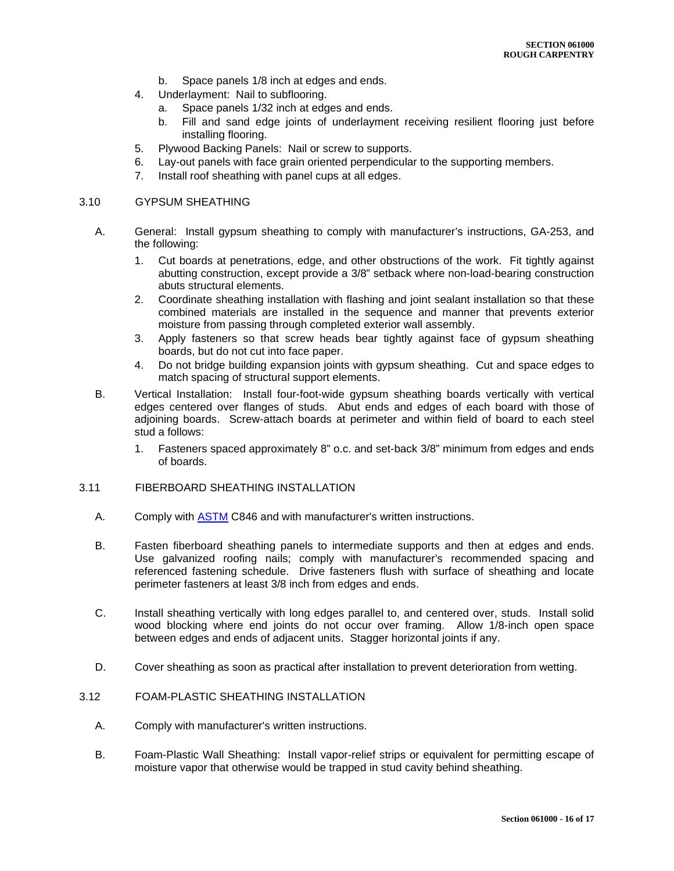- b. Space panels 1/8 inch at edges and ends.
- 4. Underlayment: Nail to subflooring.
	- a. Space panels 1/32 inch at edges and ends.
	- b. Fill and sand edge joints of underlayment receiving resilient flooring just before installing flooring.
- 5. Plywood Backing Panels: Nail or screw to supports.
- 6. Lay-out panels with face grain oriented perpendicular to the supporting members.
- 7. Install roof sheathing with panel cups at all edges.

## 3.10 GYPSUM SHEATHING

- A. General: Install gypsum sheathing to comply with manufacturer's instructions, GA-253, and the following:
	- 1. Cut boards at penetrations, edge, and other obstructions of the work. Fit tightly against abutting construction, except provide a 3/8" setback where non-load-bearing construction abuts structural elements.
	- 2. Coordinate sheathing installation with flashing and joint sealant installation so that these combined materials are installed in the sequence and manner that prevents exterior moisture from passing through completed exterior wall assembly.
	- 3. Apply fasteners so that screw heads bear tightly against face of gypsum sheathing boards, but do not cut into face paper.
	- 4. Do not bridge building expansion joints with gypsum sheathing. Cut and space edges to match spacing of structural support elements.
- B. Vertical Installation: Install four-foot-wide gypsum sheathing boards vertically with vertical edges centered over flanges of studs. Abut ends and edges of each board with those of adjoining boards. Screw-attach boards at perimeter and within field of board to each steel stud a follows:
	- 1. Fasteners spaced approximately 8" o.c. and set-back 3/8" minimum from edges and ends of boards.

#### 3.11 FIBERBOARD SHEATHING INSTALLATION

- A. Comply with [ASTM](http://www.astm.org/) C846 and with manufacturer's written instructions.
- B. Fasten fiberboard sheathing panels to intermediate supports and then at edges and ends. Use galvanized roofing nails; comply with manufacturer's recommended spacing and referenced fastening schedule. Drive fasteners flush with surface of sheathing and locate perimeter fasteners at least 3/8 inch from edges and ends.
- C. Install sheathing vertically with long edges parallel to, and centered over, studs. Install solid wood blocking where end joints do not occur over framing. Allow 1/8-inch open space between edges and ends of adjacent units. Stagger horizontal joints if any.
- D. Cover sheathing as soon as practical after installation to prevent deterioration from wetting.

# 3.12 FOAM-PLASTIC SHEATHING INSTALLATION

- A. Comply with manufacturer's written instructions.
- B. Foam-Plastic Wall Sheathing: Install vapor-relief strips or equivalent for permitting escape of moisture vapor that otherwise would be trapped in stud cavity behind sheathing.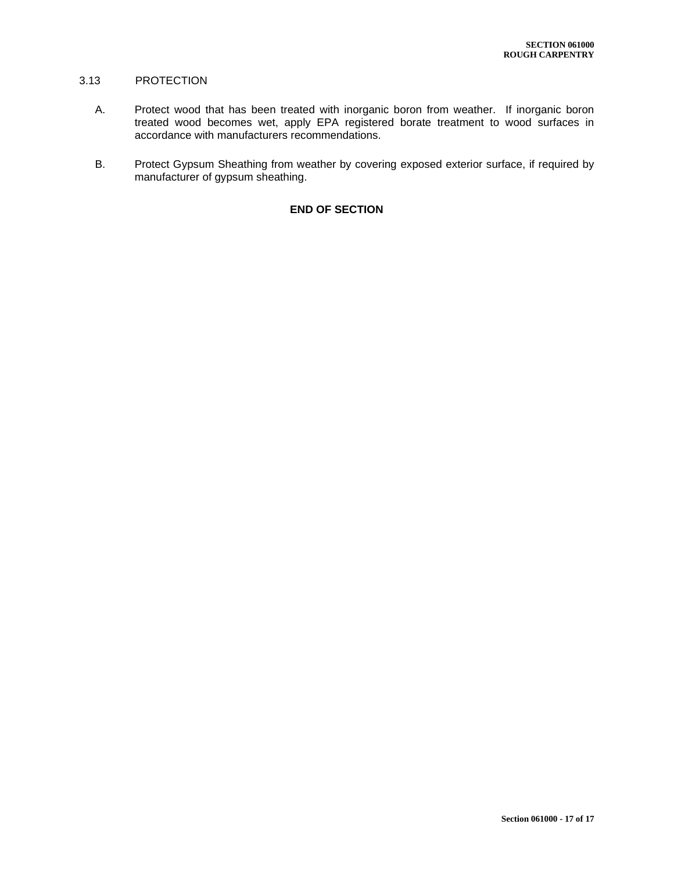# 3.13 PROTECTION

- A. Protect wood that has been treated with inorganic boron from weather. If inorganic boron treated wood becomes wet, apply EPA registered borate treatment to wood surfaces in accordance with manufacturers recommendations.
- B. Protect Gypsum Sheathing from weather by covering exposed exterior surface, if required by manufacturer of gypsum sheathing.

## **END OF SECTION**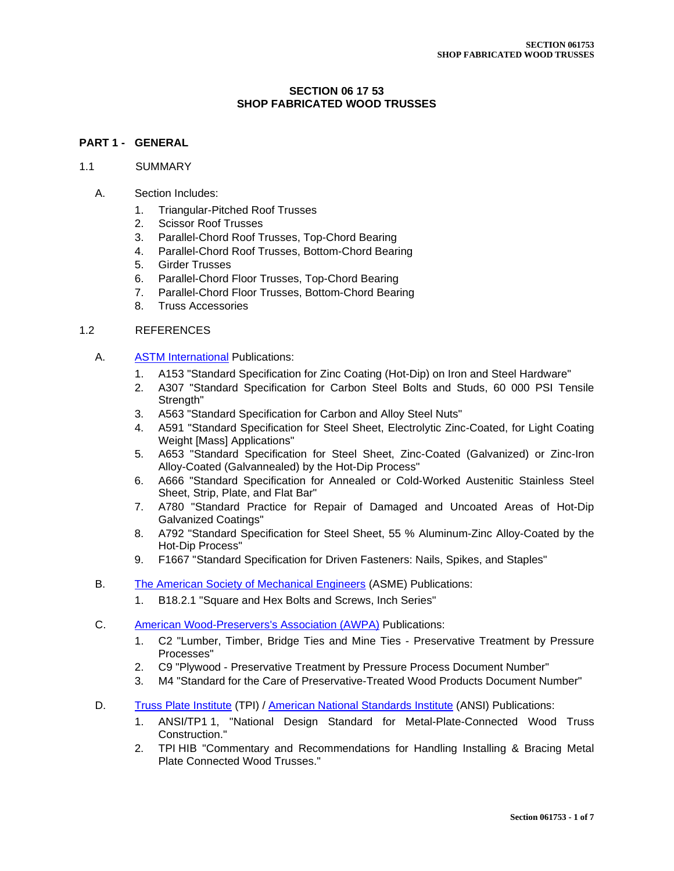## **SECTION 06 17 53 SHOP FABRICATED WOOD TRUSSES**

## **PART 1 - GENERAL**

## 1.1 SUMMARY

- A. Section Includes:
	- 1. Triangular-Pitched Roof Trusses
	- 2. Scissor Roof Trusses
	- 3. Parallel-Chord Roof Trusses, Top-Chord Bearing
	- 4. Parallel-Chord Roof Trusses, Bottom-Chord Bearing
	- 5. Girder Trusses
	- 6. Parallel-Chord Floor Trusses, Top-Chord Bearing
	- 7. Parallel-Chord Floor Trusses, Bottom-Chord Bearing
	- 8. Truss Accessories

## 1.2 REFERENCES

- A. [ASTM International](http://www.astm.org/) Publications:
	- 1. A153 "Standard Specification for Zinc Coating (Hot-Dip) on Iron and Steel Hardware"
	- 2. A307 "Standard Specification for Carbon Steel Bolts and Studs, 60 000 PSI Tensile Strength"
	- 3. A563 "Standard Specification for Carbon and Alloy Steel Nuts"
	- 4. A591 "Standard Specification for Steel Sheet, Electrolytic Zinc-Coated, for Light Coating Weight [Mass] Applications"
	- 5. A653 "Standard Specification for Steel Sheet, Zinc-Coated (Galvanized) or Zinc-Iron Alloy-Coated (Galvannealed) by the Hot-Dip Process"
	- 6. A666 "Standard Specification for Annealed or Cold-Worked Austenitic Stainless Steel Sheet, Strip, Plate, and Flat Bar"
	- 7. A780 "Standard Practice for Repair of Damaged and Uncoated Areas of Hot-Dip Galvanized Coatings"
	- 8. A792 "Standard Specification for Steel Sheet, 55 % Aluminum-Zinc Alloy-Coated by the Hot-Dip Process"
	- 9. F1667 "Standard Specification for Driven Fasteners: Nails, Spikes, and Staples"
- B. [The American Society of Mechanical Engineers](http://www.asme.org/) (ASME) Publications:
	- 1. B18.2.1 "Square and Hex Bolts and Screws, Inch Series"
- C. [American Wood-Preservers's Association \(AWPA\)](http://www.awpa.com/) Publications:
	- 1. C2 "Lumber, Timber, Bridge Ties and Mine Ties Preservative Treatment by Pressure Processes"
	- 2. C9 "Plywood Preservative Treatment by Pressure Process Document Number"
	- 3. M4 "Standard for the Care of Preservative-Treated Wood Products Document Number"
- D. [Truss Plate Institute](http://www.tpinst.org/) (TPI) / [American National Standards Institute](http://www.ansi.org/) (ANSI) Publications:
	- 1. ANSI/TP1 1, "National Design Standard for Metal-Plate-Connected Wood Truss Construction."
	- 2. TPI HIB "Commentary and Recommendations for Handling Installing & Bracing Metal Plate Connected Wood Trusses."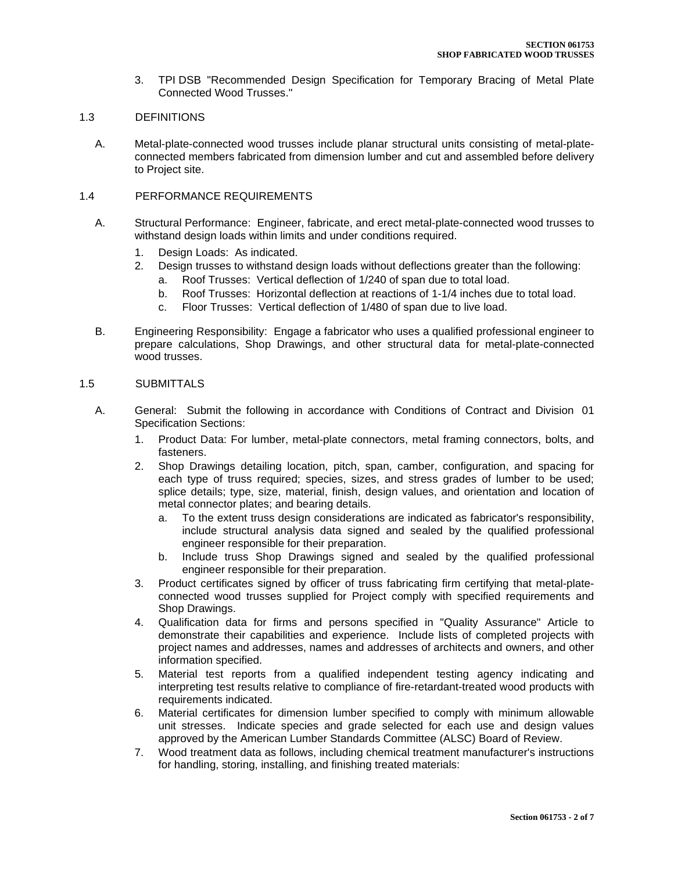3. TPI DSB "Recommended Design Specification for Temporary Bracing of Metal Plate Connected Wood Trusses."

## 1.3 DEFINITIONS

A. Metal-plate-connected wood trusses include planar structural units consisting of metal-plateconnected members fabricated from dimension lumber and cut and assembled before delivery to Project site.

## 1.4 PERFORMANCE REQUIREMENTS

- A. Structural Performance: Engineer, fabricate, and erect metal-plate-connected wood trusses to withstand design loads within limits and under conditions required.
	- 1. Design Loads: As indicated.
	- 2. Design trusses to withstand design loads without deflections greater than the following:
		- a. Roof Trusses: Vertical deflection of 1/240 of span due to total load.
		- b. Roof Trusses: Horizontal deflection at reactions of 1-1/4 inches due to total load.
		- c. Floor Trusses: Vertical deflection of 1/480 of span due to live load.
- B. Engineering Responsibility: Engage a fabricator who uses a qualified professional engineer to prepare calculations, Shop Drawings, and other structural data for metal-plate-connected wood trusses.

#### 1.5 SUBMITTALS

- A. General: Submit the following in accordance with Conditions of Contract and Division 01 Specification Sections:
	- 1. Product Data: For lumber, metal-plate connectors, metal framing connectors, bolts, and fasteners.
	- 2. Shop Drawings detailing location, pitch, span, camber, configuration, and spacing for each type of truss required; species, sizes, and stress grades of lumber to be used; splice details; type, size, material, finish, design values, and orientation and location of metal connector plates; and bearing details.
		- a. To the extent truss design considerations are indicated as fabricator's responsibility, include structural analysis data signed and sealed by the qualified professional engineer responsible for their preparation.
		- b. Include truss Shop Drawings signed and sealed by the qualified professional engineer responsible for their preparation.
	- 3. Product certificates signed by officer of truss fabricating firm certifying that metal-plateconnected wood trusses supplied for Project comply with specified requirements and Shop Drawings.
	- 4. Qualification data for firms and persons specified in "Quality Assurance" Article to demonstrate their capabilities and experience. Include lists of completed projects with project names and addresses, names and addresses of architects and owners, and other information specified.
	- 5. Material test reports from a qualified independent testing agency indicating and interpreting test results relative to compliance of fire-retardant-treated wood products with requirements indicated.
	- 6. Material certificates for dimension lumber specified to comply with minimum allowable unit stresses. Indicate species and grade selected for each use and design values approved by the American Lumber Standards Committee (ALSC) Board of Review.
	- 7. Wood treatment data as follows, including chemical treatment manufacturer's instructions for handling, storing, installing, and finishing treated materials: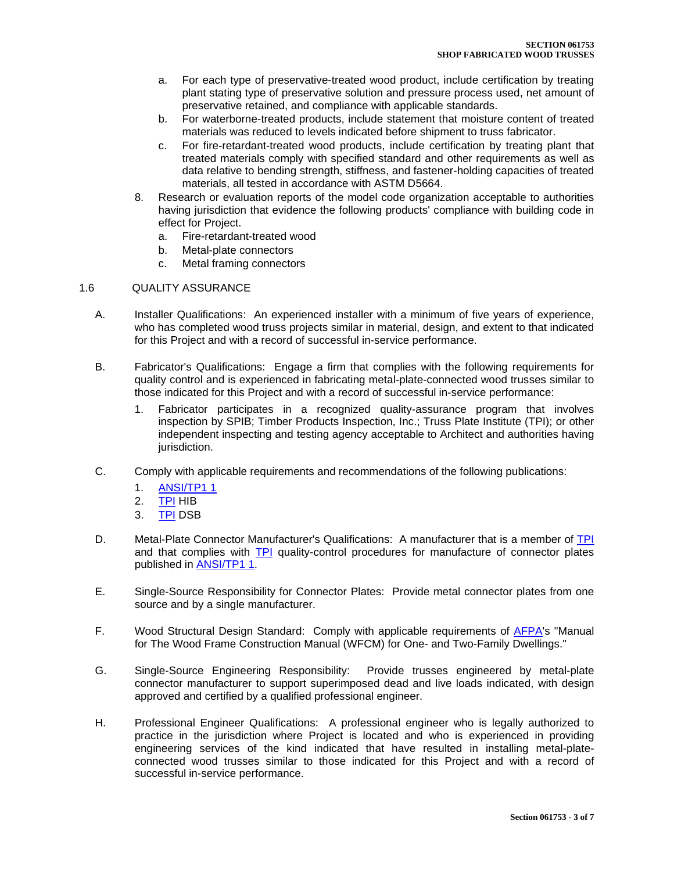- a. For each type of preservative-treated wood product, include certification by treating plant stating type of preservative solution and pressure process used, net amount of preservative retained, and compliance with applicable standards.
- b. For waterborne-treated products, include statement that moisture content of treated materials was reduced to levels indicated before shipment to truss fabricator.
- c. For fire-retardant-treated wood products, include certification by treating plant that treated materials comply with specified standard and other requirements as well as data relative to bending strength, stiffness, and fastener-holding capacities of treated materials, all tested in accordance with ASTM D5664.
- 8. Research or evaluation reports of the model code organization acceptable to authorities having jurisdiction that evidence the following products' compliance with building code in effect for Project.
	- a. Fire-retardant-treated wood
	- b. Metal-plate connectors
	- c. Metal framing connectors

#### 1.6 QUALITY ASSURANCE

- A. Installer Qualifications: An experienced installer with a minimum of five years of experience, who has completed wood truss projects similar in material, design, and extent to that indicated for this Project and with a record of successful in-service performance.
- B. Fabricator's Qualifications: Engage a firm that complies with the following requirements for quality control and is experienced in fabricating metal-plate-connected wood trusses similar to those indicated for this Project and with a record of successful in-service performance:
	- 1. Fabricator participates in a recognized quality-assurance program that involves inspection by SPIB; Timber Products Inspection, Inc.; Truss Plate Institute (TPI); or other independent inspecting and testing agency acceptable to Architect and authorities having jurisdiction.
- C. Comply with applicable requirements and recommendations of the following publications:
	- 1. [ANSI/TP1 1](http://www.tpinst.org/)
	- 2. [TPI](http://www.tpinst.org/) HIB
	- 3. [TPI](http://www.tpinst.org/) DSB
- D. Metal-Plate Connector Manufacturer's Qualifications: A manufacturer that is a member of [TPI](http://www.tpinst.org/) and that complies with [TPI](http://www.tpinst.org/) quality-control procedures for manufacture of connector plates published in [ANSI/TP1](http://www.tpinst.org/) 1.
- E. Single-Source Responsibility for Connector Plates: Provide metal connector plates from one source and by a single manufacturer.
- F. Wood Structural Design Standard: Comply with applicable requirements of [AFPA's](http://www.afandpa.org/) "Manual for The Wood Frame Construction Manual (WFCM) for One- and Two-Family Dwellings."
- G. Single-Source Engineering Responsibility: Provide trusses engineered by metal-plate connector manufacturer to support superimposed dead and live loads indicated, with design approved and certified by a qualified professional engineer.
- H. Professional Engineer Qualifications: A professional engineer who is legally authorized to practice in the jurisdiction where Project is located and who is experienced in providing engineering services of the kind indicated that have resulted in installing metal-plateconnected wood trusses similar to those indicated for this Project and with a record of successful in-service performance.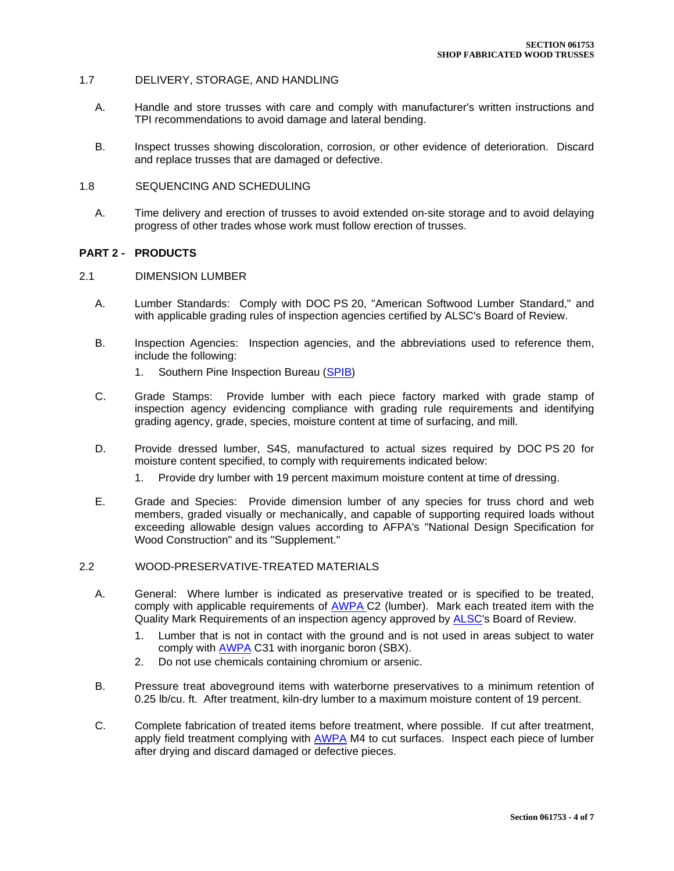#### 1.7 DELIVERY, STORAGE, AND HANDLING

- A. Handle and store trusses with care and comply with manufacturer's written instructions and TPI recommendations to avoid damage and lateral bending.
- B. Inspect trusses showing discoloration, corrosion, or other evidence of deterioration. Discard and replace trusses that are damaged or defective.

#### 1.8 SEQUENCING AND SCHEDULING

A. Time delivery and erection of trusses to avoid extended on-site storage and to avoid delaying progress of other trades whose work must follow erection of trusses.

#### **PART 2 - PRODUCTS**

#### 2.1 DIMENSION LUMBER

- A. Lumber Standards: Comply with DOC PS 20, "American Softwood Lumber Standard," and with applicable grading rules of inspection agencies certified by ALSC's Board of Review.
- B. Inspection Agencies: Inspection agencies, and the abbreviations used to reference them, include the following:
	- 1. Southern Pine Inspection Bureau (SPIB)
- C. Grade Stamps: Provide lumber with each piece factory marked with grade stamp of inspection agency evidencing compliance with grading rule requirements and identifying grading agency, grade, species, moisture content at time of surfacing, and mill.
- D. Provide dressed lumber, S4S, manufactured to actual sizes required by DOC PS 20 for moisture content specified, to comply with requirements indicated below:
	- 1. Provide dry lumber with 19 percent maximum moisture content at time of dressing.
- E. Grade and Species: Provide dimension lumber of any species for truss chord and web members, graded visually or mechanically, and capable of supporting required loads without exceeding allowable design values according to AFPA's "National Design Specification for Wood Construction" and its "Supplement."

#### 2.2 WOOD-PRESERVATIVE-TREATED MATERIALS

- A. General: Where lumber is indicated as preservative treated or is specified to be treated, comply with applicable requirements of [AWPA](http://www.awpa.com/) C2 (lumber). Mark each treated item with the Quality Mark Requirements of an inspection agency approved by [ALSC'](http://www.alsc.org/)s Board of Review.
	- 1. Lumber that is not in contact with the ground and is not used in areas subject to water comply with [AWPA](http://www.awpa.com/) C31 with inorganic boron (SBX).
	- 2. Do not use chemicals containing chromium or arsenic.
- B. Pressure treat aboveground items with waterborne preservatives to a minimum retention of 0.25 lb/cu. ft. After treatment, kiln-dry lumber to a maximum moisture content of 19 percent.
- C. Complete fabrication of treated items before treatment, where possible. If cut after treatment, apply field treatment complying with **AWPA** M4 to cut surfaces. Inspect each piece of lumber after drying and discard damaged or defective pieces.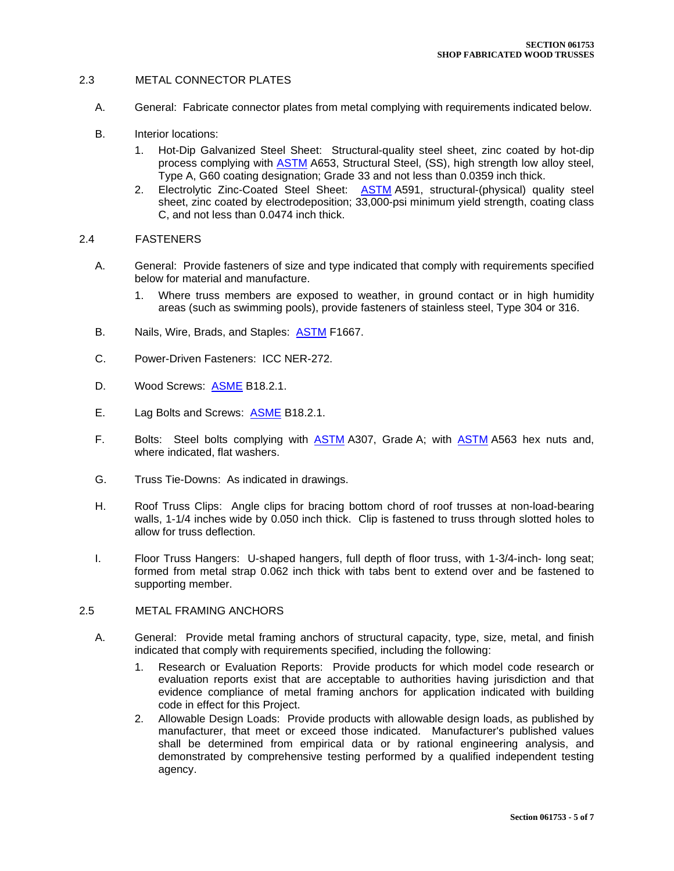### 2.3 METAL CONNECTOR PLATES

- A. General: Fabricate connector plates from metal complying with requirements indicated below.
- B. Interior locations:
	- 1. Hot-Dip Galvanized Steel Sheet: Structural-quality steel sheet, zinc coated by hot-dip process complying with [ASTM](http://www.astm.org/) A653, Structural Steel, (SS), high strength low alloy steel, Type A, G60 coating designation; Grade 33 and not less than 0.0359 inch thick.
	- 2. Electrolytic Zinc-Coated Steel Sheet: [ASTM](http://www.astm.org/) A591, structural-(physical) quality steel sheet, zinc coated by electrodeposition; 33,000-psi minimum yield strength, coating class C, and not less than 0.0474 inch thick.

#### 2.4 FASTENERS

- A. General: Provide fasteners of size and type indicated that comply with requirements specified below for material and manufacture.
	- 1. Where truss members are exposed to weather, in ground contact or in high humidity areas (such as swimming pools), provide fasteners of stainless steel, Type 304 or 316.
- B. Nails, Wire, Brads, and Staples: [ASTM](http://www.astm.org/) F1667.
- C. Power-Driven Fasteners: ICC NER-272.
- D. Wood Screws: [ASME](http://www.asme.org/) B18.2.1.
- E. Lag Bolts and Screws: [ASME](http://www.asme.org/) B18.2.1.
- F. Bolts: Steel bolts complying with **[ASTM](http://www.astm.org/) A307**, Grade A; with **ASTM A563** hex nuts and, where indicated, flat washers.
- G. Truss Tie-Downs: As indicated in drawings.
- H. Roof Truss Clips: Angle clips for bracing bottom chord of roof trusses at non-load-bearing walls, 1-1/4 inches wide by 0.050 inch thick. Clip is fastened to truss through slotted holes to allow for truss deflection.
- I. Floor Truss Hangers: U-shaped hangers, full depth of floor truss, with 1-3/4-inch- long seat; formed from metal strap 0.062 inch thick with tabs bent to extend over and be fastened to supporting member.

### 2.5 METAL FRAMING ANCHORS

- A. General: Provide metal framing anchors of structural capacity, type, size, metal, and finish indicated that comply with requirements specified, including the following:
	- 1. Research or Evaluation Reports: Provide products for which model code research or evaluation reports exist that are acceptable to authorities having jurisdiction and that evidence compliance of metal framing anchors for application indicated with building code in effect for this Project.
	- 2. Allowable Design Loads: Provide products with allowable design loads, as published by manufacturer, that meet or exceed those indicated. Manufacturer's published values shall be determined from empirical data or by rational engineering analysis, and demonstrated by comprehensive testing performed by a qualified independent testing agency.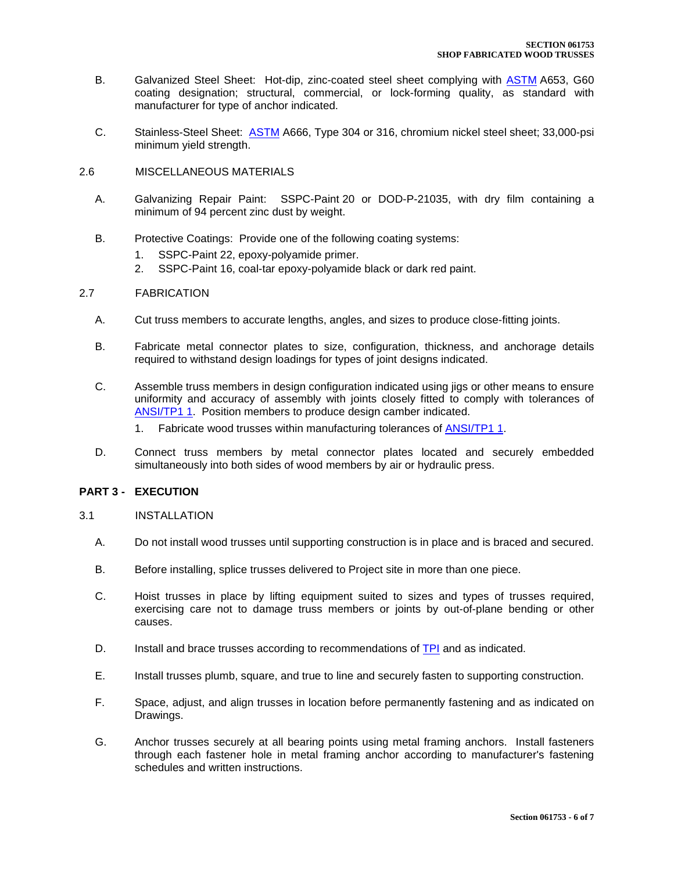- B. Galvanized Steel Sheet: Hot-dip, zinc-coated steel sheet complying with [ASTM](http://www.astm.org/) A653, G60 coating designation; structural, commercial, or lock-forming quality, as standard with manufacturer for type of anchor indicated.
- C. Stainless-Steel Sheet: [ASTM](http://www.astm.org/) A666, Type 304 or 316, chromium nickel steel sheet; 33,000-psi minimum yield strength.
- 2.6 MISCELLANEOUS MATERIALS
	- A. Galvanizing Repair Paint: SSPC-Paint 20 or DOD-P-21035, with dry film containing a minimum of 94 percent zinc dust by weight.
	- B. Protective Coatings: Provide one of the following coating systems:
		- 1. SSPC-Paint 22, epoxy-polyamide primer.
		- 2. SSPC-Paint 16, coal-tar epoxy-polyamide black or dark red paint.
- 2.7 FABRICATION
	- A. Cut truss members to accurate lengths, angles, and sizes to produce close-fitting joints.
	- B. Fabricate metal connector plates to size, configuration, thickness, and anchorage details required to withstand design loadings for types of joint designs indicated.
	- C. Assemble truss members in design configuration indicated using jigs or other means to ensure uniformity and accuracy of assembly with joints closely fitted to comply with tolerances of [ANSI/TP1 1.](http://www.tpinst.org/) Position members to produce design camber indicated.
		- 1. Fabricate wood trusses within manufacturing tolerances of [ANSI/TP1 1.](http://www.tpinst.org/)
	- D. Connect truss members by metal connector plates located and securely embedded simultaneously into both sides of wood members by air or hydraulic press.

#### **PART 3 - EXECUTION**

- 3.1 INSTALLATION
	- A. Do not install wood trusses until supporting construction is in place and is braced and secured.
	- B. Before installing, splice trusses delivered to Project site in more than one piece.
	- C. Hoist trusses in place by lifting equipment suited to sizes and types of trusses required, exercising care not to damage truss members or joints by out-of-plane bending or other causes.
	- D. Install and brace trusses according to recommendations of [TPI](http://www.tpinst.org/) and as indicated.
	- E. Install trusses plumb, square, and true to line and securely fasten to supporting construction.
	- F. Space, adjust, and align trusses in location before permanently fastening and as indicated on Drawings.
	- G. Anchor trusses securely at all bearing points using metal framing anchors. Install fasteners through each fastener hole in metal framing anchor according to manufacturer's fastening schedules and written instructions.